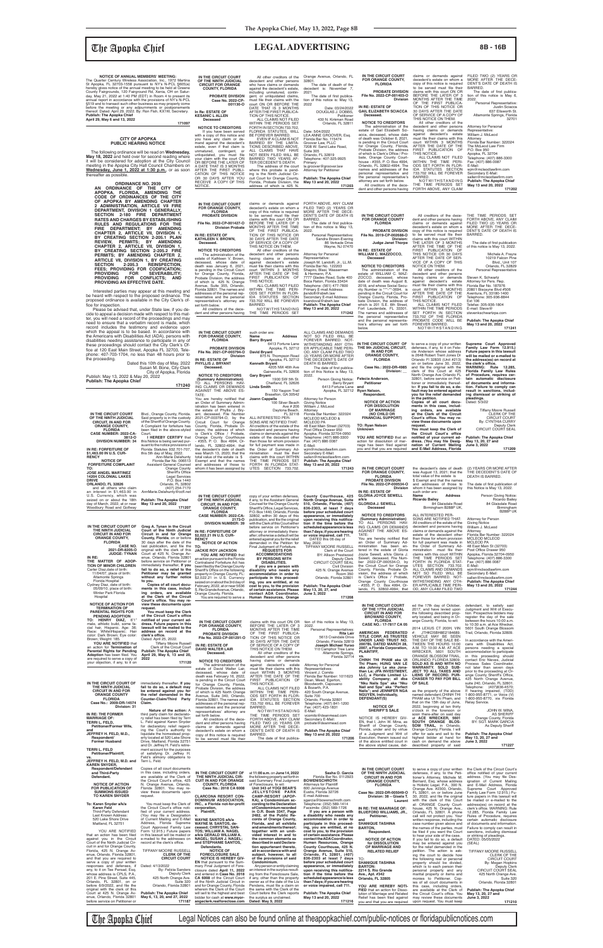## *Che Apopka Chief* **<b>Example 26 Intervention CLEGAL ADVERTISING** 8B-16B

**YOU ARE NOTIFIED** that an action for dissolution of mar-<br>riage has been filed against<br>you and that you are required

**IN THE CIRCUIT COURT OF THE NINTH JUDICIAL CIRCUIT, IN AND FOR ORANGE COUNTY, FLORIDA CASE NUMBER: 2022-CA-**

**2173-O**

copy of your written defenses, if any, to the Assistant General Counsel for the Orange County Sheriff's Offi ce, Legal Services, P.O. Box 1440, Orlando, Florida 32802, within 30 days of this publication, and file the original with the Clerk of this Court either before service on Petitioner's attorney or immediately thereafter; otherwise a default will be **County Courthouse, 425**   **Case No.: 2022-DR-4985 Division: \_\_**

**Felecia Anderson, Petitioner**

**and Ryan Nelson, Respondent. NOTICE OF ACTION FOR DISSOLUTION OF MARRIAGE (NO CHILD OR FINANCIAL SUPPORT)**

**TO: Ryan Nelson Unknown**

to serve a copy of your written defenses, if any, to it on Fele-cia Anderson whose address is 2648 Robert Trent Jones Dr Orlando Fl 32835 (Unit #213) on or before June 30, 2022,<br>clerk of this Court at 425<br>North Orange Ave Orlando FL<br>32801, before service on Peti-<br>32801, before service on Peti-<br>tioner or immediately thereafter. **If you fail to do so, a de-fault may be entered against you for the relief demanded in the petition. Copies of all court docu-ments in this case, including orders, are available at the Clerk of the Circuit**  Court's office. You may re-<br>view these documents upon **Supreme Court Approved Family Law Form 12.915.) Future papers in this lawsuit will be mailed or e-mailed to the address(es) on record at the clerk's office.**<br> **WARNING: Rule 12.285,<br>
Florida Family Law Rules<br>
<b>of Procedure, requires cer-**<br> **tain automatic disclosure**<br> **of documents and information. Failure to comply can result in sanctions, includ-ing dismissal or striking of pleadings.** Dated: 5/3/22 Tiffany Moore Russell

**request. You must keep the Clerk of**  the Circuit Court's office<br> **notified of your current ad-**<br> **dress. (You may file Desig-**<br> **nation of Current Mailing<br>
and E-Mail Address, Florida** CLERK OF THE CIRCUIT COURT By: CYNTHIA CURRY Deputy Clerk<br>CIRCUIT COURT SEAL **Publish: The Apopka Chief May 13, 20, 27 and June 3, 2022 171209**

for Orange County, Florida, Probate Division, the address of which is 425 N. Orange Avenue, Suite 355, Orlando, Florida 32801. The names and addresses of the personal representative and the personal representative's attorney are set forth below. All creditors of the dece-dent and other persons having 733.702 WILL BE FOREVER BARRED. NOTWITHSTANDING THE TIME PERIODS SET **IN THE CIRCUIT COURT FOR ORANGE COUNTY, PROBATE DIVISION File No. 2021-CP-003794-O Division IN RE: ESTATE OF** such order are:<br>Name Address **Barry Bryant** 6413 Fortune Lane Apopka, FL 32712 **David Bryant** 875 N. Thompson Road Apopka, FL 32712<br>**Kenneth Bryant**<br>4205 NW 46th Ave

ALL CLAIMS AND DEMANDS<br>NOT SO FILED WILL BE<br>FOREVER BARRED. NOT-<br>WITHSTANDING ANY OTH-<br>ER APPLICABLE TIME PERI-<br>OD, ANY CLAIM FILED TWO<br>(2) YEARS OR MORE AFTER<br>THE DECEDENT'S DATE OF DEATH IS BARRED. The date of fi rst publica-tion of this Notice is May 13, 2022. Person Giving Notice: Barry Bryant 6413 Fortune Lane Apopka, FL 32712 Attorney for Person Giving Notice William J. McLeod Attorney Florida Bar Number: 322024 MCLEOD MCLEOD & MCLEOD PA 48 East Main Street (32703) Post Office Drawer 950<br>Apopka, Florida 32704-0950<br>Telephone: (407) 886-3300<br>Fax: (407) 886 0087 E-Mail: wjm@mcleodlawfirm.com<br>Secondary E-Mail: sallen@mcleodlawfirm.com **Publish: The Apopka Chief May 13 and 20, 2022 171243**

> **Name Address<br><b>Ricardo Bailey**<br>84 Glaisdale Road Birmingham B288P UK, SONS ARE NOTIFIED THAT: All creditors of the estate of the decedent and persons having Person Giving Notice: Ricardo Bailey 84 Glaisdale Road Attorney for Person Giving Notice William J. McLeod Attorney Florida Bar Number: 322024 MCLEOD MCLEOD

Personal Representative: Justin Sciacca 637 Ellsworth St. Altamonte Springs, Florida 32701 Attorney Florida Bar Number: 322024

**171202**

**COUNTY, FLORIDA**

**In Re: ESTATE OF KESANIC L ALLEN Deceased**

NOTICE.

**CIRCUIT IN AND FOR**  GE COUNTY,

**North Orange Avenue, Suite 510, Orlando, Florida, (407) 836-2303, at least 7 days before your scheduled court appearance, or immediately**  upon receiving this notifica**tion if the time before the scheduled appearance is less than 7 days; if you are hearing or voice impaired, call 711. IN RE: ESTATE OF GLORIA JOYCE SEWELL a/k/a GLORIDA J. SEWELL Deceased**

| <b>URANGE COUNTY.</b><br><b>FLORIDA</b>                             |                 | County, Florida, on or before<br>30 days after the date of the           | <b>RENCY</b><br><b>NOTICE OF ACTION</b>                                            | entered against you for the relief<br>demanded in the Petition for    | DATED this 06 day of<br>May, 2022.                              | You are nereby notified that<br>an Order of Summary Ad-        | than those for whom provision<br>for full payment was made in    | <b>MCLEOD MCLEOD</b><br><b>MCLEOD PA</b>                                                  |
|---------------------------------------------------------------------|-----------------|--------------------------------------------------------------------------|------------------------------------------------------------------------------------|-----------------------------------------------------------------------|-----------------------------------------------------------------|----------------------------------------------------------------|------------------------------------------------------------------|-------------------------------------------------------------------------------------------|
| 2021-DR-8205-O                                                      | <b>CASE NO.</b> | last publication, and file the $TO$ .<br>original with the clerk of this | <b>JACKIE ROY JACKSON</b>                                                          | Final Judgment of Forfeiture.<br><b>REQUESTS FOR</b>                  | TIFFANY MOORE RUSSELL<br>Clerk of the Court                     | ministration has been en-<br>tered in the estate of Gloria     | the Order of Summary Ad-<br>ministration must file their         | 48 East Main St (32703)<br>Post Office Drawer 950                                         |
| <b>JUDGE: TYNAN</b><br>IN RE:                                       |                 | Court at 425 N. Orange Av-<br>enue, Orlando, Florida 32801               | YOU ARE NOTIFIED that<br>an action pursuant to the Florida                         | <b>ACCOMMODATIONS</b><br><b>BY PERSONS WITH</b>                       | BY: Allison Prestwood<br>Deputy Clerk                           | Jovce Sewell, a/k/a Gloria J.<br>Sewell, deceased, File Num-   | claims with this court WITHIN<br>THE TIME PERIODS SET            | Apopka, Florida 32704-0950<br>Telephone: (407) 886-3300                                   |
| THE MATTER OF ADOP-<br><b>TION OF MINOR CHILDREN</b>                |                 | before service on Petitioner or<br>immediately thereafter, If you        | Contraband Forfeiture Act has                                                      | <b>DISABILITIES.</b>                                                  | CIRCUIT COURT SEAL                                              | ber 2022-CP-000534-O, by                                       | FORTH IN FLORIDA STAT-                                           | Fax: (407) 886 0087<br>E-Mail:                                                            |
| Carter Diaz.date of birth:                                          |                 | fail to do so, a relief to the                                           | been filed by the Orange County<br>Sheriff's Office on the following               | If you are a person with<br>disability who needs any                  | Civil Division<br>425 N. Orange Avenue                          | the Circuit Court for Orange<br>County, Florida, Probate Di-   | UTES SECTION 733.702.<br>ALL CLAIMS AND DEMANDS                  | wjm@mcleodlawfirm.com                                                                     |
| 11/04/07, place of birth:<br><b>Altamonte Springs</b>               |                 | Petitioner may be granted<br>without any further notice                  | property in Orange County, FL:<br>\$2,022.21 in U.S. Currency                      | accommodation in order to<br>participate in this proceed-             | <b>Room 350</b><br>Orlando, Florida 32801                       | vision, the address of which<br>is Clerk's Office / Probate,   | NOT SO FILED WILL BE<br>FOREVER BARRED. NOT-                     | Secondary E-Mail:<br>sallen@mcleodlawfirm.com                                             |
| Florida Hospital<br>Cydney Diaz, date of birth:                     |                 | to you.<br>Copies of all court docu-                                     | seized on or about the 3rd day of                                                  | ing, you are entitled, at no                                          |                                                                 | Orange County Courthouse<br>- #355, P. O. Box 4994, Or-        | WITHSTANDING ANY OTH-<br>ER APPLICABLE TIME PERI-                | <b>Publish: The Apopka Chief</b>                                                          |
| 05/09/10, place of birth:                                           |                 | ments in this case, includ-                                              | February, 2022, at or near 5636<br>S. Rio Grande Avenue, Orlando,                  | cost to you, to the provision<br>of certain assistance. Please        | <b>Publish: The Apopka Chief</b><br>May 13, 20, 27, and         | lando, FL 32802-4994; that                                     | OD, ANY CLAIM FILED TWO                                          | May 13 and 20, 2022<br>171244                                                             |
| Winter Park Florida<br>Hospital                                     |                 | ing orders, are available<br>at the Clerk of the Circuit                 | Orange County, Florida.<br>You are required to serve a                             | contact ADA Coordinator,<br>Human Resources, Orange                   | June 3, 2022<br>171208                                          |                                                                |                                                                  |                                                                                           |
| <b>NOTICE OF ACTION FOR</b>                                         |                 | Court's office. You may re-<br>view these documents upon                 |                                                                                    |                                                                       |                                                                 |                                                                |                                                                  |                                                                                           |
| <b>TERMINATION OF</b>                                               |                 | request.                                                                 |                                                                                    |                                                                       |                                                                 | IN THE CIRCUIT COURT<br>OF THE 17TH JUDICIAL                   | ed the 17th day of October,<br>2017, and have levied upon        | defendant, to satisfy said<br>Judgment and Writ of Execu-                                 |
| <b>PARENTAL RIGHTS FOR</b><br>PENDING ADOPTION                      |                 | You must keep the Clerk<br>of the Circuit Court's office                 |                                                                                    |                                                                       |                                                                 | <b>CIRCUIT IN AND FOR</b><br><b>BROWARD COUNTY,</b>            | the following described prop-<br>erty located, and being in Or-  | tion. Prospective bidders may<br>register the day of the sale                             |
| TO: HENRY DIAZ. 6'1"<br>male, athletic build, some fa-              |                 | notified of your current ad-<br>dress. Future papers in this             | IN THE CIRCUIT COURT                                                               |                                                                       | claims with this court ON OR tion of this notice is May 13,     | <b>FLORIDA</b><br>CASE NO.: 17-7817 CA 05                      | ange County, Florida, to-wit:                                    | between the hours 10:00 a.m.<br>to 10:30 a.m. at Ace Wrecker,                             |
| cial hair, Hispanic. Age: 36;<br>Race: White\Hispanic; Hair         |                 | lawsuit will be mailed to the<br>address on record at the                | FOR ORANGE COUNTY,<br><b>FLORIDA</b>                                               | BEFORE THE LATER OF 3<br>MONTHS AFTER THE TIME                        | 2022.<br>Personal Representatives:                              |                                                                | 2014 LEXUS CT 200H, VIN                                          | 5601 South Orange Blossom                                                                 |
| color: Dark Brown; Eye color:                                       |                 | clerk's office.                                                          | <b>PROBATE DIVISION</b><br>File No. 2022-CP-001291-O                               | OF THE FIRST PUBLICA-<br>TION OF THIS NOTICE OR                       | Rita Lair<br>5613 Craindale Drive                               | AMERICAN FEDERATED<br>TITLE CORP, AS TRUSTEE                   | JTHKD5BH8E2184689.<br>VEHICLE MAY BE SEEN                        | Trail, Orlando, Florida 32809.                                                            |
| Brown; Weight: 185<br>YOU ARE NOTIFIED that                         |                 | Dated: April 25, 2022.<br><b>Tiffany Moore Russell</b>                   |                                                                                    | 30 DAYS AFTER THE DATE<br>OF SERVICE OF A COPY OF                     | Orlando, Florida 32819<br>Joseph Michael Yurso                  | UNDER LAND TRUST NO.<br>2007BL DATED MARCH 28,                 | THE DAY OF THE SALE BE-<br>TWEEN THE HOURS 10:00                 | In accordance with the Ameri-<br>cans with Disabilities Act                               |
| an action for Termination of<br><b>Parental Rights for Pending</b>  |                 | Clerk of the Circuit Court<br><b>Publish: The Apopka Chief</b>           | IN RE: ESTATE OF<br><b>DAVID WALTER LAIR</b>                                       | THIS NOTICE ON THEM.                                                  | 110 Camphor Tree Lane                                           | 2007, a Florida Corporation,<br>PLAINTIFF,                     | A.M. TO 10:30 A.M. AT ACE                                        | persons needing a special                                                                 |
| Adoption has been filed. You                                        |                 | April 29, May 6, 13 and 20,                                              | Deceased.                                                                          | All other creditors of the<br>decedent and other persons              | Altamonte Springs,<br>Florida 32714                             |                                                                | WRECKER, 5601 SOUTH<br>ORANGE BLOSSOM TRAIL.                     | accommodation to participate<br>in this proceeding should                                 |
| are required to serve a copy of<br>your objection, if any, to it on |                 | 2022<br>171120                                                           | <b>NOTICE TO CREDITORS</b><br>The administration of the                            | having claims or demands<br>against decedent's estate                 | <b>Attorney for Personal</b>                                    | CHINH THI PHAM aka Ut<br>Thi Pham: HUNG VAN LE                 | ORLANDO, FLORIDA 32809.<br>SOLD AS IS AND WITH NO                | contact Eric Nieves, Judicial<br>Process Sales Coordinator,                               |
|                                                                     |                 |                                                                          | estate of David Walter Lair.                                                       | must file their claims with this                                      | Representatives:                                                | aka Johnny Le aka Jona-<br>than Le: JPA INVESTMENT.            | WARRANTY. SOLD SUB-<br>JECT TO ALL TAXES AND                     | not later than seven days<br>prior to the proceeding at Or-                               |
|                                                                     |                 |                                                                          | deceased, whose date of<br>death was February 16, 2022,                            | court WITHIN 3 MONTHS<br>AFTER THE DATE OF THE                        | Vincent J. Comito<br>Florida Bar Number: 1011623                | LLC, a Florida Limited Li-                                     | LIENS OF RECORD. PUR-                                            | ange County Sheriff's Office,                                                             |
| IN THE CIRCUIT COURT OF                                             |                 | immediately thereafter. If you                                           | is pending in the Circuit Court<br>for Orange County, Florida,                     | FIRST PUBLICATION OF<br>THIS NOTICE                                   | Dean, Mead, Egerton,<br>Bloodworth, Capouano                    | ability Company; all dba<br>"Nku Nails Špa" aka "Nku           | <b>CHASER TO PAY FOR BILL</b><br>OF SALE.                        | 425 North Orange Avenue,<br>suite 240, Orlando, FL 32801.                                 |
| THE NINTH JUDICIAL<br><b>CIRCUIT IN AND FOR</b>                     |                 | fail to do so, a default may<br>be entered against you for               | Probate Division, the address                                                      | ALL CLAIMS NOT FILED                                                  | & Bozarth, P.A.                                                 | Nail and Spa" aka "Perfect<br>Nails"; and JENNIFER NGA         | as the property of the above                                     | Telephone: (407)836-4570;<br>If hearing impaired, (TDD)                                   |
| <b>ORANGE COUNTY</b>                                                |                 | the relief demanded in the                                               | of which is 425 North Orange<br>Avenue, Suite 340, Orlando,                        | WITHIN THE TIME PERI-<br>ODS SET FORTH IN FLOR-                       | 420 South Orange Avenue,<br>Suite 700                           | NGUYEN, Individually,                                          | named defendant.CHINH THI                                        | 1-800-955-8771, or Voice (V)                                                              |
| <b>FLORIDA</b><br>Case No.: 2009-DR-14574                           |                 | Counter-Claim/Third Party<br>Claim.                                      | Florida 32801. The names and<br>addresses of the personal rep-                     | IDA STATUTES SECTION<br>733.702 WILL BE FOREVER                       | Orlando, Florida 32801<br>Telephone: (407) 841-1200             | <b>DEFENDANT(S)</b>                                            | PHAM aka Ut Thi Pham, and<br>that on the 15th day of June,       | 1-800-955-8770, via Florida<br>Relay Service.                                             |
|                                                                     | Division: 31    | Nature of the action: A                                                  | resentatives and the personal                                                      | <b>BARRED</b><br>NOTWITHSTANDING                                      | Fax: (407) 423-1831<br>E-Mail:                                  | <b>NOTICE OF</b><br><b>SHERIFF'S SALE</b>                      | 2022, beginning at ten thirty<br>o'clock in the forenoon or      | JOHN W. MINA                                                                              |
| IN RE: THE FORMER                                                   |                 | third party claim for declarato-                                         | representatives' attorney are<br>set forth below.                                  | THE TIME PERIODS SET                                                  | vcomito@deanmead.com                                            | NOTICE IS HEREBY GIV-                                          | soon there-after on said day<br>at ACE WRECKER, 5601             | <b>AS SHERIFF</b><br>Orange County, Florida                                               |
| <b>MARRIAGE OF:</b><br>TERRI L. FELD,                               |                 | ry relief has been filed by Terri<br>L. Feld against Karen Snyder        | All creditors of the dece-<br>dent and other persons having                        | FORTH ABOVE, ANY CLAIM<br>FILED TWO (2) YEARS OR                      | Secondary E-Mail:<br>probate@deanmead.com                       | EN, that I, John W. Mina, as                                   | SOUTH ORANGE BLOS-                                               | BY: SGT. MARK GARCIA                                                                      |
| Petitioner/Former Wife,<br>and                                      |                 | for declaratory relief regard-<br>ing the Court's authority to           | claims or demands against<br>decedent's estate on whom a                           | MORE AFTER THE DECE-<br>DENT'S DATE OF DEATH IS                       | <b>Publish The Apopka Chief</b>                                 | Sheriff of Orange County,<br>Florida, under and by virtue      | <b>SOM TRAIL, in Orlando,</b><br>Orange County, Florida. I will  | As Deputy Sheriff                                                                         |
| JEFFREY H. FELD, M.D.,                                              |                 | liquidate the homestead prop-                                            | copy of this notice is required                                                    | BARRED.                                                               | May 13 and 20, 2022                                             | of a Judgment and Writ of<br>Execution, therein issued out     | offer for sale and sell to the<br>highest bidder at hand for     | <b>Publish: The Apopka Chief</b><br>May 13, 20, 27 and                                    |
| Respondent/<br><b>Former Husband</b>                                |                 | erty located at 520 Lake Shore<br>Drive, Maitland, Florida 32751         | to be served must file their                                                       | The date of first publica-                                            | 171206                                                          | of the above entitled court in                                 | cash on demand the above                                         | <b>June 3, 2022</b>                                                                       |
| <b>TERRI L. FELD</b>                                                |                 | and Dr. Jeffrey H. Feld's retire-<br>ment account for the purposes       |                                                                                    |                                                                       |                                                                 | the above styled cause, dat-                                   | described property of said                                       | 171227                                                                                    |
| Petitioner/Plaintiff,<br>VS.                                        |                 | of satisfying Dr. Jeffrey H.<br>Feld's alimony obligations to            |                                                                                    |                                                                       |                                                                 |                                                                |                                                                  |                                                                                           |
| JEFFREY H. FELD, M.D. and                                           |                 | Terri L. Feld.                                                           |                                                                                    |                                                                       |                                                                 |                                                                |                                                                  |                                                                                           |
| <b>KAREN SNYDER,</b><br>Respondent/Defendant                        |                 | Copies of all court documents                                            |                                                                                    |                                                                       |                                                                 | IN THE CIRCUIT COURT                                           | to serve a copy of your written                                  | the Clerk of the Circuit Court's                                                          |
| and Third-Party<br>Defendant.                                       |                 | in this case, including orders,<br>are available at the Clerk of         | IN THE CIRCUIT COURT OF<br>THE NINTH JUDICIAL CIR-                                 | at 11:00 a.m. on June 14, 2022<br>the following property set forth in | Sasha O. Garcia<br>Florida Bar No. 0112923                      | OF THE NINTH JUDICIAL<br><b>CIRCUIT IN AND FOR</b>             | defenses, if any, to the Peti-<br>tioner's Attorney, Michele M.  | office notified of your current<br>address. (You may file Des-                            |
| <b>NOTICE OF ACTION</b>                                             |                 | the Circuit Court's office, 425<br>N. Orange Avenue, Orlando,            | <b>CUIT IN AND FOR ORANGE</b><br><b>COUNTY, FLORIDA</b>                            | said Summary Final Judgment<br>of Foreclosure, to wit:                | <b>BOWENISCHROTH</b><br><b>Attorneys for Plaintiff</b>          | <b>ORANGE COUNTY.</b>                                          | Bernard, Esq. whose address                                      | ignation of Current Mailing                                                               |
| <b>FOR PUBLICATION OF</b>                                           |                 | Florida 32801. You may re-                                               | Case No.: 2018 CA 6008                                                             | Unit 343 of YOGI BEAR'S                                               | 600 Jennings Avenue                                             | <b>FLORIDA</b>                                                 | is Holistic Legal, P.A., 390 N.<br>Orange Ave. #2300, Orlando,   | and E-Mail Address, Florida<br>Supreme Court Approved                                     |
| <b>SUMMONS ISSUED</b><br><b>TO KAREN SNYDER</b>                     |                 | view these documents upon<br>request.                                    | <b>CLARCONA RESORT CON-</b>                                                        | <b>JELLYSTONE PARK</b><br><b>CAMP-RESORT (APOP-</b>                   | Eustis, Florida 32726<br>E-mail Address:                        | Case No: 2022-DR-005049-O<br>Division: 38 - Gisela T.          | FL 32801, on or before June<br>30, 2022, and file the original   | Family Law Form 12.915.) Fu-<br>ture papers in this lawsuit will                          |
| To: Karen Snyder a/k/a                                              |                 |                                                                          | DOMINIUM ASSOCIATION,<br>You must keep the Clerk of INC., a Florida not-for-profit | KA), a Condominium ac-<br>cording to the Declaration                  | sgarcia@bowenschroth.com<br>Telephone: (352) 589-1414           | Laurent                                                        | at: ORANGE County Court-                                         | with the clerk of this Court be mailed or e-mailed to the<br>address(es) on record at the |
| Karen Feld                                                          |                 | the Circuit Court's office noti-                                         | corporation,                                                                       | of Condominium recorded                                               | Facsimile: (352) 589-1726                                       | IN RE: THE MAARIAGE OF:                                        | house, 425 N. Orange Ave.,                                       | clerk's office. WARNING: Rule                                                             |
| <b>Third-Party Defendant</b><br>Last Known Address:                 |                 | fied of your current address.<br>(You may file a Designation v.          | Plaintiff,                                                                         | in O.R. Book 3347, Page<br>2482, of the Public Re-                    | If you are a person with<br>a disability who needs any          | <b>BLUEFORD WILLIAMS, JR.,</b><br>Petitioner,                  | Orlando, FL 32801. A phone<br>call will not protect you. Your    | 12.285, Florida Family Law<br>Rules of Procedure, requires                                |
| 520 Lake Shore Drive<br>Maitland, FL 32751                          |                 | of Current Mailing and E-Mail<br>Address, Florida Supreme                | WAYNE SANTOS a/k/a<br>WAYNE M. SANTOS, de-                                         | cords of Orange County,<br>Florida, and all exhibits                  | accommodation in order to<br>participate in this proceed-       | and<br><b>SHANIQUE TASHINA</b>                                 | written response, including the<br>case number given above and   | certain automatic disclosure<br>of documents and information.                             |
| YOU ARE NOTIFIED                                                    |                 | Court Approved Family Law<br>Form 12.915.) Future papers                 | ceased; CHRYSTAL SAN-<br><b>TOS; WILLIAM A. NAGEL</b>                              | and amendments thereof;<br>together with an undi-                     | ing, you are entitled, at no<br>cost to you, to the provision   | <b>BARTON.</b>                                                 | the names of the parties, must                                   | Failure to comply can result in<br>sanctions, including dismissal                         |
| that an action has been filed                                       |                 | in this lawsuit will be mailed or                                        | a/k/a GERALD WILLIAM A.                                                            | vided interest in and to                                              | of certain assistance. Please                                   | Respondent.                                                    | be filed if you want the Court<br>to hear your side of the case. | or striking of pleadings.                                                                 |
| against you in the Circuit<br>Court of the Ninth Judicial Cir-      |                 | e-mailed to the addresses on<br>record at the clerk's office.            | NAGEL; SUSAN J. NAGEL;<br>and STÉPHANIE SANTOS,                                    | the common elements as<br>described in said Declara-                  | contact the ADA Coordinator,<br>Human Resources, Orange         | <b>NOTICE OF ACTION</b><br>for DISSOLUTION                     | If you fail to do so, a default<br>may be entered against you    | DATED: 05/05/2022<br>(SEAL)                                                               |
| cuit in and for Orange County,<br>Florida, 425 N. Orange Av-        |                 | TIFFANY MOORE RUSSELL                                                    | Defendants.<br><b>NOTICE OF</b>                                                    | tion appurtenant thereto,<br>all in accordance with and               | County Courthouse, 425 N.<br>Orange Avenue, Suite 510,          | OF MARRIAGE AND<br><b>RELATED RELIEF</b>                       | for the relief demanded in the<br>petition. The action is ask-   | <b>TIFFANY MOORE RUSSELL</b>                                                              |
| enue. Orlando. Florida 32801.                                       |                 | <b>CLERK OF THE</b>                                                      | <b>FORECLOSURE SALE</b>                                                            | subject, however, to all                                              | Orlando, FL 32801, (407)                                        |                                                                | ing the court to decide how                                      | <b>CLERK OF THE</b>                                                                       |
| and that you are required to<br>serve a copy of your written        |                 | <b>CIRCUIT COURT</b>                                                     | <b>NOTICE IS HEREBY GIV-</b><br>EN that pursuant to the Sum-                       | of the provisions of said<br>Condominium.                             | 836-2303 at least 7 days<br>before your scheduled court         | TO:<br><b>SHANIQUE TASHINA</b>                                 | the following real or personal<br>property should be divided.    | <b>CIRCUIT COURT</b><br>By: Megan Hopkins                                                 |
| responses and defenses, if<br>any, to it on Tee Persad, Esg.        |                 | Dated: 4/13/2022<br>By: Felicia Sanders                                  | mary Final Judgment of Fore-<br>closure dated April 11, 2022                       | Any person or entity claiming<br>an interest in the surplus result-   | appearance, or immediately<br>upon receiving this notifica-     | <b>BARTON:</b><br>2214 S. Rio Grande                           | which is to each person their<br>personal property and any       | Deputy Clerk<br><b>CIRCUIT COURT SEAL</b>                                                 |
| whose address is CPLS, P.A.,<br>201 E. Pine Street, Suite 445,      |                 | Deputy Clerk<br>425 North Orange Ave.                                    | and entered in Case No. 2018                                                       | ing from the Foreclosure Sale,                                        | tion if the time before the                                     | Ave., Apt. #342                                                | marital property or items and                                    | 425 North Orange Ave.                                                                     |
| Orlando, FL 32801, on or                                            |                 | Suite 320                                                                | <b>CA 6008</b> of the Circuit Court<br>of the Ninth Judicial Circuit in            | if any, other than the property<br>owner as of the date of the Lis    | scheduled appearance is less<br>than 7 days; if you are hearing | Orlando, FL 32805                                              | monies to Petitioner. Cop-<br>ies of all court documents in      | Suite 320<br>Orlando, Florida 32801                                                       |
| before 6/9/2022, and file the<br>original with the clerk of this    |                 | Orlando, Florida 32801                                                   | and for Orange County, Florida<br>wherein the Clerk of the Court                   | Pendens, must file a claim on<br>the same with the Clerk of the       | or voice impaired, call 711.                                    | YOU ARE HEREBY NOTI-<br>FIED that an action for Disso-         | this case, including orders,<br>are available at the Clerk of    | <b>Publish: The Apopka Chief</b>                                                          |
| Court at 425 N. Orange Av-<br>enue, Orlando, Florida 32801          |                 | <b>Publish: The Apopka Chief</b><br>May 6, 13, 20, and 27, 2022          | will sell to the highest and best<br>bidder for cash at www.myor-                  | Court before the Clerk reports<br>the surplus as unclaimed.           | <b>Publish: The Apopka Chief</b><br>May 13 and 20, 2022         | lution of Marriage and Related                                 | the Circuit Court's office. You                                  | May 13, 20, 27 and                                                                        |
| before service on Petitioner or                                     |                 | 171187                                                                   | angeclerk.realforeclose.com                                                        | Dated: May 9, 2022                                                    | 171216                                                          | Relief has been filed against<br>you and that you are required | may review these documents<br>upon request. You must keep        | June 3, 2022<br>171210                                                                    |

The Apopka Chief Legal Notices can also be found online at theapopkachief.com/public-notices or floridapublicnotices.com

| IN THE CIRCUIT COURT OF<br>THE NINTH JUDICIAL                 | Greg A. Tynan in the Circuit<br>Court of the Ninth Judicial        |
|---------------------------------------------------------------|--------------------------------------------------------------------|
| Woodbury Road and Golfway                                     | 171207                                                             |
| seized on or about the 18th<br>day of March, 2022, at or near | <b>Publish: The Apopka Chief</b><br>May 13 and 20, 2022            |
| an interest in \$1,463.00 in<br>U.S. Currency, which was      | AnnMarie.Delahunty@ocfl.net                                        |
| and all others who claim                                      | (407) 254-7170                                                     |
| ORLANDO, FL 32826                                             | Orlando, FL 32802                                                  |
| <b>14204 COLONIAL LAKES</b><br>DRIVE                          | <b>Legal Services</b><br>P.O. Box 1440                             |
| JOSE ANGEL MARTINEZ                                           | <b>Sheriff's Office</b>                                            |
| ТΟ:                                                           | Orange County                                                      |
| <b>NOTICE OF</b><br><b>FORFEITURE COMPLAINT</b>               | <b>Assistant General Counsel</b>                                   |
| <b>RENCY</b>                                                  | Ann-Marie Delahunty<br>Florida Bar No. 006513                      |
| \$1,463.00 IN U.S. CUR-                                       | this 5th day of May, 2022.                                         |
| IN RE: FORFEITURE OF                                          | suant to the notice provisions of<br>Florida Statutes 932.701-707, |
| <b>DIVISION NUMBER: 34</b>                                    | this Notice is being served pur-                                   |
| 3812-0                                                        | <b>I HEREBY CERTIFY that</b>                                       |
| <b>FLORIDA</b><br><b>CASE NUMBER: 2022-CA-</b>                | been filed in the above-styled<br>Court.                           |
| <b>ORANGE COUNTY,</b>                                         | A Complaint for forfeiture has                                     |
| <b>CIRCUIT, IN AND FOR</b>                                    | of the Sheriff of Orange County.                                   |
| IN THE CIRCUIT COURT<br><b>OF THE NINTH JUDICIAL</b>          | Blvd., Orange County, Florida.<br>Said property is in the custody  |
|                                                               |                                                                    |
|                                                               |                                                                    |

**NOTICE OF ANNUAL MEMBERS' MEETING:**<br>The Quarter Century Wireless Association, Inc., 1972 Martina<br>St Apopka, FL 32703-1558 pursuant to NY's N-PCL §605(a) hereby gives notice of the annual meeting to be held at Greene County Fairgrounds, 120 Fairground Rd, Xenia, OH on Satur-day, May 21, 2022 at 1:40 PM (EDT) in Room 4 to present its annual report in accordance with the provisions of NY's N-PCL<br>§519 and to transact such other business as may properly come<br>before the meeting or any adjournments or postponements<br>thereof. Dated: April 29, 2022. By: Ron Fi **April 29, May 6 and 13, 2022** 

## **IN THE CIRCUIT COURT FOR ORANGE COUNTY, FLORIDA PROBATE DIVISION File No. 2022-CP-001403-O Division IN RE: ESTATE OF GAIL ELIZABETH SCIACCA Deceased. NOTICE TO CREDITORS**<br>
The administration of the<br>
estate of Gail Elizabeth Sci-<br>
acca, deceased, whose date<br>
of death was October 6, 2021,<br>
is pending in the Circuit Court for Orange County, Florida, Probate Division, the address of which is Clerk's Office / Pro-<br>bate, Orange County Court-<br>house - #355, P. O. Box 4994,<br>Orlando, FL 32802-4994. The names and addresses of the personal representative and the personal representative's attorney are set forth below. All creditors of the decedent and other persons having claims or demands against decedent's estate on whom a copy of this notice is required<br>to be served must file their<br>claims with this court ON OR<br>BEFORE THE LATER OF 3 MONTHS AFTER THE TIME OF THE FIRST PUBLICA-TION OF THIS NOTICE OR 30 DAYS AFTER THE DATE OF SERVICE OF A COPY OF THIS NOTICE ON THEM. All other creditors of the<br>decedent and other persons decedent and other persons<br>having claims or demands<br>against decedent's estate<br>must file their claims with this<br>court WITHIN 3 MONTHS<br>AFTER THE DATE OF THE<br>FIRST PUBLICATION OF THIS NOTICE. ALL CLAIMS NOT FILED WITHIN THE TIME PERI-ODS SET FORTH IN FLOR-IDA STATUTES SECTION 733.702 WILL BE FOREVER BARRED.<br>MOTWITHSTANDING<br>THE TIME PERIODS SET<br>FORTH ABOVE, ANY CLAIM FILED TWO (2) YEARS OR MORE AFTER THE DECE-DENT'S DATE OF DEATH IS<br>BARRED.<br>The date of first publica-<br>tion of this notice is May 6, 2022. Attorney for Personal Representative: William J. McLeod The McLeod Law Firm<br>P.O. Box 950 P.O. Box 950 Apopka, FL 32704 Telephone: (407) 886-3300 Fax: (407) 886-0087 E-Mail: wjm@mcleodlawfirm.com<br>Secondary E-Mail: sallen@mcleodlawfirm.com<br>**Publish: The Apopka Chief**<br>May 13 and 20, 2022 **IN THE CIRCUIT COURT OF THE NINTH JUDICIAL CIRCUIT FOR ORANGE PROBATE DIVISION Case No. 2022-CP-001130-O NOTICE TO CREDITORS** If you have been served with a copy of this notice and you have any claim or de-mand against the decedent's estate, even if that claim is unmatured, contingent, or unliquidated, you must fi le your claim with the court ON OR BEFORE THE LATER OF A DATE THAT IS 3 MONTHS<br>AFTER THE FIRST PUBLI-<br>CATION OF THIS NOTICE<br>OR 30 DAYS AFTER YOU RECEIVE A COPY OF THIS All other creditors of the decedent and other persons who have claims or demands against the decedent's estate,<br>including unmatured, contin-<br>must file their claims, with the<br>court ON OR BEFORE THE<br>DATE THAT IS 3 MONTHS<br>AFTER THE FIRST PUBLICA-<br>TION OF THIS NOTICE. ALL CLAIMS NOT FILED WITHIN THE PERIODS SET FORTH IN SECTION 733.702, FLORIDA STATUTES, WILL BE FOREVER BARRED.<br>EVEN IF A CLAIM IS NOT EVEN IF A CLAIM IS NOT<br>BARRED BY THE LIMITA-<br>TIONS DESCRIBED ABOVE,<br>ALL CLAIMS THAT HAVE<br>NOT BEEN FILED WILL BE<br>BARRED TWO YEARS AF-<br>TER DECEDENT'S DEATH. The address of the court<br>where this probate is pend-<br>ing is the Ninth Judicial Cir-<br>cuit Court for Orange County,<br>Florida, Probate Division, the<br>address of which is 425 N. Orange Avenue, Orlando, FL 32801. The date of death of the decedent is: November 7,<br>2021 2021<br>The date of first publica-<br>tion of this notice is: May 13,<br>2022 Date: 03/24/2022 DOUGLAS J. DOBBS, Petitioner 430 N. Kirkman Road Orlando, FL 32811 Date: 5/04/2022 LEA ANNE GROOVER, Esq. Florida Bar No. 115474 Groover Law, PLLC 7208 W. Sand Lake Road, Suite 305 Orlando, FL 32819 Telephone: 407-325-9925 Primary: la.groover@groover.law Attorney for Petitioner **Publish: The Apopka Chief May 13 and 20, 2022 171203 IN THE CIRCUIT COURT FOR ORANGE COUNTY FLORIDA PROBATE DIVISION File No. 2019-CP-002688-O Division: Judge Janet Thorpe IN RE: ESTATE OF WILLIAM C. MAZZOCCO, Deceased NOTICE TO CREDITORS** The administration of the estate of WILLIAM C. MAZ-ZOCCO, deceased, whose date of death was August 8, 2018, and whose Social Secu-rity Number is \*\*\*-\*\*-3694, is pending in the Circuit Court for<br>bate Division, the address of<br>which is 201 S.E. 6th Street,<br>Fort Lauderdale, FL 33301.<br>The names and addresses of All creditors of the decedent and other persons having claims or demands against decedent's estate on whom a copy of this notice is required<br>to be served must file their<br>claims with this court WITHIN<br>THE LATER OF 3 MONTHS AFTER THE TIME OF THE FIRST PUBLICATION OF THIS NOTICE OR 30 DAYS AFTER THE DATE OF SER-VICE OF A COPY OF THIS NOTICE ON THEM. All other creditors of the<br>decedent and other persons decedent and other persons<br>having claims or demands<br>against decedent's estate<br>must file their claims with this<br>court WITHIN 3 MONTHS<br>AFTER THE DATE OF THE<br>FIRST PUBLICATION OF THIS NOTICE.<br>ALL CLAIMS NOT FILED<br>WITHIN THE TIME PERIODS<br>SET FORTH IN SECTION<br>733.702 OF THE FLORIDA<br>PROBATE CODE WILL BE THE TIME PERIODS SET FORTH ABOVE, ANY CLAIM FILED TWO (2) YEARS OR MORE AFTER THE DECE-DENT'S DATE OF DEATH IS BARRED. The date of first publication of this notice is May 13, 2022. 10219 Falcon Pine Blvd., Unit 107 Orlando, FL 32829 Steven K. Schwartz Attorney for Pers. Rep. Florida Bar No. 187976 Aventura, FL 33180-1400 Telephone: 305-936-8844 Ext 106 Telefax: 305-936-1804 E-mail: Steve@ stevenkschwartzpa.com **IN THE CIRCUIT COURT FOR ORANGE COUNTY, FLORIDA PROBATE DIVISION File No. 2022-CP-001427-O Division Probate NOTICE TO CREDITORS**<br>The administration of the<br>estate of Kathleen V. Brown, deceased, whose date of death was January 6, 2021, is pending in the Circuit Court claims or demands against FORTH ABOVE, ANY CLAIM decedent's estate on whom a<br>copy of this notice is required<br>to be served must file their<br>claims with this court ON OR BEFORE THE LATER OF 3<br>MONTHS AFTER THE TIME<br>OF THE FIRST PUBLICA-<br>TION OF THIS NOTICE OR<br>30 DAYS AFTER THE DATE<br>OF SERVICE OF A COPY OF THIS NOTICE ON THEM.<br>All other creditors of the All other creditors of the<br>decedent and other persons<br>having claims or demands<br>against decedent's estate<br>must file their claims with this court WITHIN 3 MONTHS AFTER THE DATE OF THE FIRST PUBLICATION OF THIS NOTICE. ALL CLAIMS NOT FILED WITHIN THE TIME PERI-ODS SET FORTH IN FLOR-IDA STATUTES SECTION FILED TWO (2) YEARS OR MORE AFTER THE DECE-DENT'S DATE OF DEATH IS BARRED. The date of first publica-<br>tion of this notice is May 13, 2022. Personal Representative: Sandra Brown-Evering 86 Verkade Drive Wayne, NJ 07470 Attorney for Personal Representative:<br>Joseph M. Landolfi, Jr., LL.M.<br>Florida Bar No. 122203 Shapiro, Blasi, Wasserman & Hermann, P.A. 7777 Glades Road, Suite 400 Boca Raton, Florida 33434 Telephone: (561) 477-7800 Primary E-mail Address: jlandolfi @sbwh.law Secondary E-mail Address: ksandoval@sbwh.law **Publish: The Apopka Chief May 13 and 20, 2022 171242**

**IN THE CIRCUIT COURT OF<br>
IN AND FOR<br>
IN AND FOR<br>
ORANGE COUNTY,<br>
FLORIDA<br>
FLORIDA** 

 Interested parties may appear at this meeting and be heard with respect to the proposed ordinance. The proposed ordinance is available in the City Clerk's office for inspection.

> the personal representative and the personal representative's attorney are set forth

below.

**DIVISION NUMBER: 39 IN RE: FORFEITURE OF \$2,022.21 IN U.S. CUR-RENCY Greg A. Tynan in the Circuit Court of the Ninth Judicial Circuit in and for Orange County, Florida**, on or before

Michele A. Freyre

FOREVER BARRED. N O T W I T H S TA N D I N G **Publish: The Apopka Chief May 13 and 20, 2022 171241**

Personal Representative

20801 Biscayne Blvd #506

**IN RE: ESTATE OF KATHLEEN V. BROWN, Deceased.**

**FLORIDA**

**PHYLLIS J. BRYANT Deceased. NOTICE TO CREDITORS (Summary Administration)** TO ALL PERSONS HAV-ING CLAIMS OR DEMANDS AGAINST THE ABOVE ES-TATE:<br>You are hereby notified that<br>an Order of Summary Administration has been entered in the estate of Phyllis J. Bry-ant, deceased, File Number 2021-CP-003794-O, by the Circuit Court for Orange County, Florida, Probate Division, the address of which is Clerk's Office / Probate,<br>Orange County Courthouse<br>- #355, P. O. Box 4994, Or-<br>lando, FL 32802-4994; that<br>the decedent's date of death was March 13, 2020; that the total value of the estate is \$ Exempt and that the names and addresses of those to whom it has been assigned by Gainesville, FL 32606<br>**Gary Bryant** 1900 SW 5th St. Cheifland, FL 32626 **Linda Smith** 150 Yaupon Trail<br>Braselton, GA 30542<br>**Joann Cappella**<br>100 Silver Beach Ave # 206 Daytona Beach, FL 32118 ALL INTERESTED PER-SONS ARE NOTIFIED THAT: All creditors of the estate of the decedent and persons having claims or demands against the estate of the decedent other than those for whom provision for full payment was made in the Order of Summary Administration must file their<br>claims with this court WITHIN THE TIME PERIODS SET FORTH IN FLORIDA STAT-UTES SECTION 733.702.

**IN THE CIRCUIT COURT FOR ORANGE COUNTY, FLORIDA PROBATE DIVISION File No. 2022-CP-000534-O Division** 

You are hereby notified that

**NOTICE TO CREDITORS (Summary Administration)** TO ALL PERSONS HAV-ING CLAIMS OR DEMANDS AGAINST THE ABOVE ES-TATE: ALL INTERESTED PERclaims or demands against the estate of the decedent other

the decedent's date of death was August 13, 2021; that the total value of the estate is \$ Exempt and that the names and addresses of those to whom it has been assigned by such order are:

than those for whom provision

(2) YEARS OR MORE AFTER THE DECEDENT'S DATE OF DEATH IS BARRED.

The date of first publication of<br>this Notice is May 13, 2022.

Birmingham B288P UK

**171097**

## **CITY OF APOPKA PUBLIC HEARING NOTICE**

 The following ordinance will be read on **Wednesday, May 18, 2022** and held over for second reading where it will be considered for adoption at the City Council meeting in the Apopka City Hall Council Chambers on **Wednesday, June 1, 2022 at 1:30 p.m.**, or as soon thereafter as possible.

**ORDINANCE NO. 2939 AN ORDINANCE OF THE CITY OF APOPKA, FLORIDA, AMENDING THE CODE OF ORDINANCES OF THE CITY OF APOPKA BY AMENDING CHAPTER 2 ADMINISTRATION, ARTICLE VII FIRE DEPARTMENT, DIVISION 1 GENERALLY, SECTION 2-180 FIRE DEPARTMENT RATES AND CHARGES BY ESTABLISHING**  RULES AND REGULATIONS FOR THE<br>FIRE DEPARTMENT; BY AMENDING<br>CHAPTER 2, ARTICLE VII, DIVISION 1,<br>BY CREATING SECTION 2-205.1 PLAN<br>REVIEW, PERMITS; BY AMENDING<br>CHAPTER 2, ARTICLE VII, DIVISION 1, BY CREATING SECTION 2-205.2 FIRE<br>PERMITS; BY AMENDING CHAPTER 2,<br>ARTICLE VII, DIVISION 1, BY CREATING<br>SECTION 2-205.3 REINSPECTION, **FEES; PROVIDING FOR CODIFICATION; PROVIDING FOR SEVERABILITY; PROVIDING FOR CONFLICTS; AND PROVIDING AN EFFECTIVE DATE.**

 Please be advised that, under State law, if you decide to appeal a decision made with respect to this mat-ter, you will need a record of the proceedings and may need to ensure that a verbatim record is made, which record includes the testimony and evidence upon which the appeal is to be based. In accordance with the Americans with Disabilities Act (ADA), persons with disabilities needing assistance to participate in any of these proceedings should contact the City Clerk's Of-<br>fice at 120 East Main Street, Apopka FL 32703, Telephone: 407-703-1704, no less than 48 hours prior to the proceeding.

Dated this 10th day of May, 2022 Susan M. Bone, City Clerk

City of Apopka, Florida Publish: May 13, 2022 & May 20, 2022 **Publish: The Apopka Chief**

**171240**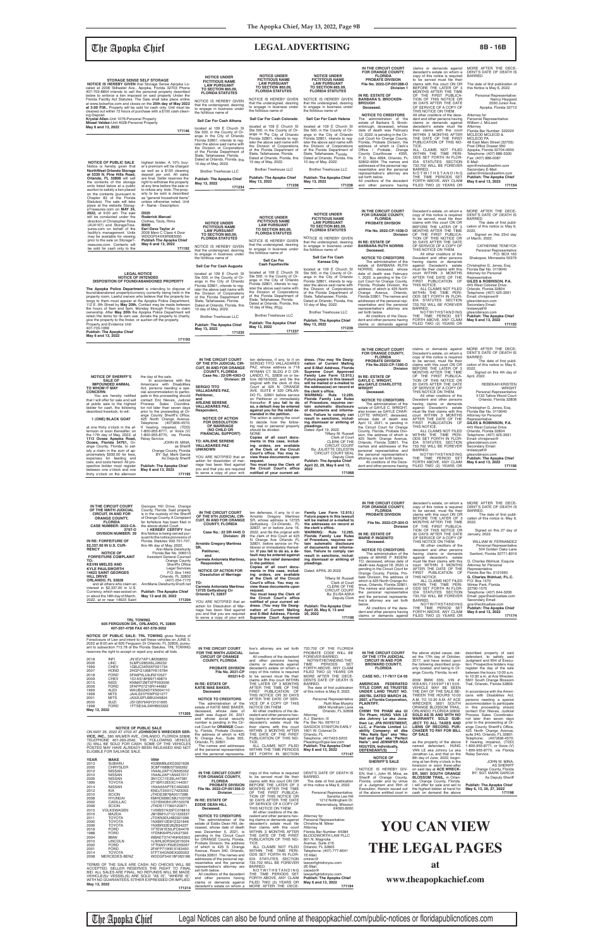# The Apopka Chief **LEGAL ADVERTISING 8B - 16B**

| IN THE VIRVUIT VUURT                                          | ten delenses, il any, to it on                                 | aress. ( You may me besig-                                   | <b>PROBATE DIVISION</b>                                 | to be served, must file their                   | The date of first publi-                |
|---------------------------------------------------------------|----------------------------------------------------------------|--------------------------------------------------------------|---------------------------------------------------------|-------------------------------------------------|-----------------------------------------|
| OF THE 9TH JUDICIAL CIR-                                      | SERGIO TITO VALLADARES                                         | nation of Current Mailing                                    | File No.2022-CP-1395-O                                  | claims with this court ON OR                    | cation of this notice is: May 6,        |
| <b>CUIT. IN AND FOR ORANGE</b>                                | PAZ, whose address is 718                                      | and E-Mail Address, Florida                                  | <b>Division</b>                                         | BEFORE THE LATER OF 3                           | 2022.                                   |
| <b>COUNTY, FLORIDA</b>                                        | WYMAN CT. BLDG # D OR-                                         | Supreme Court Approved                                       |                                                         | MONTHS AFTER THE TIME                           | Signed on this 4th day of               |
| Case No.: 22-DR-4363-O                                        | LANDO, FL. 32809 on or be-                                     | Family Law Form 12.915.)                                     | IN RE: ESTATE OF                                        | OF THE FIRST PUBLICA-                           | April, 2022.                            |
| Division: 29                                                  | fore $06/16/2022$ , and file the                               | Future papers in this lawsuit                                | <b>GAYLE C. WRIGHT.</b>                                 | TION OF THIS NOTICE OR                          |                                         |
|                                                               | original with the clerk of this                                | will be mailed or e-mailed to                                | aka GAYLE CHARLOTTE                                     | 30 DAYS AFTER THE DATE                          | <b>REBEKAH KRISTEN</b>                  |
| <b>SERGIO TITO</b>                                            | Court at 425 N. ORANGE                                         | the address(es) on record at                                 | <b>WRIGHT</b>                                           | OF SERVICE OF A COPY OF                         | <b>WRIGHT</b>                           |
| <b>VALLADARES PAZ,</b>                                        | AVE. SUITE # 320 ORLAN-                                        | the clerk's office.                                          | Deceased.                                               | THIS NOTICE ON THEM.                            | Personal Representative                 |
| Petitioner,                                                   | DO FL, 32801 before service                                    | 12.285,<br>WARNING: Rule                                     |                                                         | All other creditors of the                      | 5133 Tallow Wood Court                  |
| and                                                           | on Petitioner or immediately                                   | Florida Family Law Rules                                     | <b>NOTICE TO CREDITORS</b>                              | Decedent and other persons                      | Orlando, Florida 32808                  |
| <b>ARLENE SERENE</b>                                          | thereafter. If you fail to do                                  | of Procedure, requires cer-                                  | The administration of the                               | having claims or demands                        |                                         |
| <b>VALLADARES PAZ.</b>                                        | so, a default may be entered<br>against you for the relief de- | tain automatic disclosure                                    | estate of GAYLE C. WRIGHT,                              | against Decedent's estate                       | Christopher G. Jones, Esg.              |
| Respondent,                                                   |                                                                | of documents and informa-                                    | also known as GAYLE CHAR-                               | must file their claims with this                | Florida Bar No. 0119040                 |
| <b>NOTICE OF ACTION</b>                                       | manded in the petition.<br>The action is asking the court      | tion. Failure to comply can                                  | LOTTE WRIGHT, deceased,                                 | court WITHIN 3 MONTHS                           | Attorney for Personal                   |
| <b>FOR DISSOLUTION</b>                                        | to decide how the follow-                                      | result in sanctions, includ-<br>ing dismissal or striking of | whose date of death was                                 | AFTER THE DATE OF THE                           | Representative                          |
| <b>OF MARRIAGE</b>                                            | ing real or personal property                                  | pleadings.                                                   | April 12, 2021, is pending in                           | FIRST PUBLICATION OF                            | GILES & ROBINSON, P.A.                  |
| (NO CHILD OR                                                  | should be divided:                                             | Dated: April 19, 2022                                        | the Circuit Court for Orange                            | THIS NOTICE.                                    | 445 West Colonial Drive                 |
| <b>FINANCIAL SUPPORT)</b>                                     | <b>NONE</b>                                                    | Tiffany M. Russell                                           | County, Florida, Probate Divi-                          | ALL CLAIMS NOT FILED                            | Orlando, Florida 32804                  |
|                                                               | Copies of all court docu-                                      | Clerk of Court                                               | sion, the address of which is                           | WITHIN THE TIME PERI-<br>ODS SET FORTH IN FLOR- | Telephone: (407) 425-3591               |
| <b>TO: ARLENE SERENE</b>                                      | ments in this case, includ-                                    | CLERK OF THE                                                 | 425 North Orange Avenue,<br>Orlando, Florida 32801. The | IDA STATUTES SECTION                            | Email: chrisjones@<br>gilesrobinson.com |
| <b>VALLADARES PAZ</b>                                         | ing orders, are available                                      | <b>CIRCUIT COURT</b>                                         | names and addresses of the                              | 733.702 WILL BE FOREVER                         | Secondary Email:                        |
| UNKNOWN                                                       | at the Clerk of the Circuit                                    | By: JULIETTE CELESTIN                                        | personal representative and                             | BARRED.                                         | lindawyatt@                             |
|                                                               | Court's office. You may re-                                    | <b>CIRCUIT COURT SEAL</b>                                    | the personal representative's                           | NOTWITHSTANDING                                 | gilesrobinson.com                       |
| YOU ARE NOTIFIED that an                                      | view these documents upon                                      | Deputy Clerk                                                 | attorney are set forth below.                           | THE TIME PERIOD SET                             | <b>Publish: The Apopka Chief</b>        |
| action for dissolution of mar-                                | request.                                                       | <b>Publish: The Apopka Chief</b>                             | All creditors of the Dece-                              | FORTH ABOVE, ANY CLAIM                          | May 6 and 13, 2022                      |
| riage has been filed against<br>you and that you are required | You must keep the Clerk of<br>the Circuit Court's office       | April 22, 29, May 6 and 13,<br>2022                          | dent and other persons having                           | FILED TWO (2) YEARS OR                          | 171156                                  |
| to serve a copy of your writ-                                 | notified of your current ad-                                   | 171068                                                       |                                                         |                                                 |                                         |
|                                                               |                                                                |                                                              |                                                         |                                                 |                                         |

at one thirty o'clock in the aftemoon or soon thereafter, on<br>the 17th day of May, 2022, at<br>1113 Ocoee Apopka Road,<br>2000 Apopka Road, Coree, Florida 34761, Or-<br>ange County, Florida, to sat-<br>proximately \$930.00 for fees,<br>expenses for feeding and<br>care, and

| <b>STORAGE SENSE SELF STORAGE</b><br><b>NOTICE IS HEREBY GIVEN</b> that Storage Sense Apopka Lo-<br>cated at 2208 Stillwater Ave., Apopka, Florida 32703 Phone<br>407-703-8854 intends to sell the personal property described<br>below to enforce a lien imposed on said property Under the<br>Florida Facility Act Statutes. The Sale shall take place online<br>at www.lockerfox.com and closes on the 25th day of May 2022<br>at 3:00 P.M Property will be sold for cash only. Unit must be<br>cleaned out within 72 hours of purchase with a \$100 cash clean-<br>ing Deposit.<br>Krystal Allen-Unit 1076-Personal Property<br>Misael Valdez-Unit 4028-Personal Property<br>May 6 and 13, 2022                                                                                            | 171146                                                                                                                                                                                                                                                                                                                                                                                                                                                                                                                                | <b>NOTICE UNDER</b><br><b>FICTITIOUS NAME</b><br><b>LAW PURSUANT</b><br><b>TO SECTION 865.09.</b><br><b>FLORIDA STATUTES</b><br>NOTICE IS HEREBY GIVEN<br>that the undersigned, desiring<br>to engage in business under<br>the fictitious name of<br>Sell Car For Cash Athens<br>located at 109 E Church St<br>Ste 500, in the County of Or-                                                                                                         | <b>NOTICE UNDER</b><br><b>FICTITIOUS NAME</b><br><b>LAW PURSUANT</b><br><b>TO SECTION 865.09.</b><br><b>FLORIDA STATUTES</b><br>NOTICE IS HEREBY GIVEN<br>that the undersigned, desiring<br>to engage in business under<br>the fictitious name of<br>Sell Car For Cash Colorado<br>located at 109 E Church St<br>Ste 500, in the County of Or-                                                                                                                                                                                                                                                                                        | <b>NOTICE UNDER</b><br><b>FICTITIOUS NAME</b><br><b>LAW PURSUANT</b><br><b>TO SECTION 865.09.</b><br><b>FLORIDA STATUTES</b><br>NOTICE IS HEREBY GIVEN<br>that the undersigned, desiring<br>to engage in business under<br>the fictitious name of<br>Sell Car For Cash Helena<br>located at 109 E Church St<br>Ste 500, in the County of Or-                                                                                                                                                                                                                                                       | IN THE CIRCUIT COURT<br><b>FOR ORANGE COUNTY,</b><br><b>FLORIDA</b><br><b>PROBATE DIVISION</b><br>File No. 2022-CP-001288-O<br>Division 1<br>IN RE: ESTATE OF<br><b>BARBARA S. BROCKEN-</b><br><b>BROUGH</b><br>Deceased.<br><b>NOTICE TO CREDITORS</b><br>The administration of the<br>estate of Barbara S. Brock-<br>enbrough, deceased, whose<br>date of death was February                                                                                                                                                                                                | claims or demands against<br>decedent's estate on whom a<br>copy of this notice is required<br>to be served must file their<br>claims with this court ON OR<br>BEFORE THE LATER OF 3<br>MONTHS AFTER THE TIME<br>OF THE FIRST PUBLICA-<br>TION OF THIS NOTICE OR<br>30 DAYS AFTER THE DATE<br>OF SERVICE OF A COPY OF<br>THIS NOTICE ON THEM.<br>All other creditors of the dece-<br>dent and other persons having<br>claims or demands against<br>decedent's estate must file<br>their claims with this court                                                                                                                                                                | MORE AFTER THE DECE-<br>DENT'S DATE OF DEATH IS<br>BARRED.<br>The date of first publication of<br>this Notice is May 6, 2022.<br>Personal Representative:<br>Nancy Haygood<br>2560 Junior Ave.<br>Apopka, Florida 32712<br>Attorney for<br>Personal Representative:<br>William J. McLeod<br>Attorney<br>Florida Bar Number: 322024                                                                                                                                                                                                      |
|------------------------------------------------------------------------------------------------------------------------------------------------------------------------------------------------------------------------------------------------------------------------------------------------------------------------------------------------------------------------------------------------------------------------------------------------------------------------------------------------------------------------------------------------------------------------------------------------------------------------------------------------------------------------------------------------------------------------------------------------------------------------------------------------|---------------------------------------------------------------------------------------------------------------------------------------------------------------------------------------------------------------------------------------------------------------------------------------------------------------------------------------------------------------------------------------------------------------------------------------------------------------------------------------------------------------------------------------|------------------------------------------------------------------------------------------------------------------------------------------------------------------------------------------------------------------------------------------------------------------------------------------------------------------------------------------------------------------------------------------------------------------------------------------------------|---------------------------------------------------------------------------------------------------------------------------------------------------------------------------------------------------------------------------------------------------------------------------------------------------------------------------------------------------------------------------------------------------------------------------------------------------------------------------------------------------------------------------------------------------------------------------------------------------------------------------------------|----------------------------------------------------------------------------------------------------------------------------------------------------------------------------------------------------------------------------------------------------------------------------------------------------------------------------------------------------------------------------------------------------------------------------------------------------------------------------------------------------------------------------------------------------------------------------------------------------|-------------------------------------------------------------------------------------------------------------------------------------------------------------------------------------------------------------------------------------------------------------------------------------------------------------------------------------------------------------------------------------------------------------------------------------------------------------------------------------------------------------------------------------------------------------------------------|-------------------------------------------------------------------------------------------------------------------------------------------------------------------------------------------------------------------------------------------------------------------------------------------------------------------------------------------------------------------------------------------------------------------------------------------------------------------------------------------------------------------------------------------------------------------------------------------------------------------------------------------------------------------------------|-----------------------------------------------------------------------------------------------------------------------------------------------------------------------------------------------------------------------------------------------------------------------------------------------------------------------------------------------------------------------------------------------------------------------------------------------------------------------------------------------------------------------------------------|
| <b>NOTICE OF PUBLIC SALE</b><br>Notice is hereby given that<br><b>NorthWest Orlando Storage</b><br>at 5330 N. Pine Hills Road,<br>Orlando, FL 32808 will sell<br>the contents of the storage<br>units listed below at a public<br>auction to satisfy a lien placed<br>on the contents (pursuant to                                                                                                                                                                                                                                                                                                                                                                                                                                                                                             | highest bidder. A 10% buy-<br>er's premium will be charged<br>as well as a \$150 cleaning<br>deposit per unit. All sales<br>are final. Seller reserves the<br>right to withdraw the property<br>at any time before the sale or<br>to refuse any bids. The prop-<br>erty to be sold is described                                                                                                                                                                                                                                       | ange in the City of Orlando<br>Florida 32801, intends to reg-<br>ister the above said name with<br>the Division of Corporations<br>of the Florida Department of<br>State, Tallahassee, Florida.<br>Dated at Orlando, Florida, this<br>10 day of May, 2022.<br><b>Brother Treehouse LLC</b><br><b>Publish: The Apopka Chief</b><br>May 13, 2022<br>171234                                                                                             | ange in the City of Orlando<br>Florida 32801, intends to reg-<br>ister the above said name with<br>the Division of Corporations<br>of the Florida Department of<br>State, Tallahassee, Florida.<br>Dated at Orlando, Florida, this<br>10 day of May, 2022.<br><b>Brother Treehouse LLC</b><br><b>Publish: The Apopka Chief</b><br>May 13, 2022<br>171236                                                                                                                                                                                                                                                                              | ange in the City of Orlando<br>Florida 32801, intends to reg-<br>ister the above said name with<br>the Division of Corporations<br>of the Florida Department of<br>State, Tallahassee, Florida.<br>Dated at Orlando, Florida, this<br>10 day of May, 2022.<br><b>Brother Treehouse LLC</b><br><b>Publish: The Apopka Chief</b><br>May 13, 2022<br>171238                                                                                                                                                                                                                                           | 12, 2022, is pending in the Cir-<br>cuit Court for Orange County,<br>Florida, Probate Division, the<br>address of which is Clerk's<br>Office / Probate, Orange<br>County Courthouse - #355,<br>P. O. Box 4994, Orlando, FL<br>32802-4994. The names and<br>addresses of the personal rep-<br>resentative and the personal<br>representative's attorney are<br>set forth below.<br>All creditors of the decedent<br>and other persons having                                                                                                                                   | WITHIN 3 MONTHS AFTER<br>THE DATE OF THE FIRST<br>PUBLICATION OF THIS NO-<br>TICE.<br>ALL CLAIMS NOT FILED<br>WITHIN THE TIME PERI-<br>ODS SET FORTH IN FLOR-<br>IDA STATUTES SECTION<br>733.702 WILL BE FOREVER<br>BARRED.<br>NOTWITHSTANDING<br>THE TIME PERIODS SET<br>FORTH ABOVE, ANY CLAIM<br>FILED TWO (2) YEARS OR                                                                                                                                                                                                                                                                                                                                                    | MCLEOD MCLEOD &<br>MCLEOD PA<br>48 East Main Street (32703)<br>Post Office Drawer 950<br>Apopka, Florida 32704-0950<br>Telephone: (407) 886-3300<br>Fax: (407) 886-0087<br>E-Mail:<br>wjm@mcleodlawfirm.com<br>Secondary E-Mail:<br>sallen@mcleodlawfirm.com<br><b>Publish: The Apopka Chief</b><br>May 6 and 13, 2022<br>171154                                                                                                                                                                                                        |
| Chapter 83 of the Florida<br>Statutes). The sale will take<br>place at the website Storag-<br>eTreasures.com on MAY 24.<br>2022, at 9:00 am. The sale<br>will be conducted under the<br>direction of Christopher Rosa<br>(AU4167) and StorageTrea-<br>sures.com on behalf of the<br>facility's management. Units<br>may be available for viewing<br>prior to the sale on StorageT-<br>reasures.com. Contents will<br>be sold for cash only to the                                                                                                                                                                                                                                                                                                                                              | as "general household items"<br>unless otherwise noted. Unit<br># - Name - Description:<br>D025<br><b>Roderick Manuel</b><br>Clothes, Tools, Rims<br><b>B009</b><br>Earl Dave Taylor Jr<br>2009 Merz C Class 4 Door<br>WDDGF54XX9R083050<br><b>Publish The Apopka Chief</b><br>May 6 and 13, 2022<br>171192                                                                                                                                                                                                                           | <b>NOTICE UNDER</b><br><b>FICTITIOUS NAME</b><br><b>LAW PURSUANT</b><br><b>TO SECTION 865.09.</b><br><b>FLORIDA STATUTES</b><br>NOTICE IS HEREBY GIVEN<br>that the undersigned, desiring<br>to engage in business under<br>the fictitious name of                                                                                                                                                                                                    | <b>NOTICE UNDER</b><br><b>FICTITIOUS NAME</b><br><b>LAW PURSUANT</b><br><b>TO SECTION 865.09.</b><br><b>FLORIDA STATUTES</b><br>NOTICE IS HEREBY GIVEN<br>that the undersigned, desiring<br>to engage in business under<br>the fictitious name of                                                                                                                                                                                                                                                                                                                                                                                     | <b>NOTICE UNDER</b><br><b>FICTITIOUS NAME</b><br><b>LAW PURSUANT</b><br><b>TO SECTION 865.09,</b><br><b>FLORIDA STATUTES</b><br>NOTICE IS HEREBY GIVEN<br>that the undersigned, desiring<br>to engage in business under<br>the fictitious name of<br><b>Sell Car For Cash</b>                                                                                                                                                                                                                                                                                                                      | IN THE CIRCUIT COURT<br><b>FOR ORANGE COUNTY,</b><br><b>FLORIDA</b><br><b>PROBATE DIVISION</b><br>File No. 2022-CP-1038-O<br><b>Division</b><br>IN RE: ESTATE OF<br><b>BARBARA RUTH NORRIS</b><br>Deceased.<br><b>NOTICE TO CREDITORS</b>                                                                                                                                                                                                                                                                                                                                     | Decedent's estate, on whom a<br>copy of this notice is required<br>to be served, must file their<br>claims with this court ON OR<br>BEFORE THE LATER OF 3<br>MONTHS AFTER THE TIME<br>OF THE FIRST PUBLICA-<br>TION OF THIS NOTICE OR<br>30 DAYS AFTER THE DATE<br>OF SERVICE OF A COPY OF<br>THIS NOTICE ON THEM.<br>All other creditors of the<br>Decedent and other persons                                                                                                                                                                                                                                                                                                | MORE AFTER THE DECE-<br>DENT'S DATE OF DEATH IS<br><b>BARRED</b><br>The date of first publi-<br>cation of this notice is: May 6,<br>2022.<br>Signed on this 23rd day<br>of March, 2022.<br><b>CATHERINE TENEYCK</b><br>Personal Representative<br>P.O. BOX 163<br>Shakopee, Minnesota 55379                                                                                                                                                                                                                                             |
| <b>LEGAL NOTICE</b><br><b>NOTICE OF INTENDED</b><br>DISPOSITION OF FOUND/ABANDONED PROPERTY<br>The Apopka Police Department is intending to dispose of<br>found/abandoned property/currency currently being held in the<br>property room. Lawful owners who believe that the property be-<br>longs to them must appear at the Apopka Police Department,<br>112 E. 6th Street by May 20th. Contact may be made between<br>the hours of 9am and 5pm, Monday through Friday to claim<br>ownership. After May 20th the Apopka Police Department will<br>retain the items for its own use, donate the property to charity,<br>give the property to the finder, or auction off the property.<br>Property and Evidence Unit<br>407-703-1669<br><b>Publish: The Apopka Chief</b><br>May 6 and 13, 2022 |                                                                                                                                                                                                                                                                                                                                                                                                                                                                                                                                       | Sell Car For Cash Augusta<br>located at 109 E Church St<br>Ste 500, in the County of Or-<br>ange in the City of Orlando<br>Florida 32801, intends to req-<br>ister the above said name with<br>the Division of Corporations<br>of the Florida Department of<br>State, Tallahassee, Florida.<br>Dated at Orlando, Florida, this<br>10 day of May, 2022.<br><b>Brother Treehouse LLC</b><br><b>Publish: The Apopka Chief</b><br>May 13, 2022<br>171235 | Sell Car For<br><b>Cash Fayetteville</b><br>located at 109 E Church St<br>Ste 500, in the County of Or-<br>ange in the City of Orlando<br>Florida 32801, intends to reg-<br>ister the above said name with<br>the Division of Corporations<br>of the Florida Department of<br>State, Tallahassee, Florida.<br>Dated at Orlando, Florida, this<br>10 day of May, 2022.<br><b>Brother Treehouse LLC</b><br><b>Publish: The Apopka Chief</b><br>May 13, 2022<br>171237                                                                                                                                                                   | <b>Kansas City</b><br>located at 109 E Church St<br>Ste 500, in the County of Or-<br>ange in the City of Orlando<br>Florida 32801, intends to reg-<br>ister the above said name with<br>the Division of Corporations<br>of the Florida Department of<br>State, Tallahassee, Florida.<br>Dated at Orlando, Florida, this<br>10 day of May, 2022.<br><b>Brother Treehouse LLC</b><br><b>Publish: The Apopka Chief</b><br>May 13, 2022<br>171239                                                                                                                                                      | The administration of the<br>estate of BARBARA RUTH<br>NORRIS, deceased, whose<br>date of death was February<br>1, 2022, is pending in the Cir-<br>cuit Court for Orange County,<br>Florida, Probate Division, the<br>address of which is 425 North<br>Orange Avenue, Orlando,<br>Florida 32801. The names and<br>addresses of the personal rep-<br>resentative and the personal<br>representative's attorney are<br>set forth below.<br>All creditors of the Dece-<br>dent and other persons having<br>claims or demands against                                             | having claims or demands<br>against Decedent's estate<br>must file their claims with this<br>court WITHIN 3 MONTHS<br>AFTER THE DATE OF THE<br>FIRST PUBLICATION OF<br>THIS NOTICE.<br>ALL CLAIMS NOT FILED<br>WITHIN THE TIME PERI-<br>ODS SET FORTH IN FLOR-<br>IDA STATUTES SECTION<br>733.702 WILL BE FOREVER<br><b>BARRED</b><br>NOTWITHSTANDING<br>THE TIME PERIOD SET<br>FORTH ABOVE, ANY CLAIM<br>FILED TWO (2) YEARS OR                                                                                                                                                                                                                                              | Christopher G. Jones, Esq.<br>Florida Bar No. 0119040<br>Attorney for Personal<br>Representative<br>GILES & ROBINSON, P.A.<br>445 West Colonial Drive<br>Orlando, Florida 32804<br>Telephone: (407) 425-3591<br>Email: chrisjones@<br>gilesrobinson.com<br>Secondary Email:<br>lindawyatt@<br>gilesrobinson.com<br><b>Publish: The Apopka Chief</b><br>May 6 and 13, 2022<br>171155                                                                                                                                                     |
| <b>NOTICE OF SHERIFF'S</b><br><b>SALE OF</b><br><b>IMPOUNDED ANIMAL</b><br>TO WHOM IT MAY<br><b>CONCERN:</b><br>You are hereby notified<br>that I will offer for sale and sell<br>at public sale to the highest<br>bidder for cash, the following<br>described livestock, to-wit:<br>1 (ONE) BLACK GOAT<br>at one thirty o'clock in the af-<br>ternoon or soon thereafter, on<br>the 17th day of May, 2022, at<br>1113 Ocoee Apopka Road,                                                                                                                                                                                                                                                                                                                                                      | 171193<br>the day of the sale.<br>In accordance with the<br>Americans with Disabilities<br>Act, persons needing a spe-<br>cial accommodation to partici-<br>pate in this proceeding should<br>contact Eric Nieves, Judicial<br>Process Sales Coordina-<br>tor not later than seven days<br>prior to the proceeding at Or-<br>ange County Sheriff's Office,<br>425 North Orange Avenue.<br>(407)836-4570;<br>Telephone:<br>If hearing impaired, (TDD)<br>1-800-955-8771, or Voice (V)<br>1-800-955-8770, via Florida<br>Relay Service. | IN THE CIRCUIT COURT<br>OF THE 9TH JUDICIAL CIR-<br><b>CUIT, IN AND FOR ORANGE</b><br><b>COUNTY, FLORIDA</b><br>Case No.: 22-DR-4363-O<br>Division: 29<br><b>SERGIO TITO</b><br><b>VALLADARES PAZ.</b><br>Petitioner,<br>and<br><b>ARLENE SERENE</b><br><b>VALLADARES PAZ,</b><br>Respondent,<br><b>NOTICE OF ACTION</b><br><b>FOR DISSOLUTION</b><br>OF MARRIAGE<br>(NO CHILD OR<br><b>FINANCIAL SUPPORT)</b><br><b>BLEME OFBEMS</b>                | ten defenses, if any, to it on<br>SERGIO TITO VALLADARES<br>PAZ, whose address is 718<br>WYMAN CT. BLDG # D OR-<br>LANDO, FL. 32809 on or be-<br>fore 06/16/2022, and file the<br>original with the clerk of this<br>Court at 425 N. ORANGE<br>AVE. SUITE # 320 ORLAN-<br>DO FL. 32801 before service<br>on Petitioner or immediately<br>thereafter. If you fail to do<br>so, a default may be entered<br>against you for the relief de-<br>manded in the petition.<br>The action is asking the court<br>to decide how the follow-<br>ing real or personal property<br>should be divided:<br><b>NONE</b><br>Copies of all court docu- | dress. (You may file Desig-<br>nation of Current Mailing<br>and E-Mail Address, Florida<br>Supreme Court Approved<br>Family Law Form 12.915.)<br>Future papers in this lawsuit<br>will be mailed or e-mailed to<br>the address(es) on record at<br>the clerk's office.<br>WARNING: Rule 12.285,<br>Florida Family Law Rules<br>of Procedure, requires cer-<br>tain automatic disclosure<br>of documents and informa-<br>tion. Failure to comply can<br>result in sanctions, includ-<br>ing dismissal or striking of<br>pleadings.<br>Dated: April 19, 2022<br>Tiffany M. Russell<br>Clerk of Court | IN THE CIRCUIT COURT<br>FOR ORANGE COUNTY,<br><b>FLORIDA</b><br>PROBATE DIVISION<br>File No.2022-CP-1395-O<br><b>Division</b><br>IN RE: ESTATE OF<br><b>GAYLE C. WRIGHT,</b><br>aka GAYLE CHARLOTTE<br><b>WRIGHT</b><br>Deceased.<br><b>NOTICE TO CREDITORS</b><br>The administration of the<br>estate of GAYLE C. WRIGHT,<br>also known as GAYLE CHAR-<br>LOTTE WRIGHT, deceased,<br>whose date of death was<br>April 12, 2021, is pending in<br>the Circuit Court for Orange<br>County, Florida, Probate Divi-<br>sion, the address of which is<br>425 North Orange Avenue, | claims or demands against<br>Decedent's estate, on whom a<br>copy of this notice is required<br>to be served, must file their<br>claims with this court ON OR<br>BEFORE THE LATER OF 3<br>MONTHS AFTER THE TIME<br>OF THE FIRST PUBLICA-<br>TION OF THIS NOTICE OR<br>30 DAYS AFTER THE DATE<br>OF SERVICE OF A COPY OF<br>THIS NOTICE ON THEM.<br>All other creditors of the<br>Decedent and other persons<br>having claims or demands<br>against Decedent's estate<br>must file their claims with this<br>court WITHIN 3 MONTHS<br>AFTER THE DATE OF THE<br>FIRST PUBLICATION OF<br>THIS NOTICE.<br>ALL CLAIMS NOT FILED<br>WITHIN THE TIME PERI-<br>ODS SET FORTH IN FLOR- | MORE AFTER THE DECE-<br>DENT'S DATE OF DEATH IS<br>BARRED.<br>The date of first publi-<br>cation of this notice is: May 6.<br>2022<br>Signed on this 4th day of<br>April, 2022.<br>REBEKAH KRISTEN<br><b>WRIGHT</b><br>Personal Representative<br>5133 Tallow Wood Cour<br>Orlando, Florida 32808<br>Christopher G. Jones, Esq.<br>Florida Bar No. 0119040<br>Attorney for Personal<br>Representative<br>GILES & ROBINSON, P.A.<br>445 West Colonial Drive<br>Orlando, Florida 32804<br>Telephone: (407) 425-3591<br>Email: chrisjones@ |

| IN THE CIRCUIT COURT<br>OF THE NINTH JUDICIAL<br><b>CIRCUIT, IN AND FOR</b><br><b>ORANGE COUNTY,</b><br><b>FLORIDA</b><br>CASE NUMBER: 2022-CA-<br>3797-O<br><b>DIVISION NUMBER: 39</b><br>IN RE: FORFEITURE OF<br>\$2,337.00 IN U.S. CUR-<br><b>RENCY</b><br><b>NOTICE OF</b><br><b>FORFEITURE COMPLAINT</b><br>TO:<br><b>KEVIN MIELES AND</b><br><b>KYLE PAULSWORTH</b><br><b>14623 SAINT GEORGES</b><br><b>HILL DRIVE</b><br>ORLANDO, FL 32828<br>and all others who claim an<br>interest in \$2,337.00 in U.S.<br>Currency, which was seized on<br>or about the 18th day of March,<br>2022, at or near 14623 Saint                                                             | Georges Hill Drive, Orange<br>County, Florida. Said property<br>is in the custody of the Sheriff<br>of Orange County. A Complaint<br>for forfeiture has been filed in<br>the above-styled Court.<br>I HEREBY CERTIFY that<br>this Notice is being served pur-<br>suant to the notice provisions of<br>Florida Statutes 932.701-707,<br>this 4th day of May, 2022.<br>Ann-Marie Delahunty<br>Florida Bar No. 006513<br>Assistant General Counsel<br><b>Orange County</b><br>Sheriff's Office<br><b>Legal Services</b><br>P.O. Box 1440<br>Orlando, FL 32802<br>(407) 254-7170<br>AnnMarie.Delahunty@ocfl.net<br><b>Publish: The Apopka Chief</b><br>May 13 and 20, 2022<br>171204<br><b>TRL TOWING</b><br>605 FERGUSON DR., ORLANDO, FL 32805<br>407-207-4790 FAX 407-578-3052                                                                             | IN THE CIRCUIT COURT<br>OF THE 9TH JUDICIAL CIR-<br><b>CUIT, IN AND FOR ORANGE</b><br><b>COUNTY, FLORIDA</b><br>Case No.: 22 DR 4445 O<br>Division: 29<br><b>Arnoldo Gregory Martinez</b><br>SR.<br>Petitioner,<br>and<br>Carmela Antonieta Martinez,<br>Respondent,<br><b>NOTICE OF ACTION FOR</b><br><b>Dissolution of Marriage</b><br>TO:<br><b>Carmela Antonieta Martinez</b><br>12725 Gettysburg Cir<br>Orlando FL 32837<br>YOU ARE NOTIFIED that an<br>action for Dissolution of Mar-<br>riage has been filed against<br>you and that you are required<br>to serve a copy of your writ-                                                                                                                                                                                                  | ten defenses, if any, to it on<br>Arnoldo Gregory Martinez<br>SR, whose address is 12725<br>Gettysburg Cir-Orlando, FL<br>32837, on or before June 16,<br>2022, and file the original with<br>the clerk of this Court at 425<br>N Orange Ave Orlando FL<br>32801, before service on Pe-<br>titioner or immediately thereaf-<br>ter. If you fail to do so, a de-<br>fault may be entered against<br>you for the relief demanded<br>in the petition.<br>Copies of all court docu-<br>ments in this case, includ-<br>ing orders, are available<br>at the Clerk of the Circuit<br>Court's office. You may re-<br>view these documents upon<br>request.<br>You must keep the Clerk of<br>the Circuit Court's office<br>notified of your current ad-<br>dress. (You may file Desig-<br>nation of Current Mailing<br>and E-Mail Address, Florida<br>Supreme Court Approved | Family Law Form 12.915.)<br>Future papers in this lawsuit<br>will be mailed or e-mailed to<br>the addresses on record at<br>the clerk's office.<br>WARNING: Rule 12.285,<br><b>Florida Family Law Rules</b><br>of Procedure, requires cer-<br>tain automatic disclosure<br>of documents and informa-<br>tion. Failure to comply can<br>result in sanctions, includ-<br>ing dismissal or striking of<br>pleadings.<br>Dated: APRIL 20 2022<br>Tiffany M. Russell<br>Clerk of Court<br>CLERK OF THE<br><b>CIRCUIT COURT</b><br>By: ELISA ASKA<br>Deputy Clerk<br><b>Publish: The Apopka Chief</b><br>April 29, May 6, 13 and<br>20, 2022<br>171106                             | IN THE CIRCUIT COURT<br>FOR ORANGE COUNTY,<br><b>FLORIDA</b><br>PROBATE DIVISION<br>File No. 2022-CP-304-O<br>Division<br>IN RE: ESTATE OF<br><b>MARIE P. INGENITO</b><br>Deceased.<br><b>NOTICE TO CREDITORS</b><br>The administration of the<br>estate of MARIE P. INGENI-<br>TO, deceased, whose date of<br>death was August 18, 2020, is<br>pending in the Circuit Court for<br>Orange County, Florida, Pro-<br>bate Division, the address of<br>which is 425 North Orange Av-<br>enue, Orlando, Florida 32801.<br>The names and addresses of<br>the personal representative<br>and the personal representa-<br>tive's attorney are set forth<br>below.<br>All creditors of the dece-<br>dent and other persons having<br>claims or demands against | decedent's estate, on whom a<br>copy of this notice is required<br>to be served, must file their<br>claims with this court ON OR<br>BEFORE THE LATER OF 3<br>MONTHS AFTER THE TIME<br>OF THE FIRST PUBLICA-<br>TION OF THIS NOTICE OR<br>30 DAYS AFTER THE DATE<br>OF SERVICE OF A COPY OF<br>THIS NOTICE ON THEM.<br>All other creditors of the<br>decedent and other persons<br>having claims or demands<br>against decedent's estate<br>must file their claims with this<br>court WITHIN 3 MONTHS<br>AFTER THE DATE OF THE<br>FIRST PUBLICATION OF<br>THIS NOTICE.<br>ALL CLAIMS NOT FILED<br>WITHIN THE TIME PERI-<br>ODS SET FORTH IN FLOR-<br>IDA STATUTES SECTION<br>733.702 WILL BE FOREVER<br>BARRED.<br>NOTWITHSTANDING<br>THE TIME PERIOD SET<br>FORTH ABOVE, ANY CLAIM<br>FILED TWO (2) YEARS OR | MORE AFTER THE DECE-<br>DENT'S DATE OF DEATH IS<br>BARRED.<br>The date of first publi-<br>cation of this notice is: May 6,<br>2022.<br>Signed on this 27 day of<br>January, 2022.<br>WILLIAM W. FERNANDEZ<br><b>Personal Representative</b><br>504 Golden Oaks Lane<br>Sanford, Florida 32771-8019<br>G. Charles Wohlust, Esquire<br><b>Attorney for Personal</b><br>Representative<br>Florida Bar No. 0121660<br>G. Charles Wohlust, P.L.C.<br>P.O. Box 1570<br>Winter Park, Florida<br>32790-1570<br>Telephone: (407) 644-3206<br>Email: pgw@wohlustlaw.com<br>Secondary Email:<br>gcw@wohlustlaw.com<br><b>Publish: The Apopka Chief</b><br>May 6 and 13, 2022<br>171174                                                                                                                                                |
|------------------------------------------------------------------------------------------------------------------------------------------------------------------------------------------------------------------------------------------------------------------------------------------------------------------------------------------------------------------------------------------------------------------------------------------------------------------------------------------------------------------------------------------------------------------------------------------------------------------------------------------------------------------------------------|-----------------------------------------------------------------------------------------------------------------------------------------------------------------------------------------------------------------------------------------------------------------------------------------------------------------------------------------------------------------------------------------------------------------------------------------------------------------------------------------------------------------------------------------------------------------------------------------------------------------------------------------------------------------------------------------------------------------------------------------------------------------------------------------------------------------------------------------------------------|------------------------------------------------------------------------------------------------------------------------------------------------------------------------------------------------------------------------------------------------------------------------------------------------------------------------------------------------------------------------------------------------------------------------------------------------------------------------------------------------------------------------------------------------------------------------------------------------------------------------------------------------------------------------------------------------------------------------------------------------------------------------------------------------|---------------------------------------------------------------------------------------------------------------------------------------------------------------------------------------------------------------------------------------------------------------------------------------------------------------------------------------------------------------------------------------------------------------------------------------------------------------------------------------------------------------------------------------------------------------------------------------------------------------------------------------------------------------------------------------------------------------------------------------------------------------------------------------------------------------------------------------------------------------------|------------------------------------------------------------------------------------------------------------------------------------------------------------------------------------------------------------------------------------------------------------------------------------------------------------------------------------------------------------------------------------------------------------------------------------------------------------------------------------------------------------------------------------------------------------------------------------------------------------------------------------------------------------------------------|---------------------------------------------------------------------------------------------------------------------------------------------------------------------------------------------------------------------------------------------------------------------------------------------------------------------------------------------------------------------------------------------------------------------------------------------------------------------------------------------------------------------------------------------------------------------------------------------------------------------------------------------------------------------------------------------------------------------------------------------------------|--------------------------------------------------------------------------------------------------------------------------------------------------------------------------------------------------------------------------------------------------------------------------------------------------------------------------------------------------------------------------------------------------------------------------------------------------------------------------------------------------------------------------------------------------------------------------------------------------------------------------------------------------------------------------------------------------------------------------------------------------------------------------------------------------------------|----------------------------------------------------------------------------------------------------------------------------------------------------------------------------------------------------------------------------------------------------------------------------------------------------------------------------------------------------------------------------------------------------------------------------------------------------------------------------------------------------------------------------------------------------------------------------------------------------------------------------------------------------------------------------------------------------------------------------------------------------------------------------------------------------------------------------|
| reserves the right to accept or reject any and/or all bids.<br>2018<br>INFI<br><b>LINC</b><br>2006<br>1999<br><b>CHEV</b><br>2007<br><b>HOND</b><br>2018<br><b>FORD</b><br><b>CHEV</b><br>2009<br>2015<br><b>NISS</b><br><b>FORD</b><br>2006<br>1999<br>AUDI<br>1998<br><b>MITS</b><br>2001<br><b>MITS</b><br>SUZI<br>2000<br><b>FORD</b><br>1998<br>May 13, 2022<br>ELIGIBLE FOR SALVAGE SALE.                                                                                                                                                                                                                                                                                    | <b>NOTICE OF PUBLIC SALE: TRL TOWING gives Notice of</b><br>Foreclosure of Lien and intent to sell these vehicles on JUNE 5,<br>2022 at 8:00 am at 605 Ferguson Dr Orlando, FL 32805, pursu-<br>ant to subsection 713.78 of the Florida Statutes. TRL TOWING<br>JN1EV7AP1JM358653<br>5LMFU285X6LJ26232<br>1GBJC34R3XF021734<br>2HGFG12687H515784<br>3FA6P0LU9JR210527<br>1G1AS18H997149874<br>KNMAT2MTXFP553556<br>3FAFP07Z16R144682<br>WAUBG34D7XN004110<br>JA4LS31P5WP021277<br>JA32U2FU9BU045824<br>JS1GN79A9Y2101665<br>1FTSE34L3WHB53322<br>171205<br><b>NOTICE OF PUBLIC SALE</b><br>ON MAY 26, 2022 AT 0700 AT JOHNSON'S WRECKER SER-<br>VICE, INC., 580 WILMER AVE., ORLANDO, FLORIDA 32808.<br>TELEPHONE 407-293-2540, THE FOLLOWING VEHICLE<br>(S) WILL BE SOLD FOR CASH. SOME OF THE VEHICLES<br>POSTED MAY HAVE ALREADY BEEN RELEASED AND NOT | IN THE CIRCUIT COURT<br>FOR THE NINTH JUDICIAL<br><b>CIRCUIT OF ORANGE</b><br><b>COUNTY, FLORIDA</b><br>PROBATE DIVISION<br><b>File No. 2021-CP</b><br>003214-0<br>IN RE: ESTATE OF<br><b>KATIE MAE BAKER,</b><br>Deceased<br><b>NOTICE TO CREDITORS</b><br>The administration of the<br>estate of KATIE MAE BAKER,<br>deceased, whose date of<br>death was August 24, 2021<br>and whose social security<br>number is pending in the Cir-<br>cuit Court for ORANGE Coun-<br>ty, Florida, Probate Division,<br>the address of which is 425<br>N. Orange Ave., Suite 355,<br>Orlando, FL 32801<br>The names and addresses<br>of the personal representative<br>and the personal representa-                                                                                                      | tive's attorney are set forth<br>below.<br>All creditors of the decedent<br>and other persons having<br>claims or demands against<br>decedent's estate on whom a<br>copy of this notice is required<br>to be served must file their<br>claims with this court WITHIN<br>THE LATER OF 3 MONTHS<br>AFTER THE TIME OF THE<br>FIRST PUBLICATION OF<br>THIS NOTICE OR 30 DAYS<br>AFTER THE DATE OF SER-<br>VICE OF A COPY OF THIS<br>NOTICE ON THEM.<br>All other creditors of the de-<br>cedent and other persons hav-<br>ing claims or demands against<br>decedent's estate must file<br>their claims with this court<br>WITHIN 3 MONTHS AFTER<br>THE DATE OF THE FIRST<br>PUBLICATION OF THIS NO-<br>TICE.<br>ALL CLAIMS NOT FILED<br>WITHIN THE TIME PERIODS<br>SET FORTH IN SECTION                                                                                 | 733.702 OF THE FLORIDA<br>PROBATE CODE WILL BE<br><b>FOREVER BARRED</b><br>NOTWITHSTANDING THE<br><b>PERIODS</b><br><b>SET</b><br>TIME<br>FORTH ABOVE, ANY CLAIM<br>FILED TWO (2) YEARS OR<br>MORE AFTER THE DECE-<br>DENTS DATE OF DEATH IS<br>BARRED.<br>The date of first publication<br>of this notice is May 6, 2022.<br>Personal Representative<br>Ruth Mae Murphy<br>2804 Wyndham Lane<br>Orlando, FL 32808<br>Attorney<br>A.J. Stanton, III<br>Fla. Bar. No. 0976113<br><b>GASDICK STANTON EARLY</b><br>1601 W. Colonial Dr.<br>Orlando, FL<br>Telephone: (407)423-5203<br>Pleadings@gse-law.com<br><b>Publish: The Apopka Chief</b><br>May 6 and 13, 2022<br>171147 | IN THE CIRCUIT COURT<br>OF THE 17TH JUDICIAL<br><b>CIRCUIT IN AND FOR</b><br><b>BROWARD COUNTY,</b><br><b>FLORIDA</b><br>CASE NO.: 17-7817 CA 05<br><b>AMERICAN FEDERATED</b><br>TITLE CORP, AS TRUSTEE<br>UNDER LAND TRUST NO.<br>2007BL DATED MARCH 28,<br>2007, a Florida Corporation,<br>PLAINTIFF,<br>vs.<br>CHINH THI PHAM aka Ut<br>Thi Pham; HUNG VAN LE<br>aka Johnny Le aka Jona-<br>than Le; JPA INVESTMENT,<br>LLC, a Florida Limited Li-<br>ability Company: all dba<br>"Nku Nails Spa" aka "Nku<br>Nail and Spa" aka "Perfect<br>Nails"; and JENNIFER NGA<br><b>NGUYEN, Individually,</b><br>DEFENDANT(S)                                                                                                                                 | the above styled cause, dat-<br>ed the 17th day of October,<br>2017, and have levied upon<br>the following described prop-<br>erty located, and being in Or-<br>ange County, Florida, to-wit:<br>2009 BMW 335I, VIN #:<br>WBAWL73599P181506<br>VEHICLE MAY BE SEEN<br>THE DAY OF THE SALE BE-<br>TWEEN THE HOURS 10:00<br>A.M. TO 10:30 A.M. AT ACE<br>WRECKER, 5601 SOUTH<br>ORANGE BLOSSOM TRAIL,<br>ORLANDO, FLORIDA 32809.<br><b>SOLD AS IS AND WITH NO</b><br>WARRANTY. SOLD SUB-<br><b>JECT TO ALL TAXES AND</b><br>LIENS OF RECORD. PUR-<br><b>CHASER TO PAY FOR BILL</b><br>OF SALE.<br>as the property of the above<br>named defendant, HUNG<br>VAN LE aka Johnny Le aka<br>Jonathan Le, and that on the                                                                                            | described property of said<br>defendant, to satisfy said<br>Judgment and Writ of Execu-<br>tion. Prospective bidders may<br>register the day of the sale<br>between the hours 10:00 a.m.<br>to 10:30 a.m. at Ace Wrecker,<br>5601 South Orange Blossom<br>Trail, Orlando, Florida 32809.<br>In accordance with the Ameri-<br>cans with Disabilities Act,<br>persons needing a special<br>accommodation to participate<br>in this proceeding should<br>contact Eric Nieves, Judicial<br>Process Sales Coordinator,<br>not later than seven days<br>prior to the proceeding at Or-<br>ange County Sheriff's Office,<br>425 North Orange Avenue,<br>suite 240, Orlando, FL 32801.<br>Telephone: (407)836-4570;<br>If hearing impaired, (TDD)<br>1-800-955-8771, or Voice (V)<br>1-800-955-8770, via Florida<br>Relay Service. |
| YEAR<br>MAKE<br>2013<br>SUBARU<br>2005<br>CHRYSLER<br>2012<br><b>NISSAN</b><br><b>NISSAN</b><br>2010<br>2009<br><b>NISSAN</b><br>1999<br><b>TOYOTA</b><br>2014<br><b>NISSAN</b><br>2012<br>KIA<br>2010<br><b>SCION</b><br>2008<br><b>HYUNDAI</b><br>2002<br>CADILLAC<br>2006<br><b>SCION</b><br>VOLKSWAGEN<br>2015<br>MAZDA<br>2016<br><b>TOYOTA</b><br>2011<br><b>TOYOTA</b><br>2000<br>2006<br><b>TOYOTA</b><br>2018<br><b>FORD</b><br>1988<br><b>FORD</b><br>2004<br><b>BMW</b><br>2010<br><b>LINCOLN</b><br>2002<br><b>FORD</b><br><b>FORD</b><br>2001<br><b>TOYOTA</b><br>2014<br>MERCEDES-BENZ<br>2008<br>VEHICLE(S)/ VESSEL(S) ARE SOLD "AS IS", "WHERE IS"<br>May 13, 2022 | VIN#<br>4S3BMBL6XD3021628<br>3C8FY68B051592262<br>1N4AL2AP1CN505352<br>1N4AL2AP1AN437017<br>3N1CC11E39L447381<br>2T1BR12E5XC144057<br>1N4AA5AP7EC492063<br>KNDJT2A51C7423053<br>JTKDE3B78A0317288<br>KMHCM36C58U103709<br>1GYEK63N12R152078<br>JTKDE177360120971<br>1VWBS7A35FC078816<br>JM1BM1U71G1333337<br>JTDKN3DU4B0321096<br>1NXBR12E8YZ321846<br>1NXBR32E26Z634237<br>1FTEW1E50JFC64476<br>1FDNK64P5JVA37393<br>WBAET37474NH05393<br>1LNHL9DR3AG615024<br>1FTNW21F62ED55067<br>2FAFP71W81X183450<br>5TFTX4GN0EX029353<br>WDDGF54X18F063186<br>TERMS OF THE SALE ARE CASH. NO CHECKS WILL BE<br>ACCEPTED. SELLER RESERVES THE RIGHT TO FINAL<br>BID. ALL SALES ARE FINAL. NO REFUNDS WILL BE MADE.<br>WITH NO GUARANTEES, EITHER EXPRESSED OR IMPLIED.<br>171214                                                                                    | IN THE CIRCUIT COURT<br>FOR ORANGE COUNTY,<br><b>FLORIDA</b><br>PROBATE DIVISION<br>File No. 2022-CP-001356-O<br><b>Division</b><br>IN RE: ESTATE OF<br><b>EDDIE DEAN HILL</b><br>Deceased.<br><b>NOTICE TO CREDITORS</b><br>The administration of the<br>estate of Eddie Dean Hill, de-<br>ceased, whose date of death<br>was December 5, 2021, is<br>pending in the Circuit Court<br>for ORANGE County, Florida,<br>Probate Division, the address<br>of which is 425 S. Orange<br>Avenue, Room 340, Orlando,<br>Florida 32801. The names and<br>addresses of the personal rep-<br>resentative and the personal<br>representative's attorney are<br>set forth below.<br>All creditors of the decedent<br>and other persons having<br>claims or demands against<br>decedent's estate on whom a | copy of this notice is required<br>to be served must file their<br>claims with this court ON OR<br>BEFORE THE LATER OF 3<br>MONTHS AFTER THE TIME<br>OF THE FIRST PUBLICA-<br>TION OF THIS NOTICE OR<br>30 DAYS AFTER THE DATE<br>OF SERVICE OF A COPY OF<br>THIS NOTICE ON THEM.<br>All other creditors of the de-<br>cedent and other persons hav-<br>ing claims or demands against<br>decedent's estate must file<br>their claims with this court<br>WITHIN 3 MONTHS AFTER<br>THE DATE OF THE FIRST<br>PUBLICATION OF THIS NO-<br>TICE.<br>ALL CLAIMS NOT FILED<br>WITHIN THE TIME PERI-<br>ODS SET FORTH IN FLOR-<br>IDA STATUTES SECTION<br>733.702 WILL BE FOREVER<br>BARRED.<br>NOTWITHSTANDING<br>THE TIME PERIODS SET<br>FORTH ABOVE, ANY CLAIM<br>FILED TWO (2) YEARS OR<br>MORE AFTER THE DECE-                                                          | DENT'S DATE OF DEATH IS<br>BARRED.<br>The date of first publication<br>of this notice is May 6, 2022.<br>Personal Representative:<br>Sandrta Lee Hill<br>1212 Nottingham Dr.<br>Warrensburg, Missouri<br>64093-8000<br>Attorney for<br>Personal Representative:<br>Christina M. Miner<br>Attorney<br>Florida Bar Number: 64384<br>BLOODWORTH LAW PLLC<br>801 N. Magnolia<br>Avenue, Suite 216<br>Orlando, FL 32803<br>Telephone: (407) 777-8541<br>1E-Mail:<br>cminer@<br>lawyerfightsforyou.com<br>2E-Mail:<br>cacedo@<br>lawyerfightsforyou.com<br>Publish: The Apopka Chief<br>May 6 and 13, 2022<br>171194                                                               | <b>NOTICE OF</b><br><b>SHERIFF'S SALE</b><br>NOTICE IS HEREBY GIV-<br>EN, that I, John W. Mina, as<br>Sheriff of Orange County,<br>Florida, under and by virtue<br>of a Judgment and Writ of<br>Execution, therein issued out<br>of the above entitled court in                                                                                                                                                                                                                                                                                                                                                                                                                                                                                         | 8th day of June, 2022, begin-<br>ning at ten thirty o'clock in the<br>forenoon or soon there-after<br>on said day at ACE WRECK-<br>ER, 5601 SOUTH ORANGE<br><b>BLOSSOM TRAIL, in Orlan-</b><br>do, Orange County, Florida.<br>I will offer for sale and sell to<br>the highest bidder at hand for<br>cash on demand the above<br><b>YOU CAN VIEW</b><br><b>THE LEGAL PAGES</b><br>at<br>www.theapopkachief.com                                                                                                                                                                                                                                                                                                                                                                                               | JOHN W. MINA,<br>AS SHERIFF<br>Orange County, Florida<br>BY: SGT. MARK GARCIA<br>As Deputy Sheriff<br><b>Publish: The Apopka Chief</b><br>May 6, 13, 20, 27, 2022<br>171196                                                                                                                                                                                                                                                                                                                                                                                                                                                                                                                                                                                                                                                |

The Apopka Chief Legal Notices can also be found online at theapopkachief.com/public-notices or floridapublicnotices.com

## **1 (ONE) BLACK GOAT**

JOHN W. MINA, as Sheriff Orange County, Florida BY: Sgt. Mark Garcia As Deputy Sheriff

**Publish: The Apopka Chief May 6 and 13, 2022 171195**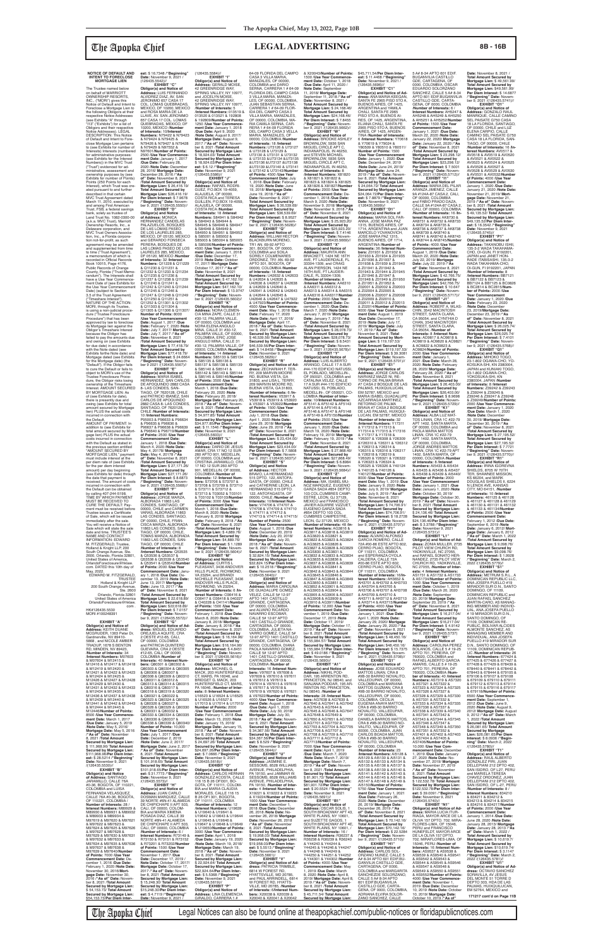# **NOTICE OF DEFAULT AND INTENT TO FORECLOSE MORTGAGE LIEN**

CALLE 76A #0-36, BOGOTA, OF 110221, COLOMBIA / **Interest Numbers:** M89929 & M89930 & M89931 & M89932 & M89933 & M89934 & M97619 & M97620 & M97621 & M97622 & M97623 & M97624 & M97625 & M97626 & M97627 & M97628 & M97629 & M97630 & M97631 M97634 & M97635 & M97636 & M97637 & M97638 & M97639 & M97640/**Number**  February 1, 2020 /**Note Date:** November 30, 2016/**Mort-**TIAGO, OF 00000, CHILE, TOMAS MARZA, ALBORADA 11863 LAS CONDES, SAN-TIAGO, OF 00000, CHILE /**Number of Interests:** 8 /**Interest Numbers:** Q53535 & Q53536 & Q53537 & Q53538 & Q53539 & Q53540 & Q53541 & Q53542/**Number of Points:** 2000 /**Use Year Commencement Date:** January 1, 2018 /**Due Date:** De-cember 13, 2019 /**Note Date:** June 13, 2017/ **Mortgage Date:** June 13, 2017 /**"As of" Date:** November 8, 2021 /**Total Amount Secured by Mortgage Lien:** \$ 22,618.89/ **Total Amount Secured by Mortgage Lien: \$22,618.89/<br><b>Per Diem Interest: \$** 7.0157<br>/**"Beginning" Date:** Novem-<br>ber 9, 2021 /(126435.5572)// **EXHIBIT "G" Obligor(s) and Notice of Ad-dress:** MIGUEL EDUARDO OREJUELA AQUITE, CRA 2 OESTE #12-65, CALI, OF 00000, COLOMBIA and PATRICIA QUINTERO GUEVARA, CRA 2 OESTE #12-65, CALI, OF 00000, COLOMBIA /**Number of Interests:** 40 /**Interest Num-bers:** Q80301 & Q80302 & Q80303 & Q80304 & Q80305 & Q80306 & Q80307 & Q80308 & Q80309 & Q80310 & Q80311 & Q80312 & Q80313 & Q80314 & Q80315 & Q80316 & Q80317 & Q80318 & Q80319 & Q80320 & Q80321 & Q80322 & Q80323 & Q80324 & Q80325 & Q80326 & Q80327 & Q80328 & Q80329 & Q80330 & Q80331 & Q80332 & Q80333 & Q80334 & Q80335 & Q80336 & Q80337 & Q80338 & Q80339 & Q80340/ **Number of Points:** 10,000 /**Use Year Commencement Date:** July 1, 2017 /**Due Date:** December 2, 2019 /**Note Date:** June 2, 2017/ **Mortgage Date:** June 2, 2017 /**"As of" Date:** November 8, 2021 /**Total Amount Secured by Mortgage Lien:** \$ 101,918.65/ **Total Amount Secured by Mortgage Lien:** \$101,918.65/**Per Diem Inter-est:** \$ 31.7773 /**"Beginning" Date:** November 9, 2021 /(126435.5573)// **EXHIBIT "H" Obligor(s) and Notice of Address:** JUAN CARLO DOSMAN MARQUEZ, CALLE 39 NORTE #6N-41 ALAMEDA DE CHIPICHAPE II APT 503, CALI, OF 00000, COLOM-BIA and MARIA XIMENA POSADA DIAZ, CALLE 39 NORTE #6N-41 ALAMEDA DE CHIPICHAPE II APT 503, CALI, OF 00000, COLOMBIA /**Number of Interests:** 6 / **Interest Numbers:** R73149 & R73150 & R73151 & R73152 & R73201 & R73202/**Number of Points:** 1500 /**Use Year Commencement Date:** November 1, 2017 /**Due Date:** December 17, 2019 / **Note Date:** October 17, 2017/ **Mortgage Date:** October 17, 2017 /**"As of" Date:** Novem-ber 8, 2021 /**Total Amount Secured by Mortgage Lien:** \$ 15,248.30/ **Total Amount Secured by Mortgage Lien:** \$15,248.30/**Per Diem Inter-est:** \$ 4.7119 /**"Beginning" November 9, 2021** 

**gage Date:** November 30,<br>2016 /**"As of" Date:** Novem-<br>ber 8, 2021 /**Total Amount Secured by Mortgage Lien:** \$ 54,153.73/ **Total Amount Secured by Mortgage Lien:** \$54,153.73/**Per Diem Inter-**

The Trustee named below on behalf of MARRIOTT OWNERSHIP RESORTS,<br>INC., ("MORI") gives this<br>Notice of Default and Intent to Foreclose a Mortgage Lien to the following Obligors at their respective Notice Addresses (see Exhibits "A" through "I13" ("Exhibits") for a list of Obligors and their respective Notice Addresses). LEGAL DESCRIPTION: This Notice of Default and Intent to Foreclose Mortgage Lien pertains to (see Exhibits for number of Interests) Interests (numbered for administrative purposes: (see Exhibits for the Interest Numbers)) in the MVC Trust ("Trust") evidenced for ad-ministrative, assessment and ownership purposes by (see Exhibits for number of Points) Points (250 Points for each Interest), which Trust was created pursuant to and further<br>described in that certain<br>MVC Trust Agreement dated March 11, 2010, executed by and among First American Trust, FSB, a federal savings bank, solely as trustee of Land Trust No. 1082-0300-00 (a.k.a. MVC Trust), Marriott Ownership Resorts, Inc., a Delaware corporation, and MVC Trust Owners Association, Inc., a Florida corpora-tion not-for-profit, as such agreement may be amended and supplemented from time to time ("Trust Agreement"), a memorandum of which is recorded in Official Records Book 10015, Page 4176, Public Records of Orange County, Florida ("Trust Memo-randum"). The Interests shall have a Use Year Commence-ment Date of (see Exhibits for the Use Year Commencement Date) (subject to Section 3.5 of the Trust Agreement) ("Timeshare Interest"). NATURE OF THE ACTION: MORI, through its Trustee, is using a non-judicial procedure ("Trustee Foreclosure Procedure") that has been approved by law to foreclos its Mortgage lien against the Obligor's Timeshare Interest because the Obligor has failed to pay the amounts due and owing on (see Exhibits<br>for due date) in accordance with the Note dated (see Exhibits forthe Note date) and Mortgage dated (see Exhibits for the Mortgage date) (the "Default"). If the Obligor fails to cure the Default or fails to object to MORI's use of the Trustee Foreclosure Proce-dure, the Obligor risks losing ownership of the Timeshare Interest. AMOUNT SECURED BY MORTGAGE LIEN: As of (see Exhibits for date), there is presently due and owing (see Exhibits for total amount secured by Mortgage lien) PLUS the actual costs incurred in connection with<br>the Default the Default. AMOUNT OF PAYMENT: In addition to (see Exhibits for total amount secured by Mortgage lien) PLUS the actual costs incurred in connection with the Default as stated in the previous section entitled "AMOUNT SECURED BY MORTGAGE LIEN," payment must include interest at the per diem rate of (see Exhibits for the per diem interest amount) per day beginning (see Exhibits for date) through the date that payment is received. The amount of costs incurred in connection with the Default can be obtained by calling 407-244-5198. TIME BY WHICH PAYMENT MUST BE RECEIVED TO CURE THE DEFAULT: Payment must be received before Trustee issues a Certificate of Sale, which will be issued immediately after the sale. You will receive a Notice of 10200, MEXICO /**Number**  & N79424 & N79425 & N97601/**Number of Points: of" Date:** November 8, 2021 /**Total Amount Secured by Obligor(s) and Notice of Address:** MONICA HERNANDEZ CANDELAS PALAZUELOS, BOSQUES DE LAS LOMAS PASEO DE LOS LAURELES 285, MEXICO, DF 05120, MEXICO and GERARDO FONSECA PERERA, BOSQUES DE LAS LOMAS PASEO DE LOS LAURELES 285, MEXICO, DF 05120, MEXICO /**Number of Interests:** 32 /**Interest**<br>**Numbers:** Q11228 & Q11229<br>& Q11230 & Q11231 & Q11232 & Q11233 & Q11234 & Q11235 & Q11236 & Q11237 & Q11238 & Q11239 & Q11240 & Q11241 & Q11242 & Q11243 & Q11244 & Q11245 & Q11246 & Q11247 & Q11248 & Q11249 & Q11250 & Q11251 & Q11252 & Q11301 & Q11302 **Number of Points:** 8000 ber 9 2021 /(126435.5567)//

**est:** \$ 16.7348 /**"Beginning"**<br>**Date:** November 9, 2021 /<br>(126435.5542)//

Sale which will state the sale date and time. TRUSTEE'S NAME AND CONTACT INFORMATION: EDWARD M. FITZGERALD, Trustee, Holland & Knight LLP, 200 South Orange Avenue, Ste. 2600, Orlando, Florida 32801, United States of America, OrlandoForeclosure@hklaw. com. DATED this 10th day of May, 2022. EDWARD M. FITZGERALD, TRUSTEE Holland & Knight LLP 200 South Orange Avenue, Ste. 2600 Orlando, Florida 32801 United States of America OrlandoForeclosure@hklaw. com . HK#126435.5530 MORI #100248391 **EXHIBIT "A" Obligor(s) and Notice of Address:** KEITH DUANE<br>MCGRUDER, 1363 Petar Dr,<br>Gardnerville, NV 89410-5868 , and NICOLE AMBER TRADUP, 1678 S BENTON RD, MINDEN, NV 89423, /**Number of Interests:** 34 /**Interest Numbers:** M07603 & M07604 & M12415 & M12416 & M12417 & M12418 & M12419 & M12420 & M12421 & M12422 & M12423 & M12424 & M12425 & M12426 & M12427 & M12428 & M12429 & M12430 & M12431 & M12432 & M12433 & M12434 & M12435 & M12436 & M12437 & M12438 & M12439 & M12440 & M12441 & M12442 & M12443 & M12444 & M12445 & M12446/**Number of Points:** 8500 /**Use Year Commence-ment Date:** March 1, 2017 /**Due Date:** January 5, 2019 /**Note Date:** May 5, 2016/ **Mortgage Date:** May 5, 2016 /**"As of" Date:** November 8, 2021 /**Total Amount Secured by Mortgage Lien:** \$ 111,968.96/ **Total Amount Secured by Mortgage Lien:** \$111,968.96/**Per Diem Inter-est:** \$ 28.5214 /**"Beginning" Date:** November 9, 2021<br>/(126435.5530)// **EXHIBIT "B" Obligor(s) and Notice of Address:** SANTIAGO JARAMILLO, CALLE 76A #0-36, BOGOTA, OF 110221, COLOMBIA and LUISA FERNANDA VELASQUEZ,

**Number of Interests:** 28 /

& M97632 & M97633 &

**of Points:** 7000 /**Use Year Commencement Date:** December 1, 2016 /**Due Date:**

**EXHIBIT "C"<br>
<b>Obligor(s) and Notice of**<br> **Address:** LUIS FERNANDO<br>
ALVIDREZ DIAZ, AV. SAN<br>JERONIMO 657 CASA 17<br>
COL. LOMAS QUEBRADAS, MEXICO, DF 10200, MEXICO<br>and ROSA MARIA DE LA and ROSA MARIA DE LA LLAVE, AV. SAN JERONIMO 657 CASA 17 COL. LOMAS QUEBRADAS, MEXICO, DF **of Interests:** 10/**Interest Numbers:** N79422 & N79423 N79426 & N79427 & N79428 & N79429 & N97552 & 2500 /**Use Year Commence-ment Date:** January 1, 2017 /**Due Date:** February 28, 2020 /**Note Date:** December 28, 2016/ **Mortgage Date:** December 28, 2016 /**"As Address:** GERALD MOISE, 42 GREENRIDGE WAY, SPRING VALLEY, NY 10977 and JOCELYN MOISE,<br>42 GREENRIDGE WAY, SPRING VALLEY, NY 10977. /**Number of Interests:** 5 /**Interest Numbers:** 013519 & 013520 & 013521 & 192808 & 192809/**Number of Points:** 1250 /**Use Year Commence-ment Date:** January 1, 2018 /**Due Date:** April 9, 2020 /Note Date: August 9, 2017/<br>Mortgage Date: August 9,<br>2017/"As of" Date: Novem-<br>ber 8, 2021 /Total Amount<br>Secured by Mortgage Lien:<br>Secured by Mortgage Lien:<br>Secured by Mortgage Lien:<br>Secured by Mortgage Lien:<br>S: 18,924.03/ **est:** \$ 6.12 /**"Beginning"**<br>**Date:** November 9, 2021<br>/(126435.5586)// **EXHIBIT "J"**

**EXHIBIT "D"**

**Obligor(s) and Notice of<br><b>Address:** MARIA ISABEL<br>HERNANDEZ, SAN CARLOS<br>DE APOQUINDO 2882 CASA 8- LAS CONDES, SAN-TIAGO, OF 7620128, CHILE and PATRICIO IBANEZ, SAN CARLOS DE APOQUINDO 2882 CASA 8- LAS CONDES, SANTIAGO, OF 7620128, CHILE /**Number of Interests:** 10 /**Interest Numbers:** P95003 & P96633 & P96634 & P96635 & P96636 & P96637 & P96638 & P96639 & P96640 & P96719/**Number of Points:** 2500 /**Use Year Commencement Date:** S85142 & S85143 & S85144 & S85145 & S85146/**Number of Points:** 3500 /**Use Year Commencement Date:** March 1, 2018 /**Due Date:** February 20, 2020 /**Note Date:** February 20, 2018/ **Mortgage Date:** February 20, 2018 /**"As of" Date:** Novem-ber 8, 2021 /**Total Amount Secured by Mortgage Lien:** \$ 34,977.85/ **Total Amount Secured by Mortgage Lien:** \$34,977.85/**Per Diem Inter-est:** \$ 11.1546 /**"Beginning" Date:** November 9, 2021 /(126435.5603)// **EXHIBIT "L"**

**EXHIBIT "E"**

RY, 209 MARVIN MOORE RD, BUENA VISTA, GA 31803, and LISA L. TERRY, 209 MARVIN MOORE RD, BUENA VISTA, GA 31803, /**Number of Interests:** 6 /**Interest Numbers:** V53917 & V53918 & V53919 & V53920 & V53921 & V53922/**Number of Points:** 1500 /**Use Year Commencement Date:** July 1, 2018 /**Due Date:** April 1, 2020 /**Note Date:** June 29, 2018/ **Mortgage Date:** June 29, 2018 /**"As**  of" Date: November 8, 2021<br>Motal Amount Secured by<br>Mortgage Lien: \$ 23,434.00/<br>Total Amount Secured by<br>Mortgage Lien: \$23,434.00/<br>Per Diem Interest: \$ 7.5808<br>"Beginning" Date: November 9, 2021 /(126435.5637)//<br>ber 9, 2021

**Mortgage Lien:** \$ 26,416.19/ **Total Amount Secured by Mortgage Lien:** \$26,416.19/ **Per Diem Interest:** \$ 7.9678 /**"Beginning" Date:** Novem-ber 9, 2021 /(126435.5550)// **Obligor(s) and Notice of Address:** RAFAEL RODRI-GUEZ, P.O.BOX 19-4059, ALAJUELA, OF 00000, COSTA RICA and TERESA GUILLEN, P.O.BOX 19-4059, ALAJUELA, OF 00000,

& Q11303 & Q11304 & Q11305 & Q11306 & Q11307/ /**Use Year Commencement Date:** August 1, 2017 /**Due Date:** February 7, 2020 /**Note Date:** July 7, 2017/ **Mortgage Date:** July 7, 2017 /**"As of" Date:** November 8, 2021 /**Total Amount Secured by Mortgage Lien:** \$ 77,418.79/ **Total Amount Secured by Mortgage Lien:** \$77,418.79/ **Per Diem Interest:** \$ 24.6664 /**"Beginning" Date:** Novem-**Obligor(s) and Notice of Address:** NORA CLEMEN-CIA MINA ZAPE, CALLE 31 #30-12, PALMIRA VALLE, OF 00000, COLOMBIA and NORA ELENA ANGULO<br>MINA, CALLE 31 #30-12,<br>PALMIRA VALLE, OF 00000,<br>COLOMBIA, ERIC JOSE ANGULO MINA, CALLE 31 #30-12, PALMIRA VALLE, OF 00000, COLOMBIA /**Number of Interests:** 14 /**Interest**<br>**Numbers:** S85133 & S85134<br>& S85135 & S85136 & S85137 & S85138 & S85139 & S85140 & S85141 &

& X20043/**Number of Points:** 1500 /**Use Year Commence-ment Date:** October 1, 2018 /**Due Date:** April 11, 2020 / **Note Date:** September 11, 2018/ **Mortgage Date:** September 11, 2018 /**"As of" Date:** November 8, 2021 / **Total Amount Secured by Mortgage Lien:** \$ 24,168.46/ **Total Amount Secured by Mortgage Lien: \$24,168.46/<br><b>Per Diem Interest: \$** 7.8455<br>/**"Beginning" Date:** Novem-<br>ber 9, 2021 /(126435.5662)// **EXHIBIT "W"<br><b>Obligor(s) and Notice of<br><b>Address:** BROOKE ASHLEY<br>BROWNLOW, 5936 SAN<br>MIGUEL CIRCLE APT C,<br>INDIANAPOLIS, IN 46250,

January 1, 2018 /**Due Date:** March 4, 2020 /**Note Date:** May 4, 20178/ **Mortgage Date:** May 4, 20178 /**"As of" Date:** November 8, 2021 /**Total Amount Secured by Mortgage Lien:** \$ 27,171.26/ **Total Amount Secured by Mortgage Lien:** \$27,171.26/ **Per Diem Interest:** \$ 8.6873 /**"Beginning" Date:** Novem-ber 9, 2021 /(126435.5568)// **EXHIBIT "F" Obligor(s) and Notice of<br><b>Address:** DARIO DE JESUS<br>AMAR, CRA 17 NO 12 SUR<br>260 APTO 901, MEDELLIN, OF 00000, COLOMBIA and CRISTINA JARAMILLO, CRA

(126435.5584)// **EXHIBIT "I"**

/**Number of Interests:** 8 /**Interest Numbers:** AA6310 & AA6311 & AA6312 & AA6313 & AA6314 & AA6315 & AA6316 & AA6317/**Number of Points:** 2000 /**Use Year Commencement Date:** De-cember 1, 2020 /**Due Date:** March 7, 2020 /**Note Date:** January 7, 2019/ **Mortgage Date:** January 7, 2019 /**"As**  of" Date: November 8, 2021<br>Mortgage Lien: \$ 28,078.73/<br>Mortgage Lien: \$ 28,078.73/<br>Total Amount Secured by<br>Mortgage Lien: \$28,078.73/<br>Per Diem Interest: \$ 8.5431<br>("Beginning" Date: Novem-<br>ber 9, 2021 /(126435.5678)// **EXHIBIT "Y" Obligor(s) and Notice of Address:** LUIS ALBERTO ARANGO, CALLE 17 A SUR<br>#44-170 EDIFICIO NATUSSI, Z01943 & Z01944 & Z01945 & Z01946 & Z01947 & Z01948 & Z01949 & Z01950 & Z01951 & Z01952 & Z02001 & Z02002 & Z02003 & Z02004 & Z02005 & Z02006 & Z02007 & Z02008 & Z02009 & Z02010 & Z02011 & Z02012 & Z02013 & Z02014/**Number of Points:** 9000 /**Use Year Commencement Date:** August 1, 2019 /**Due Date:** December 17, 2019 /**Note Date:** July 17, 2019/ **Mortgage Date:** July 17, 2019 /**"As of" Date:** November 8, 2021 /**Total Amount Secured by Mortgage Lien:** \$ 119,197.53/ **Total Amount Secured by Mortgage Lien:** \$119,197.53/<br>**Per Diem Interest:** \$ 39.3081<br>/**"Beginning" Date:** Novem-<br>ber 9, 2021 /(126435.5701)//

EL POBLADO, MEDELLIN-,<br>OF 050021, COLOMBIA and<br>CATALINA VELEZ, CALLE 17 A SUR #44-170 EDIFICIO NATUSSI, EL POBLADO,<br>MEDELLIN-, OF 050021, CO-LOMBIA /**Number of Inter-ests:** 10/**Interest Numbers:** AF5141 & AF5142 & AF5143 & AF5144 & AF5145 & AF5146 & AF5147 & AF5148 & AF5149 & AF5150/**Number of Points:** 2500 /**Use Year Commencement Date:** January 1, 2020 /**Due Date:** March 19, 2020 /**Note Date: EXHIBIT "E1"<br><b>Obligor(s) and Notice of<br><b>Address**: JORGE CARLOS<br>NARVAEZ MAZZI NI, RE-<br>TORNO DE PALMA BRAVA<br>#7 CASA 2 BOSQUE DE LAS PALMAS, HUIXQUILUCAN,<br>EM 52787, MEXICO and MARIA ISABEL GUADALUPE AZCARRAGA MARTINEZ,<br>RETORNO DE PALMA<br>BRAVA #7 CASA 2 BOSQUE DE LAS PALMAS, HUIXQUI-LUCAN, EM 52787, MEXICO /**Number of Interests:** 32<br>/**Interest Numbers:** Y17311<br>& Y17312 & Y17313 &<br>Y17314 & Y17315 & Y17316

**Address:** MA. ISABEL MU-NOZ MARQUEZ, EUGENIO GARZA SADA #854 DEPTO 103 COL.CUMBRES CAMP-ESTRE, LEON, GJ 37129, MEXICO and FRANCISCO JAVIER AGUIRRE VIZZUET, EUGENIO GARZA SADA #854 DEPTO 103 COL. CUMBRES CAMPESTRE, LEON, GJ 37129, MEXICO /**Number of Interests:** 48 /**Inment Date:** May 1, 2019 /**Due Date:** January 9, 2020 /**Note Date:** July 9, 2019/ **Mortgage Date:** July 9, 2019 /**"As of" Date:** November 8, 2021 /**Total Amount Secured by Mortgage Lien:** \$ 74,706.91/ **Total Amount Secured by Mortgage Lien:** \$74,706.91/<br>**Per Diem Interest:** \$ 18.2728<br>/**"Beginning" Date:** Novem-<br>ber 9, 2021 /(126435.5707)//

COSTA RICA /**Number of Interests:** 18 /**Interest Numbers:** S84941 & S84942 & S84943 & S84944 & S84945 & S84946 & S84947 & S84948 & S84949 & S84950 & S84951 & S84952 & S85001 & S85002 & S85003 & S85004 & S85005 & S85006/**Number of Points:** 4500 /**Use Year Commencement Date:** January 1, 2018<br> **Due Date:** December 17 /**Due Date:** December 17, 2019 /**Note Date:** October 17, 2017/ **Mortgage Date:** October 17, 2017 /**"As of" Date:** November 8, 2021 /**Total Amount Secured by Mortgage Lien:** \$ 47,162.10/ **Total Amount Secured by Mortgage Lien:** \$47,162.10/ **Per Diem Interest:** \$ 13.9747 /**"Beginning" Date:** Novem-ber 9, 2021 /(126435.5602)// **EXHIBIT "K"**

**Obligor(s) and Notice of**  64-09 FLORIDA DEL CAMPO<br>CASA 3 VILLA MARIA,<br>MANIZALES, OF 00000, COLOMBIA and DARIO SERNA, CARRERA 1 # 64-09 FLORIDA DEL CAMPO CASA 3 VILLA MARIA, MANIZA-LES, OF 00000, COLOMBIA, JUAN SEBASTIAN SERNA, CARRERA 1 # 64-09 FLOR-IDA DEL CAMPO CASA 3 VILLA MARIA, MANIZALES, OF 00000, COLOMBIA, MA-RIA CAMILA SERNA, CAR-RERA 1 # 64-09 FLORIDA DEL CAMPO CASA 3 VELLA MARIA, MANIZALES, OF 00000, COLOMBIA /**Number of Interests:** 18 /**Interest**<br>**Numbers:** U73126 & U73127<br>& U73128 & U73129 & U73130 & U73131 & U73132 & U73133 &U73134 &U73135 &U73136 &U73137 &U73138 &U73139 &U73140 & U73141 & U73142 & U73143/**Number of Points:** 4500 /**Use Year** 

> **EXHIBIT "F1" Obligor(s) and Notice of Address:** ALVARO ALFONSO<br>GARCIA ROMERO, CALLE<br>72A #00-86 ESTE APTO 602,<br>CERRO PIJAO, BOGOTA,

**Obligor(s) and Notice of Address:** JORGE MARZA, ALBORADA 11863 LAS CONDES, SANTIAGO, OF 00000, CHILE and CARMEN VARAS, ALBORADA 11863 LAS CONDES, SANTIAGO, OF 00000, CHILE, FRAN-CISCA MARZA, ALBORADA 11863 LAS CONDES, SAN-S73713 & T03052 & T03101 & T03102 & T03103/**Number of Points:** 3000 /**Use Year Commencement Date:** March 1, 2018 /**Due Date:** March 8, 2020 /**Note Date:** February 8, 2018/ **Mortgage Date:** February 8, 2018 /**"As of" Date:** November 8, 2021 /**Total Amount Secured by Mortgage Lien:** \$ 4,889.76/ **Total Amount Secured by Mortgage Lien:** \$4,889.76/ **Per Diem Interest:** \$ 1.1289 /**"Beginning" Date:** Novem- $(126435.5604)$ // **EXHIBIT "M Obligor(s) and Notice of Address:** CURTIS L<br>PLEASANT, 3436 ANDOVER<br>HILLS PLACE, RICHMOND, VA 23294, and BRANDI<br>NICHELLE PLEASANT, 3436 ANDOVER HILLS PLACE, RICHMOND, VA 23294, /**Number of Interests:** 6 /**Interest Numbers:** O36416 & O36417 & O36418 & 040227  $&$  040228 & 041141/**Number of Points:** 1500 /**Use Year Commencement Date:** February 1, 2018 /**Due Date:** March 8, 2020 /**Note Date:** January 8, 2018/ **Mortgage Date:** January 8, 2018 /**"As of" Date:** November 8, 2021 /**Total Amount Secured by Mortgage Lien:** \$ 16,164.96/ **Total Amount Secured by Mortgage Lien:** \$16,164.96/ **Per Diem Interest:** \$ 4.8451 /**"Beginning" Date:** Novem-ber 9, 2021 /(126435.5616)// **EXHIBIT "N" Obligor(s) and Notice of Address:** MICHAEL G. MACK, 203 HUNTERSFIELD CT, MARS, PA 16046, and BRIDGET G. MACK, 203 HUNTERSFIELD CT, MARS, PA 16046, /**Number of Inter ests:** 8 /**Interest Numbers:** U16523 & U16524 & U16525 & U16526 & U16527 & U17013 & U17014 & U17015/ **Number of Points:** 2000 /**Use Year Commencement Date:** February 1, 2018 /**Due Date:** March 15, 2020 /**Note Date:** January 15, 2018/ **Mortgage Date:** January 15, 2018 /**"As of" Date:** Novem-ber 8, 2021 /**Total Amount Secured by Mortgage Lien:** \$ 24,697.26/ **Total Amount Secured by Mortgage Lien:** \$24,697.26/**Per Diem Inter-est:** \$ 7.0666 /**"Beginning" Date:** November 9, 2021 /(126435.5618)// **EXHIBIT "O" Obligor(s) and Notice of Address:** CARLOS HERNAN GONZALEZ ACOSTA, CALLE 116 15 B 26 OFI301, BO-GOTA, OF 110111, COLOM-BIA and MARIA CLAUDIA MORALES, CALLE 116 15 B 26 OFI 301, BOGOTA, OF 110111, COLOMBIA /**Number of Interests:** 12 /**Interest Numbers:** U19639 & U19640 & U19641 & U19642 & U19643 & U19644 & U19645 & U19646 & U19647 & U19648 & U19649 & U19650/**Number of Points:** 3000 /**Use Year Commencement Date:** April 1, 2018 /**Due Date:** January 19, 2020 /**Note Date:** March 19, 2018/ **Mortgage Date:** March 19, 2018 /**"As of" Date:** November 8, 2021 /**Total Amount Secured by Mortgage Lien:** \$ 22,924.64/ **Total Amount Secured by Mortgage Lien:** \$22,924.64/**Per Diem Interest:** \$ 5.5368 /**"Beginning" Date:** November 9, 2021<br>/(126435.5619)// **EXHIBIT "P" Obligor(s) and Notice of Address:** LINA CLEMENCIA GIRALDO, CARRERA 1 # 122, ANTOFAGASTA, OF 00000, CHILE /**Number of Interests:** 10/**Interest Numbers:** V74706 & V74707 & V74708 & V74709 & V74710 & V74711 & V74712 & V74713 & V74714 & V74715/ **Number of Points:** 2500 /**Use Year Commencement Date:** August 1, 2018 /**Due Date:** December 20, 2019 /**Note Date:** July 20, 2018/ **Mortgage Date:** July 20, 2018 /**"As of" Date:** Novem-ber 8, 2021 /**Total Amount Secured by Mortgage Lien:** \$ 32,824.15/ **Total Amount Secured by Mortgage Lien:** \$32,824.15/**Per Diem Inter-est:** \$ 10.2518 /**"Beginning" Date:** November 9, 2021 /(126435.5640)// **EXHIBIT "T" Obligor(s) and Notice of<br><b>Address:** MARIA CAROLINA<br>DE GUADALUPE GOMEZ<br>VELEZ, CALLE 5# 12-97 APTO 1401 CASTILLO<br>GRANDE, CARTAGENA, OF 00000, COLOMBIA<br>and ALVARO RICARDO<br>NAVARRO ESCOBAR,<br>CALLE 5# 12-97 APTO 1401 CASTILLO GRANDE, CARTAGENA, OF 00000, COLOMBIA, JULIETA NA-VARRO GOMEZ, CALLE 5# 12-97 APTO 1401 CASTILLO GRANDE, CARTAGENA, OF 00000, COLOMBIA, DIANA PAOLA NAVARRO GOMEZ, CALLE 5# 12-97 APTO 1401 CASTILLO GRANDE, CARTAGENA, OF 00000, COLOMBIA /**Number of Interests:** 16 /**Interest Num-bers:** V97607 & V97608 & V97609 & V97610 & V97611 & V97612 & V97613 & V97614 & V97615 & V97616 & V97617 & V97618 & V97619 & V97620 & V97621 & V97622/**Number of Points:** 4000 /**Use Year Commencement Date:** August 1, 2018 /**Due Date:** April 1, 2020 /**Note Date:** July 30, 2018/ **Mortgage Date:** July 30,<br>2018 /**"As of" Date:** Novem-<br>ber 8, 2021 /**Total Amount Secured by Mortgage Lien:** \$ 34,367.56/ **Total Amount Secured by Mortgage Lien:** \$34,367.56/**Per Diem Inter-est:** \$ 8.529 /**"Beginning" Date:** November 9, 2021 /(126435.5644)// **EXHIBIT "U" Obligor(s) and Notice of Address:** JASMINE E. SESSOMS, 8528 WILLIAMS AVENUE, PHILADELPHIA, PA 19150, and JAMMAR W. SESSOMS, 8528 WILLIAMS AVENUE, PHILADELPHIA, PA 19150, /**Number of Inter ests:** 4 /**Interest Numbers:** X19221 & X19222 & X19223 & X19224/**Number of Points:** 1000 /**Use Year Commencement Date:** December 1, 2018 /**Due Date:** December 26, 2018 /**Note Date:** November 26, 2018/ **Mortgage Date:** November 26, 2018 /**"As of" Date:** November 8, 2021 /**Total Amount Secured by Mortgage Lien:** \$ 19,958.03/ **Total Amount Secured by Mortgage Lien:** \$19,958.03/**Per Diem Inter-est:** \$ 5.5513 /**"Beginning" Date:** November 9, 2021 /(126435.5661)/ **EXHIBIT "V" Obligor(s) and Notice of Ad-dress:** PATRICIA TRIMBLE, 6814 W FOREST RD, HYATTSVILLE, MD 20785, and PAUL ARRINDELL, 6814 W FOREST RD, HYATTS-VILLE, MD 20785, /**Number of Interests:** 6/**Interest Num-bers:** X20038 & X20039 & X20040 & X20041 & X20042

OF 110311, COLOMBIA<br>and ESPERANZA OYOLA CALDERA, CALLE 72A #00-86 ESTE APTO 602, CERRO PIJAO, BOGOTA, OF 110311, COLOMBIA CASTILLO GDE, CARTA-GENA, OF 0000, COLOMBIA, ADRIANA ELVIRA SOLOR-ZANO SANCHEZ, CALLE

17 NO 12 SUR 260 APTO 901, MEDELLIN, OF 00000, COLOMBIA /**Number of Interests:** 12 /**Interest Numbers:** S73706 & S73707 & S73708 & S73709 & S73710 & S73711 & S73712 & **Obligor(s) and Notice<br><b>of Address:** HECTOR<br>BRAVO, LA HERMANDAD<br>515 DPTO. 122, ANTOFA-GASTA, OF 00000, CHILE and CATHERINE LEON, LA HERMANDAD 515 DPTO.

**Mortgage Lien:** \$23,298.12/<br>**Per Diem Interest: \$** 7.5001<br>/**"Beginning" Date:** Novem-<br>ber 9, 2021 /(126435.5712)// **EXHIBIT "I1" Obligor(s) and Notice of Address:** MARIA DEL PILAR ARANZA JIMENEZ, CALLE 9A #124A-87 CASA 2, CALI, OF 00000, COLOMBIA and FABIO PRADO DAZA, CALLE 9A #124A-87 CASA 2, CALI, OF 00000, COLOMBIA /**Number of Interests:** 16 /**In-terest Numbers:** AK8730 & AK8731 & AK8732 & AK8733 & AK8734 & AK8735 & AK8736 & AK8737 & AK8738 & AK8739 & AK8740 & AK8741 & AK8742 & AK8743 & AK8744 & AK8745/**Number of Points:** 4000 /**Use Year Commencement Date:** August 1, 2019 /**Due Date:** March 22, 2020 /**Note Date:** July 22, 2019/ **Mortgage Date:** July 22, 2019 /**"As of" Date:** November 8, 2021 /**Total Amount Secured by Mortgage Lien:** \$ 42,766.75/ **Total Amount Secured by Mortgage Lien:** \$42,766.75/ **Per Diem Interest:** \$ 10.647 /**"Beginning" Date:** Novem-

**Commencement Date:** July 1, 2018 /**Due Date:** February 19, 2020 /**Note Date:** June 19, 2018/ **Mortgage Date:** June 19, 2018 /**"As of" Date:** November 8, 2021 / Total Amount Secured by<br>Mortgage Lien: \$36,539,69/<br>Total Amount Secured by<br>Mortgage Lien: \$36,539,69/<br>Per Diem Interest: \$8.9527<br>"Beginning" Date: November 9, 2021 /(126435.5628)//<br>ber 9, 2021 /(126435.5628)// **Obligor(s) and Notice of<br><b>Address:** WILLIAM HECTOR<br>BLACKBURN MORENO,<br>TR1 AN. 69-92 APTO 301, BOGOTA, OF 00000, COLOMBIA and SOILA SORELY COLMENARES

ORDONEZ, TR1 AN. 69-92 APTO 301, BOGOTA, OF 00000, COLOMBIA /**Number of Interests:** 18 /**Interest Numbers:** U42632 & U42633 & U42634 & U42635 & U42636 & U42637 & U42638 & U42639 & U42640 & U42641 & U42642 & U42643 & U42644 & U42645 & U42646 & U42647 & U47922 & U47923/**Number of Points:**

4500 /**Use Year Commence-ment Date:** May 1, 2018 /**Due Date:** February 17, 2020 /**Note Date:** April 17, 2018/ **Mortgage Date:** April 17, 2018 /**"As of" Date:** Novem-ber 8, 2021 /**Total Amount Secured by Mortgage Lien:** \$ 46,539.56/ **Total Amount Secured by Mortgage Lien:** \$46,539.56/**Per Diem Interest:** \$ 14.8458 /**"Beginning"**<br>**Date:** November 9, 2021<br>/(126435.5629)// **EXHIBIT "R" Obligor(s) and Notice of Ad-dress:** ZECHARIAH F. TER-

> AS9539 & AS9540 & AS9541 & AS9542 & AS9543 & AS9544 & AS9545 & AS9546 & AS9547 & AS9548 & AS9549 & AS9550 & AS9551 & AS9552/**Number of Points:** 4000 /**Use Year Commence**ment Date: November 1,<br>2019 /**Due Date:** Decembe 2019 /**Due Date:** December 10, 2019 /**Note Date:** October 10, 2019/ **Mortgage Date:** tober 10, 2019 /**"As of**

**EXHIBIT "R1"<br><b>Obligor(s) and Notice of**<br>**Address**: IRINA IGOREVNA<br>SHIELDS, 8705 W 70TH<br>TER, SHAWNEE MISSION,<br>KS 66204, and MARK DOUGLAS SHIELDS II, 6224 N LENOX AVE, KANSAS CITY, MO 64151, /**Number of Interests:** 10 /**Interest**<br>**Numbers:** 461125 & 461126<br>& 461127 & 461128 & 461129 & 461130 & 461131 & 461132 & 461133 & 461134/**Number of Points:** 2500 /**Use Year Commencement Date:** February 1, 2012 /**Due Date:** September 6, 2019 /**Note Date:** January 6, 2012/ **Mort-gage Date:** January 6, 2012 /**"As of" Date:** March 1, 2022

and STEVEN MICHAEL BROWNLOW, 5936 SAN MIGUEL CIRCLE APT C, INDIANAPOLIS, IN 46250, /**Number of Interests:** 8 /**Interest Numbers:** X81820 & X81821 & X81822 & X81823 & X81824 & X81825 & X81826 & X81827/**Number of Points:** 2000 /**Use Year Commencement Date:** December 1, 2018 /**Due Date:** March 9, 2020 /**Note Date:** November 9, 2018/ **Mortgage Date:** November 9, 2018 /**"As of" Date:** November 8, 2021 /**Total Amount Secured by Mortgage Lien:** \$ 25,923.20/ **Total Amount Secured by Mortgage Lien:** \$25,923.20/ **Per Diem Interest:** \$ 7.4146 /**"Beginning" Date:** Novem-ber 9, 2021 /(126435.5669)// **EXHIBIT "X" Obligor(s) and Notice of Address:** MAURITA ANN BRACKETT, 1424 NE 16TH AVE, FT LAUDERDALE, FL 33304-1309, and CRAIG ALAN PIERSON, 1424 NE 16TH AVE, FT LAUDER-DALE, FL 33304-1309,

**terest Numbers:** AG3816 & AG3817 & AG3818 & AG3819 & AG3820 & AG3821 & AG3822 & AG3823 & AG3824 & AG3825 & AG3826 & AG3827 & AG3828 & AG3829 & AGS830 & AG3831 & AG3832 & AG3833 & AG3834 & AG3835 & AG3836 & AG3837 & AG3838 & AG3839 & AG3840 & AG3841 & AG3842 & AG3843 & AG3844 & AG3845 & AG3846 & AG3847 & AG3848 & AG3849 & AG3850 & AG3851 & AG3852 & AG3901 & AG3902 & AG3903 & AG3904 & AG3905 & AG3906 & AG3907 & AG3908 & AG3909 & AG3910 & AG3911/**Number of Points:** 12,000 /**Use Year Commencement Date:** No-vember 1, 2019 /**Due Date:** December 17, 2019 /**Note Date:** October 17, 2019/ **Mortgage Date:** October 17, 2019 /**"As of" Date:** Novem-ber 8, 2021 /**Total Amount Secured by Mortgage Lien:** \$ 155,984.57/ **Total Amount Secured by Mortgage Lien:** \$ 155,984.57/**Per Diem Interest:** \$ 49.0186 /**"Beginning"<br><b>Date:** November 9, 2021<br>/(126435.5690)//<br>**EXHIBIT "A1" Obligor(s) and Notice of Address:** NIKHIL POD-DAR, 195 ARRENTON RD PRINCETON, NJ 08540, and SANJANA PODDAR, 195 AR-RENTON RD, PRINCETON, NJ 08540, /**Number of Interests:** 28 /**Interest Numbers:** AG7638 & AG7639 &<br>AG7640 & AG7641 & AG7642<br>& AG7643 & AG7644 &<br>AG7645 & AG7646 & AG7647 & AG7648 & AG7649 & AG7650 & AG7651 & AG7652 & AG7701 & AG7702 & AG7703 & AG7704 & AG7705 & AG7706 & AG7707 & AG7708 & AG7709 & AG7710 & AG7711 & AG7712 & AG7713/**Number of Points:** 7000 /**Use Year Commencement Date:** April 1, 2019 /**Due Date:** March 7, 2020 /**Note Date:** March 7, 2019/ **Mortgage Date:** March 7,<br>2019 /**"As of" Date:** Novem-<br>ber 8, 2021 /**Total Amount Secured by Mortgage Lien:** \$ 81,901.72/ **Total Amount Secured by Mortgage Lien:** \$81,901.72/**Per Diem Inter-est:** \$ 20.5524 /**"Beginning"**  Date: November 9, 2021 /(126435.5691)// **EXHIBIT "B1" Obligor(s) and Notice of Address:** OSCAR SOLIS, 1 SOUTH BROADWAY APT 43, WHITE PLAINS, NY 10601 and SUZETTE GAGOS, 1 SOUTH BROADWAY APT 4E, WHITE PLAINS, NY 10601, / **Number of Interests:** 16 / **Interest Numbers:** R36237 & R36238 & R36239 & R36240 & Y44243 & Y44244 & Y44245 & Y44246 & Y44247 & Y44248 & Y44249 & Y44250 & Y44251 & Y44252 & Y44301 & Y44302 /**Number of Points:** 4000 /**Use Year Commencement Date:** May 1, 2019 /**Due Date:** March 8, 2020 /**Note Date:** April 8, 2019/ **Mortgage Date:** April 8, 2019 /**"As of" Date:** November 8, 2021 /**Total Amount Secured by Mortgage Lien:** \$ 45,711.54/ **Total Amount** 

February 19, 2019/ **Mortgage Date:** February 19, 2019 /**"As of" Date:** November 8, 2021 /**Total Amount Secured by Mortgage Lien:** \$ 27,868.49/ **Total Amount Secured by Mortgage Lien:** \$27,868.49/ **Per Diem Interest:** \$ 6.8984 /**"Beginning" Date:** Novem-ber 9, 2021 /(126435.5684)// **EXHIBIT "Z" Obligor(s) and Notice of**  & Y17317 & Y17318 & Y26307 & Y26308 & Y26309 &Y26310 & Y26311 & Y26312<br>& Y26313 & Y26314 &<br>Y26315 & Y26316 & Y26317<br>& Y26318 & Y26319 & Y26320 & Y26321 & Y26322 & Y26323 & Y26324 & Y26325 & Y26326 & Y40124 & Y40125 & Y40126 & Y40127/**Number of Points:** 8000 /**Use Year Commence-**

**Secured by Mortgage Lien:**

(126435.5696)// **EXHIBIT "C1"**

ber 8, 2021 /**Total Amount Secured by Mortgage Lien:** \$ 24,064.72/ **Total Amount Secured by Mortgage Lien:** \$24,064.72/**Per Diem Inter-est:** \$ 7.8879 /**"Beginning" Date:** November 9, 2021<br>/(126435.5699)// **EXHIBIT "D1" Obligor(s) and Notice of Address:** MARIA SOL FAR-ANNA, JOSE MARIA PAZ 1315, BUENOS AIRES, OF 1714, ARGENTINA and JUAN MARCELO YOVANOVICH, JOSE MARIA PAZ 1315, BUENOS AIRES, OF 1714, ARGENTINA /**Number of Interests:** 36 /**Interest Num-bers:** Z01931 & Z01932 & Z01933 & Z01934 & Z01935 & Z01936 & Z01937 & Z01938 & Z01939 & Z01940 & Z01941 & Z01942 &

\$45,711.54/**Per Diem Inter-est:** \$ 11.4468 /**"Beginning" Date:** November 9, 2021 / **Obligor(s) and Notice of Ad-<br><b>dress:** ANA MARIA KEEGAN,<br>SANTA FE 2965 PISO 5TO A,<br>BUENOS AIRES, OF 1425, ARGENTINA and YAMILA CHALI, SANTA FE 2965 PISO 5TO A, BUENOS AI-RES, OF 1425, ARGENTINA, ELIANA CHALI, SANTA FE 2965 PISO 5TO A, BUENOS AIRES, OF 1425, ARGEN-TINA /**Number of Interests:** 6 /**Interest Numbers:** Y70618 & Y70619 & Y79024 & Y80509 & Y80510 & Y80511/ **Number of Points:** 1500 /**Use Year Commencement Date:** January 1, 2020 /**Due Date:** December 24, 2019 /**Note Date:** June 24, 2019/ **Mortgage Date:** June 24, 2019 /**"As of" Date:** Novem-5 A# 8-34 APTO 601 EDIF. BUGANVILIA CASTILLO GDE, CARTAGENA, OF 0000, COLOMBIA, OSCAR EDUARDO SOLORZANO SANCHEZ, CALLE 5 A# 8-34 APTO 601 EDIF.BUGANVILIA CASTILLO GDE, CARTA-GENA, OF 0000, COLOMBIA /**Number of Interests:** 6 / **Interest Numbers:** AH5247 & AH5248 & AH5249 & AH5250 & AH5251 & AH5252/**Number of Points:** 1500 /**Use Year Commencement Date:** January 1, 2021 /**Due Date:** March 22, 2020 /**Note Date:** January 22, 2020/ **Mortgage Date:** January 22, 2020 /**"As of" Date:** November 8, 2021 /**Total Amount Secured by Mortgage Lien:** \$ 23,298.12/ **Total Amount Secured by** 

/**Number of Interests:** 16/**In-terest Numbers:** AH3652 & AH3701 & AH3702 & AH3703 & AH3704 & AH3705 & AH3706 & AH3707 & AH3708 & AH3709 & AH3710 & AH3711 & AH3712 & AH3713 & AH3714 & AH3715/**Number of Points:** 4000 /**Use Year Commencement Date:** January 1, 2021 /**Due Date:** April 1, 2020 /**Note Date:** January 29, 2020/ **Mortgage Date:** January 29, 2020 /**"As of" Date:** November 8, 2021 /**Total Amount Secured by Mortgage Lien:** \$ 48,450.16/ **Total Amount Secured by Mortgage Lien:** \$48,450.16/ **Per Diem Interest:** \$ 15.7375 /**"Beginning" Date:** Novem-ber 9, 2021 /(126435.5708)// **EXHIBIT "G1" Obligor(s) and Notice of Address:** JOSE EDUARDO<br>MATTOS LINAN, CRA 8 #9B-30 BARRIO NOVALITO, VALLEDUPAR, OF 00000, COLOMBIA and MARIANA MATTOS GUZMAN, CRA 8 #9B-30 BARRIO NOVALITO, VALLEDUPAR, OF 00000, COLOMBIA, CECILIA EUGENIA ANAYA MATTOS, CRA 8 #9B-30 BARRIO NOVALITO, VALLEDUPAR, OF 00000, COLOMBIA,<br>DANIELA BARROS MATTOS, CRA 8 #9B-30 BARRIO NO-VALITO, VALLEDUPAR, OF 00000, COLOMBIA, JUAN CARLOS BOADA MATTOS, CRA 8 #9B-30 BARRIO<br>NOVALITO, VALLEDUPAR, OF 00000, COLOMBIA<br>/**Number of Interests:** 23<br>/**Interest Numbers:** AI5128 &<br>AI5129 & AI5130 & AI5131 & AI5132 & AI5133 & AI5134 & AI5135 & AI5136 & AI5137 & AI5138 & AI5139 & AI5140 & AI5141 & AI5142 & AI5143 & AI5144 & AI5145 & AI5146 & AI5147 & AI5148 & AI5149 & AI5150/**Number of Points:** 5750 /**Use Year Commencement Date:** January 1, 2021 /**Due Date:** February 26, 2020 /**Note Date:** December 26, 2019/ **Mortgage Date:** December 26, 2019 /**"As of" Date:** November 8, 2021 /**Total Amount Secured by Mortgage Lien:** \$ 70,142.16/ **Total Amount Secured by Mortgage Lien:** \$70,142.16/ Per Diem Interest: \$22.5284<br>""Beginning" Date: Novem-<br>ber 9, 2021 /(126435.5710)/<br>Dbligor(s) and Notice of<br>Obligor(s) and Notice of<br>Address: CARLOS SOL-<br>ORZANO NUNEZ, CALLE 5<br>A# 8-34 APTO 601 EDIF.BU-GANVILIA CASTILLO GDE,<br>CARTAGENA, OF 0000,<br>COLOMBIA and MARGARITA SANCHEZDE SOLORZANO, CALLE 5 A# 8-34 APTO 601 EDIF.BUGANVILIA

ber 9, 2021 /(126435.5717)// **EXHIBIT "J1" Obligor(s) and Notice of<br><b>Address:** ROBERT A. WLAS-<br>CHIN, 3542 MACINTOSH<br>STREET, SANTA CLARA, CA 95054, and CYNTHIA D CHAN, 3542 MACINTOSH STREET, SANTA CLARA, CA 95054, /**Number of Interests:** 8 /**Interest Num-bers:** AO9817 & AO9818 & AO9819 & AO9820 & AO9821 & AO9822 & AO9823 & AO9824/**Number of Points:** 2000 /**Use Year Commence-ment Date:** January 1, 2021 /**Due Date:** March 28, 2020 /**Note Date:** February 28, 2020/ **Mortgage Date:** February 28, 2020 /**"As of" Date:** November 8, 2021 /**Total Amount Secured by Mortgage Lien:** \$ 26,403.00/ **Total Amount Secured by Mortgage Lien:** \$26,403.00/ **Per Diem Interest:** \$ 8.9698 /**"Beginning" Date:** Novem-ber 9, 2021 /(126435.5729)// **EXHIBIT "K1"**

**Obligor(s) and Notice of Address:** ALBA LUZ MAT-TOS LINAN, CRA 1C #22-79 APT 1402, SANTA MARTA, OF 00000, COLOMBIA and PAOLA MARIA MATTOS LINAN, CRA 1C #22-79 APT 1402, SANTA MARTA, OF 00000, COLOMBIA,<br>JORGE ANDRES MATTOS<br>LINAN, CRA 1C #22-79 APT<br>1402, SANTA MARTA, OF 00000, COLOMBIA /**Number of Interests: 8 /Interest of Interests:** 8 /**Interest**<br>Numbers: AI5433 & AI5434<br>& AI5435 & AI5436 & AI5437<br>& AI5438 & AI5439 & AI5440/<br>**Number of Points:** 2000 /**Use Year Commencement Date:** January 1, 2021 /**Due Date:** January 1, 2020 /**Note Date:** October 30, 2019/ **Mortgage Date:** October 30, 2019 /**"As of" Date:** November 8, 2021 /**Total Amount Secured by Mortgage Lien:** \$ 24,136.46/ **Total Amount** 

**Date:** November 8, 2021 / **Total Amount Secured by Mortgage Lien:** \$ 49,561.99/ **Total Amount Secured by Mortgage Lien:** \$49,561.99/ **Per Diem Interest:** \$ 14.6877 /**"Beginning" Date:** Novem-ber 9, 2021 /(126435.5741)// **EXHIBIT "O1"**

**Secured by Mortgage Lien:** \$24,136.46/**Per Diem Inter-est:** \$ 3.3788 /**"Beginning" Date:** November 9, 2021<br>/(126435.5731)// **EXHIBIT "L1" Obligor(s) and Notice of Ad-dress:** ZONIA MULLER, 2735 PILOT VIEW CHURCH RD, YADKINVILLE, NC 27055, and RAFAEL SONATO HER-NANDEZ, 2735 PILOT VIEW CHURCH RD, YADKINVILLE, NC 27055, /**Number of Interests:** 4 /**Interest Numbers:** AS1731 & AS1732 & AS1733 & AS1734/**Number of Points:** 1000 /**Use Year Commencement Date:** October 1, 2019 /**Due Date:** March 20, 2020 /**Note Date:** September 20, 2019/ **Mortgage Date:** September 20, 2019 /**"As of" Date:** November 8, 2021 /**Total Amount Secured by Mortgage Lien:** \$ 16,217.04/ **Total Amount Secured by Mortgage Lien:** \$16,217.04/ **Per Diem Interest:** \$ 4.9142 /**"Beginning" Date:** Novem-ber 9, 2021 /(126435.5737) **EXHIBIT "M1" Obligor(s) and Notice of Address:** CAROLINA PEREZ<br>BOLANOS CALLE 5 # 19-25 BOLANOS, CALLE 5 # 19-25 APTO 701, PEREIRA, OF 760020, COLOMBIA and RAFAEL ALBERTO GARCIA AMARIS, CALLE 5 # 19-25 APTO 701, PEREIRA, OF 760020, COLOMBIA /**Number of Interests:** 40 /**Interest<br><b>Numbers:** AS7319 & AS7320<br>& AS7321 & AS7322 &<br>AS7323 & AS7324 & AS7325 & AS7326 & AS7327 & AS7328 & AS7329 & AS7330 & AS7331 & AS7332 & AS7333 & AS7334 & AS7335 & AS7336 & AS7337 & AS7338 & AS7339 & AS7340 & AS7341 & AS7342 & AS7343 & AS7344 & AS7345 & AS7346 & AS7347 & AS7348 & AS7349 & AS7350 & AS7351 & AS7352 & AS7401 & AS7402 & AS7403 & AS7404 & AS7405 & AS7406/**Number of Points:** 10,000 /**Use Year Commencement Date:** December 1, 2019 /**Due Date:** January 27, 2020 /**Note Date:** November 27, 2019/ **Mortgage**  Date: November 27, 2019<br> **/"As of" Date: November** /**"As of" Date:** November 8, 2021 /**Total Amount Secured by Mortgage Lien:** \$ 122,532.78/ **Total Amount Secured by Mortgage Lien:** \$122,532.78/**Per Diem Interest:** \$ 39.0091 /**"Beginning"**<br>**Date:** November 9, 2021<br>/(126435.5740)// **EXHIBIT "N1" Obligor(s) and Notice of Ad-dress:** MARIA LUCIA ITUR-RIAGA, MAYOR ARCE DE LA OLIVA 157 DPTO. 702, MIRA-FLORES-LIMA, OF 15046, PERU and FRANCISCO HUNEFELDT, MAYOR ARCE DE LA OLIVA 157 DPTO. 702, MIRAFLORES-LIMA, OF 15046, PERU /**Number of Interests:** 16 /**Interest Num-bers:** AS9537 & AS9538 & /**Total Amount Secured by Mortgage Lien:** \$ 9,098.76/ **Total Amount Secured by Mortgage Lien:** \$9,098.76/ **Per Diem Interest:** \$ 1.9928 /**"Beginning" Date:** March 2, 2022 /(126435.5779)// **EXHIBIT "S1" Obligor(s) and Notice of Address:** METRUM S.R.L., A DOMINICAN REPUBLIC LLC, ANA JOSEFA PUELLO #19 MIRADOR SUR D.N., SANTO DOMINGO, OF 11109, DOMINICAN REPUBLIC and JUAN RAFAEL SANCHEZ MARTIN-CARO, AS MANAG-ING MEMBER AND INDIVID-UAL, ANA JOSEFA PUELLO # 19 MIRADOR SUR D.N., SANTO DOMINGO, OF 11109, DOMINICAN RE-PUBLIC, BOLIVAR ALCIDES

**Obligor(s) and Notice of Address:** GONZALO RAUL MANRIQUE, CALLE CAMINO<br>SEL PAISATE G750 CASA<br>18 LA FLORIDA, SANTIAGO,<br>OF 00000, CHILE and LUZ ELENA CARPIO, CALLE CAMINO SEL PAISATE G750 CASA 18 LA FLORIDA, SAN-TIAGO, OF 00000, CHILE /**Number of Interests:** 16 /**Interest Numbers:** AV0517 & AV0518 & AV0519 & AV0520 & AV0521 & AV0522 & AV0523 & AV0524 & AV0525 & AV0526 & AV0527 & AV0528 & AV0529 & AV0530 & AV0531 & AV0532/**Number of Points:** 4000 /**Use Year Commencement Date:** January 1, 2020 /**Due Date:** January 21, 2020 /**Note Date:** November 21, 2019/ **Mort-gage Date:** November 21, 2019 /**"As of" Date:** Novem-ber 8, 2021 /**Total Amount Secured by Mortgage Lien:** \$ 49,135.52/ **Total Amount Secured by Mortgage Lien:** \$49,135.52/**Per Diem Interest:** \$ 16.3542 /**"Beginning" Date:** November 9, 2021 /(126435.5745)//

**EXHIBIT "P1" Obligor(s) and Notice of Address:** TAKANOBU ISHII, 135-3-2 WADA TAKAHAMA-CHO, OI-GUN, FI 9192201, JAPAN and JANET HON-RADE ITABISASHI, 135-3-2 WADA TAKAHAMA-CHO, OI-GUN, FI 9192201, JAPAN /**Number of Interests:** 8 /**Interest Numbers:** BB7121 & BB7122 & BB7123 & BB7124 & BB7125 & BC0826 & BC2814 & BC2815/**Num-ber of Points:** 2000 /**Use Year Commencement Date:** January 1, 2020 /**Due Date:** February 23, 2020 /**Note Date:** December 23, 2019/**Mortgage Date:** December 23, 2019 /**"As of" Date:** November 8, 2021 /**Total Amount Secured by Mortgage Lien:** \$ 26,025.74/ **Total Amount Secured by Mortgage Lien:** \$26,025.74/ **Per Diem Interest:** \$ 7.4101 /**"Beginning" Date:** Novem-ber 9, 2021 /(126435.5768)// **EXHIBIT "Q1"**

**Obligor(s) and Notice of<br><b>Address:** MIHOKO TOGO,<br>23-1-802 OGAWA-CHO, YO-KOSUKA-SHI, KN 2380004, JAPAN and KUNIAKI TOGO 23-1-802 OGAWA-CHO, YOKOSUKA-SHI, KN 2380004, JAPAN /**Number of Interests:** 8 /**Interest Numbers:** Z39242 & Z39243 & Z39244 & Z39245 & Z39246 & Z39247 & Z39248 & Z39249/**Number of Points:** 2000 /**Use Year Commence-ment Date:** January 1, 2020 /**Due Date:** March 1, 2020 /Note Date: December<br>30, 2019/ Mortgage Date:<br>December 30, 2019 /"As<br>of" Date: November 8, 2021<br>Mortgage Lien: \$ 27,195.52/<br>Mortgage Lien: \$ 27,195.52/<br>Total Amount Secured by **Mortgage Lien:** \$27,195.52/<br>**Per Diem Interest:** \$ 7.7721<br>/**"Beginning" Date:** Novem-<br>ber 9, 2021 /(126435.5770)//

ALMONTE SANCHEZ, AS MANAGING MEMBER AND INDIVIDUAL, ANA JOSEFA PUELLO #19 MIRADOR SUR D.N., SANTO DOMINGO, OI 11109, DOMINICAN REPUB-LIC /**Number of Interests:** 26 /**Interest Numbers:** 677424 & 677425 & 677426 & 677427 & 677428 & 677429 & 678439 & 678440 & 678441 & 678442 & 678443 & 678444 & 679105 & 679106 & 679107 & 679108 & 679109 & 679110 & 679111 & 679112 & 679113 & 679114 & 679115 & 679116 & 679117 & 679118/**Number of Points:** 6500 /**Use Year Commence**<br>ment Date: September 1 ment Date: September 1,<br>2012 /**Due Date:** June 9,<br>2020 /**Mote Date: August 9,<br>2012/ <b>Mortgage Date:** August<br>9, 2012 /"**As of" Date:** March<br>1, 2022 /**Total Amount Secured by Mortgage Lien:** \$ 26,081.65/ **Total Amount Secured by Mortgage Lien:** \$26,081.65/**Per Diem Interest:** \$ 8.0936 /**"Begin-ning" Date:** March 2, 2022 /(126435.5780)// **EXHIBIT "T1" Obligor(s) and Notice of Address:** RAUL ALBERTO GONZALEZ PIRI, JUAN DELLEPIANI 212 DPTO 402, SAN ISIDRO, OF L27, PERU and MARIELA TERESA<br>CHAVEZ ORDONEZ, JUAN<br>DELLEPIANI 212 DPTO 402, SAN ISIDRO, OF L-27, PERU /**Number of Interests:** 8 / **Interest Numbers:** 834210<br>& 834211 & 834212 &<br>834213 & 834214 & 834215 & 834216 & 834217/**Number of Points:** 2000 /**Use Year Commencement Date:** January 1, 2014 /**Due Date:** June 28, 2020 /**Note Date:** January 28, 2013/ **Mortgage Date:** January 28, 2013 /**"As of" Date:** March 1, 2022 / **Total Amount Secured by Mortgage Lien:** \$ 10,619.7/ **Total Amount Secured by Mortgage Lien:** \$10,619.74/ **Per Diem Interest:** \$ 3.1147 /**"Beginning" Date:** March 2, 2022 /(126435.5781)// **EXHIBIT "U1" Obligor(s) and Notice of Ad-dress:** OCTAVIO SANCHEZ SORAVILLA, AV JESUS DEL MONTE 51 TORRE D DEPTO 303, HDA DE LAS PALMAS, HUIXQUILUCAN, EM 52764, MEXICO and

**171217 cont'd on Page 11B**

**The Apopka Chief** Legal Notices can also be found online at theapopkachief.com/public-notices or floridapublicnotices.com

## *Che* **Apopka Chief <b>Example 26 IDCAL ADVERTISING** 8B-16B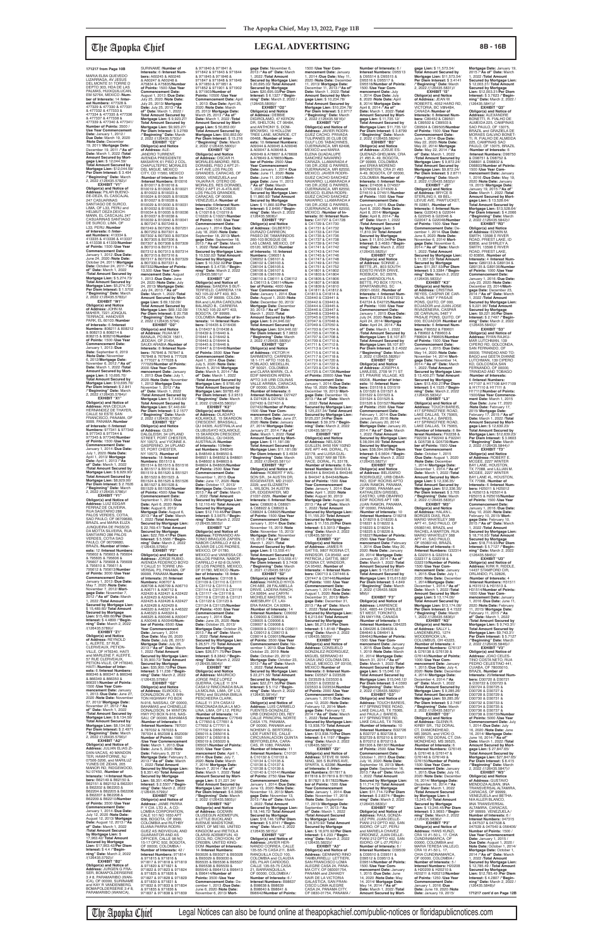**EXHIBIT "V1" Obligor(s) and Notice of Address:** PILAR BUENO-DE-DEZA, EL CASCAJAL<br>247 CASUARINAS SANTIAGO DE SURCO,<br>LIMA, OF L33, PERU and<br>HELMUT DEZA DEICH-<br>MANN, EL CASCAJAL 247 CASUARINAS SANTIAGO DE SURCO, LIMA, OF L33, PERU /**Number of Interests:** 6 /**Inter-**<br>**est Numbers:** 413334 &<br>413335 & 413336 & 413337 & 413338 & 41339/**Number of Points:** 1500 /**Use Year Commencement Date:** January 1, 2012 /**Due Date:** June 24, 2020 /**Note Date:** October 24, 2011/ **Mortgage Date:** October 24, 2011 /**"As of" Date:** March 1, 2022 /**Total Amount Secured by Mortgage Lien:** \$ 5,274.73/ **Total Amount Secured by Mortgage Lien: \$5,274.73/<br><b>Per Diem Interest: \$** 1.5702<br>/**"Beginning" Date:** March<br>2, 2022 /(126435.5783)//

**EXHIBIT "Y1" Obligor(s) and Notice of Address:** LUIZ EDGAR FERRAZ DE OLIVEIRA,<br>RUA SAGITARIO 286<br>PALOS VERDES, COTIA,<br>SAO PAULO, OF 06709680, BRAZIL and MARIA ELIZA JUNQUEIRA DE PASSOS DA MOTTA SILVEIRA, RUA SANTIARIO 286 PALÓS VERDES, COTIA SAO PAULO, OF 06709680, BRAZIL /**Number of Inter-ests:** 12 /**Interest Numbers:** 795602 & 795603 & 795604 & 795605 & 795606 & 795607 & 795608 & 795609 & 795610 & 795611 & 795612 & 795613/**Number of Points:** 3000 /**Use Year Commencement Date:** January 1, 2013 /**Due Date:** May 7, 2020 /**Note Date:** November 7, 2012/ **Mortgage Date:** November 7, 2012 /**"As of" Date:** March 1, 2022 /**Total Amount Secured by Mortgage Lien:** \$ 15,489.60/ **Total Amount Secured by Mortgage Lien:** \$15,489.60/**Per Diem Interest:** \$ 4.4899 /**"Beginning" Date:** March 2, 2022 /(126435.5789)// **EXHIBIT "Z1" Obligor(s) and Notice of Address:** REYNOLD<br>L. ALERTE, 57 RUE CLERVEAUX, PETION-VILLE, OF HT6340, HAITI and MARLENE F. ALERTE, 57 RUE CLERVEAUX, PETION-VILLE, OF HT6340 HAITI /**Number of Interests:** 6 /**Interest Numbers:** 866346 & 866347 & 866348 & 866349 & 866350 & 866351/**Number of Points:** 1500 /**Use Year Commencement Date:** January 1, 2013 /**Due Date:** June 27, 2020 /**Note Date:** November 27, 2012/ **Mortgage Date:** November 27, 2012 /**"As of" Date:** March 1, 2022 /**Total Amount Secured by Mortgage Lien:** \$ 8,134.56/ **Total Amount Secured by Mortgage Lien:** \$8,134.56/ **Per Diem Interest:** \$ 2.4971 /**"Beginning" Date:** March 2, 2022 /(126435.5790)// **EXHIBIT "A2" Obligor(s) and Notice of Address:** JULIAN ELIAS ZI-DAN-VACAS, 40 MANDON TER, HAWHTORNE, NJ 07506-3206, and MARILUZ YUNES DE ZIDAN, 205 MANOR RD, RIDGEWOOD, NJ 07450, /**Number of Interests:** 14/**Interest Numbers:** B62149 & B62150 & B62151 & B62152 & B62201 & B62202 & B62203 & B62204 & B62205 & B62206 & B62207 & B62208 & B62209 & B62210/**Numbe of Points:** 3500 /**Use Year Commencement Date:** January 1, 2014 /**Due Date:** July 12, 2020 /**Note Date:** August 12, 2013/ **Mortgage Date:** August 12, 2013 /**"As of" Date:** March 1, 2022 /**Total Amount Secured by Mortgage Lien:** \$ 17,963.42/ **Total Amount Secured by Mortgage Lien:** \$17,963.42/**Per Diem Interest:** \$ 4.4 /**"Begin-ning" Date:** March 2, 2022 /(126435.5792)// **EXHIBIT "B2" Obligor(s) and Notice of<br><b>Address:** JURGEN G FRA-<br>SER, BOMAPOLDERSERIE<br>3 # 8, PARAMARIBO (WAN-

**EXHIBIT "W1" Obligor(s) and Notice of Address:** JOHN M. MAHER, 7221 JONQUIL TERRACE, HANOVER **PARK, EL 60103 /Number of Interests:** 6 /**Interest**<br>**Numbers:** 808211 & 808212<br>& 808213 & 808214 & 808215 & 808216/**Number of Points:** 1500 /**Use Year Commencement Date:** January 1, 2013 /**Due Date:** September 6, 2019 /**Note Date:** November 6, 2012/**Mortgage Date:** November 6, 2012 /**"As of" Date:** March 1, 2022 /**Total Amount Secured by Mort-gage Lien:** \$ 10,695.70/ **Total Amount Secured by Mortgage Lien:** \$10,695.70/ **Per Diem Interest:** \$ 2.841 /**"Beginning" Date:** March 2, 2022 /(126435.5784)// **EXHIBIT "X1"**

**Obligor(s) and Notice of Address:** ANA CECILIA<br>HERNANDEZ DE THAYER, CALLE 50 ESTE SAN FRANCISCO, PANAMA, OF 9999, PANAMA /**Number of Interests:** 6 /**Interest Numbers:** 977341 & 977342 & 977343 & 977344 & 977345 & 977346/**Number of Points:** 1500 /**Use Year Commencement Date:** January 1, 2014 /**Due Date:** July 1, 2020 /**Note Date:** April 1, 2013/ **Mortgage Date:** April 1, 2013 /**"As of" Date:** March 1, 2022 /**Total Amount Secured by Mortgage Lien:** \$ 8,929.90/ **Total Amount Secured by Mortgage Lien:** \$8,929.90/ **Per Diem Interest:** \$ 2.7626 /**"Beginning" Date:** March 2, 2022 /(126435.5786)//

ICA), OF 00000, SURINAME

**The Apopka Chief** Legal Notices can also be found online at theapopkachief.com/public-notices or floridapublicnotices.com

SURINAME /**Number of Interests:** 6 /**Interest Num-bers:** A60245 & A60246 & A60247 & A60248 & A75834 & A75835/**Number of Points:** 1500 /**Use Year Commencement Date:** August 1, 2013 /**Due Date:** July 25, 2020 /**Note Date:** July 25, 2013/ **Mortgage Date:** July 25, 2013 /**"As of" Date:** March 1, 2022 / **Total Amount Secured by Mortgage Lien:** \$ 9,923.27/ **Total Amount Secured by Mortgage Lien: \$**9,923.27/<br>**Per Diem Interest: \$** 3.2769<br>/**"Beginning" Date:** March<br>2, 2022 /(126435.5793)// **EXHIBIT "C2"<br><b>Obligor(s) and Notice**<br>**of Address:** ALE-<br>JANDRO TURRENT,<br>AVENIDA PRESIDENTE<br>MASARYK 61 PISO 2 COL. CHAPULTEPEC MORALES DEL MIGUE, MEXICO CITY, CD 11560, MEXICO /**Number of Interests:** 54 /**Interest Numbers:** B10016 & B10017 & B10018 & B10019 & B10020 & B10021 & B10022 & B10023 & B10024 & B10025 & B10026 & B10027 & B10028 & B10029 & B10030 & B10031 & B10032 & B10033 & B10034 & B10035 & B10036 & B10037 & B10038 & B10039 & B10040 & B10041 & B07247 & B07248 & B07249 & B07250 & B07251 & B07252 & B07301 & B07302 & B07303 & B07304 & B07305 & B07306 & B07307 & B07308 & B07309 & B07310 & B07311 & B07312 & B07313 & B07314 & B07315 & B07316 & B07317 & B07318 & B07329 & B07330 & B07331 & B07332/**Number of Points:** 13,500 /**Use Year Com-mencement Date:** August **mencement Date:** Augus<br>1, 2013 /**Due Date:** June 24, 2020 /**Note Date:** July 24, 2013/ **Mortgage Date:** July 24, 2013 /"As of"<br>Date: March 1, 2022 /Total<br>Amount Secured by Mort-<br>gage Lien: \$ 69,132.09/<br>Total Amount Secured by<br>Mortgage Lien: \$69,132.09/<br>Per Diem Interest: \$ 20.758 /**"Beginning" Date:** March 2, 2022 /(126435.5794) **EXHIBIT "D2" Obligor(s) and Notice of Address:** RUAA M.F. BANAJA, PO BOX 15611,<br>JEDDAH, OF 21454,<br>SAUDI ARABIA /**Number of**<br>**Interests:** 8 /**Interest Numbers:** 767846 & 767847 & 767848 & 767849 & 777026 & 777027 & 777028 & 777029/**Number of Points:** 2000 /**Use Year Commencement Date:** January 1, 2013 /**Due Date:** July 1, 2020 /**Note Date:** November 1, 2012/ **Mortgage Date:** November 1, 2012 /**"As of" Date:** March 1, 2022 /**Total Amount Secured by Mortgage Lien:** \$ 7,443.64/ **Total Amount Secured by Mortgage Lien: \$7,443.64/<br><b>Per Diem Interest: \$** 2.1577<br>/**"Beginning" Date:** March<br>2, 2022 /(126435.5795)// **EXHIBIT "E2"<br>
<b>Obligor(s) and Notice**<br> **of Address:** GLEN<br>
DALGLEISH, 34 UPLAND<br>
STREET, PORT CHESTER,<br>
NY 10573, and YVONNE A. GASPERINO, 34 UPLAND ST, PORT CHESTER, NY 10573, /**Number of Interests:** 18 /**Interest Numbers:** B51513 & B51514 & B51515 & B51516 & B51517 & B51518 & 8 B51519 & B51520 & B51521<br>8 B51522 & B51523 & & B51522 & B51523 .& B51524 & B51525 & B51526 & B51527 & B51528 & B51529 & B51530/**Number of Points:** 4500 /**Use Year Commencement Date:** September 1, 2013 /**Due Date:** April 6, 2020 /**Note Date:** August 6, 2013/ **Mortgage Date:** August 6, 2013 /**"As of" Date:** March 1, 2022 /**Total Amount Secured by Mortgage Lien:** \$ 22,769.47/ **Total Amount Secured by Mortgage Lien:** \$22,769.47/**Per Diem** 

and KAY R VANDENBERG, BOMAPOLDERSERIE 3 # 8, PARAMARIBO (WANICA), **Interest:** \$ 5.5566 /**"Begin-ning" Date:** March 2, 2022 /(126435.5796)// **EXHIBIT "F2" Obligor(s) and Notice of Address:** JORGE RUBIO, AVENIDA FEDERICO BOYD Y CALLE 51 TORRE UNI-VERSAL P3, PANAMA, OF 99999, PANAMA **Number of Interests:** 26 /**Interest Numbers:** A06707 & A06708 & A06709 & A06710 & A06711 & A06712 & A32420 & A32421 & A32422 & A32423 & A32424 & A32425 & A32426 & A32427 & A32428 & A32429 & A46320 & A46321 & A46322 & A46323 & A46324 & A46325 & A50046 & A50047 & A50048 & A50049/**Num-ber of Points:** 6500 /**Use Year Commencement Date:** January 1, 2014 /**Due Date:** May 26, 2020 /**Note Date:** July 26, 2013/ **Mortgage Date:** July 26, 2013 /**"As of" Date:** March 1, 2022 /**Total Amount Secured by Mortgage Lien:** \$ 35,900.72/ **Total Amount Secured by Mortgage Lien:** \$35,900.72/**Per Diem Interest:** \$ 11.238 /**"Begin-ning" Date:** March 2, 2022 /(126435.5798)// **EXHIBIT "G2" Obligor(s) and Notice<br><b>of Address:** ELWOOD L<br>DONALDSON JR., 5 WIN-<br>TON HIGHWAY PO BOX N-916, NASSAU, OF 00000, BAHAMAS and CHENELLE DONALDSON, 54 WINTON HWY PO BOX N-916, NAS-SAU, OF 00000, BAHAMAS /**Number of Interests:** 6 /**Interest Numbers:** 787031 & 787032 & 787033 & 787034 & 852308 & 852309/ **Number of Points:** 1500 /**Use Year Commencement Date:** March 1, 2013 /**Due Date:** June 5, 2020 /**Note Date:** February 5, 2013/ **Mortgage Date:** February 5, 2013 /**"As of" Date:** March 1, 2022 /**Total Amount Secured by Mortgage Lien:** \$ 8,351.40/ **Total Amount Secured by Mortgage Lien:** \$8,351.40/**Per Diem Interest:** \$ 2.5507 /**"Begin-ning" Date:** March 2, 2022 /(126435.5799)// **EXHIBIT "H2" Obligor(s) and Notice of Address:** JAIME PARRA<br>P. Y CIA. LTD A., A CO-<br>LOMBIA CORPORATION,<br>CALE 101 NO 1650 APT 608, BOGOTA, OF 9999, COLOMBIA and RUTHBY ELIANA PARRA RODRI-GUEZ AS INDIVIDUAL AND GUARANTOR AND AS OFFICER, CALLE 98 NO 15-17 OFIC 502, BOGOTA, OF 00000, COLOMBIA / **Number of Interests:** 42 / **Interest Numbers:** 971814 & 971815 & 971816 & 971817 & 971818 & 971819 & 971820 & 971821 & 971822 & 971823 & 971824 & 971825 & 971826 & 971827 & 971828 & 971829 & 971830 & 971831 & 971832 & 971833 & 971834 & 971835 & 971836 & 971837 & 971838 & 971839

& 971840 & 971841 & 971842 & 971843 & 971844 & 971845 & 971846 & 971847 & 971848 & 971849 & 971850 & 971851 & 971852 & 971901 & 971902 & 971903/**Number of Points:** 10500 /**Use Year Commencement Date:** April 1, 2013 /**Due Date:** April 25, 2020 /**Note Date:** March 25, 2013/ **Mortgage Date:** March 25, 2013 /**"As of" Date:** March 1, 2022 /**Total Amount Secured by Mort-gage Lien:** \$ 50,853.00/ **Total Amount Secured by Mortgage Lien:** \$50,853.00/ **Per Diem Interest:** \$ 15.216 /**"Beginning" Date:** March 2, 2022 /(126435.5800)// **EXHIBIT "I2" Obligor(s) and Notice of Address:** OSCAR H. MORALES-MADRID, RES. DORABEL PISO 2 APT.21- A-4T AVE.LOS PALOS GRANDES, CARACAS, OF 00000, VENEZUELA and YAJAIRA R. OTERO DE-MORALES, RES DORABEL PISO 2 APT 21-A-4TA AVE LOS PALOS GRANDES, CARACAS, OF 00000, VENEZUELA /**Number of Interests:** 6/**Interest Num-bers:** C08204 & C08205 & C10218 & C10219 & C10220 & C10221/**Number of Points:** 1500 /**Use Year Commencement Date:** January 1, 2014 /**Due Date:** July 18, 2020 /**Note Date:** tember 18, 2013/ Mort**gage Date:** September 18, 2013 /**"As of" Date:** March 1, 2022 /**Total Amount Secured by Mortgage Lien:** \$ 10,532.02/ **Total Amount Secured by Mortgage Lien:** \$ 10,532.02/**Per Diem Interest:** \$ 3.4735 /**"Begin-ning" Date:** March 2, 2022 /(126435.5801)// **EXHIBIT "J2" Obligor(s) and Notice of Address:** SANDRA S BUT-TERFIELD, CARRERA 17A NO 105-22 APT 403, BO-GOTA, OF 99999, COLOM-BIA and LAURA CAROLINA BALANZO B., CARRERA 17A NO 105-22 APT 403, BOGOTA, OF 99999, COLOMBIA /**Number of In-terests:** 14 /**Interest Num-bers:** D16435 & D16436 & D16437 & D16438 & D16439 & D16440 & D16441 & D16442 & D16443 & D16444 & D16445 & D16446 & D16447 & D16448/**Number of Points:** 3500 /**Use Year Commencement Date:** April 1, 2014 /**Due Date:** July 5, 2020 /**Note Date:** March 5, 2014/ **Mortgage Date:** March 5, 2014 /**"As of" Date:** March 1, 2022 /**Total Amount Secured by Mortgage Lien:** \$ 9785.49/ **Total Amount Secured by Mortgage Lien:** \$9785.49/ **Per Diem Interest:** \$ 2.9513 /**"Beginning" Date:** March 2, 2022 /(126435.5802)// **EXHIBIT "K2" Obligor(s) and Notice of Address:** OLADAPO KOLAWOLE, 15 SKARDON CRESCENT, BRASSALL,<br>QU 04305, AUSTRALIA and OLUBUSAYO KOLAWOLE,<br>15 SKARDON CRESCENT,<br>BRASSALL, QU 04305,<br>AUSTRALIA /**Number of Interests:** 10/**Inter-est Numbers:** B48548 & B48549 & B48550 & B48551 & B48552 & B48601 & B48602 & B48603 & B48604 & B48605/**Number of Points:** 2500 /**Use Year Commencement Date:** November 1, 2013 /**Due Date:** June 17, 2020 /**Note Date:** October 17, 2013/ **Mortgage Date:** October 17, 2013 /**"As of" Date:** March 1, 2022 /**Total Amount Secured by Mortgage Lien:** \$ 12,110.46/ **Total Amount Secured by Mortgage Lien:** \$12,110.46/**Per Diem Interest:** \$ 3.5675 /**"Begin-ning" Date:** March 2, 2022 /(126435.5803)// **EXHIBIT "L2" Obligor(s) and Notice of Address:** FERNANDO AN-TONIO BRAOJOS ZAPIEN, NABOR CARRILLO # 62-8 OLIVAR DE LOS PADRES,<br>MEXICO, DF 01780,<br>MEXICO and VANESSA CE-<br>BALLOS PINERA, NABOR CARRILLO # 62-8 OLIVAR<br>DE LOS PADRES, MEXICO, DF 01780, MEXICO /**Num-ber of Interests:** 18 /**Inter-est Numbers:** C31108 & C31109 & C31110 & C31111 & C31112 & C31113 & C31114 & C31115 & C31116 & C31117 «fe C31118 & C31119 & C31120 & C31121 & C31122 & C31123 & C31124 & C31125/**Number of Points:** 4500 /**Use Year Commencement Date:** January 1, 2014 /**Due Date:** June 25, 2020 /**Note Date:** October 25, 2013/ **Mortgage Date:** October 25, 2013 /**"As of" Date:** March 1, 2022 /**Total Amount Secured by Mortgage Lien:** \$ 26,571.75/ **Total Amount Secured by Mortgage Lien:** \$26,571.75/**Per Diem Interest:** \$ 8.3842 /**"Begin-ning" Date:** March 2, 2022 /(126435.5804)// **EXHIBIT "M2" Obligor(s) and Notice of Address:** MAURICIO JORGE PAEZ LOPEZ GUERRA, CALLE 11 374 CASA12 RINCONADA BAJA LA MOLINA, LIMA, OF L12, PERU and SILVANA EMILIA PESCHEERA CLARK, CALLE 11 374 CASA12 RINCONADA BAJA LA MO-LINA, LIMA, OF L12, PERU /**Number of Interests:** 14 /**Interest Numbers:** C77649 & C77650 & C77651 & C77652 & C77701 & C77702 & D65014 & D65015 & D65016 & D65017 & D65018 & D65019 & D65020 & D65021/**Number of Points:** 3500 /**Use Year Commencement Date:** April 1, 2014 /**Due Date:** July 7, 2020 /**Note Date:** March 7, 2014/ **Mortgage Date:** March 7, 2014 /**"As of" Date:** March 1, 2022 /**Total Amount Secured by Mortgage Lien:** \$ 21,221.34/ **Total Amount Secured by Mortgage Lien:** \$21,221.34/ **Per Diem Interest:** \$ 6.3695 /**"Beginning" Date:** March 2, 2022 /(126435.5805)// **EXHIBIT "N2" Obligor(s) and Notice of Address:** GODWIN OLUSEGUN ADEMEFUN, 8 LITTLE BUCKLAND<br>AVENUE MAIDSTONE, KENT, OF ME160, UNITED KINGDOM and IRETIOLA OLARISI ADEMEFUN, 43 CECIL RD, CROYDON, OF CR03BN, UNITED KING-DOM /**Number of Interests:** 14 /**Interest Numbers:** B93026 & B93027 & B93028 & B93029 & B93030 & B95535 & B95536 & B95537 & B95538 & B95539 & B95540 & B96412 & B96413<br>& B96414/Number of & B96414/**Number of Points:** 3500 /**Use Year Commencement Date:** De-cember 1, 2013 /**Due Date:** June 6, 2020 /**Note Date:** November 6, 2013/ **Mort-**(126435.5806)// **EXHIBIT "O2" Obligor(s) and Notice of Address:** DEBBIE and ANTHONY S. DOM-06468, /**Number of Inter-**1, 2022 /**Total Amount Obligor(s) and Notice of Address:** GILBERTO DURAZO CARREON, PASEO DE TAMARINDOS 260-103 BOSQUE DE C96052 & C96101 & C96102 & C96103 & & C96113 & C96114/**Number of Points:** 4000 /**Use Year Commencement of Address:** VICTOR H<br>SARMIENTO, CARRERA 18 1-171 APTO 1106 EL POBLADO, MEDELLIN,<br>OF 50021, COLOMBIA<br>and CLARA MARIN, CL A & D27428 & D27429 & D27430 & D27431 & SON SR., 34 AUSTIN DR DR, EDGEWATER, MD 21037-2229, /**Number of Commencement Date:** 15, 2013 /**"As of" Date:** March 1, 2021 /**Total**  CA 92694, and CARYN MICHELE MASTERS, 14 AMESBURY CT, LAV-ERA RANCH, CA 92694, & C09003 & C09004 & C09005 & C09006 & C09007 & C09008 & October 23, 2019 /**Note**  OF 00000, PANAMA and NOHEMY G. BERTOREL-LIDE FUENTES, CALLE CAS, IR 1080, PANAMA & C10132 & C10133 & C10134 & C10135 & C10136 & C10137 & C10138 & C10139 & **Commencement Date:** November 13, 2013/ **Mort-Secured by Mortgage Obligor(s) and Notice of**  CALLE 135-55-75 CASA 21, BARRANQUILLA, & B98638 & B98639 & B98640 & B98641 & B98642/**Number of Points:**

# **Mortgage Date:** January 19, 2015 /**"As of" Date:** March 1, 2022 /**Total Amount Secured by Mortgage Lien:** \$ 12,003.31/ **Total Amount Secured by Mortgage Lien:** \$12,003.31/**Per Diem Interest:** \$ 3.7623 /**"Begin-ning" Date:** March 2, 2022 / (126435.5841)// **EXHIBIT "Q3" Obligor(s) and Notice of Address:** ALEXANDRE BONETTI, R. FIALHO DE ALMEIDA 225, CAMPINAS SAO PAULO, OF 13075 BRAZIL and GRAZIELA DE MORAES GALVAO BONET-TI, R. FIALHO DE ALMEIDA 225, CAMPINAS SAO PAULO, OF 13075, BRAZIL **/Number of Interests:** 6<br>**/Interest Numbers:** D98750<br>& D98751 & D98752 &<br>D98801 & D98802 & D98803/**Number of Points:** 1500 /**Use Year Commencement Date:** January 1, 2016 /**Due Date:** May 19, 2020 /**Note Date:** January 19, 2015/ **Mortgage Date:** January 19, 2015 /**"As of" Date:** March 1, 2022 /**Total Amount Secured by Mort-gage Lien:** \$ 13,528.64/ **Total Amount Secured by Mortgage Lien: \$13,528.64/<br><b>Per Diem Interest: \$** 4.2066<br>/**"Beginning" Date:** March<br>2, 2022 /(126435.5842)//

MARIA ELBA QUEVEDO LIZARRAGA, AV JESUS<br>DEL MONTE 51 TORRE D DEPTO 303, HDA DE LAS PALMAS, HUIXQUILUCAN, EM 52764, MEXICO /**Number of Interests:** 14 /**Interest Numbers:** 477328 & 477329 & 477330 & 477331 & 477332 & 477333 & 477334 & 477335 & 477336 & 477337 & 477338 & 477339 & 477340 & 477341/ **Number of Points:** 3500 / Use Year Commencement<br>Date: January 1, 2012 /<br>Due Date: March 19, 2020<br>Note Date: December<br>19, 2011/Mortgage Date:<br>December 19, 2011/<sup>4</sup>As of"<br>Date: March 1, 2022 /Total **Amount Secured by Mort-gage Lien:** \$ 12,044.59/ **Total Amount Secured by Mortgage Lien:** \$12,044.59/ **Per Diem Interest:** \$ 3.494 /**"Beginning" Date:** March 2, 2022 /(126435.5782)// **171217 from Page 10B**

**gage Date:** November 6, 2013 /**"As of" Date:** March 1, 2022 /**Total Amount Secured by Mortgage Lien:** \$ 20,695.03/ **Total Amount Secured by Mortgage Lien:** \$20,695.03/**Per Diem Interest:** \$ 6.1327 /**"Begin-ning" Date:** March 2, 2022 / DIGIROLAMO, 47 KERON<br>DR, SHELTON, CT 06484, BROWSKI, 19 HOLLOW<br>TREE LANE, MONROE, CT **ests:** 10 /**Interest Numbers:** A09044 & A09045 & A09046 & A09047 & A09048 & A09049 & A78607 & A78608 & A78649 & A78650/**Num-ber of Points:** 2500 /**Use Year Commencement Date:** January 1, 2014 /**Due Date:** June 11, 2020 /**Note Date:** June 11, 2013/**Mort-gage Date:** June 11, 2013 /**"As of" Date:** March **Secured by Mortgage Lien:** \$ 11,860.92/ **Total Amount Secured by Mortgage Lien:** \$ 11,860.92/**Per Diem Interest:** \$ 2.8496 /**"Beginning" Date:** March 2, 2022 /(126435.5808)// **EXHIBIT "P2"** LAS LOMAS, MEXICO, DF 05120, MEXICO /**Number of Interests:** 16 /**Interest Numbers:** C96051 & C96104 & C96105 & C96106 & C96107 & C96108 & C96109 & C96110 & C96111 & C96112 **Date:** January 1, 2014 /**Due Date:** August 1, 2020 /**Note Date:** December 30, 2013/ **Mortgage Date:** December 30, 2013 /**"As of" Date:** March 1, 2022 /**Total Amount Secured by Mort-gage Lien:** \$ 24,946.02/ **Total Amount Secured by Mortgage Lien:** \$24,946.02/ **Per Diem Interest:** \$ 7.9853 /**"Beginning" Date:** March 2, 2022 /(126435.5809)// **EXHIBIT "Q2" Obligor(s) and Notice**  EDIF MANSION ARENA APTO 3-B URB COLINAS VALLE ARRIBA, CARACAS,<br>OF 00000, COLOMBIA<br>**/Number of Interests:** 6<br>**/Interest Numbers:** D27427 D27432/**Number of Points:** 1500 /**Use Year Com-mencement Date:** January 1, 2015 /Due Date: June 27,<br>2020 /Note Date: Junuary<br>27, 2014/ Mortgage Date:<br>January 27, 2014/ "As of"<br>Date: March 1, 2022 /Total<br>Amount Secured by Mort-<br>Total Amount Secured by<br>Mortgage Lien:  $$11,181.08$ /<br>Mortgage Lien **Obligor(s) and Notice of Address:** ROBERT F WIL-EDGEWATER, MD 21037- 2229, and ELIZABETH L. WILSON, 34 AUSTIN **Interests:** 6 /**Interest Num-bers:** C68920 & C68921 & C68922 & C68923 & C68924 & C68925/Numbe **of Points:** 1500 /**Use Year**  January 1, 2014 /**Due Date:** November 15, 2019 /**Note Date:** November 15, 2013/ **Mortgage Date:** November **Amount Secured by Mort-gage Lien:** \$ 13,559.41/ **Total Amount Secured by Mortgage Lien:** \$13,559.41/ **Per Diem Interest:** \$ 3.7408 /**"Beginning" Date:** March 2, 2021 /(126435.5812)// **EXHIBIT "S2" Obligor(s) and Notice of Address:** HAROLD HIYOI-CHI ABE, 28 FALABELLA DRIVE, LADERA RANCH, /**Number of Interests:** 14 /**Interest Numbers:** C09002 C09009 & C09010 & C09011 & C09012 & C09013 & C09014 & C09015/**Number of Points:** 3500 /**Use Year Commencement Date:** No-vember 1, 2013 /**Due Date: Date:** October 23, 2013/ **Mortgage Date:** October 23, 2013 /**"As of" Date:** March 1, 2022 /**Total Amount Secured by Mortgage Lien:** \$ 22,271.56/ **Total Amount Secured by Mortgage Lien:** \$22,271.56/**Per Diem Interest:** \$ 5.112 /**"Begin-ning" Date:** March 2, 2022 /(126435.5814)// **EXHIBIT "T2" Obligor(s) and Notice of Address:** LUIS CARMELO FUENTES-GONZALEZ,<br>URB CONDADO DEL REY<br>CALLE PRINCIPAL NORTE<br>CASA 175, PANAMA, CIRCUNVALACION QUINTA BERTORELERA, CARA-/**Number of Interests:** 11 /**Interest Numbers:** C10131 C10140 & C10141/**Number of Points:** 2750 /**Use Year**  January 1, 2014 /**Due Date:** June 13, 2020 /**Note Date: gage Date:** November 13, 2013 /**"As of" Date:** March 1, 2022 /**Total Amount Secured by Mortgage Lien:** \$ 18,146.72/ **Total Amount Lien:** \$18,146.72/**Per Diem Interest:** \$ 5.9741 /**"Beginning" Date:** March 2, 2022 /(126435.5815)// **EXHIBIT "U2" Address:** JAVIER HER-NANDO CORREA, CALLE 135-55-75 CASA 211, BAR-RANQUILLA COLO 100, COLOMBIA and CLAUDIA DEL PILAR CARDOSO, OF 00000, COLOMBIA / **Number of Interests:** 6 / **Interest Numbers:** B98637 1500 /**Use Year Commencement Date:** January 1, 2014 /**Due Date:** May 11, 2020 /**Note Date:** December 11, 2013/ **Mortgage Date:** December 11, 2013 /**"As of" Date:** March 1, 2022 /**Total Amount Secured by Mort-gage Lien:** \$ 10,234.78/ **Total Amount Secured by Mortgage Lien:** \$10,234.78/ **Per Diem Interest:** \$ 2.9717 /**"Beginning" Date:** March 2, 2022 /(126435.5816)// **EXHIBIT "V2" Obligor(s) and Notice of Address:** JAVIER RODRI-GUEZ CACHO, PRIVADA TULIPANES 20 CLUB DE GULF LOS TABACHINES,<br>CUERNAVACA, MR 62498, CUERNAVACA, MR 62498,<br>MEXICO and MARIA<br>ELENA GUADALUPE<br>SANCHEZ NAVARRO<br>CARAZA, LLAMARADA#<br>195 DR JOSE G PARRES,<br>CUERNAVACA, MR 62550, MEXICO, JAVIER RODRI-<br>GUEZ CACHO SANCHEZ<br>NAVARRO, LLAMARADA #<br>195 DR JOSE G PARRES, CUERNAVACA, MR 62550, MEXICO, ELENA RODRI-GUEZ CACHO SANCHEZ<br>NAVARRO, LLAMARADA #<br>195 DR JOSE G PARRES,<br>CUERNAVACA, MR 62550, MEXICO, /**Number of In-terests:** 80 /**Interest Numbers:** C41727 & C41728<br>& C41729 & C41730<br>& C41731 & C41732<br>& C41733 & C41734 & C41735 & C41736 & C41737 & C41738 & C41739 & C41740 & C41741 & C41742 & C41743 & C41744 & C41745 & C41746 & C41747 & C41748 & C41749 & C41750 & C41751 & C41752 & C41801 & C41802 & C41803 & C41804 & C41805 & C41806 & C41807 & C41808 & C41809 & C41810 & C41811 & C41812 & C41813 & C41814 & C33440 & C33441 & C33442 & C33443 & C33444 & C33445 & C33446 & C33447 & C33448 & C33449 & C37045 & C37046 & C37047 & C37048 & C37049 & C37050 & C41703 & C41704 & C41705 & C41706 & C41707 & C41708 & C41709 & C41710 & C41711 & C41712 & C41713 & C41714 & C41715 & C41716 & C41717 & C41718 & C41719 & C41720 & C41721 & C41722 & C41723 & C41724 & C41725 & C41726/Numbe **of Points:** 20000 /**Use Year Commencement Date:** January 1, 2014 /**Due Date:** May 19, 2020 /**Note Date:** December 19, 2013/ **Mort-gage Date:** December 19, 2013 /**"As of" Date:** March 1, 2022 /**Total Amount Secured by Mortgage Lien:** \$ 125,237.34/ **Total Amount Secured by Mortgage Lien:** \$125,237.34/**Per Diem Interest:** \$ 39.379 /**"Begin-ning" Date:** March 2, 2022 /(126435.5817)// **EXHIBIT "W2" Obligor(s) and Notice of Address:** NELSON GUILLEN, 8450 NW 102ND AVE APT 449, DORAL, FL 33178, and LUISA GUIL-LEN, 10037 NW 88 TER-RACE, DORAL, FL 33178, /**Number of Interests:** 6 /**Interest Numbers:** B44343 & B44344 & B44345 & B44346 & B44347 & B44348/**Num-ber of Points:** 1500 /**Use Year Commencement Date:** Janaury 1, 2014 /**Due Date:** April 1, 2020 /**Note Date:** August 30, 2013/ **Mortgage Date:** August 30, 2013 /**"As of" Date:** March 1, 2022 /**Total Amount Secured by Mortgage Lien:** \$ 11,155.20/ **Total Amount Secured by Mortgage Lien:** \$ 11,155.20/**Per Diem Interest:** \$ 3.3013 /**"Begin-ning" Date:** March 2, 2022 /(126435.5819)// **EXHIBIT "X2" Obligor(s) and Notice<br><b>of Address:** JAMES R<br>GATTIS, 9807 ROSINA CT,<br>WINDSOR, CA 95492, and PATRICIA J GATTIS, 9807 ROSINA CT, WINDSOR, CA 95492, /**Number of Interests:** 4 /**Interest Numbers:** C90713 & C97446 & C97447 & C97448/**Number of Points:** 1000 /**Use Year Commencement Date:** January 1, 2014 /**Due Date:** August 1, 2020 /**Note Date:** December 31, 2013/ **Mort-gage Date:** December 31, 2013 /**"As of" Date:** March 1, 2022 /**Total Amount Secured by Mortgage Lien:** \$ 6,213.64/ **Total Amount Secured by Mortgage Lien:** \$6,213.64/**Per Diem Interest:** \$ 1.8148 /**"Beginning" Date:** March 2, 2022 /(126435.5820)// **EXHIBIT "Y2" Obligor(s) and Notice of Address:** CONSUELO GONZALEZ-RODRIGUEZ, MIGUEL SERRANO 61 CASA UNO COLONIA DEL VALLE, MEXICO, DF 03100, MEXICO /**Number of Interests:** 8 /**Interest Numbers:** D23527 & D23528 & D23529 & D23530 & D23531 & D23532 & D23533 & D23534/**Number of Points:** 2000 /**Use Year Commencement Date:** January 1, 2015 /**Due Date:** June 12, 2020 /**Note Date:** February 12, 2014/ **Mortgage Date:** February 12, 2014 /**"As of" Date:** March 1, 2022 /**Total Amount Secured by Mortgage Lien:** \$ 13,938.70/ **Total Amount Secured by Mortgage Lien:** \$13,938.70/**Per Diem Interest:** \$ 4.1197 /**"Begin-ning" Date:** March 2, 2022 /(126435.5821)// **EXHIBIT "Z2" Obligor(s) and Notice of Address:** STEVE W. MAN-NING, 305 S BURNS AVE, SPARTA, IL 62286 /**Number of Interests:** 6 /**Interest Numbers:** B17817 & B17818 & B17819 & B17820 & B17821 & B17822/**Number of Points:** 1500 /**Use Year Commencement Date:** January 1, 2014 /**Due Date:** November 17, 2018 /**Note Date:** September 17, 2013/ **Mortgage Date:** September 17, 2013 /**"As of" Date:** March 1, 2022 /**Total Amount Secured by Mortgage Lien:** \$ 16,970.92/ **Total Amount Secured by Mortgage Lien:** \$ 16,970.92/**Per Diem Interest:** \$ 4.233 /**"Beginning" Date:** March 2, 2022 /(126435.5822)// **EXHIBIT "A3" Obligor(s) and Notice of<br><b>Address:** GENNARO RINO<br>TAMBURRELLI LETTIERI,<br>SAN FRANCISCO LOMA ALEGRE CASA 24, PANA-MA CITY, OF 083001754, PANAMA and ZAHAIDY<br>NAIR DE LA VICTORIA<br>GALASTICA, SAN FRAN-<br>CISCO LOMA ALEGRE CASA 24, PANAMA CITY, OF 0830-01754, PANAMA / **Number of Interests:** 6 / **Interest Numbers:** D95513 & D95514 & D95515 & D95516 & D95517 & D95518/**Number of Points:** 1500 /**Use Year Commencement Date:** July 1, 2014 /**Due Date:** July 8, 2020 /**Note Date:** April 8, 2014/ **Mortgage Date:** April 8, 2014 /**"As of" Date:** March 1, 2022 /**Total Amount Secured by Mortgage Lien:** \$ 11,735.12/ **Total Amount Secured by Mortgage Lien: \$11,735.12/<br><b>Per Diem Interest: \$** 3.8799<br>/**"Beginning" Date:** March<br>2, 2022 /(126435.5824)// **EXHIBIT "B3"<br><b>Obligor(s) and Notice**<br>**of Address**: JOSUE ES-<br>QUENAZI-GHELMAN, CRA<br>21 #85 A- 49, BOGOTA,<br>OF 99999, COLOMBIA and ERIKA MORENO<br>BRONSTEIN, CRA 21 #85 A-49, BOGOTA, OF 00000, COLOMBIA /**Number of Interests:** 6 /**Interest Num-bers:** D74506 & D74507 & D74508 & D74509 & D74510 & D74511/**Number of Points:** 1500 /**Use Year Commencement Date:** January 1, 2015 /**Due Date:** April 8, 2020 /**Note Date:** April 8, 2014/ **Mortgage Date:** April 8, 2014 /**"As of" Date:** March 1, 2022 /**Total Amount Secured by Mortgage Lien:** \$ 11,810.34/ **Total Amount Secured by Mortgage Lien:** \$ 11,810.34/**Per Diem Interest:** \$ 3.4683 /**"Begin-ning" Date:** March 2, 2022 /(126435.5825)// **EXHIBIT "C3" Obligor(s) and Notice**<br>**of Address:** SONNIE J.<br>BETTS JR., 803 SOUTH<br>EDISTO RIVER DRIVE,<br>ROEBUCK, SC 29376,<br>and GWENDOLYN A. BETTS, PO BOX 170174, SPARTANBURG, SC 29301-0022, /**Number of Interests:** 4 /**Interest Num-bers:** E42722 & E42723 & E42724 & E42725/**Number of Points:** 1000 /**Use Year Commencement Date:** January 1, 2015 /**Due Date:** July 24, 2020 /**Note Date:** April 24, 2014/ **Mortgage Date:** April 24, 2014 /**"As of" Date:** March 1, 2022 /**Total Amount Secured by Mortgage Lien:** \$ 8,107.87/ **Total Amount Secured by Mortgage Lien:** \$8,107.87/ **Per Diem Interest:** \$ 2.4022 /**"Beginning" Date:** March 2, 2022 /(126435.5826)// **EXHIBIT "D3" Obligor(s) and Notice of Address:** JOSEPH A LAWLESS, 2709 W 71 ST ST, PRAIRIE VILLAGE, KS 66208, /**Number of Interests:** 10 /**Interest Num-bers:** D31518 & D31519 & D31520 & D31521 & D31522 & D31523 & D31524 & D31525 & D31526 & D31527/**Numbe of Points:** 2500 /**Use Year Commencement Date:** February 1, 2014 /**Due Date:** January 20, 2016 /**Note Date:** January 20, 2014/ **Mortgage Date:** January 20, 2014 /**"As of" Date:** March 1, 2022 /**Total Amount Secured by Mortgage Lien:** \$ 38,094.06/ **Total Amount Secured by Mortgage Lien:** \$38,094.06/**Per Diem Interest:** \$ 6.5604 /**"Begin-ning" Date:** March 2, 2022 /(126435.5827)// **EXHIBIT "E3" Obligor(s) and Notice of Address:** BELISARIO RODRIGUEZ, URB OBAR-RIO, EDIF ROCRIS APTO JUAN RAMON, PANAMA, OF 00000, PANAMA and KATHALEEN GRISSEL CASTRO, URB OBARRIO EDIF ROCRIS APT 10B JUAN RAMON, PANAMA, OF 00000, PANAMA /**Number of Interests:** 10 /**Interest Numbers:** D18218 & D18219 & D18220 & D18221 & D18222 & D18223 & D18224 & D18225 & D18226 & D18227/**Number of Points:** 2500 /**Use Year Commencement Date:** February 1, 2014 /**Due Date:** May 20, 2020 /**Note Date:** January 20, 2014/ **Mortgage Date:** January 20, 2014 /**"As of" Date:** March 1, 2022 /**Total Amount Secured by Mortgage Lien:** \$ 15,615.82/ **Total Amount Secured by Mortgage Lien:** \$15,615.82/ **Per Diem Interest:** \$ 4.849 /**"Beginning" Date:** March 2, 2022 /(126435.5828  $M/M$ ) **EXHIBIT "F3" Obligor(s) and Notice of Address:** LAWRENCE SAX, 4805-44 CHARLES ST WEST, TORONTO, ON M4Y1R8, CANADA /**Number of Interests:** 6 /**Interest Numbers:** D84225 & D84226 & D84639 & D84640 & D84641 & D84642/**Number of Points:** 1500 /**Use Year Com-mencement Date:** January 1, 2015 /**Due Date:** August 1, 2019 /**Note Date:** March 31, 2014/ **Mortgage Date:** March 31, 2014 /**"As of" Date:** March 1, 2022 /**Total Amount Secured by Mort-gage Lien:** \$ 15,046.12/ **Total Amount Secured by Mortgage Lien:** \$15,046.12/ **Per Diem Interest:** \$ 4.0393 /**"Beginning" Date:** March 2, 2022 /(126435.5829)// **EXHIBIT "G3" Obligor(s) and Notice of Address:** TOUCH BAREIS, 417 SPRINGTREE ROAD, LAKE DALLAS, TX 75065,<br>and PAULA J. BAREIS,<br>417 SPRINGTREE RD,<br>LAKE DALLAS, TX 75065, /**Number of Interests:** 10 /**Interest Numbers:** B32726 & B32727 & B32728 & B32729 & B70210 & B70211 & B70212 & B70213 & B81306 & B81307/**Numbe of Points:** 2500 /**Use Year Commencement Date:** October 1, 2013 /**Due Date:** July 16, 2020 /**Note Date:** September 16, 2013/ **Mortgage Date:** September 16, 2013 /**"As of" Date:** March 1, 2022 /**Total Amount Secured by Mortgage Lien:** \$ 11,714.72/ **Total Amount Secured by Mortgage Lien:** \$11,714.72/**Per Diem Interest:** \$ 2.8374 /**"Begin-ning" Date:** March 2, 2022 /(126435.5830)// **EXHIBIT "H3" Obligor(s) and Notice of Address:** RAUL GONZA-LEZ PIRI, JUAN DELLE-PIANI 212 DPTO 402, SAN ISIDRO, OF L27, PERU and MARIELA CHAVEZ ORDONEZ, JUAN DELLE-PIANI 212 DPTO 402, SAN ISIDRO, OF L-27,PERU / **Number of Interests:** 6 / **Interest Numbers:** D39509 & D39510 & D39511 & D39512 & D39513 & D39514/**Number of Points:** 1500 /**Use Year Commencement Date:** January 1, 2015 /**Due Date:** June 14, 2020 /**Note Date:** May 14, 2014/ **Mortgage Date:** May 14, 2014 /**"As of" Date:** March 1, 2022 /**Total Amount Secured by Mort-**

**gage Lien:** \$ 11,573.54/ **Total Amount Secured by Mortgage Lien:** \$11,573.54/ **Per Diem Interest:** \$ 3.4141<br>/**"Beginning" Date:** March<br>2, 2022 /(126435.5831)// **EXHIBIT "I3" Obligor(s) and Notice of Address:** JEAN W. ROBERTS, 4052 HARO RD, VICTORIA, BC V8N4B4, CANADA /**Number of Interests:** 6 /**Interest Numbers:** C89452 & C89501 & C89502 & C89503 & C89504 & C89505/**Number of Points:** 1500 /**Use Year Commencement Date:** June 1, 2014 /**Due Date:** May 22, 2020 /**Note Date:** May 22, 2014/ **Mortgage<br><b>Dat**e: May 22, 2014 /"**As<br>of" Date:** March 1, 2022<br>**/Total Amount Secured by<br><b>Mortgage Lien:** \$ 9,872.24/ **Total Amount Secured by Mortgage Lien:** \$9,872.24/ **Per Diem Interest:** \$ 2.8711 /**"Beginning" Date:** March 2, 2022 /(126435.5832)// **EXHIBIT " J3" Obligor(s) and Notice of Address:** BRYCE B STERLING II, 69 BEL LEVUE AVE, PAWTUCKET,<br>RI 02861, /**Number of**<br>**Interests:** 6 /Interest Num**bers:** G22043 & G22044 & G22045 & G22046 & G22047 & G22048/**Number of Points:** 1500 /**Use Year Commencement Date:** De-cember 1, 2014 /**Due Date:** June 6, 2020 /**Note Date:** November 6, 2014/ Mort-<br>gage Date: November 6,<br>2014 /"As of" Date: March<br>1, 2022 /Total Amount<br>Secured by Mortgage Lien:<br>Stil,357.53/ Total Amount<br>Secured by Mortgage<br>Lien: \$11,357.53/Per Diem<br>Interest: \$ 3.3384 /"Begin-<br>I /(126435.5833)//<br>"EXHIBIT "K3 **EXHIBIT "K3"<br><b>Obligor(s) and Notice<br><b>of Address**: CRISTINA<br>REYES, CASPAR DE CAR-<br>VAJAL 5487 Y PASAJE<br>PONS, QUITO, OF 000, ECUADOR and JUAN JOSE RIVADENEIRA, CASPAR DE CARVAJAL 5487 Y PASAJE PONS, QUITO, OF 000, ECUADOR /**Number of Interests:** 6 /**Interest Numbers:** F89552 & F89601 & F89602 & F89603 & F89604 & F89605/**Number of Points:** 1500 /**Use Year Commencement Date:** January 1, 2015 /**Due Date:** May 14, 2020 /**Note Date:**

November 14, 2014/Mort-<br>gage Date: November 14,<br>2014/"As of" Date: March<br>1, 2022/Total Amount<br>Secured by Mortgage Lien:<br>\$13,400.27/Total Amount<br>Lien: \$13,400.27/Per Diem<br>Lien: \$13,400.27/Per Diem<br>niterest: \$ 4.1525 /"Begin **EXHIBIT "L3"<br><b>Obligor(s) and Notice of**<br>**Address: T**OUCH BAREIS,<br>417 SPRINGTREE ROAD,<br>LAKE DALLAS, TX 75065,<br>and PAULA J. BAREIS, 417 SPRINGTREE ROAD,<br>LAKE DALLAS, TX 75065, /**Number of Interests:** 6 /**In-terest Numbers:** F92238 & F92239 & F92240 & F92241 & G05738 & G05739/**Number of Points:** 1500 /**Use Year Commencement**  Date: October 1, 2015<br>**/Due Date:** August 1, 2020<br>**/Note Date:** December<br>1, 2014/ **Mortgage Date:**<br>December 1, 2014 /**"As of"**<br>**Date:** March 1, 2022 **/Total Amount Secured by Mort-gage Lien:** \$ 12,336.35/ **Total Amount Secured by Mortgage Lien: \$12,336.35/<br><b>Per Diem Interest: \$** 3.705<br>/**"Beginning" Date:** March<br>2, 2022 /(126435.5835)// **EXHIBIT "M3" Obligor(s) and Notice of Address:** HALAN L. BORGES DIAS, RUA MARIO WHATELEY 368

APT 41, SAO PAULO, OF

**EXHIBIT "R3" Obligor(s) and Notice of Address:** EDWIN M. SMITH, 13598 E RIVER ROAD, PRIEST LAKE, ID 83856, and SHIRLEY A. SMITH, 13598 E RIVER ROAD, PRIEST LAKE, ID 83856, /**Number of Interests:** 4 /**Interest Num-bers:** G89133 & G89134 & G89135 & G89136/**Number of Points:** 1000 /**Use Year Commencement Date:** January 1, 2016 /**Due Date:** July 23, 2020 /**Note Date:** December 23, 2014/**Mortgage Date:** December 23, 2014 /**"As of" Date:** March 1, 2022 /**Total Amount Secured by Mortgage Lien:** \$ 9,221.96/ **Total Amount Secured by Mortgage Lien:** \$9,221.96/**Per Diem Interest:** \$ 2.7497 /**"Begin-ning" Date:** March 2, 2022 /(126435.5843)//

**EXHIBIT "S3"<br><b>Obligor(s) and Notice of<br><b>Addres**s: RYAN RAJKU-<br>MAR LUTCHMAN, 139<br>CIPERO RD, GOLCONDA,<br>SAN FERNANDO, OF 00000, TRINIDAD AND TO-BAGO and GEETA DIANNE LUTCHMAN, 139 CIPERO KD, GOLCONDA,SAN<br>FERNANDO, OF 00000,<br>TRINIDAD AND TOBAGO /**Number of Interests:** 6 /**Interest Numbers:** H17107 & H17108 &H17109 & H17110 & H17111 & H17112/**Number of Points:** 1500/**Use Year Commencement Date:** March 1, 2015 /**Due Date:** June 17, 2020 /**Note Date:** February 17, 2015/ **Mortgage Date:** February 17, 2015 /**"As of" Date:** March 1, 2022 /**Total Amount Secured by Mort-gage Lien:** \$ 12,639.23/ **Total Amount Secured by Mortgage Lien:** \$12,639.23/ **Per Diem Interest:** \$ 3.9603 /**"Beginning" Date:** March 2, 2022 /(126435.5844)// **EXHIBIT "T3" Obligor(s) and Notice<br><b>of Address:** ROBERT E.<br>MCGEE, 2227 WINTER<br>BAY LANE, HOUSTON,

05083140, BRAZIL and RACHEL A MARTON, RUA MARIO WHATELEY 368 APT 41, SAO PAULO, OF 05083140, BRAZIL /**Number of Interests:** 6 /**Interest Numbers:** G32314 & G32315 & G32316 & G32317 & G32318 & G32319/**Number of Points:** 1500 /**Use Year Commencement Date:** January 1, 2015 /**Due Date:** July 1, 2020 /**Note Date:** December 1, 2014/**Mortgage Date:** December 1, 2014 /**"As of" Date:** March 1, 2022 /**Total Amount Secured by Mort-gage Lien:** \$ 13,174.09/ **Total Amount Secured by Mortgage Lien:** \$13,174.09/ **Per Diem Interest:** \$ 4.1522 /**"Beginning" Date:** March 1, 2022 /(126435.5836)// **EXHIBIT "N3" Obligor(s) and Notice of Address:** SALLY L. LANDENBURG, 1274 WOODBROOK LN., COLUMBUS, OH 43223, /**Number of Interests:** 4 /**Interest Numbers:** G76137 & G76138 & G76139 & G76140/**Number of Points:** 1000 /**Use Year Commencement Date:** January 1, 2015 /**Due Date:** July 4, 2020 /**Note Date:** December 4, 2014/ **Mortgage Date:** December 4, 2014 /**"As of" Date:** March 1, 2022 /**Total Amount Secured by Mortgage Lien:** \$ 9,285.26/ **Total Amount Secured by Mortgage Lien:** \$9,285.26/ **Per Diem Interest:** \$ 2.7497 /**"Beginning" Date:** March 2, 2022 /(126435.5837)// **EXHIBIT "O3" Obligor(s) and Notice of Address:** GLENN R. KIRBY SR., 752 DORAL<br>CT, DIAMONDHEAD, MS 39525, and VICKI O. KIRBY, 752 DORAL CT, DIA-MONDHEAD, MS 39525, /**Number of Interests:** 6 /**Interest Numbers:** G76145 & G76146 & G76147 & G76148 & G76149 & G76150/**Number of Points:** 1500 /**Use Year Commencement Date:** January 1, 2015 /**Due Date:** July 16, 2020 /**Note Date:** December 16, 2014/ **Mortgage Date:** December 16, 2014 /**"As of" Date:** March 1, 2022 /**Total Amount Secured by Mortgage Lien:** \$ 13,245.45/ **Total Amount Secured by Mortgage Lien:** \$ 13,245.45/**Per Diem Interest:** \$ 3.9693 /**"Beginning" Date:** March 2, 2022 /(126435.5838)// **EXHIBIT "P3" Obligor(s) and Notice of Address:** HANS KUNZI, CRA 10 #1-50 L. 17, CHIA CUNDINAMARCA, OF 00000, COLOMBIA and MARIA TERESA VALLEJO, CRA 10 #1-50 L. 17, CHIA CUNDINAMARCA,<br>OF 00000, COLOMBIA /<br>**Number of Interests:** 5 / **Interest Numbers:** H20208 & H20209 & H20210 & H20211 & H20212/**Number of Points:** 1250 /**Use Year Commencement Date:** January 1, 2016 /**Due Date:** June 19, 2020 /**Note Date:** January 19, 2015/ **171217 cont'd on Page 12B**

TX 77088, and LILLIAN M. MCGEE, 2227 WINTER BAY LANE #L, HOUSTON,<br>TX 77088, /**Number of**<br><mark>Interests:</mark> 6 /I<mark>nterest Num-</mark> **bers:** H25011 & H25012 & H25013 & H25014 & H25015 & H25016/**Number of Points:** 1500 /**Use Year Commencement Date:** January 1, 2016 /**Due Date:** May 10, 2020 /**Note Date:** February 10, 2015/ **Mortgage Date:** February 10, 2015 /**"As of" Date:** March 1, 2022 /**Total Amount Secured by Mortgage Lien:** \$ 18,716.93/ **Total Amount** 

**Secured by Mortgage Lien:** \$18,716.93/**Per Diem Interest:** \$ 5.7127 /**"Begin-ning" Date:** March 2, 2022 /(126435.5845)// **EXHIBIT "U3" Obligor(s) and Notice of Address:** KIRK R. RIDDLE, 14437 STAMFORD CIR, ORLANDO, FL 32826, /**Number of Interests:** 4 /**Interest Numbers:** H31511 & H31512 & H31513 & H31514/**Number of Points:** 1000 /**Use Year Commencement Date:** January 1, 2016 /**Due Date:** June 11, 2020 /**Note Date:** February 11, 2015/ **Mortgage Date:** February 11, 2015 /**"As of" Date:** March 1, 2022 /**Total Amount Secured by Mortgage Lien:** \$ 9,743.31/ **Total Amount Secured by Mortgage Lien:** \$9,743.31/ **Per Diem Interest:** \$ 5.7127 /**"Beginning" Date:** March 2, 2022 /(126435.5846)// **EXHIBIT "V3" Obligor(s) and Notice of Address:** JOAO CELES-TINO COSTA NETO, RUA PEDRO CELESTINO 441, CUIABA, OF 78005010, BRAZIL /**Number of Interests:** 20/**Interest Numbers:** D30720 & D30721 & D30722 & D30723 & D30724 & D30725 & D30726 & D30727 & D30728 & D30729 & D30730 & D30731 & D30732 & D30733 & D30734 & D30735 & D30736 & D30737 & D30738 & D30739/**Number of Points:** 5000 /**Use Year Commencement Date:** July 1, 2014 /**Due Date:** July 16, 2020 /**Note Date:** June 16, 2014/ **Mortgage Date:** June 16, 2014 /**"As of" Date:** March 1, 2022 /**Total Amount Secured by Mortgage Lien:** \$ 27,847.65/ **Total Amount Secured by Mortgage Lien: \$27,847.65/<br><b>Per Diem Interest: \$** 8.415<br>/**"Beginning" Date:** March<br>2, 2022 /(126435.5847)// **EXHIBIT "W3" Obligor(s) and Notice of Address:** GUSTAVO MENDOZA ALBAN, 9NA TRANSVERSAL ALTAMIRA, CARACAS, OF 99999, VENEZUELA and BETHA-NIA ALLER BLANCO<br>9NA TRANSVERSAL 9NA TRANSVERSAL<br>ALTAMIRA, CARACAS,<br>OF 99999, VENEZUELA / **Number of Interests:** 6 / **Interest Numbers:** 047315 & 047537 & 047538 & 047539 & 047540 & 056406/ **Number of Points:** 1500 / **Use Year Commencement Date:** January 1, 2015 / **Due Date:** August 1, 2020 / **Note Date:** October 1, 2014/ **Mortgage Date:** October 1, 2014 /**"As of" Date:** March 1, 2022 /**Total Amount Secured by Mortgage Lien:** \$ 12,785.49 / **Total Amount Secured by Mortgage Lien:** \$12,785.49 /**Per Diem Interest:** \$ 4.2807 /**"Begin-ning" Date:** March 2, 2022 / (126435.5848)//

## *Che Apopka Chief* **<b>Example 3B - 16B** LEGAL ADVERTISING **8B - 16B**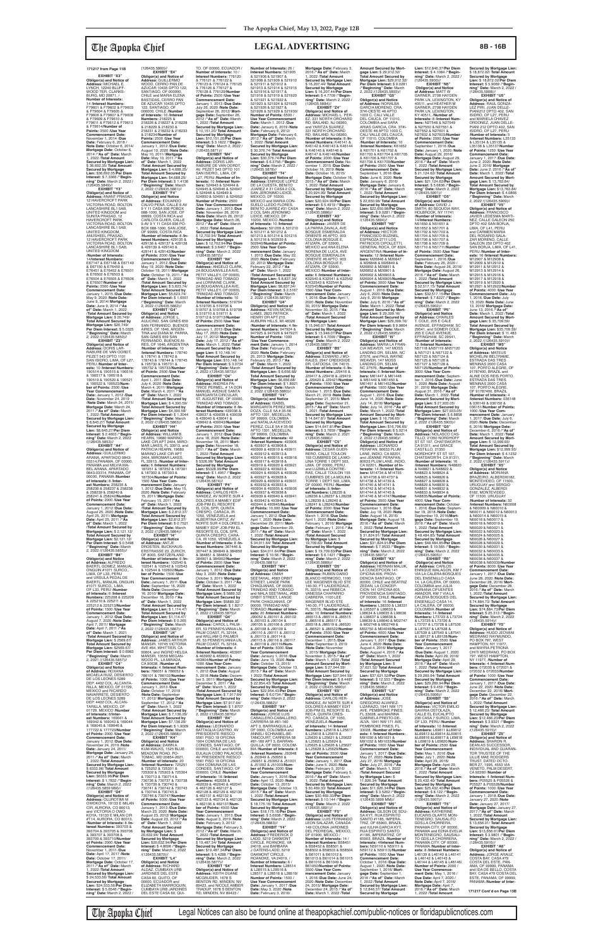**EXHIBIT "X3" Obligor(s) and Notice of Address:** MICHAEL E. LYNCH, 12240 BLUFF-WOOD TER, CLARKS-BURG, MD 20871, / **Number of Interests:** 14 /**Interest Numbers:** F79601 & F79602 & F79603 & F79604 & F79605 & F79606 & F79607 & F79608 & F79609 & F79610 & F79611 & F79612 & F79613 & F79614/**Number of Points:** 3500 /**Use Year Commencement Date:** November 1, 2014 /**Due Date:** February 6, 2018 / **Note Date:** October 6, 2014/ **Mortgage Date:** October 6, 2014 /**"As of" Date:** March 1, 2022 /**Total Amount Secured by Mortgage Lien:** \$ 36,692.35/ **Total Amount Secured by Mortgage Lien:** \$36,692.35/**Per Diem Interest:** \$ 7.3366 /**"Beginning" Date:** March 2, 2022 /

(126435.5849)// **EXHIBIT "Y3" Obligor(s) and Notice of Address:** ANANT PRASAD, 12 HAVERCROFT PARK VICTORIA ROAD, BOLTON LANCASHIRE BL1 5AB, UNITED KINGDOM and SUNITA PRASAD, 12 HAVERCROFT PARK VICTORIA ROAD, BOLTON LANCASHIRE BL1 5AB,<br>UNITED KINGDOM, SWITZD NINGDOM,<br>ANUSHEEL PRASAD,,<br>12 HAVERCROFT PARK 12 HAVERCROFT PARK VICTORIA ROAD, BOLTON LANCASHIRE BL1 SAB, UNITED KINGDOM /**Number of Interests:** 14/**Interest Numbers:** E67147 & E67148 & E67149 & E67150 & E76450 & E76451 & E76452 & E76501 & E76502 & E76503 & E76504 & E76505 & E76506 & E76507/**Number of Points:** 3500 /**Use Year Commencement Date:** January 1, 2015 /**Due Date:** May 9, 2020 /**Note Date:** June 9, 2014/ **Mortgage Date:** June 9, 2014 /**"As of" Date:** March 1, 2022 /**Total Amount Secured by Mortgage Lien:** \$ 20,749/ **Total Amount Secured by Mortgage Lien:** \$20,749/ **Per Diem Interest:** \$ 5.0325 /**"Beginning" Date:** March 2, 2022 /(126435.5850)//

**tgage Lien: \$2,12 Per Diem Interest:** \$ 0.5498 /**"Beginning" Date:** March 2, 2022 /(126435.5855)//

**EXHIBIT "Z3" Obligor(s) and Notice of Address:** DORIS LAR-RABURE DE VAN OORDT, PEZET 543 DPTO 1101 SAN ISIDRO, LIMA, OF L27, PERU /**Number of Interests:** 10 /**Interest Numbers:** 190514 & 190515 & 190516 & 190517 & 190518 & 190519 & 190520 & 190521 & 190522 & 190523/**Number of Points:** 2500 /**Use Year Commencement Date:** January 1, 2012 /**Due Date:** November 24, 2019 /**Note Date:** March 24, 2011/ **Mortgage Date:** March 24, 2011 /**"As of" Date:** March 1, 2022 /**Total Amount Secured by Mortgage Lien:** \$ 8,645.27/ **Total Amount Secured by Mortgage Lien:** \$8,645.27/**Per Diem Interest:** \$ 2.4603 /**"Beginning" Date:** March 2, 2022

EXHIBIT "B4" **Obligor(s) and Notice of Address:** ALFREDO BAERTL GOMEZ, MANUAL ONGUIN #1071 SURCO,, LIMA, OF L33, PERU<br>and URSULA PEDAL DE<br>BAERTL, MANUAL ONGUIN<br>#1071 SURCO,, LIMA, OF L33, PERU /**Number of Interests:** 6 /**Interest Numbers:** 225208 & 225209 & 225210 & 225211 & 225212 & 225213/**Number of Points:** 1500 /**Use Year Commencement Date:** January 1, 2012 /**Due Date:** August 7, 2020 /**Note Date:** April 7, 2011/ **Mortgage Date:** April 7, 2011 /**"As of" Date:** March 1, 2021 /**Total Amount Secured by Mortgage Lien:** \$ 2569.67/ **Total Amount Secured by Mortgage Lien: \$2569.67/<br><b>Per Diem Interest: \$** 0.6983<br>/**"Beginning" Date:** March<br>2, 2021 /(126435.5857)// **EXHIBIT "C4" Obligor(s) and Notice<br><b>of Address:** ROXANA<br>MICAELA RUIZ, DESIERTO<br>DE LOS LEONES 5289 DEP. 4402 COL. ALCANTA-RILLA, MEXICO, DF 01729, MEXICO and RICARDO NAVARRETE, DESIERTO DE LOS LEONES 5289 DEP. 4402 COL. ALCAN-TARILLA, MEXICO, DF 01729, MEXICO /**Number of Interests:** 8/**Inter-est Numbers:** 169041 & 169042 & 169043 & 169044 & 169045 & 169046 & 177722 & 177723/**Number of Points:** 2000 /**Use Year Commencement Date:** January 1, 2012 /**Due Date:** November 24, 2019 /**Note Date:** January 24, 2011/ **Mortgage Date:** January 24, 2011 /**"As of" Date:** March 1, 2022 /**Total Amount Secured by Mortgage Lien:** \$ 6333.96/ **Total Amount Secured by Mortgage Lien:** \$6333.96/**Per Diem Interest:** \$ 1.7832 /**"Begin-ning" Date:** March 2, 2022 /(126435.5859 MM)// **EXHIBIT "D4" Obligor(s) and Notice of Address:** OLUROTIMI M<br>OWOKOYA, 19133 E MILAN<br>CIR, AURORA, CO 80013, and VICTORIA O OWO-KOYA, 19133 E MILAN CIR #T14, AURORA, CO 80013, /**Number of Interests:** 8 /**Interest Numbers:** 393703 & 393704 & 393705 & 393706 & 393707 & 393708 & 393709 & 393710/**Number of Points:** 2000 /**Use Year Commencement Date:**

/(126435.5853)// **EXHIBIT "A4" Obligor(s) and Notice of Address:** GUILLERMO ARANA, APARTADO 0843- 03314,PANAMA, OF 00000, PANAMA and MILVIA MA-BEL ARANA, APARTADO 0843-03314, PANAMA, OF 00000, PANAMA /**Number of Interests:** 8 /**Inter-est Numbers:** 258235 & 258236 & 258237 & 258238 & 258239 & 258240 & 258241 & 258242/**Number of Points:** 2000 /**Use Year Commencement Date:** January 1, 2012 /**Due Date:** August 25, 2020 /**Note Date:** April 25, 2011/ **Mortgage Date:** April 25, 2011 /**"As of" Date:** March 1, 2022 /**Total Amount Secured by Mortgage Lien:** \$ 2,121.12/ **Total Amount Secured by** 

**Commencement Date:** January 1, 2012 /**Due Date:** May 19, 2020 /**Note Date:** October 19, 2011/ **Mortgage Date:** October 19, 2011 /**"As of" Date:** March 1, 2022 /**Total Amount Secured by Mortgage Lien:** \$ 5,623.74/ **Total Amount Secured by Mortgage Lien:** \$5,623.74/ **Per Diem Interest:** \$ 1.6551 /**"Beginning" Date:** March 2, 2022 /(126435.5862)// **EXHIBIT "G4" Obligor(s) and Notice<br><b>of Address:** JORGE L.<br>AULICINO, SAN GINES 659<br>SAN FERNANDO, BUENOS

(126435.5860)// **EXHIBIT "E4"<br>
<b>Obligor(s) and Notice of**<br> **Address:** GUILLERMO<br>
WOOD, CERRO PAN DE<br>
AZUCAR 10435 DPTO 122,<br>
SANTIAGO, OF 000000, CHILE and MARIA ELENA BASTIDAS, CERRO PAN DE AZUCAR 10435 DPTO 122, SANTIAGO, OF 000000, CHILE /**Number of Interests:** 10 /**Interest Numbers:** 218225 & 218226 & 218227 & 218228 & 218229 & 218230 & 218231 & 218232 & 218233 & 218234/**Number of Points:** 2500 /**Use Year Commencement Date:** January 1, 2012 /**Due Date:** August 10, 2020 /**Note Date:** May 10, 2011/ **Mortgage Date:** May 10, 2011 /**"As of" Date:** March 1, 2022 /**Total Amount Secured by Mortgage Lien:** \$ 4,688.25/ **Total Amount Secured by Mortgage Lien:** \$4,688.25/ **Per Diem Interest:** \$ 1.4136 /**"Beginning" Date:** March 2, 2022 /(126435.5861)// **EXHIBIT "F4" Obligor(s) and Notice<br><b>of Address:** EDUARDO<br>CALVO PENA, CALLE 9.AV<br>9 Y 11 CASA 936 POBOX 688-1000, SAN JOSE, OF 99999, COSTA RICA and CARLOTA GUIER, CALLE 9.AV 9 Y 11 CASA 936 PO-BOX 688-1000, SAN JOSE, OF 99999, COSTA RICA /**Number of Interests:** 8 /**Interest Numbers:** 429135 & 429136 & 429137 & 429138 & 429139 & 429140 & 429141 & 429142/**Number of Points:** 2000 /**Use Year** 

AIRES, OF 1646, ARGEN-TINA and DIANA M. PARRA, SAN GINES 659 SAN FERNANDO, BUENOS AI-RES, OF 1646, ARGENTINA /**Number of Interests:** 10 /**Interest Numbers:** 178740 & 178741 & 178742 & 178743 & 178744 & 178745 & 195730 & 195731 & 195732 & 195733/**Number of Points:** 2500 /**Use Year Commencement Date:** April 1, 2011 /**Due Date:** July 4, 2020 /**Note Date:** March 4, 2011/ **Mortgage Date:** March 4, 2011 /**"As of" Date:** March 1, 2022 /**Total Amount Secured by Mortgage Lien:** \$ 4,390.59/ **Total Amount Secured by Mortgage Lien:** \$4,390.59/ **Per Diem Interest:** \$ 1.3044 /**"Beginning" Date:** March 2, 2022 /(126435.5863)// **EXHIBIT "H4"**

November 1, 2011 /**Due Date:** April 17, 2017 /**Note Date:** October 17, 2011/ **Mortgage Date:** October 17, 2011 /**"As of" Date:** March 1, 2022 /**Total Amount Secured by Mortgage Lien:** \$ 24,533.56/ **Total Amount Secured by Mortgage Lien:** \$24,533.56/**Per Diem Interest:** \$ 5.6546 /**"Begin-ning" Date:** March 2, 2022 / & 102544 & 102602/**Num-ber of Points:** 1500 /**Use Year Commencement Date:** January 1, 2011 /**Due Date:** September 16, 2020 /**Note Date:** December 16, 2010/ **Mortgage Date:** December 16, 2010 /**"As of" Date:** March 1, 2022 /**Total Amount Secured by Mortgage Lien:** \$ 1,114.47/ **Total Amount Secured by Mortgage Lien: \$1,114.47/<br><b>Per Diem Interest: \$** 0.265<br>/**"Beginning" Date:** March<br>2, 2022 /(126435.5867)// **EXHIBIT "J4" Obligor(s) and Notice of Address:** JAMES ARTHUR<br>MANSIR, 10745 VICTORIA<br>AVE #64, WHITTIER, CA 90604, and INGRID HELGA MANSIR, 13559 MEGAN-WOOD PL, LA MIRADA, CA 90638, /**Number of Interests:** 4 /**Interest Num-bers:** 786051 & 786052 & 786101 & 786102/**Number of Points:** 1000 /**Use Year Commencement Date:** January 1, 2013 /**Due Date:** October 17, 2019 /**Note Date:** September 17, 2012/ **Mortgage Date:** September 17, 2012 /**"As**  of" Date: March 1, 2022<br>Mortgage Lien: \$ 7,136.29/<br>Mortgage Lien: \$ 7,136.29/<br>Total Amount Secured by<br>Mortgage Lien: \$7,136.29/<br>Per Diem Interest: \$ 1.9009<br>/"Beginning" Date: March<br>2, 2022 /(126435.5868)// **EXHIBIT "K4" Obligor(s) and Notice of Address:** DAWN A. KUM-WALKS, 1525 BLUE MEADOW ROAD, PO-<br>TOMAC, MD 20854-2621 TOMAC, MD 20854-2621, /**Number of Interests:** 20 /**Interest Numbers:** 725251 & 725252 & 725301 & 725302 & 725303 & 725304 & 730713 & 730714 & 730736 & 730737 & 730738 & 730739 & 730740 & 730741 & 730742 & 730743 & 730744 & 730745 & 730746 & 730747/**Number of Points:** 5000 /**Use Year Commencement Date:** January 1, 2013 /**Due Date:** March 23, 2020 /**Note Date:** August 23, 2012/ **Mortgage Date:** August 23, 2012 /**"As of" Date:** March 1, 2022 /**Total Amount Secured by Mortgage Lien:** \$ 20,632.94/ **Total Amount Secured by Mortgage Lien:** \$20,632.94/**Per Diem Interest:** \$ 4.8696 /**"Beginning" Date:** March 2, 2022 /(126435.5870)// **EXHIBIT "L4" Obligor(s) and Notice of Address:** RICHARD ALDAZ, CUMBAYA URB JARDINES DEL ESTE CASA 60, QUITO, OF 00000, ECUADOR and ELIZABETH MARROQUIN, CUMBAYA URB JARDINES DEL ESTE CASA 60, QUI-

**Obligor(s) and Notice<br><b>of Address:** WILLIAM B.<br>HEARN, 19680 MARINO<br>LAKE CIR APT 2404, MIRO-MAR LAKES, FL 33913, and PATRICIA HEARN, 19680 MARINO LAKE CIR APT<br>2404, MIROMAR LAKES,<br>FL 33913, /**Number of Interests:** 6 /**Interest Numbers:** 187251 & 187252 & 187301 & 187302 & 187303 & 187304/**Number of Points:** 1500 /**Use Year Com-mencement Date:** January 1, 2012 /**Due Date:** May 15, 2020 /**Note Date:** February 15, 2011/ **Mortgage Date:** February 15, 2011 /**"As of" Date:** March 1, 2022 /**Total Amount Secured by Mortgage Lien:** \$ 2,812.37/ **Total Amount Secured by Mortgage Lien:** \$2,812.37/ **Per Diem Interest:** \$ 0.7521 /**"Beginning" Date:** March 2, 2022 /(126435.5864)// **EXHIBIT "I4" Obligor(s) and Notice of Address:** ANTJE DROSTEN, BUCKHAUS ERSTRASSE 23, ZURICH, OF 8003, SWITZERLAND /**Number of Interests:** 6 /**Interest Numbers:** 102540 & 102541 & 102542 & 102543 **Commencement Date:** January 1, 2012 /**Due Date:** June 18, 2020 /**Note Date:** November 18, 2011/ **Mortgage Date:** November 18, 2011 /**"As of" Date:** March 1, 2022 /**Total Amount Secured by Mortgage Lien:** \$ 5326.99/ **Total Amount Secured by Mortgage Lien:** \$5326.99/**Per Diem Interest:** \$ 1.4957 /**"Beginning" Date:** March 2, 2022 /(126435.5874)// **EXHIBIT "P4" Obligor(s) and Notice of Address:** CARLOS HER-NANDEZ, AV NORTE SUR 4 DOLORES A MAMEY EDIF JOB-PIM EL RESORTE EL COIL SPR, QUINTA CRESPO, CARACA, IR 1050, VENEZUELA and ALBÉRTINA ORTIZ, AV<br>NORTE SUR 4 DOLORES A NORTE SUR 4 DOLORES A MAMEY EDIF JOB-PIM EL RESORTE EL COIL SPR, QUINTA CRESPO, CARA-CA, IR 1050, VENEZUELA /**Number of Interests:** 8 /**Interest Numbers:** 367446 & 367447 & 384849 & 384850 & 384851 & 384852 & 384901 & 384902/**Number of Points:** 2000 /**Use Year Commencement Date:** January 1, 2012 /**Due Date:** May 3, 2020 /**Note Date:** October 3, 2011/ **Mortgage Date:** October 3, 2011 /**"As of" Date:** March 1, 2022 /**Total Amount Secured by Mortgage Lien:** \$ 5889.32/ **Total Amount Secured by Mortgage Lien:** \$5889.32/ **Per Diem Interest:** \$ 1.8217 /**"Beginning" Date:** March 2, 2022 /(126435.5875)// **EXHIBIT "Q4" Obligor(s) and Notice of Address:** CAROL L PALM-ER, 53 PENNSYLVANIA LN, PALM COAST, FL 32164, and WILLIAM G PALMER JR, 53 PENNSYLVANIA LN, PALM COAST, FL 32164, /**Number of Interests:** 4 /Interest Numbers: 46390 & 463902 & 463903 & 463904/**Number of Points:** 1000 /**Use Year Commencement Date:** January 1, 2012 /**Due Date:** August 5, 2018 /**Note Date:** December 5, 2011/ **Mortgage Date:** December 5, 2011 /**"As of" Date:** March 1, 2022 /**Total Amount Secured by Mortgage Lien:** \$ 7,917.64/ **Total Amount Secured by Mortgage Lien:** \$7,917.64/ **Per Diem Interest:** \$ 1.8707 /**"Beginning" Date:** March 2, 2022 /(126435.5876)// **EXHIBIT "R4" Obligor(s) and Notice of Address:** LEONARDO BATTAGLIA CASTRO, AV PRESIDENTE RIESCO 5561 PISO 19 OFICINA 1904 COMUNA DE LAS CONDES, SANTIAGO, OF 000000, CHILE and MARIA EULALIA COBO PALACIOS, AV PRESIDENTE RIESCO 5561 PISO 19 OFICINA 1904 COMUNA DE LAS CONDES, SANTIAGO, OF 000000, CHILE /**Number of Interests:** 16 /**Interest Numbers:** 462038 &<br>462039 & 462040 & 462041<br>& 462126 & 462127 & 462128 & 462129 & 462130 & 462131 & 462132 & 462133 & 462134 & 462135 & 462136 & 462137/**Number of Points:** 4000 /**Use Year Commencement Date:** January 1, 2013 /**Due Date:** August 3, 2019 /**Note Date:** February 3, 2012/ **Mortgage Date:** February 3, 2012 /**"As of" Date:** March 1, 2022 /**Total Amount Secured by Mortgage Lien:** \$ 19,487.34/ **Total Amount Secured by Mortgage Lien:** \$19,487.34/**Per Diem Interest:** \$ 5.4288 /**"Begin-ning" Date:** March 2, 2022 /(126435.5877)// **EXHIBIT "S4" Obligor(s) and Notice of Address:** KEITH DUANE MCGRUDER, 1678 S BENTON RD, MINDEN, NV 89423, and NICOLE AMBER TRADUP, 1678 S BENTON RD, MINDEN, NV 89423 /

TO, OF 00000, ECUADOR / **Number of Interests:** 10 / **Interest Numbers:** 776120 & 776121 & 776122 & 776123 & 776124 & 776125 & 776126 & 776127 & 776128 & 776129/**Number of Points:** 2500 /**Use Year Commencement Date:** January 1, 2013 /**Due Date:** July 26, 2020 /**Note Date:** September 26, 2012/ **Mort-gage Date:** September 26, 2012 /**"As of" Date:** March 1, 2022 /**Total Amount Secured by Mortgage Lien:** \$ 10,151.20/ **Total Amount Secured by Mortgage Lien:** \$10,151.20/**Per Diem Interest:** \$ 3.1622 /**"Begin-ning" Date:** March 2, 2022 / (126435.5871)// **EXHIBIT "M4" Obligor(s) and Notice of Address:** DORIS LAR-RABURE DE VAN OORDT, AV. PEZET 543 DPTO 101 SAN ISIDRO,, LIMA, OF L27, PERU /**Number of In-terests:** 10 /**Interest Num-bers:** 524943 & 524944 & 524945 & 524946 & 524947 & 524948 & 524949 & 524950 & 524951 & 524952/ **Number of Points:** 2500 /**Use Year Commencement Date:** January 1, 2013 /**Due Date:** November 26, 2019 /**Note Date:** March 26, 2012/ **Mortgage Date:** March 26, 2012 /**"As of" Date:** March 1, 2022 /**Total Amount Secured by Mortgage Lien:** \$ 12,702.94/ **Total Amount Secured by Mortgage Lien:** \$ 12,702.94/**Per Diem Interest:** \$ 3.6467 /**"Begin-ning" Date:** March 2, 2022 /(126435.5872)//<br>**EXHIBIT "N4" EXHIBIT "N4" Obligor(s) and Notice of Address:** ANGELO CLARK, 2A BOUGAINVILLEA AVE, PETIT VALLEY, OF 00000, TRINIDAD AND TOBAGO and LORRAINE CLARK,<br>2A BOUGAINVILLEA AVE, PETIT VALLEY, OF 00000, TRINIDAD AND TOBAGO /**Number of Interests:** 10 /**Interest Numbers:** 519704 & 519705 & 519706 & 519707 & 519708 & 519709 & 519710 & 519711 & 519712 & 519713/**Number of Points:** 2500 /**Use Year Commencement Date:** January 1, 2013 /**Due Date:** May 17, 2020 /**Note Date:** July 17, 2012/ **Mortgage Date:** July 17, 2012 /**"As of" Date:** March 1, 2022 /**Total Number of Interests:** 26 / **Interest Numbers:** 521905 & 521906 & 521907 & 521908 & 521909 & 521910 & 521911 & 521912 & 521913 & 521914 & 521915 & 521916 & 521917 & 521918 & 521919 & 521920 & 521921 & 521922 & 521923 & 521924 & 521925 & 521926 & 521927 & 521928 & 521929 & 521930/ **Number of Points:** 6500 / **Use Year Commencement Date:** March 1, 2012 /**Due Date:** Janaury 6, 2019 /**Note Date:** February 6, 2012/ **Mortgage Date:** February 6, 2012 /**"As of" Date:** March 1, 2022 /**Total Amount Secured by Mortgage Lien:** \$ 30,376.74/ **Total Amount Secured by Mortgage Lien:** \$30,376.74/**Per Diem Interest:** \$ 6.3756 /**"Beginning" Date:** March 2, 2022 / (126435.5878)// **EXHIBIT "T4"<br>
<b>Obligor(s) and Notice of**<br> **Address:** ENRIQUE LOPEZ<br>
DE LA CUESTA, BENITO<br>
JUAREZ # 31 CASA 2 COL<br>
SAN JERONIMO LIDICE, MEXICO, DF 10200,<br>MEXICO and MARIA CON-<br>SUELO LLEDO FLORES,<br>BENITO JUAREZ #31 CASA 2 COL SAN JERONIMO LIDICE, MEXICO, DF 10200, MEXICO /**Number of Interests:** 10 /**Interest Numbers:** 501209 & 501210 & 501211 & 501212 & 501213 & 501214 & 501215 & 501216 & 502939 & 502940/**Number of Points:** 2500 /**Use Year Com-mencement Date:** January 1, 2013 /**Due Date:** May 22, 2020 /**Note Date:** February 22, 2012/ **Mortgage Date:** February 22, 2012 /**"As of" Date:** March 1, 2022 /**Total Amount Secured by Mortgage Lien:** \$ 8,837.34/ **Total Amount Secured by Mortgage Lien:** \$8,837.34/ **Per Diem Interest:** \$ 2.5167 /**"Beginning" Date:** March 2, 2022 /(126435.5879)// **EXHIBIT "U4" Obligor(s) and Notice of Address:** KEVIN MCWIL-LIAMS, 2823 PATRICK<br>HENRY DR APT 210,<br>AUBURN HILLS, MI 48326 /**Number of Interests:** 4 /**Interest Numbers:** 947924 & 947925 & 947926 & 947927/

> June 14, 2020 /Note Date:<br>July 14, 2016/ Mortgage<br>Date: July 14, 2016 /"As of"<br>Date: March 1, 2022 /Total<br>Amount Secured by Mort-<br>gage Lien: \$ 16,796.65/<br>Total Amount Secured by<br>Mortgage Lien: \$16,796.65/<br>Per Diem Interest /**"Beginning" Date:** March 2, 2022 /(126435.5896)// **Obligor(s) and Notice of Address:** LEONARDO PERAFAN, 80633 PLUM LANE, INDIO, CA 92201,<br>and JEANNE PERAFAN,<br>80633 PLUM LANE, INDIO, CA 92201, /**Number of Interests:** 14 /**Interest Numbers:** M14734 & M14735 & M14736 & M14737 & M14738 & M14739 & M14740 & M14741 & M14742 & M14743 & M14744 & M14745 & M14746 & M14747/**Number of Points:** 3500 /**Use Year Commencement Date:** September 1, 2016 /**Due Date:** Juy 18, 2020 /**Note Date:** August 18, 2016/ **Mortgage Date:** August 18, 2016 /**"As of" Date:** March

**Amount Secured by Mortgage Lien:** \$ 10,148.14/ **Total Amount Secured by Mortgage Lien: \$10,148.14/<br><b>Per Diem Interest: \$** 3.0734<br>/**"Beginning" Date:** March<br>2, 2022 /(126435.5873)// **EXHIBIT "O4"<br><b>Obligor(s) and Notice of**<br>**Address:** ANDREA PA-<br>TRICE PERMEL, # 1A DON<br>MANUEL AVENUE SANTA<br>MARGARITA CIRCULAR, ST. AUGUSTINE, OF 00000, TRINIDAD AND TOBAGO /**Number of Interests:** 8 /**Interest Numbers:** 439036 & 439037 & 439038 & 439039 & 439040 & 439041 & 439042 & 439043/**Number of Points:** 2000 /**Use Year Number of Points:** 1000 /**Use Year Commence-ment Date:** January 1, 2014 /**Due Date:** February 25, 2020 /**Note Date:** February 25, 2013/ **Mortgage Date:** February 25, 2013 /**"As of" Date:** March 1, 2022 /**Total Amount Secured by Mortgage Lien:** \$ 6,656.68/ **Total Amount Secured by Mortgage Lien:** \$6,656.68/ **Per Diem Interest:** \$ 1.8921 /**"Beginning" Date:** March 2, 2022 /(126435.5880)// **EXHIBIT "V4" Obligor(s) and Notice of Address:** ISABEL MARGARITA PEREZ MEN-DOZA, CLLE 5A # 35-56 APTO 1301, MEDELLIN, OF 99999, COLOMBIA and NATALIA ACEVEDO PEREZ, CLLE 5A # 35-56 APTO 1301, MEDELLIN, OF 99999, COLOMBIA /**Number of Interests:** 40 /**Interest Numbers:** 493906 & 493907 & 493908 & 493909 & 493910 & 493911 & 493912 & 493913 & 493914 & 493915 & 493916 & 493917 & 493918 & 493919 & 493920 & 493921

# **Secured by Mortgage Lien:** \$ 18,872.02/ **Total Amount Secured by Mortgage Lien:** \$ 18,872.02/**Per Diem Interest:** \$ 5.9069 /**"Begin-ning" Date:** March 2, 2022 / //126435.5908)<br>**EXHIBIT "U5**"

036151/**Number of Points:** 1000 /**Use Year Com-mencement Date:** January 1, 2017 /**Due Date:** July 6, 2020 /**Note Date:** December 6, 2016/ **Mortgage Date:** December 6, 2016 /**"As of" Date:** March 1, 2022 /**Total Amount Secured by Mortgage Lien:** \$ 12,999.93/ **Total Amount Secured by Mortgage Lien:** \$12,999.93/ **Per Diem Interest:** \$ 4.1232 /**"Beginning" Date:** March 2, 2022 /(126435.5911)// **EXHIBIT "X5"** BRAZEIRO, ALBERDI6182,<br>MONTEVIDEO, OF 11500,<br>URUGUAY and SERGIO<br>GONZALEZ, ALBERDI 6182, MONTEVIDEO, OF 11500, URUGUAY /**Number of Interests:** 32 /**Interest Numbers:** N60008 & N60009 & N60010 & N60011 & N60012 & N60013 & N60014 & N60015 & N60016 & N60017 & N60018 & N60019 & N60020 & N60021 & N60022 & N60023 & N60024 & N60025 & N60026 & N60027 & N60028 & N60029 & N60030 & N60031 & N60032 & N60033 & N60034 & N60035 & N60036 & N60037 & N60038 & N60039/**Numbe of Points:** 8000 /**Use Year Commencement Date:** January 1, 2017 /**Due Date:** June 28, 2020 /**Note Date:** December 28, 2016/ **Mortgage Date:** December 28, 2016 /**"As of" Date:** March 1, 2022 /**Total Amount Secured by Mortgage Lien:** \$ 74,884.73/ **Total Amount Secured by Mortgage Lien:** \$74,884.73/**Per Diem Interest:** \$ 25.313 /**"Beginning" Date:** March 2, 2022 /(126435.5914)// **EXHIBIT "Y5" Obligor(s) and Notice of Address:** HUGO JEOVANI MEDRANO RAYMUNDO, PO BOX 797, WEST HAMPTON, NY 11977, and MAYRA PETRONA CHITI MEDRANO, PO BOX 797, WEST HAMPTON, NY 11977, /**Number of Interests:** 4 /**Interest Num-bers:** 072030 & 072031 & 072032 & 072033/**Number of Points:** 1000 /**Use Year Commencement Date:** January 1, 2017 /**Due Date:** June 22, 2020 /**Note Date:** December 22, 2016/ **Mort-gage Date:** December 22, 2016 /**"As of" Date:** March 1, 2022 /**Total Amount Secured by Mortgage Lien:** \$ 12,466.23/ **Total Amount Secured by Mortgage Lien:** \$12,466.23/**Per Diem Interest:** \$ 3.9321 /**"Beginning" Date:** March 2, 2022 /(126435.5915)// **EXHIBIT "Z5" Obligor(s) and Notice of Address:** SHARON R. DEAN AS SUCCESSOR INDIVIDUAL AND GUARAN-TOR TRUSTEE OF THE LILLIE MAE RODGERS TRUST, DATED OCTO-BER 27, 1995, 4553 VIA VENETO, PALM DESERT, CA 92260 /**Number of Interests:** 4 /**Interest Numbers:** P05525 & P05526 & P05527 & P05528/**Number of Points:** 1000 /**Use Year Commencement Date:** January 1, 2018 /**Due Date:** January 27, 2020 /**Note Date:** January 27, 2017/ **Mortgage Date:** January 27, 2017 /**"As of" Date:** March 1, 2022 /**Total Amount Secured by Mortgage Lien:** \$ 13,656.01/ **Total Amount Secured by Mortgage Lien:** \$13,656.01/**Per Diem Interest:** \$ 3.9801 /**"Beginning" Date:** March 2, 2022 / (126435.5916)// **EXHIBIT "A6" Obligor(s) and Notice of<br><b>Address:** JORGE ARAUZ,<br>COSTA BAY, CASA #79<br>COSTA DEL ESTE, PAN-AMA, OF 99999, PANAMA<br>and IDA DE BELLO, COSTA BAY, CASA #79 COSTA DEL

& 493922 & 493923 & 493924 & 493925 & 493926 & 493927 & 493928 & 493929 & 493930 & 493931 & 493932 & 493933 & 493934 & 493935 & 493936 & 493937 & 493938 & 493939 & 493940 & 493941 & 493942 & 493943 & 493944 & 493945/**Number of Points:** 10,000 /**Use Year Commencement Date:** January 1, 2012 /**Due Date:** April 1, 2020 /**Note Date:** December 29, 2011/ **Mort-gage Date:** December 29, 2011 /**"As of" Date:** March 1, 2022 /**Total Amount Secured by Mortgage Lien:** \$ 34,011.64/ **Total Amount Secured by Mortgage Lien:** \$34,011.64/**Per Diem Interest:** \$ 10.56 /**"Beginning" Date:** March 2, 2022 /(126435.5881)// **EXHIBIT "W4" Obligor(s) and Notice<br><b>of Address:** OMAH<br>SEETAHAL, #683 ORBIT<br>STREET, LANGE PARK CHAGUANAS, OF 00000, TRINIDAD AND TOBAGO and MALA SEETAHAL, #683 ORBIT STREET, LANGE PARK CHAGUANAS, OF 00000, TRINIDAD AND TOBAGO /**Number of Interests:** 20 /**Interest Numbers:** J90052 & J90101 & J90102 & J90103 & J90104 & J90105 & J90106 & J90107 & J90108 & J90109 & J90110 & J90111 & J90112 & J90113 & J90114 & J90115 & J90116 & J90117 & J90118 & J90119/**Num-ber of Points:** 5000 /**Use Year Commencement Date:** Janaury 1, 2016 /**Due Date:** June 13, 2020 /**Note Date:** October 13, 2015/ **Mortgage Date:** October 13, 2015 /**"As of" Date:** March 1 2022 /**Total Amount Secured by Mortgage Lien:** \$ 22,954.43/ **Total Amount Secured by Mortgage Lien:** \$22,954.43/**Per Diem Interest:** \$ 6.0734 /**"Begin-ning" Date:** March 2, 2022 /(126435.5882)// **EXHIBIT "X4" Obligor(s) and Notice of Address:** JORGE LUIS CABALLERO-CABALLERO, CARRERA 58 #81-160 APT 3, BARRANQUILLA, OF 0000, COLOMBIA and ANNELI SCHNABEL-BE-TANCOURT, CARRERA 58 #81-160 APT 3, BARRAN-QUILLA, OF 0000, COLOM-BIA /**Number of Interests:** 8 /**Interest Numbers:** J50948 & J50949 & J50950 & J50951 & J50952 & J51001 & J51002 & J51003/**Number of Points:** 2000 /**Use Year Commencement Date:** January 1, 2016 /**Due Date:** April 13, 2020 /**Note Date:** October 13, 2015/ **Mortgage Date:** October 13, 2015 /**"As of" Date:** March 1, 2022 /**Total Amount Secured by Mortgage Lien:** \$ 18,175.16/ **Total Amount Secured by Mortgage Lien:** \$18,175.16/**Per Diem Interest:** \$ 5.6938 /**"Beginning" Date:** March 2, 2022 /(126435.5883)// **EXHIBIT "Y4" Obligor(s) and Notice of Address:** FREDERICK D LADD, 5219 OAKMONT CIRCLE, ROANOKE, VA 24019, and BARBARA J GATENS-LADD, 5219 OAKMONT CIRCLE, ROANOKE, VA 24019, / **Number of Interests: 6 Interest Numbers:** L28514 & L28515 & L28516 & L28517 & L28518 & L28519/ **Number of Points:** 1500 / **Use Year Commencement Date:** January 1, 2017 /**Due Date:** May 3, 2020 /**Note Date:** February 3, 2016/

**Mortgage Date:** February 3, 2016 /**"As of" Date:** March 1, 2022 /**Total Amount Secured by Mortgage Lien:** \$ 16,207.44/ **Total Amount Secured by Mortgage Lien:** \$ 16,207.44/**Per Diem Interest:** \$ 4.7709 /**"Begin-ning" Date:** March 2, 2022 / (126435.5884)// **EXHIBIT "Z4" Obligor(s) and Notice of Address:** MICHAEL L. PER-EZ, 331 NORTH ORCHARD RD, BAILAND, NJ 08360, and YARITZA SUAREZ,<br>331 NORTH ORCHARD<br>RD, BAILAND, NJ 08360, /**Number of Interests:** 8 /**Interest Numbers:** K46141 & K46142 & K46143 & K46144 & K46145 & K46146 & K46147 & K46148/**Number of Points:** 2000 /**Use Year Commencement Date:** November 1, 2015 /**Due Date:** October 16, 2019 /**Note Date:** October 16, 2015/ **Mortgage Date:** October 16, 2015 /**"As of" Date:** March 1, 2022 /**Total Amount Secured by Mortgage Lien:** \$ 20,924.99/ **Total Amount Secured by Mortgage Lien:** \$20,924.99/**Per Diem Interest:** \$ 5.4919 /**"Begin-ning" Date:** March 2, 2022 /(126435.5886)// **EXHIBIT "A5" Obligor(s) and Notice<br><b>of Address:** JAVIER DE<br>LA PARRA ZAVALA, AVE<br>BOSQUE ESMERALDA ORIENTE #6 APTO. 903 COLONIA BOSQUE E, ATIZAPA, OF 53900,<br>MEXICO and ANA ELENA<br>NORENA DE LUCA, AVE<br>BOSQUE ESMERALDA ORIENTE #6 APTO. 903 COLONIA BOSQUE E, ATIZAPA, OF 53900, MEXICO /**Number of Inter-ests:** 6 /**Interest Numbers:** K32540 & K32541 & K32542 & K32543 & K32544 & K32545/**Number of Points:** 1500 /**Use Year Commencement Date:** January 1, 2016 /**Due Date:** April 1, 2020 /**Note Date:** November 30, 2015/ **Mortgage Date:** November 30, 2015 /**"As of" Date:** March 1, 2022<br>/**Total Amount Secured<br>by Mortgage Lien:<br>\$ 15,946.07/ <b>Total Amount Secured by Mortgage Lien:** \$ 15,946.07/**Per Diem Interest:** \$ 4.7099 /**"Begin-ning" Date:** March 2, 2022 /(126435.5887)// **EXHIBIT "B5" Obligor(s) and Notice of Address:** EDWARD J MO-RALES, 2947 CREEKSIDE DR, CATOOSA, OK 74015 /**Number of Interests:** 6 /**Interest Numbers:** J29416 & J29417 & J29418 & J29419 & J29420 & J29421/**Number of Points:** 1500 /**Use Year Commencement Date:** October 1, 2015 /**Due Date:** March 21, 2019 /**Note Date:** September 21, 2015/ **Mort-<br>gage Date:** September 21,<br>2015 /**"As of" Date:** March<br>1, 2021 /**Total Amount<br>Secured by Mortgage Lien:<br>\$ 14,647.81/ Total Amount Secured by Mortgage Lien:** \$14,647.81/**Per Diem Interest:** \$ 3.7659 /**"Begin-ning" Date:** March 2, 2021 /(126435.5888)// **EXHIBIT "C5" Obligor(s) and Notice of Address:** CESAR GUER-RERO, CALLE TOULON 155 CUMBRES DE LA MO-LINA TORRE 1 DEPT 503, LIMA, OF 00000, PERU and LUZMILA CONTRE-RAS, CALLE TOULON 155 CUMBRES DE LA MOLINA TORRE 1 DEPT 503, LIMA, OF 00000, PERU /**Number of Interests:** 8 /**Interest Numbers:** L28235 & L28236 & L28237 & L28238 & L28239 & L28240 & L28241 & L28242/**Number of Points:** 2000 /**Use Year Commencement Date:** March 1, 2016 /**Due Date:** April 1, 2020 /**Note Date:** February 1, 2016/ **Mortgage Date:** February 1, 2016 /**"As of" Date:** March 1, 2022 /**Total Amount Secured by Mortgage Lien:** \$ 19,709.63/ **Total Amount Secured by Mortgage Lien:** \$ 19,709.63/**Per Diem Interest:** \$ 6.1421 /**"Beginning" Date:** March 2, 2022 /(126435.5889)// **EXHIBIT "D5" Obligor(s) and Notice of Address:** RUBEN DARIO BLANCO HERMOSO, 1100 LEE WAGENER BLVD STE 140-30, FT LAUDERDALE, FL 33315, and REBECA VANESSA CHAPARRO<br>CABRERA, 1100 LEE<br>WAGENER BLVD STE<br>140-30, FT LAUDERDALE, FL 33315, /**Number of Inter ests:** 10 /**Interest Numbers:** J86513 & J86514 & J86515 & J86516 & J86517 & J86518 & J86519 & J86520 & J86521 & J86522/**Number of Points:** 2500 /**Use Year Commencement Date:** December 1, 2015 /**Due Date:** September 3, 2019 /**Note Date:** November 3, 2015/ **Mortgage Date:** November 3, 2015 /**"As of" Date:** March 1, 2022 /**Total Amount Secured by Mort-gage Lien:** \$ 27,944.59/ **Total Amount Secured by Mortgage Lien:** \$27,944.59/ **Per Diem Interest:** \$ 8.4487 /**"Beginning" Date:** March 2, 2022 /(126435.5890)// **EXHIBIT "E5" Obligor(s) and Notice of Address:** CARLOS HER-NANDEZ, AV NORTE SUR 4 DOLORES A MAMEY EDIT JOB-PIM EL RESORTE EL RECA, QUINTA CRES-PO, CARACA, OF 1050, VENEZUELA /**Number of Interests:** 14 /**Interest Numbers:** L25616 & L25617 & L25618 & L25619 & L25620 & L25621 & L25622 & L25623 & L25624 & L25625 & L25626 & L25627 & L25628 & L25629/**Number of Points:** 3500 /**Use Year Commencement Date:** January 1, 2017 /**Due Date:** June 5, 2020 /**Note Date:** February 5, 2016/ **Mortgage Date:** February 5, 2016 /**"As of" Date:** March 1, 2022 /**Total Amount Secured by Mortgage Lien:** \$ 30,469.33/ **Total Amount Secured by Mortgage Lien:** \$30,469.33/**Per Diem Interest:** \$ 10.144 /**"Beginning" Date:** March 2, 2022 /(126435.5891)// **EXHIBIT "F5" Obligor(s) and Notice of Address:** LUIS FERNANDO LEON SALAZAR, CANADA 149 COLONIA JARDINES DEL PEDREGAL, MEXICO, DF 01900, MEXICO / **Number of Interests:** 14 / **Interest Numbers:** B58451 & B58452 & B58501 & B58502 & B58503 & B58504 & B61011 & B61012 & B61013 & B61014 & B61015 & B61016 & B61049 & B61050/**Number of Points:** 3500 /**Use Year Commencement Date:** January 1, 2016 /**Due Date:** June 24, 2020 /**Note Date:** December 24, 2015/ **Mortgage Date:** December 24, 2015 /**"As of" Date:** March 1, 2022 /**Total**  1, 2022 /**Total Amount Secured by Mortgage Lien:** \$ 31,824.91/ **Total Amount Secured by Mortgage Lien:** \$31,824.91/**Per Diem** 

**Amount Secured by Mortgage Lien:** \$ 29,912.32/ **Total Amount Secured by Mortgage Lien: \$29,912.32/<br><b>Per Diem Interest: \$** 9.0281<br>/**"Beginning" Date:** March<br>2, 2022 /(126435.5893)// **EXHIBIT "G5"<br>
<b>Obligor(s) and Notice**<br> **of Address:** NORALBA<br>
GARCIA MORENO, CRA.<br>
37#I-OESTE 46 APTO<br>
1003 C, CALI VALLE DEL CAUCA, OF 11010, COLOMBIA and SARA ARIAS GARCIA, CRA. 37#l-OESTE 46 APTO 1003 C, CALI VALLE DEL CAUCA, OF 11010, COLOMBIA /**Number of Interests:** 10 /**Interest Numbers:** K61652 & K61701 & K61702 & K61703 & K61704 & K61705 & K61706 & K61707 & K61708 & K61709/**Number of Points:** 2500 /**Use Year Commencement Date:** September 1, 2016 /**Due Date:** June 6, 2020 /**Note Date:** January 6, 2016/ **Mortgage Date:** January 6, 2016 /**"As of" Date:** March 1, 2022 /**Total Amount Secured by Mortgage Lien:** \$ 22,650.98/ **Total Amount Secured by Mortgage Lien:** \$22,650.98/**Per Diem Interest:** \$ 9.0281 /**"Begin-ning" Date:** March 2, 2022 /(126435.5894)// **EXHIBIT "H5" Obligor(s) and Notice of Address:** HECTOR FRANCISCO BUZINEL, ESPINOZA 2711 LOS<br>PATRICIOS CIPOLLETTI PATRICIOS CIPOLLETTI, GENERAL ROCA, OF 8324, ARGENTINA /**Number of In-terests:** 12 /**Interest Numbers:** M26846 & M26847 & M26848 & M26849 & M26850 & M26851 & M26852 & M26901 & M26902 & M26903 & M26904 & M26905/**Number of Points:** 3000 /**Use Year Commencement Date:** August 1, 2016 /**Due Date:** July 6, 2020 /**Note Date:** July 6, 2016/ **Mortgage Date:** July 6, 2016 /**"As of" Date:** March 1, 2022 /**Total Amount Secured by Mort-**

**gage Lien:** \$ 29,399.16/ **Total Amount Secured by Mortgage Lien:** \$29,399.16/ **Per Diem Interest:** \$ 9.9664 /**"Beginning" Date:** March 2, 2022 /(126435.5895)// **EXHIBIT "I5" Obligor(s) and Notice of Address:** MARIA LA FRAN-CIA WEAVER, 147 MOSS LANDING DR, SELMA, NC 27576, and PAUL WAYNE WEAVER, 147 MOSS LANDING DR, SELMA, NC 27576, /**Number of Interests:** 6 /**Interest Numbers:** M61447 & M61448 & M61449 & M61450 & M61451 & M61452/**Number of Points:** 1500 /**Use Year Commencement Date:** August 1, 2016 /**Due Date:**

**Interest:** \$ 7.9533 /**"Begin-ning" Date:** March 2, 2022 /(126435.5897)// **EXHIBIT "K5" Obligor(s) and Notice of Address:** HERNAN MALUK, LA CONCEPCION 141 OFICINA 605, PROVI-DENCIA SANTIAGO, OF 00000, CHILE and BEATRIZ ZEDAN, LA CONCEP-CION 141 OFICINA 605, PROVIDENCIA SANTIAGO, OF 00000, CHILE /**Number of Interests:** 16 /**Interest Numbers:** L38330 & L38331 & L95507 & L98633 & L98634 & L98635 & L98636 & L98637 & L98638 & L98639 & L98640 & M02747 & M02748 & M02749 & M02750 & M04048/**Number of Points:** 4000 /**Use Year Commencement Date:** January 1, 2017 /**Due Date:** June 4, 2020 /**Note Date:** August 4, 2016/ **Mortgage Date:** August 4, 2016 /**"As of" Date:** March 1, 2022 /**Total Amount Secured by Mortgage Lien:** \$ 37,621.52/ **Total Amount Secured by Mortgage Lien:** \$37,621.52/**Per Diem Interest:** \$ 12.553 /**"Begin-ning" Date:** March 2, 2022 /(126435.5898)// **EXHIBIT "L5" Obligor(s) and Notice of Address:** JOSE GREGORIO ALVAREZ-LIZARAZO, 1941 NW 171 AVE, PEMBROKE PINES, FL 33028, and MARINA GABRIELA PREITO-DE-ALVA, 1941 NW 171 AVE, PEMBROKE PINES, FL 33028, /**Number of Interests:** 4 /**Interest Numbers:** M91030 & M91031 & M91032 & M91033/**Number of Points:** 1000 /**Use Year Commencement Date:** January 1, 2017 /**Due Date:** May 27, 2020 /**Note Date:** July 27, 2016/ **Mortgage Date:** July 27, 2016 /**"As of" Date:** March 1, 2022 /**Total Amount Secured by Mortgage Lien:** \$ 11,926.34/ **Total Amount Secured by Mortgage Lien:** \$11,926.34/**Per Diem Interest:** \$ 3.5262 /**"Beginning" Date:** March 2, 2022 /(126435.5899 MM)// **EXHIBIT "M5" Obligor(s) and Notice of Address:** GILSON DE SOU-SA KYT, RUA ESPIRITO SANTO #1185, IMPERA-TRIZ, OF 65903, BRAZIL and IULHA GARCIA KYT,<br>RUA ESPIRITO SANTO<br>#1185, IMPERATRIZ, OF 65903, BRAZIL /**Number of Interests:** 4/**Interest Num-bers:** N59110 & N59111 & N59112 & N59113)/**Number of Points:** 1000 /**Use Year Commencement Date:** October 1, 2016 /**Due Date:** August 1, 2020 /**Note Date:** September 1, 2016/ **Mortgage Date:** September 1, 2016 /**"As of" Date:** March 1, 2022 /**Total Amount Secured by Mortgage Lien:** \$ 12,846.37/ **Total Amount** 

**The Apopka Chief** Legal Notices can also be found online at theapopkachief.com/public-notices or floridapublicnotices.com

**Secured by Mortgage** 

**Lien:** \$12,846.37/**Per Diem Interest:** \$ 4.1084 /**"Begin-ning" Date:** March 2, 2022 / (126435.5900)// **EXHIBIT "N5" Obligor(s) and Notice of Address:** MATT W GARNER, 2708 HAYDEN<br>PARK LN, LEXINGTON, KY 40511, and HEATHER M GARNER, 2708 HAYDEN PARK LN, LEXINGTON, KY 40511, /**Number of Interests:** 8 /**Interest Num-bers:** N27548 & N27549 & N27550 & N27551 & N27552 & N27601 & N27602 & N27603/**Number of Points:** 2000 /**Use Year Commencement Date:** September 1, 2016 /**Due Date:** January 1, 2020 /**Note Date:** August 29, 2016/ **Mortgage Date:** August 29, 2016 /**"As of" Date:** March 1, 2022 /**Total Amount Secured by Mortgage Lien:** \$ 21,124.62/ **Total Amount Secured by Mortgage Lien:** \$21,124.62/**Per Diem Interest:** \$ 5.6836 /**"Beginning" Date:** March 2, 2022 /(126435.5901)// **EXHIBIT "O5" Obligor(s) and Notice of Address:** DAVID J. SMITH, 80 SEQUOIA WAY, HOLBROOK, NY 11741 /**Number of Interests:** 14/**Interest Numbers:** N51650 & N51651 & N51652 & N51701 & N51702 & N51703 & N51704 & N51705 & N51706 & N51707 & N51708 & N51709 & N51710 & N51711/**Number of Points:** 3500 /**Use Year Commencement Date:** September 1, 2016 /**Due Date:** February 26, 2020 /

**Note Date:** August 26, 2016/ **Mortgage Date:** August 26, 2016 /**"As of" Date:** March 1, 2022 /**Total Amount Secured by Mortgage Lien:** \$ 32,517.15/ **Total Amount Secured by Mortgage Lien:** \$32,517.15/**Per Diem Interest:** \$ 7.8227 /**"Begin-ning" Date:** March 2, 2022 /(126435.5902)// **EXHIBIT "P5" Obligor(s) and Notice<br><b>of Address:** CHARLES<br>T. COLE, 205 E CALE<br>AVENUE, EFFINGHAM, SC 29541, and SOMER COLE, 205 E CALE AVENUE, EFFINGHAM, SC 29541,<br>**/Number of Interests:**<br>12 /**Interest Numbers:**<br>N57118 &N57119 &N57120 & N57121 & N57122 & N57123 & N57124 & N57125 & N57126 & N57127 & N57128 & N57129/**Number of Points:** 3000 /**Use Year Commencement Date:** Septem-ber 1, 2016 /**Due Date:** June 1, 2020 /**Note Date:** August 31, 2016/ **Mortgage Date:** August 31, 2016 /**"As of" Date:** March 1, 2022 /**Total Amount Secured by Mortgage Lien:** \$ 27,933.05/ **Total Amount Secured by Mortgage Lien:** \$27,933.05/ **Per Diem Interest:** \$ 6.8858 /**"Beginning" Date:** March

2, 2022 /(126435.5903)// **EXHIBIT "Q5" Obligor(s) and Notice of<br><b>Address:** NOLASCO CAS-<br>TILLO, 21350 NORDHOFF<br>ST ST 107, CHATSWORTH, CA 91311, and GRACE CASTILLO, 21350 NORDHOFF ST ST 107, CHATSWORTH, CA 91311, /**Number of Interests:** 16 /**Interest Numbers:** N48820 & N48821 & N48822 & N48823 & N48824 &<br>N48825 & N48826 & N48825 & N48826 & N48827 & N48828 & N48829 & N48830 & N48831 & N48832 & N48833 & N48834 & N48835/**Number of Points:** 4000 /**Use Year Com-mencement Date:** October 1, 2016 /**Due Date:** September 19, 2018 /**Note Date:** September 19, 2016/**Mortgage Date:** September 19, 2016 /**"As of" Date:** March 1, 2022 /**Total Amount Secured by Mortgage Lien:** \$ 48,484.85/ **Total Amount Secured by Mortgage Lien:** \$48,484.85/**Per Diem Interest:** \$ 10.565 /**"Begin-ning" Date:** March 2, 2022 /(126435.5905)// **EXHIBIT "R5" Obligor(s) and Notice of Address:** CARLOS ENRIQUE MALAGON, KM 7 VIA LA CALERA BOSQUES DEL ENSENILLO CASA 14, LA CALERA, OF 00000, COLOMBIA and JULIA ADRIANA CIFUENTES AMADOR, KM 7 VIA LA CALERA BOSQUES DEL ENSENILLO CASA 14, LA CALERA, OF 00000, COLOMBIA /**Number of Interests: 14 /Interest<br><b>Numbers:** L73723 & L73724<br>& L73725 & L73726 &<br>L73727 & L73728 & L87536 & L87537 & L87538 & L87539 & L87540 & L87541 & L89127 & L89128/**Number of Points:** 3500 /**Use Year Commencement Date:** January 1, 2017 /**Due Date:** August 1, 2020 /**Note Date:** April 29, 2016/ **Mortgage Date:** April 29, 2016 /**"As of" Date:** March 1, 2022 /**Total Amount Secured by Mortgage Lien:** \$ 29,269.94/ **Total Amount Secured by Mortgage Lien:** \$29,269.94/**Per Diem Interest:** \$ 9.459 /**"Begin-ning" Date:** March 2, 2022 /(126435.5906)// **EXHIBIT "S5" Obligor(s) and Notice of Address:** VICTOR EMILIO GAVIRIA OSTOLAZA, CALLE EL EUCALIPTO 236 CASA 7 SURCO, LIMA, OF L33, PERU /**Number of Interests:** 10 /**Interest Numbers:** L69811 &L69812 &L69813 &L69814 &L69815 &L69816 &L69817 & L69818 & L69819 & L69820/**Number of Points:** 2500 /**Use Year Commencement Date:** May 1, 2016 /**Due Date:** July 1, 2020 /**Note Date:** April 29, 2016/ **Mortgage Date:** April 29, 2016 /**"As of" Date:** March 1, 2022 /**Total Amount Secured by Mortgage Lien:** \$ 25,432.40/ **Total Amount Secured by Mortgage Lien:** \$25,432.40/**Per Diem Interest:** \$ 8.122 /**"Beginning" Date:** March 2, 2022 /(126435.5907)// **EXHIBIT "T5" Obligor(s) and Notice of Address:** KATHERINE EUCARIS OLARTE MON-TENEGRO, SAUSALITO GDS,LA CHORRERA, PANAMA CITY, OF 00000 PANAMA and EDNA EVELIA MONTENEGRO, SAUSALI-TO GDS,LA CHORRERA, PANAMA CITY, OF 00000, **PANAMA /Number of Inter-**<br>ests: 8 /Interest Numbers **ests:** 8 /**Interest Numbers:**<br>L46139 & L46140 & L46141<br>& L46142 & L46143 &<br>L46144 & L46145 & L46146/ **Number of Points:** 2000 / **Use Year Commencement Date:** May 1, 2016 / **Due Date:** April 7, 2020 / **Note Date:** April 7, 2016/ **Mortgage Date:** April 7, 2016 /**"As of" Date:** March 1, 2022 /**Total Amount**  ESTE, PANAMA, OF 99999, PANAMA /**Number of Inter-**

**EXHIBIT "U5" Obligor(s) and Notice of Address:** RAUL GONZA-LEZ PIRI, JUAN DELLE-PIANI212 DPTO 402, SAN ISIDRO, OF L27, PERU and MARIELA CHAVEZ ORDONEZ, JUAN DELLE-PIANI 212 DPTO 402, SAN ISIDRO, OF L27, PERU /**Number of Interests:** 5 /**Interest Numbers:** L35133 & L35134 & L35135 & L35136 & L35137/**Number of Points:** 1250 /**Use Year Commencement Date:** January 1, 2017 /**Due Date:** June 2, 2020 /**Note Date:** June 2, 2016/ **Mortgage Date:** June 2, 2016 /**"As of" Date:** March 1, 2022 /**Total Amount Secured by Mort-gage Lien:** \$ 13,763.84/ **Total Amount Secured by Mortgage Lien:** \$13,763.84/ **Per Diem Interest:** \$ 4.0866 /**"Beginning" Date:** March 2, 2022 /(126435.5909)// **EXHIBIT "V5" Obligor(s) and Notice of Address:** FRANCISCO JAVIER LEDESMA MARTI-NEZ, CALLE GALEON 250 DPTO 402 SAN BORJA, LIMA, OF L41, PERU and CARMEN MARIA DEL ROSARIO SALA-ZAR MORENO, CALLE GALEON 250 DPTO 402 SAN BORJA, LIMA, OF L41, PERU /**Number of Inter-ests:** 16 /**Interest Numbers:** M12907 & M12908 & M12909 & M12910 & M12911 & M12912 & M12913 & M12914 & M12915 & M12916 & M12917 & M12918 & M12919 & M12920 & M12921 & M12922/**Number of Points:** 4000 /**Use Year Commencement Date:** July 1, 2016 /**Due Date:** July 13, 2020 /**Note Date:** June 13, 2016/ **Mortgage Date:** June 13, 2016 /**"As of" Date:** March 1, 2022 /**Total Amount Secured by Mort-gage Lien:** \$ 35,709.59/ **Total Amount Secured by Mortgage Lien:** \$35,709.59/ **Per Diem Interest:** \$ 11.483 /**"Beginning" Date:** March 2, 2022 /(126435.5910)// **EXHIBIT "W5" Obligor(s) and Notice of Address:** MATEUS<br>MICHELINI BELTRAME, ESTRADA DAS TRES MENINAS 2000 CASA 107, PORTO ALEGRE, OF 91787400, BRAZIL and ALINE DOS REIS PORTO, ESTRADA DAS TRES MENINAS 2000 CASA 107, PORTO ALEGRE, OF 91787400, BRAZIL /**Number of Interests:** 4 /**Interest Numbers:** 036148 & 036149 & 036150 & **Obligor(s) and Notice of Address:** MORIANA

## **171217 from Page 11B**

**171217 Cont'd on Page 13B**

## *Che Apopka Chief* **<b>Example 3B - 16B** LEGAL ADVERTISING **8B - 16B**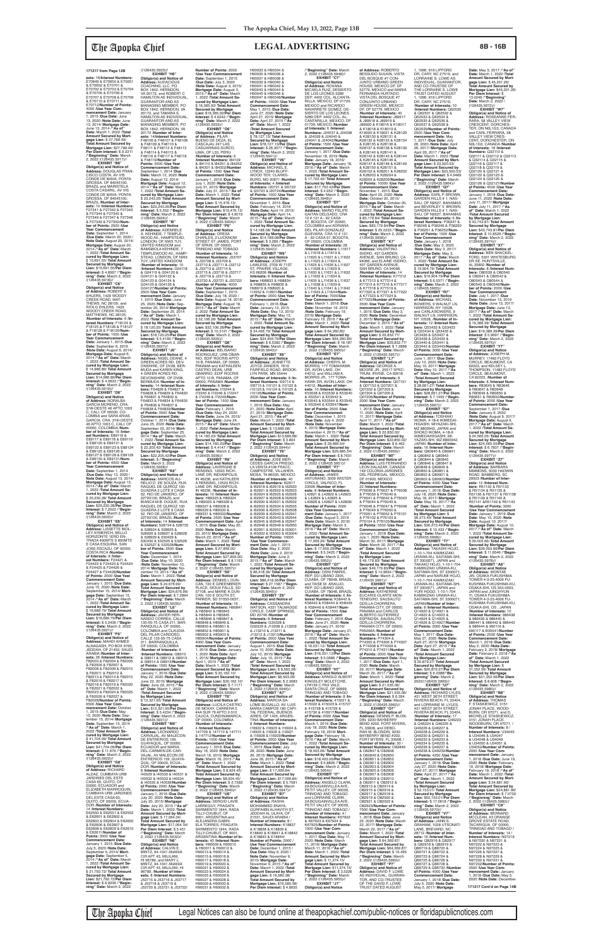**ests:** 16/**Interest Numbers:** E70649 & E70650 & E70651 & E70652 & E70701 & E70702 & E70703 & E70704 & E70705 & E70706 & E70707 & E70708 & E70709 & E70710 & E70711 & E70712/**Number of Points:** 4000 /**Use Year Com-mencement Date:** January 1, 2015 /**Due Date:** June 13, 2020 /**Note Date:** June 13, 2014/ **Mortgage Date:** June 13, 2014 /**"As of" Date:** March 1, 2022 /**Total Amount Secured by Mort-gage Lien:** \$ 27,789.49/ **Total Amount Secured by Mortgage Lien:** \$27,789.49/ **Per Diem Interest:** \$ 9.2211 /**"Beginning" Date:** March 2, 2022 /(126435.5917)//

EXHIBIT "B6" **Obligor(s) and Notice of Address:** DOUGLAS FRAN-CISCO COSTA, AV VIS CONDE DE MAVA, PONTA GROSSA, OF 84045100, BRAZIL and MARISTELA COSTA CASARIL, AV VIS CONDE DE MAVA, PONTA GROSSA, OF 84045100, BRAZIL /**Number of Inter-ests:** 10 /**Interest Numbers:** F27341 & F27342 & F27343 & F27344 & F27345 & F27346 & F27347 & F27348 & F27349 & F27350/**Num-ber of Points:** 2500 /**Use Year Commencement Date:** September 1, 2014 /**Due Date:** March 20, 2020 / **Note Date:** August 20, 2014/ **Mortgage Date:** August 20, 2014 /**"As of" Date:** March 1, 2022 /**Total Amount Secured by Mortgage Lien:** \$ 15,691.55/ **Total Amount Secured by Mortgage Lien:** \$15,691.55/**Per Diem Interest:** \$ 4.6067 /**"Begin-ning" Date:** March 2, 2022 /(126435.5918)// **EXHIBIT "C6"**

**Obligor(s) and Notice<br><b>of Address:** NORALBA<br>GARCIA MORENO, CRA.<br>37#I-OESTE 46 APTO 1003 C, CALI, OF 00000, CO-<br>LOMBIA and SARA ARIAS LOMBIA and SARA ARIAS<br>GARCIA, CRA. 37#I-OESTE<br>46 APTO 1003 C, CALI, OF<br>00000, COLOMBIA /**Number of Interests:** 16 /**Interest Numbers:** E89116 & E89117 & E89118 & E89119 & E89120 & E89121 & E89122 & E89123 & E89124 & E89125 & E89126 & E89127 & E89128 & E89129 & E89130 & E89131/**Num-ber of Points:** 4000 /**Use Year Commencement Date:** September 1, 2014 /**Due Date:** May 13, 2020 / **Note Date:** August 13, 2014/ **Mortgage Date:** August 13, 2014 /**"As of" Date:** March 1, 2022 /**Total Amount Secured by Mortgage Lien:** \$ 25,230.28/ **Total Amount Secured by Mortgage Lien:** \$25,230.28/**Per Diem Interest:** \$ 7.2522 /**"Begin-ning" Date:** March 2, 2022 /(126435.5920)// **EXHIBIT "E6"**

**Obligor(s) and Notice of Address:** ROBERT E<br>EHLERS, 1429 WOODY<br>CREEK ROAD, MAT-THEWS, NC 28105, and RITA G EHLERS, 1429 WOODY CREEK ROAD, MATTHEWS, NC 28105, /**Number of Interests:** 6 /**In-terest Numbers:** F18124 & F18125 & F18126 & F18127 & F18128 & F18129/**Num-ber of Points:** 1500 /**Use Year Commencement Date:** January 1, 2015 /**Due Date:** September 6, 2019 /**Note Date:** August 6, 2014/ **Mortgage Date:** August 6, 2014 /**"As of" Date:** March 1, 2022 /**Total Amount Secured by Mortgage Lien:** \$ 14,986.89/ **Total Amount Secured by Mortgage Lien:** \$14,986.89/**Per Diem Interest:** \$ 4.0633 /**"Beginning" Date:** March 2, 2022 /(126435.5919)// **EXHIBIT "D6"**

**Obligor(s) and Notice of Address:** LISSETTE BIOL-LEY AYMERICH, BELLO HORIZONTE 1ERO EN-TRADA 400MTS S 850MTS E CASA ESQUINA, SAN JOSE ESCAZU, OF 00000, COSTA RICA /**Number of Interests:** 8 /**Inter-est Numbers:** F24421 & F24422 & F24423 & F24424 & F24425 & F24426 & F24427 & F24428/**Number of Points: 2000 /Use Year**<br> **Commencement Date: Commencement Date:** January 1, 2015 /**Due Date:** June 15, 2020 /**Note Date:** September 15, 2014/ **Mortgage Date:** September 15, 2014 /**"As of" Date:** March 1, 2022 /**Total Amount Se-cured by Mortgage Lien:** \$ 16,689.79/ **Total Amount Secured by Mortgage Lien:** \$16,689.79/**Per Diem Interest:** \$ 5.2436 /**"Begin-ning" Date:** March 2, 2022 /(126435.5921)// **EXHIBIT "F6" Obligor(s) and Notice of Address:** MAHDI AHMED ALNAGASH, PO BOX 6765 JEDDAH, OF 21452, SAUDI ARABIA /**Number of Interests:** 26 /**Interest Numbers:** F82003 & F82004 & F82005 & F82006 & F82007 & F82008 & F82009 & F82010 & F82011 & F82012 & F82013 & F82014 & F82015 & F82016 & F82017 & F82018 & F82019 & F82020 & F82021 & F82022 & F82023 & F82024 & F82025 & F82026 & F82027 & F82028/**Number of Points:** 6500 /**Use Year Com-mencement Date:** October 1, 2015 /**Due Date:** May 15, 2020 /**Note Date:** Sep-tember 15, 2014/ **Mortgage Date:** September 15, 2014 /**"As of" Date:** March 1, 2022 /**Total Amount Secured by Mortgage Lien:** \$ 41,704.09/ **Total Amount Secured by Mortgage Lien:** \$41,704.09/**Per Diem Interest:** \$ 11.676 /**"Begin-ning" Date:** March 2, 2022 /(126435.5922)// **EXHIBIT "G6" Obligor(s) and Notice of Address:** RICHARD ALDAZ, CUMBAYA URB JARDINES DEL ESTE CASA 60, QUITO, OF 00000, ECUADOR and ELIZABETH MARROQUIN, CUMBAYA URB JARDINES DEL ESTE CASA 60, QUITO, OF 00000, ECUA-DOR /**Number of Interests:** 14 /**Interest Numbers:** E62550 & E62551 & E62552 & E62601 & E62602 & E62603 & E62604 & E62605 & E62606 & E62607 & E62608 & E62609 & E62610 & E62611/**Number of Points:** 3500 /**Use Year Commencement Date:** January 1, 2015 /**Due Date:** July 5, 2020 /**Note Date:** September 5, 2014/ **Mortgage Date:** September 5, 2014 /**"As of" Date:** March 1, 2022 /**Total Amount Secured by Mortgage Lien:** \$ 21,792.72/ **Total Amount Secured by Mortgage Lien:** \$21,792.72/**Per Diem Interest:** \$ 6.9236 /**"Begin-ning" Date:** March 2, 2022

/(126435.5924)// **EXHIBIT "I6"**

G04121 & G04122 & G04123 & G04124 &

March 20, 2015 /**"As of" Date:** March 1, 2022 /**Total Amount Secured by Mort-gage Lien:** \$ 27,859.00/ **Total Amount Secured by Mortgage Lien:** \$27,859.00/ **Per Diem Interest:** \$ 8.1193 /**"Beginning" Date:** March 2, 2022 /(126435.5937)// **EXHIBIT "S6" Address:** DENNIS L DUN-CAN, 720 E GREENBRIER PLACE, SIOUX FALLS, SD 57108, and MARIE K DUN-CAN, 100 E SOUTH ST, PARKER, SD 57053-0037, /**Number of Interests:** 16 /**Interest Numbers: H8584** H85904/**Number of Points:** 4000 /**Use Year Com-mencement Date:** January 1, 2016 /**Due Date:** January 1, 2020 /**Note Date:** April 1, 2015/ **Mortgage Date:** April 1, 2015 /**"As of" Date:** March 1, 2022 /**Total Amount Secured by Mort-gage Lien:** \$ 30,162.10/ **Total Amount Secured by Mortgage Lien: \$30,162.10/<br><b>Per Diem Interest: \$** 7.1171<br>**/"Beginning" Dat**e: March<br>2, 2022 /(126435.5939)//<br>**EXHIBIT "T6" Obligor(s) and Notice of Address:** LUCILA CASTRO DE MCKAY, CARRERA 5 #4A SUR 79 APTO 2-510 CAJICA, CUNDINAMARCA, 147709 & 147710 & 147711 & 147712/**Number of Commencement Date:** January 1, 2016 /**Due Date:** May 16, 2020 /**Note Date:** March 16, 2015/ **Mortgage Date:** March 16, 2015 /**"As of" Date:** March 1, 2022 /**Total Amount Secured by Mortgage Lien:** \$ 8,924.45/ **Total Amount Secured by Mortgage Lien:** \$8,924.45/ **Per Diem Interest:** \$ 2.7383 /**"Beginning" Date:** March **Obligor(s) and Notice of Address:** SERGIO LAVIE LARREGUY, FRAGATA SARMIENTO 1844, RADA ELA TORRES, FRAGATA SARMIENTO 1844, RADA ARGENTINA /**Number of Interests:** 40 /**Interest Num-**H90029 & H90030 & H90031 & H90032 & **nber of P** 

**The Apopka Chief** Legal Notices can also be found online at theapopkachief.com/public-notices or floridapublicnotices.com

/(126435.5923)// **EXHIBIT "H6" Obligor(s) and Notice of Address:** AUDACIOUS COACHING, LLC, PO<br>BOX 1842, HERNDON, VA 20172, and ROBERT C HAMILTON AS INDIVIDUAL, GUARANTOR AND AS MANAGING MEMBER, PO<br>BOX 1842, HERNDON, VA<br>20172, and TAMARA S.<br>HAMILTON AS INDIVIDUAL, GUARANTOR AND AS MANAGING MEMBER, PO BOX 1842, HERNDON, VA 20172 /**Number of Inter-ests:** 14/**Interest Numbers:** F48106 & F48107 & F48108 & F48109 & F48110 & F48111 & F48112 & F48113 & F48114 & F48115 & F48116 & F48117 & F48118 & F48119/**Number of Points:** 3500 /**Use Year Commencement Date: Number of Points:** 2000 */Use Year Commencement* **Date:** September 1, 2015<br>/**Due Date:** July 3, 2020<br>/**Note Date:** August 3, 2015/ **Mortgage Date:** August 3, 2015 /**"As of" Date:** March 1, 2022 /**Total Amount Secured by Mortgage Lien:** \$ 16,365.92/ **Total Amount Secured by Mortgage Lien:** \$16,365.92/**Per Diem Interest:** \$ 4.6242 /**"Beginning" Date:** March 2, 2022 /(126435.5933)// **EXHIBIT "O6" Obligor(s) and Notice of Address:** PILAR BUENO DE DEZA, EL CASCAJAL 247 LAS

September 1, 2014 /**Due Date:** March 12, 2020 /**Note Date:** August 12, 2014/ **Mortgage Date:** August 12, 2014 /**"As of" Date:** March 1, 2022 /**Total Amount Secured by Mortgage Lien:** \$ 23,243.26/ **Total Amount Secured by Mortgage Lien:** \$23,243.26/**Per Diem Interest:** \$ 5.552 /**"Beginning" Date:** March 2, 2022 CASUARINAS,SURCO, LIMA, OF L33, PERU /**Number of Interests:** 6 /**Interest Numbers:** I84109 & I84110 & I84251 & I84252 & I84301 & I84302/**Number of Points:** 1500 /**Use Year Commencement Date:** January 1, 2016 /**Due Date:** July 1, 2020 /**Note Date:** July 31, 2015/ **Mortgage Date:** July 31, 2015 /**"As of" Date:** March 1, 2022 /**Total Amount Secured by Mort-gage Lien:** \$ 15,476.13/ **Total Amount Secured by Mortgage Lien:** \$15,476.13/ **Per Diem Interest:** \$ 4.9019

**Obligor(s) and Notice of Address:** ADENRELE<br>A. KEHINDE, 7 TEMPLE-<br>WOOD AV., HAMPSTEAD, LONDON, OF NW3 7UY,<br>UNITED KINGDOM and UNITED KINGDOM and BAMGBOLA KEHINDE, 7 TEMPLEWOOD AV., HAMP-STEAD, LONDON, OF NW3 7UY, UNITED KINGDOM /**Number of Interests:** 10 /**Interest Numbers:** G04118 & G04119 & G04120 & G04125 & G04126 &<br>G04127/**Number of Points:**<br>2500 /**Use Year Com-**<br>mencement Date: January<br>1, 2015 /Due Date: June<br>25, 2020 /**Note Date:** September 25, 2014/ **Mortgage Date:** September 25, 2014 /**"As of" Date:** March 1, 2022 /**Total Amount Se-cured by Mortgage Lien:** \$ 18,120.25/ **Total Amount Secured by Mortgage Lien:** \$18,120.25/**Per Diem Interest:** \$ 5.4199 /**"Beginning" Date:** March 2, 2022 /**"Beginning" Date:** March 2, 2022 /(126435.5934)// **EXHIBIT "P6" Obligor(s) and Notice of Address:** ORESA CHARLES, 2 LUCKNOW STREET ST JAMES, PORT OF SPAIN, OF 00000, TRINIDAD AND TOBAGO /**Number of Interests:** 16 /**Interest Numbers:** J33707 & J33708 & J33709 & J33710 & J33711 & J33712 & J33713 & J33714 & J33715 & J33716 & J33717 & J33718 & J33719 & J33720 & J33721 & J33722/ Number of Points: 4000<br>
/Use Year Commencement<br>
Date: September 1, 2015<br>
/Due Date: July 18, 2020 /<br>
Note Date: August 18, 2015/<br>
Mortgage Date: August 18,<br>
2015 /"As of" Date: March 2, 2022 /**Total Amount Secured by Mortgage Lien:** \$ 32,106.28/ **Total Amount Secured by Mortgage Lien:** \$32,106.28/**Per Diem Interest:** \$ 10.3121 /**"Beginning" Date:** March 2, 2022 /(126435.5935)// **EXHIBIT "Q6"**

/(126435.5927)// **EXHIBIT "J6" Obligor(s) and Notice of Address:** NIGEL DEANE, 4 GREEN ACRES RD, DEV-ONSHIRE, OF DV08, BER-MUDA and KAREN KING, 4 GREEN ACRES RD,<br>DEVONSHIRE, OF DV08, BERMUDA /**Number of In-terests:** 14 /**Interest Numbers:** F64826 & F64827 & F64828 & F64829 & F64830 & F64831 & F64832 & F64833 & F64834 & F64835 & F64836 & F64837 & F64838 & F64839/**Number of Points:** 3500 /**Use Year Commencement Date:** October 1, 2014 /**Due Date:** June 25, 2020 /**Note Date:** September 25, 2014/ **Mort-gage Date:** September 25, 2014 /**"As of" Date:** March 1, 2022 /**Total Amount Se-cured by Mortgage Lien:** \$ 22,205.42/ **Total Amount Secured by Mortgage Lien:** \$22,205.42/**Per Diem Obligor(s) and Notice of Address:** BELISARIO RODRIGUEZ, URB OBAR-RIO, EDIF RÓCRIS APTO<br>10 B. PANAMA, OF 00000. 10 B, PANAMA, OF 00000,<br>PANAMA and KATHALEEN<br>CASTRO DEAN, URB<br>OBARRIO, EDIF ROCRIS APTO 10 B, PANAMA, OF 00000, PANAMA /**Number of Interests:** 6 /**Inter-est Numbers:** I72244 & I72245 & I72246 & I72247 & I72248 & I72249/**Number of Points:** 1500 /**Use Year Commencement Date:** February 1, 2016 /**Due Date:** May 24, 2020 /**Note Date:** June 24, 2015/ **Mortgage Date:** June 24, 2015 /**"As of" Date:** March 1, 2022 /**Total Amount Se-cured by Mortgage Lien:** \$ 14,160.23/ **Total Amount Secured by Mortgage Lien:** \$14,160.23/**Per Diem Interest:** \$ 4.4147 /**"Beginning" Date:** March 2, 2022 /(126435.5936)// **EXHIBIT "R6" Obligor(s) and Notice of Address:** LAVERGNE B

**Interest:** \$ /**"Beginning" Date:** March 2, 2022 /(126435.5928)// **EXHIBIT "K6" Obligor(s) and Notice of Address:** MARCOS AU-RELIO D. DE SOUZA, RUA RAQUEL DE QUIROZ 100 QUADRA 2 LOTE 9 CASA 52, RIO DE JANIERO, OF 22793100, BRAZIL and BIANCA M.B. DUQUE, RUA RAQUEL DE QUIROZ 100 QUADRA 2 LOTE 9 CASA 52, RIO DE JANIERO, OF 22793100, BRAZIL /**Number of Interests:** 14 /**Interest Numbers:** 528734 & 528735 & 528924 & 528925 & 528926 & 528927 & 528928 & 528929 & 530429 & 530430 & 532525 & 532526 & 532527 & 532528/**Number of Points:** 3500 /**Use Year Commencement Date:** December 1, 2014 /**Due Date:** May 10, 2020 /**Note Date:** November 10, 2014/ **Mortgage Date:** No-vember 10, 2014 /**"As of" Date:** March 1, 2022 /**Total Amount Secured by Mort-gage Lien:** \$ 24,676.99/ **Total Amount Secured by Mortgage Lien:** \$24,676.99/ **Per Diem Interest:** \$ 7.2994 /**"Beginning" Date:** March 2, 2022 /(126435.5929)// **EXHIBIT "L6" Obligor(s) and Notice of Address:** JAVIER HER-NANDO CORREA, CALLE 135-55-75 CASA 211, BAR-RANQUILLA, OF 00000, COLOMBIA and CLAUDIA DEL PILAR CARDOSO, CALLE 135-55-75 CASA<br>211. BARRANQUILLA. 211, BARRANQUILLA, OF 00000, COLOMBIA /**Number of Interests:** 6 /**Interest Numbers:** I38910 & I38911 & I38912 & I38913 & I38914 & I38915/**Number of Points:** 1500 /**Use Year Commencement Date:** January 1, 2016 /**Due Date:** May 22, 2020 /**Note Date:** June 22, 2015/ **Mortgage Date:** June 22, 2015 /**"As of" Date:** March 1, 2022 /**Total Amount Secured by Mortgage Lien:** \$ 12,321.95/ **Total Amount Secured by Mortgage Lien:** \$12,321.95/**Per Diem Interest:** \$ 3.4234 /**"Beginning" Date:** March 2, 2022 /(126435.5931)// **EXHIBIT "M6" Obligor(s) and Notice of Address:** LEONARDO CARVAJAL, AV MALECON DE ENTRERIOS 159, GUAYAQUIL, OF 00000, ECUADOR and MARIA DEL-CARMEN-DE-CAR-VAJAL, AV MALECON DE<br>ENTRERIOS 159, GUAYA-QUIL, OF 00000, ECUA-DOR /**Number of Interests:** 8 /**Interest Numbers:** I40529 & I40530 & I40531 & I40532 & I40533 & I40534 & I40535 & I40536/**Number of Points:** 2000 /**Use Year Commencement Date:** January 1, 2016 /**Due Date:** July 20, 2020 /**Note Date:** July 20, 2015/ **Mortgage Date:** July 20, 2015 /**"As of" Date:** March 1, 2022 /**Total Amount Secured by Mort-gage Lien:** \$ 17,064.34/ **Total Amount Secured by Mortgage Lien:** \$17,064.34/ **Per Diem Interest:** \$ 5.451 /**"Beginning" Date:** March 2, 2022 /(126435.5932)// **EXHIBIT "N6" Obligor(s) and Notice of Address:** CALVIN E.<br>MINTZ, 94-1041 ANANIA<br>CIR APT 43, MILILANI, HI 96789, and MARY L. MINTZ, 94-1041 ANANIA CIR APT 43, MILILANI, HI 96789, /**Number of Inter-ests:** 8 /**Interest Numbers:** J53715 & J53716 & J53717 & J53718 & J53719 & J53720 & J53721 & J53722/ RENSING, 12523 RICH-LANE DR, INDIANPOLIS,<br>IN 46236, and KATHLEEN IN 46236, and KATHLEEN A RENSING, 12523 RICH-LANE DR, INDIANPOLIS, IN 46236, /**Number of Interests:** 10 /**Interest Numbers:** H89323 & H89324 & H89325 & H89326 & H89327 & H89328 & H89329 & H89330 & H89331 & H89332/**Number of Points:** 2500 /**Use Year Commencement Date:** April 1, 2015 /**Due Date:** May 20, 2020 /**Note Date:** March 20, 2015/ **Mortgage Date: Obligor(s) and Notice of**  & H85842 & H85843 & H85844 & H85845 & H85846 & H85847 & H85848 & H85849 & H85850 & H85851 & H85852 & H85901 & H85902 & H85903 & OF 00000, COLOMBIA /**Number of Interests:** 4 /**Interest Numbers: Points:** 1000 /**Use Year**  2, 2022 /(126435.5940)// **EXHIBIT "U6"** TILLY-CHUBUT, OF 9001, ARGENTINA and ALEJANDRA GABRI-TILLY-CHUBUT, OF 9001 **bers:** H90009 & H90010 & H90011 & H90012 & H90013 & H90014 & H90015 & H90016 & H90017 & H90018 & H90019 & H90020 & H90021 & H90022 & H90023 & H90024 & H90025 & H90026 & H90027 & H90028 &

ISIDRO, 437 GARDEN<br>AVENUE, SAN BRUNO, CA 94066, and ELAINE ISIDRO, 437 GARDEN AVENUE, SAN BRUNO, CA 94066, /**Number of Interests:** 14 /**Interest Numbers:** K77312 & K77313 & K77314 & K77315 & K77316 & K77317 & K77318 & K77319 & K77320 & K77321 & K77322 & K77323 & K77324 & K77325/**Number of Points:** 3500 /**Use Year Commencement Date:** January 1, 2016 /**Due Date:** May 3, 2020 /**Note Date:** December 3, 2015/ **Mortgage Date:** December 3, 2015 /**"As of" Date:** March 1, 2022 /**Total Amount Secured by Mort-gage Lien:** \$ 29,832.77/ **Total Amount Secured by Mortgage Lien: \$29,832.77/<br><b>Per Diem Interest: \$** 7.2888<br>/**"Beginning" Date:** March<br>2, 2022 /(126435.5957)// **EXHIBIT "L7" Obligor(s) and Notice of Address:** GEORGE A. MOORE JR., 25517 SPEC-TRUM, IRVINE, CA 92618 /**Number of Interests:** 8 /**Interest Numbers:** Q07151 & Q07152 & Q07201 & Q07202 & Q07203 & Q07204 & Q07205 & Q07206/**Number of Points:** 2000 /**Use Year Commencement Date: January<br>1. 2018 /Due Date: June** 1, 2018 /**Due Date:** June 11, 2020 /**Note Date:** April 11, 2017/ **Mortgage Date:** April 11, 2017 /**"As of" Date:** March 1, 2022 /**Total Amount Secured by Mort-gage Lien:** \$ 22,850.02/ **Total Amount Secured by Mortgage Lien:** \$22,850.02/ **Per Diem Interest:** \$ 6.462 /**"Beginning" Date:** March 2, 2022 /(126435.5959)// **EXHIBIT "M7" Obligor(s) and Notice of Address:** LUIS FERNANDO LEON SALAZAR, CANADA 149 COLONIA JARDINES DEL PEDREGAL, MEXICO,<br>DF 01900, MEXICO /**Number of Interests:** 22 /**Interest Numbers:** P76036 & P76037 & P76038 & P76039 & P76040 & P76041 & P76042 & P76043 & P76044 & P76045 & P76046 & P76047 & P76048 & P76049 & P76050 & P76051 & P76052 & P76101 & P76102 & P76103 & P76104 & P76105/**Number of Points:** 5500 /**Use Year Commencement Date:** January 1, 2018 /**Due Date:** July 1, 2020 /**Note Date:** March 30, 2017/ **Mortgage Date:** March 30, 2017 /**"As of" Date:** March 1, 2022 /**Total Amount Secured by Mortgage Lien:** \$ 49,179.83/ **Total Amount Secured by Mortgage Lien:** \$49,179.83/**Per Diem Interest:** \$ 14.9654 /**"Beginning" Date:** March 2, 2022 /(126435.5961)// **EXHIBIT "N7" Obligor(s) and Notice of Address:** KATHERINE EUCARIS OLARTE MON-TENEGRO, SAUSALITO<br>GDS,LA CHORRERA,<br>PANAMA CITY, OF 00000, PANAMA and CARLOS ALBERTO GUTIERREZ<br>ESPINOSA, SAUSALITO ESPINOSA, SAUSALITO<br>GDS,LA CHORRERA,<br>PANAMA CITY, OF 00000,<br>PANAMA /**Number of Interests:** 8 /**Interest**<br>**Numbers:** P74304 &<br>P74305 & P74306 & P74307 & P74308 & P74309 & P74310 & P74311/**Number of Points:** 2000 /**Use Year Commencement Date:** May 1, 2017 /**Due Date:** April 1, 2020 /**Note Date:** March 29, 2017/ **Mortgage Date:** March 29, 2017 /**"As of" Date:** March 1, 2022 /**Total Amount Secured by Mort-gage Lien:** \$ 21,535.06/ **Total Amount Secured by Mortgage Lien:** \$21,535.06/ **Per Diem Interest:** \$ 6.394 /**"Beginning" Date:** March 2, 2022 /(126435.5962)// **EXHIBIT "O7" Obligor(s) and Notice of Address:** DENNIS P. BLON-DIN, 9230 BAYBERRY<br>BEND #202, FORT MYERS, FL 33908, and DEBO-RAH M. BLONDIN, 9230 BAYBERRY BEND #202, FORT MYERS, FL 33908 **Number of Interests:** 30 / **Interest Numbers:** O82846 & O82847 & O82848 & O82849 & O82850 & O82851 & O82852 & O82901 & O82902 & O82903 & O82904 & O82905 & O82906 & O82907 & O82908 & O82909 & O82910 & O82911 & O82912 & O82913 & O82914 & O82915 & O82916 & O82917 & O82918 & O82919 & O82920 & O82921 & O82922 & O82923/**Number of Points:** 7500 /**Use Year Commencement Date:** January 1, 2018 /**Due Date:** June 22, 2020 / Note Date: March<br>22, 2017/ Mortgage Date:<br>March 22, 2017 / "As of"<br>Date: March 1, 2022 / Total<br>Amount Secured by Mort-<br>gage Lien: \$ 64,369.87/<br>Total Amount Secured by **Mortgage Lien:** \$64,369.87/ **Per Diem Interest:** \$ 16.495 /**"Beginning" Date:** March 2, 2022 /(126435.5963)// **EXHIBIT "P7" Obligor(s) and Notice of Address:** DAVID F. LOWE AS INDIVIDUAL, GUARAN-TOR, AND CO-TRUSTEE OF THE DAVID F. LOWE TRUST DATED AUGUST

1, 1996, 616 LIPFORD<br>DR, CARY, NC 27519, and LORRAINE S. LOWE AS INDIVIDUAL, GUARANTOR, AND CO-TRUSTEE OF THE LORRAINE S. LOWE TRUST DATED AUGUST 1, 1996, 616 LIPFORD DR, CARY, NC 27519, /**Number of Interests:** 10 /**Interest Numbers:** Q62530 & Q62531 & Q62532 & Q62533 & Q62534 & Q62535 & Q62536 & Q62537 & Q62538 & Q62539/**Number of Points:** 2500 /**Use Year Commencement Date:** May 1, 2017 /**Due Date:** July 26, 2020 /**Note Date:** April 26, 2017/ **Mortgage Date:** April 26, 2017 /**"As of" Date:** March 1, 2022 /**Total Amount Secured by Mort-gage Lien:** \$ 23,500.53/ **Total Amount Secured by Mortgage Lien:** \$23,500.53/ **Per Diem Interest:** \$ 4.9469 /**"Beginning" Date:** March 2, 2022 /(126435.5964)// **EXHIBIT "Q7" Obligor(s) and Notice of<br><b>Address:** EARL P. BROWN,<br>GARDEN HILLS # 1, NAS-<br>SAU, OF N9527, BAHAMAS and BEVERLEY V. BROWN, GARDEN HILLS # 1, NAS-SAU, OF N9527, BAHAMAS /**Number of Interests:** 6 /**In-terest Numbers:** P36247 & P36248 & P36249 & P36250 & P36251 & P36252/**Num-ber of Points:** 1500 /**Use Year Commencement Date:** January 1, 2018 /**Due Date:** May 3, 2020 /**Note Date:** May 3, 2017/ **Mortgage Date:** May 3, 2017 /**"As of" Date:** March 1, 2022 /**Total Amount Secured by Mortgage Lien: Date:** May 5, 2017 / "As of

H90033 & H90034 & H90035 & H90036 &

H90037 & H90038 & H90039 & H90040 & H90041 & H90042 & H90043 & H90044 & H90045 & H90046 & H90047 & H90048/**Number of Points:** 10000 /**Use Year Commencement Date:** May 1, 2015 /**Due Date:** June 27, 2020 /**Note Date:** April 27, 2015/ **Mortgage Date:** April 27, 2015 /**"As of" Date:** March 1, 2022 /**Total Amount Secured by Mortgage Lien:** \$ 78,127.13/ **Total Amount Secured by Mortgage Lien:** \$78,127.13/**Per Diem Interest:** \$ 26.3077 /**"Begin-<br><b>ning" Date:** March 2, 2022<br>/(126435.5941)// **EXHIBIT "V6" Obligor(s) and Notice of Address:** MICHAEL E. LYNCH, 12240 BLUFF-<br>WOOD TEB-CLABKS-WOOD TER, CLARKS-BURG, MD 20871 /**Number of Interests:** 4 /**Interest Numbers:** I20721 & I20722 & I20723 & I20724/**Number of Points:** 1000 /**Use Year Commencement Date:** November 1, 2015 /**Due Date:** February 14, 2018 /**Note Date:** April 14, 2015/ Mortgage Date: April 14,<br>2015 /"As of" Date: March<br>1, 2022 /Total Amount Se-<br>cured by Mortgage Lien:<br>\$ 14,188.08/Total Amount<br>Secured by Mortgage<br>Lien: \$14,188.08/Per Diem **Interest:** \$ 3.289 /**"Begin-ning" Date:** March 2, 2022 /(126435.5942)// **EXHIBIT "W6" Obligor(s) and Notice of Address:** JOSEPH LAWLESS, 2709 W 71ST<br>ST, PRAIRIE VILLAGE,<br>KS 66208 /**Number of Interests:** 8 /**Interest Num-bers:** H98833 & H98834 & H98835 & H98836 & H98919 & H98920 & I14552 & I14601/**Number of Points:** 2000 /**Use Year Commencement Date:** Febraary 1, 2016 /**Due Date:** January 13, 2015 /**Note Date:** May 13, 2015/ **Mortgage Date:** May 13, 2015 /**"As of" Date:** March 1, 2022 /**Total Amount Se-cured by Mortgage Lien:** \$ 34,456.79/ **Total Amount Secured by Mortgage<br><b>Lien:** \$34,456.79/**Per Diem<br><b>Interest:** \$ 6.5382 /**"Begin-<br>ning" Date:** March 2, 2022<br>/(126435.5943)// **EXHIBIT "X6"<br><b>Obligor(s) and Notice**<br>**of Address**: JEANETTE<br>JOYCE ZANDER, 7619<br>FAIRFIELD ROAD, BROOK-<br>LYN PARK, MN 55444 /**Number of Interests:** 8 /**Interest Numbers:** I09714 &<br>I09715 & I10121 & I10122 &<br>I10123 & I10124 & I10125 & I10126/**Number of Points:** 2000 /**Use Year Com-**

**mencement Date:** January 1, 2016 /**Due Date:** May 21, 2020 /**Note Date:** April 21, 2015/ **Mortgage Date:** April 21, 2015 /**"As of" Date:** March 1, 2022 /**Total Amount Secured by Mort-gage Lien:** \$ 13,689.68/ **Total Amount Secured by Mortgage Lien:** \$13,689.68/ **Per Diem Interest:** \$ 3.804 /**"Beginning" Date:** March 2, 2022 /(126435.5944)// **EXHIBIT "Y6" Obligor(s) and Notice of Address:** JOSE MER-CEDES GARCIA PRIEGO, LA VENTA #108 FRACC CAMPESTRE, VILLAHER-MOSA, TA 86035, MEXICO /**Number of Interests:** 40 /**Interest Numbers:** I62917 & I62918 & I62919 & I62920 & I62921 & I62922 & I62923 & I62924 & I62925 & I62926 & I62927 & I62928 & I62929 & I62930 & I62931 & I62932 & I62933 & I62934 & I62935 & I62936 & I62937 & I62938 & I62939 & I62940 & I62941 & I62942 & I62943 & I62944 & I62945 & I62946 & I62947 & I62948 & I62949 & I62950 162951 & 162952 & 163001 & I63002 & I63003 & I63004/ /**Use Year Commencement Date:** July 1, 2015<br>/**Due Date:** May 2, 2020<br>/**Note Date:** June 2, 2015/ **Mortgage Date:** June 2, 2015 /**"As of" Date:** March 1, 2022 /**Total Amount Secured by Mortgage Lien:** \$ 86,418.36/ **Total Amount Secured by Mortgage Lien:** \$86,418.36/**Per Diem Interest:** \$ 27.1587 /**"Beginning"** Date: March 2, 2022 /(126435.5945)// **EXHIBIT "Z6" Obligor(s) and Notice of<br><b>Address:** CASSANDRA<br>WATSON, 4331 TALMADGE CIRCLE, CAMP SPRINGS, MD 20746 /**Number of Interests:** 8 /**Interest Numbers:** G30328 & G30329 & J13208 & J13209 & J13210 & J13211 & J13212 & J13213/**Numbe of Points:** 2000 /**Use Year Commencement Date:** August 1, 2015 /**Due Date:** June 10, 2020 /**Note Date:** July 10, 2015/ **Mortgage Date:** July 10, 2015 /**"As of" Date:** March 1, 2022 /**Total Amount Secured by Mortgage Lien:** \$ 8,563.28/ **Total Amount Secured by Mortgage Lien:** \$8,563.28/ **Per Diem Interest:** \$ 2.3083 /**"Beginning" Date:** March 2, 2022 /(126435.5946)// **EXHIBIT "A7 Obligor(s) and Notice of Address:** MARCIA SA-LOME BUGALLO, AV. LUIS MARIA CAMPOS<sup>'</sup>180 CAPI-<br>TAL FEDERAL. BUENOS TAL FEDERAL, BUENOS AIRES, OF 1425, ARGEN-TINA /**Number of Interests:** 8 /**Interest Numbers:** I16922 & I16923 & I16924 & I16925 & I16926 & I16927 & I16928 & I16929/**Number of Points:** 2000 /**Use Year Commencement Date:** July 1, 2015 /**Due Date:** July 26, 2020 /**Note Date:** June 26, 2015/ **Mortgage Date:** June 26, 2015 /**"As of" Date:** March 1, 2022 /**Total Amount Secured by Mort-gage Lien:** \$ 17,099.84/ **Total Amount Secured by Mortgage Lien:** \$17,099.84/ **Per Diem Interest:** \$ 5.7581 /**"Beginning" Date:** March 2, 2022 /(126435.5947)// **EXHIBIT "B7" Obligor(s) and Notice of Address:** RASHA MOHAMMED ENAYA, GURFAIBN ALHAVITH ST, JEDDAH AL ULAYA, OF 21531, SAUDI ARABIA / **Number of Interests:** 8 / **Interest Numbers:** K18837 & K18838 & K18839 & K18840 & K18841 & K18842 & K18843 & K18844/ **Number of Points:** 2000 / **Use Year Commencement Date:** December 1, 2015 / **Due Date:** May 9, 2020 / **Note Date:** November 9, 2015/ **Mortgage Date:** November 9, 2015 /**"As of" Date:** March 1, 2022 /**Total Amount Secured by Mort-gage Lien:** \$ 16,580.38/ **Total Amount Secured by Mortgage Lien:** \$16,580.38/ **Per Diem Interest:** \$ 4.8935 5289 DEP. 4402 COL. AL-CANTARILLA, MEXICO, DF 01729, MEXICO /**Number of Interests:** 6 /**Interest<br><b>Numbers:** J24037 & J24038<br>& J24039 & J24040 &<br>J24041 & J24042/**Number of Points:** 1500 /**Use Year Commencement Date:** January 1, 2017 /**Due Date:** November 18, 2019 /**Note Date:** January 18, 2016/ **Mortgage Date:** January 18, 2016 /**"As of" Date:** March 1, 2022 /Total Amount Se-<br>cured by Mortgage Lien:<br>\$ 17,702.42/ Total Amount<br>Secured by Mortgage<br>Lien: \$17,702.42/Per Diem<br>ninerst: \$ 4.952 /"Begin-<br>ning" Date: March 2, 2022<br>((126435.5949)// **EXHIBIT "D7" Obligor(s) and Notice of Address:** MARIO FELIPE GAITAN DELGADO, CRA 10 # 131 A - 92 CASA 57, BOGOTA, OF 00000,<br>COLOMBIA and ADRIANA<br>DEL PILAR GONZALEZ<br>GUEVARA, CRA 10 # 131 A - 92 CASA 57, BOGOTA, OF 00000, COLOMBIA /**Number of Interests:** 28 /**Interest Numbers:** L11617 & L11618 & L11619 & L11620 & L11621 & L11622 & L11623 & L11624 &<br>L11625 & L11626 & L11627 L11625 & L11626 & L11627<br>& L11628 & L11629 &<br>L11630 & L11631 & L11632<br>& L11633 & L11634 &<br>L11635 & L11636 & L11637 & L11638 & L11639 & L11640 & L11641 & L11642 & L11643 & L11644/**Number of Points:** 7000/**Use Year Commencement Date:** March 1, 2016 /**Due**  Date: November 19, 2019<br>**Note Date:** February 19 /**Note Date:** February 19, 2016/ **Mortgage Date:** February 19, 2016 /**"As of" Date:** March 1, 2022 /**Total Amount Secured by Mortgage Lien:** \$ 64,260.85/ **Total Amount Secured by Mortgage Lien:** \$64,260.85/ **Per Diem Interest:** \$ 18.187 /**"Beginning" Date:** March 2, 2022 /(126435.5950)//<br>**EXHIBIT "E7" EXHIBIT "E7"<br><b>Obligor(s) and Notice**<br>**of Address:** CHERYL M.<br>MORRIS, 177 TOMAHAWK<br>DR, AVON LAKE, OH<br>44012, and WILLIAM A. MORRIS JR., 177 TOMA-HAWK DR, AVON LAKE, OH 44012, /**Number of Inter-ests:** 10 /**Interest Numbers:** K53538 & K53539 & K53540 & K53541 & K53542 & K53543 & K53544 & K53545 & K53546 & K53547/**Number of Points:** 2500 /**Use Year Commencement Date:** December 1, 2015 /**Due Date:** July 4, 2020 Mote Date: November<br>4, 2015/Mortgage Date:<br>November 4, 2015 /"As of"<br>Date: March 1, 2022 /Total<br>Amount Secured by Mort-<br>Amount Secured by Mortgage Lien: \$29,685.54/<br>Mortgage Lien: \$29,685.54/<br>Per Diem Interest: \$ 8.7631<br>"B **Obligor(s) and Notice of Address:** JAMES ANTUNANO, 3039 WISTER CIRCLE, VALRICO, FL 33596 /**Number of Inter-ests:** 8 /**Interest Numbers:** L42821 & L42822 & L42823 & L42824 & L42825 &<br>L42826 & L42827 & L42828/ L42826 & L42827 & L42828/ **Number of Points:** 2000 /**Use Year Commence-ment Date:** January 1, 2017 /**Due Date:** August 3, 2019 /**Note Date:** March 3, 2016/ **Mortgage Date:** March 3, 2016 /**"As of" Date:** March 1, 2022 /**Total Amount Secured by Mortgage Lien:** \$ 17,959.29/ **Total Amount Secured by Mortgage Lien:** \$ 17,959.29/**Per Diem Interest:** \$ 5.3425 /**"Begin-ning" Date:** March 2, 2022 /(126435.5952)// **EXHIBIT "G7" Obligor(s) and Notice of Address:** OSNI FABRIS,<br>REP. DO LIBANO 2205,<br>CUIABA, OF 78048, BRAZIL<br>and TAISE M. ARAUJO, REP. DO LIBANO 2205, CUIABA, OF 78048, BRAZIL /**Number of Interests:** 6 /**Interest Numbers:** K58442 & K58443 & K58444 & K58445 & K58446 & K58447/**Number of Points:** 1500 /**Use Year Commencement Date:** February 1, 2016 /**Due Date:** June 21, 2020 /**Note Date:** January 21, 2016/ **Mortgage Date:** January 21, 2016 /**"As of" Date:** March 1, 2022 /**Total Amount Secured by Mortgage Lien:** \$ 16,031.12/ **Total Amount Secured by Mortgage Lien:** \$16,031.12/**Per Diem Interest:** \$ 5.0686 /**"Begin-ning" Date:** March 2, 2022 /(126435.5953)// **EXHIBIT "H7" Obligor(s) and Notice of Address:** ARNOLD ALBERT KINGSLEY MCLETCHIE, LP#159 C PAX VALE, SANTA CRUZ, OF 99999,<br>TRINIDAD AND TOBAGO<br>/**Number of Interests:** 8 *I*In**terest Numbers:** 415021 & 415022 & 415023 & 415727 & 415728 & 415729 & 415730 & 416917/**Number of Points:** 2000 /**Use Year Commencement Date:** March 1, 2016 /**Due Date:** July 18, 2020 /**Note Date:** February 18, 2016/ **Mortgage Date:** February 18, 2016 /**"As of" Date:** March 1, 2022 /**Total Amount Secured by Mortgage Lien:** \$ 18,403.06/ **Total Amount Secured by Mortgage Lien:** \$18,403.06/**Per Diem Interest:** \$ 5.8809 /**"Begin-ning" Date:** March 2, 2022 /(126435.5954)// **EXHIBIT "I7" Obligor(s) and Notice of Address:** ANGELO CLARK, 2A BOUGAINVILLEA AVE,<br>PETIT VALLEY, OF 00000,<br>TRINIDAD AND TOBAGO and LORRAINE CLARK,<br>2A BOUGAINVILLEA AVE, PETIT VALLEY, OF 00000, TRINIDAD AND TOBAGO / **Number of Interests:** 4 / **Interest Numbers:** K67922 & K67923 & K67924 & K67925/**Number of Points:** 1000 /**Use Year Commencement Date:** January 1, 2017 /**Due Date:** May 11, 2020 /**Note Date:** March 11, 2016/ **Mortgage Date:** March 11, 2016 /**"As of" Date:** March 1, 2022 /**Total Amount Secured by Mort-gage Lien:** \$ 11,374.15/ **Total Amount Secured by Mortgage Lien:** \$11,374.15/ **Per Diem Interest:** \$ 3.5226 /**"Beginning" Date:** March 2, 2022 /(126435.5955)// **EXHIBIT "J7" Obligor(s) and Notice** 

/**"Beginning" Date:** March 2, 2022 /(126435.5948)// **EXHIBIT "C7" Obligor(s) and Notice of Address:** ROXANA<br>MICAELA RUIZ, DESIERTO<br>DE LOS LEONES 5289 DEP. 4402 COL. ALCANTA-RILLA, MEXICO, DF 01729, MEXICO and RICARDO<br>NAVARRETE GOMEZ, DE-<br>SIERTO DE LOS LEONES **of Address:** ROBERTO<br>BESSUDO SULKIN, VISTA DEL BOSQUE #7 CON-<br>JUNTO URBANO GREEN JUNTO URBANO GREEN HOUSE, MEXICO DF, DF 52779, MEXICO and MARIA FERNANDA HURTADO, VISTA DEL BOSQUE #7 CONJUNTO URBANO<br>GREEN HOUSE, MEXICO DF, DF 52779, MEXICO /**Number of Interests:** 40 /**Interest Numbers:** J89917 & J89918 & J89919 & J89920 & K18016 & K18017 & K18018 & K18019 & K18020 & K18021 & K28129 & K28130 & K28131 & K28132 & K28133 & K28134 & K28135 & K28136 & K28137 & K28138 & K28139 & K28140 & K28141 & K28142 & K28143 & K28144 & K28145 & K28146 & K28147 & K28148 & K28149 & K28150 & K28151 & K28152 & K28201 & K28202 & K28203 & K28204 & K28205 & K28206/**Number of Points:** 10000 /**Use Year Commencement Date:** November 1, 2015 /**Due Date:** April 20, 2020 /**Note Date:** October 20, 2015/ **Mortgage Date:** October 20, 2015 /**"As of" Date:** March 1, 2022 /**Total Amount Secured by Mortgage Lien:** \$ 83,179.84/ **Total Amount Secured by Mortgage Lien:** \$83,179.84/**Per Diem Interest:** \$ 25.0233 /**"Begin-ning" Date:** March 2, 2022 /(126435.5956)// **EXHIBIT "K7" Obligor(s) and Notice of Address:** VALENTINO

\$ 19,904.79/ **Total Amount Secured by Mortgage Lien:** \$19,904.79/**Per Diem Interest:** \$ 6.5371 /**"Beginning" Date:** March 2, 2022 /(126435.5965)// **EXHIBIT "R7" Obligor(s) and Notice of Address:** MICHAEL<br>BOWERS, 9 WALNUT LN, HARRISON, NY 10528, and CARLA BOWERS, 9 WALNUT LN, HARRISON, NY 10528, /**Number of In-terests:** 12 /**Interest Num-bers:** Q53432 & Q53433 & Q53434 & Q53435 & Q53436 & Q53437 & Q53438 & Q53439 & Q53440 & Q53441 & Q53442 & Q53443/**Number of Points:** 3000 /**Use Year Commencement Date:** June 1, 2017 /**Due Date:** July 10, 2020 /**Note Date:** May 10, 2017/ **Mortgage Date:** May 10, 2017 /**"As of" Date:** March 1, 2022 /**Total Amount Secured by Mortgage Lien:** \$ 28,661.27/ **Total Amount Secured by Mortgage Lien:** \$28,661.27/**Per Diem Interest:** \$ 7.1455 /**"Beginning" Date:** March 2, 2022 /(126435.5967)// **EXHIBIT "S7" Obligor(s) and Notice of Address:** TOSHIAKI<br>IKOMA, 4-18-6 IKIMEDAI-HIGASHI, MIYAZAKI-SHI, MZ 8800942, JAPAN and<br>SHOKO IKOMA, 4-18-6 SHOKO IKOMA, 4-18-6<br>IKIMEDAIHIGASHI, MI-<br>YAZAKI-SHI, MZ 8800942,<br>JAPAN /**Number of Interests:** 16 /**Interest Numbers:** Q80840 & Q80841 & Q80842 & Q80843 & Q80844 & Q80845 & Q80846 & Q80847 & Q80848 & Q80849 & Q80850 & Q80851 & Q80852 & Q80901 & Q80902 & Q80903/**Number of Points:** 4000 /**Use Year Commencement Date:** January 1, 2018 /**Due Date:** July 18, 2020 /**Note Date:** May 18, 2017/ **Mortgage Date:** May 18, 2017 /**"As of" Date:** March 1, 2022 /**Total Amount Secured by Mortgage Lien:** \$ 36,273.49/ **Total Amount Secured by Mortgage Lien:** \$36,273.49/**Per Diem Interest:** \$ 10.433 /**"Begin-ning" Date:** March 2, 2022 EXHIBIT "T7" **EXHIBIT "T7" Obligor(s) and Notice of Address:** TAKASHI HOJO, 1-10-1-704 KAMIKIZAKI URAWA-KU, SAITAMA-SHI,<br>ST 3300071, JAPAN and TAKAKO HOJO, 1-10-1-704 KAMIKIZAKI URAWA-KU,<br>SAITAMA-SHI, ST 3300071,<br>JAPAN and NARUMI HOJO, 1-10-1-704 KAMIKIZAKI<br>URAWA-KU, SAITAMA-SHI, ST 3300071, JAPAN and YURI HOGO, 1-10-1-704 KAMIKIZAKI URAWA-KU, SAITAMA-SHI, ST 3300071 JAPAN/**Number of Inter-ests:** 8 /**Interest Numbers:** Q14920 & Q14921 & Q14922 & Q14923 & Q14924 & Q14925 & Q14926 & Q14927/**Number of Points:** 2000 /**Use Year Commencement Date:** May 1, 2017 /**Due Date:** May 27, 2020 /**Note Date:** April 27, 2015/ **Mortgage Date:** April 27, 2015 /**"As of" Date:** March 1, 2022 /**Total Amount Secured by Mortgage Lien:** \$ 20,879.27/ **Total Amount Secured by Mortgage Lien:** \$20,879.27/**Per Diem Interest:** \$ 6.2388/**"Be-ginning" Date:** March 2, 2022/(126435.5969)//<br> **Chigor(s) and Notice of<br>
<b>Address:** RICHARD LYLES,<br>
431 WEST 36TH STREET,<br>
RIVIERA BEACH, FL 33404, and LORRAINE M. LYLES 431 WEST 36TH STREET, RIVIERA BEACH, FL 33404, /**Number of Interests:** 17 /**Interest Numbers:** Q46223 & Q46224 & Q46225 & Q46226 & Q46227 & Q46228 & Q46229 & Q46230 & Q46231 & Q46232 & Q46233 & Q46234 & Q46235 & Q46236 & Q46237 & Q46238 & Q46239/**Number of Points:** 4250 /**Use Year Commencement Date:** January 1, 2018 /**Due Date:** July 27, 2020 /**Note Date:** April 27, 2017/ **Mortgage Date:** April 27, 2017 /**"As of" Date:** March 1, 2022 Total Amount Secured<br>Sy Mortgage Lien:<br>\$ 52,153.01/ Total Amount<br>Secured by Mortgage<br>Lien: \$52,153.01/Per Diem<br>Interest: \$ 17.0618 /"Begin-<br>ning" Date: Macroh 2, 2022<br>((126435.5970)// **EXHIBIT "V7" Obligor(s) and Notice of Address:** JANN S. GRAHAM, 1028 UTSONATI LANE, BREVARD, NO 28712 /**Number of Interests:** 16 /**Interest Numbers:** Q82916 & Q82917 & Q82918 & Q82919 & Q86719 & Q86720 & Q86721 & Q86722 & Q86723 & Q86724 & Q86725 & Q86726 & Q86727 & Q86728 & Q86729 & Q86730 /**Number of Points:** 4000 /**Use Year Commencement Date:** January 1, 2018 /**Due Date:** July 5, 2020 /**Note Date:** May 5, 2017/ **Mortgage**  O80545 & O80546/**Number of Points:** 2000 /**Use Year Commencement Date:** July 1, 2017 /**Due Date:** November 13, 2019 **Date: November 13, 2019<br><b>Note Date:** June 13, 2017/ **Mortgage Date:** June 13, 2017 /**"As of" Date:** March 1, 2022 /**Total Amount Se-cured by Mortgage Lien:** \$ 19,389.39/ **Total Amount Secured by Mortgage Lien:** \$19,389.39/**Per Diem Interest:** \$ 5.9697 /**"Beginning" Date:** March 2, 2022 /(126435.5975)// **EXHIBIT "Y7" Obligor(s) and Notice of Address:** JOSEPH M. MURREY, 11483 FLOYD CIRCLE, BEAUMONT, CA 92223, and KELSEY L. THOMPSON, 11483 FLOYD CIRCLE, BEAUMONT, CA 92223, /**Number of Interests:** 8 /**Interest Numbers:** R83645 & R83646 & R83647 & R83648 & R83649 & R83650 & R83651 & R83652/Numbe **of Points:** 2000 /**Use Year Commencement Date:** September 1, 2017 /**Due**<br> *Date: January 9, 2020***<br>
/<b>Note Date:** August 9,<br> **Mortgage Date:** August 9,<br>
2017 /"**As of" Date:** March<br>1, 2022 /**Total Amount Secured by Mortgage Lien:** \$ 24,565.05/ **Total Amount Secured by Mortgage Lien:** \$24,565.05/**Per Diem Interest:** \$ 6.7837 /**"Begin-ning" Date:** March 2, 2022 /(126435.5977)// **EXHIBIT "Z7" Obligor(s) and Notice of Address:** BARBARA NIMMONS, 5030 HADWIN ROAD, BAMBERG, SC 29003 /**Number of Inter-ests:** 12 /**Interest Num-bers:** R51132 & R51133 & R51134 & R51135 & R51136 & R51137 & R51138 & R51139 & R51140 & R51141 &R51142 & R51143 /**Number of Points:** 3000 /**Use Year Commencement Date:** January 1, 2019 /**Due Date:** May 10, 2020 /**Note Date:** August 10, 2017/ **Mortgage Date:** August 10, 2017 /**"As of" Date:** March 1, 2022 /**Total Amount Secured by Mortgage Lien:** \$ 39,003.66/ **Total Amount Secured by Mortgage Lien:** \$39,003.66/**Per Diem Interest:** \$ 11.6546 /**"Begin-ning" Date:** March 2, 2022 /(126435.5978)// **EXHIBIT "A8"<br><b>Obligor(s) and Notice<br><b>of Address:** WONTAE<br>JIN, OSAKA FUKUSHIMA<br>TOWER 4-3-23-4006 FU-<br>KUSHIMA FUKUSHIMA-KU, OSAKA-SHI, OS 553-0003, JAPAN and JUNGHYUN YI, OSAKA FUKUSHIMA TOWER 4-3-23-4006 FU-KUSHIMA FUKUSHIMA-KU, OSAKA-SHI, OS , JAPAN /**Number of Interests:** 10 /**Interest Numbers:** 986438 & 986439 & 986440 & 986441 & 986442 & 986443 & 986444 & 990116 & 990117 & B35541/**Number of Points:** 2500 /**Use Year Commencement Date:** March 1, 2018 /**Due Date:** May 2, 2020 /**Note Date:** February 2, 2018/ **Mortgage Date:** February 2, 2018 /**"As of" Date:** March 1, 2022 /**Total Amount Secured by Mortgage Lien:** \$ 31,352.56/ **Total Amount Secured by Mortgage Lien:** \$31,352.56/**Per Diem Interest:** \$ 8.808 /**"Begin-ning" Date:** March 2, 2022 /(126435.5980)// **EXHIBIT "B8" Obligor(s) and Notice of Address:** THOMAS F. STASKIEWICZ, 315 JONAH PLACE, WOOD-BURN, OR 97071, and D. MICHELLE STASKIEWICZ, 3151 JONAH PLACE, WOODBURN, OR 97071, / **Number of Interests:** 8 / **Interest Numbers: U34045<br>& U34046 & U34047** & U34046 & U34047 & U34048 & U34049 & U34050 & U34051 & U34052/**Number of Points:** 2000 /**Use Year Commencement Date:** January 1, 2018 /**Due Date:** June 19, 2020 /**Note Date:** February 19, 2018/ **Mortgage Date:** February 19, 2018 /**"As of" Date:** March 1, 2022 /**Total Amount Secured by Mortgage Lien:** \$ 24,881.96/ **Total Amount Secured by Mortgage Lien:** \$24,881.96/ **Per Diem Interest:** \$ 7.0739 /**"Beginning" Date:** March 2, 2022 /(126435.5982)// **EXHIBIT "C8" Obligor(s) and Notice of Address:** BERNARD MCCLEAN, #3 ORANGE GROVE ESTATE ROAD, TACARIGUA, OF 00000, TRINIDAD AND TOBAGO / **Number of Interests:** 14 / **Interest Numbers:** N97219 & N97220 & N97221 & N97222 & N97223 & N97224 & N97225 & N97226 & N97227 & N97228 & N97229 & N97230 & N97231 & N97232/**Number of Points:** 3500 /**Use Year Commencement Date:** January 1, 2018 /**Due Date:** May 5, 2020 /**Note Date:** December **171217 Cont'd on Page 14B**

**Date:** March 1, 2022 /**Total Amount Secured by Mortgage Lien:** \$ 45,201.26/ **Total Amount Secured by Mortgage Lien:** \$45,201.26/ **Per Diem Interest:** \$ 13.0249 /**"Beginning" Date:** March 2, 2022 / (126435.5972) **EXHIBIT "W7" Obligor(s) and Notice of Address:** ROSEANNE FER-RARA, 58 VALLEY VIEW CRESCENT, DORCHES-TER, ON N0L1G3, CANADA and CARL FERRARA, 58 VALLEY VIEW CRES-CENT, DORCHESTER, ON N0L1G3, CANADA /**Number of Interests:** 18 /**Interest Numbers:** Q32110 &<br>Q32111 & Q32112 & Q32113<br>& Q32114 & Q32115 & Q32116 & Q32117 & Q32118 & Q32119 & Q32120 & Q32121 & Q32122 & Q32123 & Q32124 & Q32125 & Q32126 & Q32127/**Number of Points:** 4500 /**Use Year Commencement Date:** January 1, 2018 /**Due Date:** June 11, 2020 /**Note Date:** July 11, 2017/ **Mortgage Date:** July 11, 2017 /**"As of" Date:** March 1, 2022 /**Total Amount Secured by Mortgage Lien:** \$ 43,743.81/ **Total Amount Secured by Mortgage Lien:** \$43,743.81/**Per Diem Interest:** \$ 10.8529 /**"Beginning" Date:** March 2, 2022 /(126435.5974)// **EXHIBIT "X7" Obligor(s) and Notice of Address:** BEN SHACKEL-FORD, 5301 WHITESBURG DR SE, HUNTSVILLE,<br>AL 35802 / Number of AL 35802 /**Number of Interests:** 8 /**Interest Num-bers:** O80539 & O80540 & O80541 & O80542 & O80543 & O80544 &

## **171217 from Page 12B**

## *Che* **Apopka Chief <b>Example 26 IDCAL ADVERTISING** 8B-16B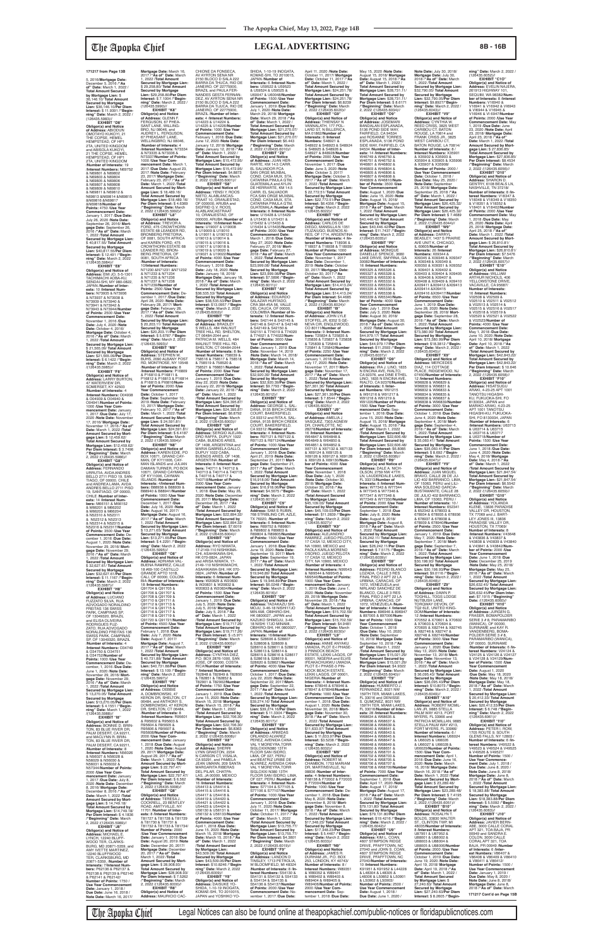5, 2016/**Mortgage Date:** December 5, 2016 /**"As of" Date:** March 1, 2022 / **Total Amount Secured by Mortgage Lien:** \$ 36,146.10/ **Total Amount Secured by Mortgage Lien:** \$36,146.10/**Per Diem Interest:** \$ 11.9391 /**"Begin-ning" Date:** March 2, 2022 / (126435.5983)// **EXHIBIT "D8"**

**Obligor(s) and Notice of Address:** ABIODUN OMOTAYO KUKOYI, 21 THE COPSE, HEMEL HEMPSTEAD, OF HP1 2TA, UNITED KINGDOM and ABISOLA KUKOYI, 21 THE COPSE, HEMEL HEMPSTEAD, OF HP1 2TA, UNITED KINGDOM /**Number of Interests:** 19 /**Interest Numbers:** N69752 & N69801 & N69802 & N69803 & N69804 & N69805 & N69806 & N69807 & N69808 & N69809 & N69810 & N69811 & N69812 & N69813 &N69814 &N69815 &N69816 &N69817 &N69818/**Number of Points:** 4750 /**Use Year Commencement Date:** January 1, 2017 /**Due Date:** July 26, 2020 /**Note Date:** September 26, 2016/ **Mort-gage Date:** September 26, 2016 /**"As of" Date:** March 1, 2022 /**Total Amount Secured by Mortgage Lien:** \$ 40,817.55/ **Total Amount Secured by Mortgage Lien:** \$40,817.55/**Per Diem Interest:** \$ 12.491 /**"Begin-ning" Date:** March 2, 2022 /(126435.5984)// **EXHIBIT "E8"**

**EXHIBIT "F8" Obligor(s) and Notice of Address:** LARRY BURTON, 47 WATERVIEW DR, SOMERSET, KY 42503 /**Number of Interests:** 4 /**Interest Numbers:** O04938 & O04939 & O04940 & O04941/**Number of Points:** 1000 /**Use Year Commencement Date:** January 1, 2017 /**Due Date:** July 17, 2020 /**Note Date:** November 17, 2016/ **Mortgage Date:** November 17, 2016 /**"As of" Date:** March 1, 2022 /**Total Amount Secured by Mort-gage Lien:** \$ 12,459.62/ **Total Amount Secured by Mortgage Lien:** \$12,459.62/ **Per Diem Interest:** \$ 3.7496 /**"Beginning" Date:** March 2, 2022 /(126435.5986)//<br>**EXHIBIT "G8"** 

**Obligor(s) and Notice of Address:** EMI JO, 5-5-1301<br>TACHIMACHI AOBA-KU,<br>SENDAI-SHI, MY 980-0822, JAPAN /**Number of Interests:** 10 /**Interest Numbers:** N73935 & N73936 & N73937 & N73938 & N73939 & N73940 & N73941 & N73942 & N73943 & N73944/**Number of Points:** 2500 /**Use Year Commencement Date:** November 1, 2016 /**Due Date:** July 4, 2020 /**Note Date:** October 4, 2016/ **Mortgage Date:** October 4, 2016 /**"As of" Date:** March 1, 2022 /**Total Amount Secured by Mortgage Lien:** \$ 21,565.09/ **Total Amount Secured by Mortgage Lien:** \$21,565.09/**Per Diem Interest:** \$ 6.1422 /**"Beginning" Date:** March 2, 2022 /(126435.5985)//

**Mortgage Date: March 16,<br>2017 /"As of" Date: March<br>1, 2022 /<b>Total Amount**<br>Secured by Mortgage Lien:<br>\$ 29,258.80/ Total Amount **Secured by Mortgage Lien:** \$29,258.80/**Per Diem Interest:** \$ 7.1004 /**"Begin-ning" Date:** March 2, 2022 / (126435.5990)// **EXHIBIT "K8"<br>
<b>Obligor(s) and Notice**<br> **of Address:** GLENN F.<br>
FERGUSON, 67 PHEA-<br>
SANT LANE, WILLING-<br>BRO, NJ 08046, and AUDREY L. FERGUSON, 67 PHEASANT LANE,<br>WELLINGBRO, NJ 08046, /**Number of Interests:** 4 /**Interest Numbers:** N73334 & N73335 & N73336 & N73337/**Number of Points:** 1000 /**Use Year Commencement Date:** March 1, 2017 /**Due Date:** August 23, 2017 /**Note Date:** February 23, 2017/ **Mortgage Date:** February 23, 2017 /**"As of" Date:** March 1, 2022 /**Total Amount Secured by Mort-gage Lien:** \$ 18,489.16/ **Total Amount Secured by Mortgage Lien:** \$18,489.16/ **Per Diem Interest:** \$ 4.6369 /**"Beginning" Date:** March 2, 2022 /(126435.5992)// **EXHIBIT "L8" Obligor(s) and Notice of Address:** TREVOR A. FORD, 475 CROWTHORN ESTATE 68 LEANDER RD,<br>BRONBERG PRETORIA, OF 0081, SOUTH AFRICA and KAREN FORD, 475 CROWTHORN ESTATE 68 LEANDER RD, BRON-BERG PRETORIA, OF 0081, SOUTH AFRICA /**Number of Interests:** 10/**Interest Numbers:** N71230 &N71231 &N71232 & N71233 & N71234 & N71235 & N71236<br>& N71237 & N71238 & N71237 & N71238 & N71239/**Number of Points:** 2500 /**Use Year Commencement Date:** De-cember 1, 2017 /**Due Date:** April 28, 2020 /**Note Date:** February 28, 2017/ **Mort-gage Date:** February 28, 2017 /**"As of" Date:** March 1, 2022 /**Total Amount** 

**EXHIBIT "N8" Obligor(s) and Notice of Address:** KAREN EDIE, PO BOX 10671, GRAND CAY-MAN, OF KY11006, CAY-MAN ISLANDS and JULIAN DAMIAN TURNER, PO BOX 10671, GRAND CAYMAN,<br>OF KY11006, CAYMAN<br>ISLANDS /**Number of Interests:** 4/**Interest Numbers:** B88938 & B88939 &<br>B88940 & B88941/**Numbe** B88940 & B88941/**Number of Points:** 1000 /**Use Year Commencement Date:** December 1, 2017 /**Due Date:** July 16, 2020 /**Note Date:** August 16, 2017/ **Mortgage Date:** August 16, 2017 /**"As of" Date:** March 1, 2022 /**Total Amount Secured by Mortgage Lien:** \$ 13,271.65/ **Total Amount**  OF 1408, ARGENTINA and MARIA GABRIELA GALLO, DUPUY 1022 CABA, BUENOS ARIES, OF 1408, ARGENTINA /**Number of Interests:** 8 /**Interest Num-bers:** T40711 & T40712 & T40713 & T40714 & T40715 & T40716 & T40717 & T40718/**Number of Points:** 2000 /**Use Year Com-mencement Date:** January 1, 2018 /**Due Date:** May 26, 2020 /**Note Date:** December 26, 2017/ **Mortgage Date:** December 26, 2017 /**"As of" Date:** March 1, 2022 /**Total Amount Secured by Mortgage Lien:** \$22,894.32/ **Total Amount Secured by Mortgage Lien:** \$22,894.32/ **Per Diem Interest:** \$7.6019 /**"Beginning" Date:** March 2, 2022 /(126435.6004)// **EXHIBIT "V8" Obligor(s) and Notice of Address:** RYO NIWATA, 17-2149-110 NISHIKIMA-CHI, ASAHIKAWA-SHI, HK 070-0824, JAPAN<br>and ARISA NIWATA, 17-2149-110 NISHIKIMA ASAHIKAWA-SHI, HK 070- 0824, JAPAN /**Number of Interests:** 6 /**Interest Numbers:** W20829 & W20830 & W20831 & W20832 & W20833 & W20834/**Number of Points:** 1500 /**Use Year Commencement Date:** January 1, 2019 /**Due Date:** July 5, 2020 /**Note Date:** July 5, 2018/ **Mortgage Date:** July 5, 2018 /**"As of" Date:** March 1, 2022 /**Total Amount Secured by Mortgage Lien:** \$19,717.26/ **Total Amount Secured by Mortgage Lien:** \$19,717.26/ **Per Diem Interest:** \$ =5.971 /**"Beginning" Date:** March 2, 2022 /(126435.6005)// **EXHIBIT "W8" Obligor(s) and Notice of Address:** CYNTHIA DIEZ, P.O. BOX 2876-1000, SAN JOSE, OF 00000, COSTA RICA/**Number of Interests:** 7 /**Interest Numbers:** T82848 & T82849 & T82850 & T82851 & T82852 & T82901 & T82902/**Number of Points:** 1750 /**Use Year Commencement Date:** January 1, 2019 /**Due Date:** June 15, 2020 /**Note Date:** March 15, 2018/ **Mortgage Date:** March 15, 2018 /**"As of" Date:** March 1, 2022 /**Total Amount Secured by Mortgage Lien:** \$22,706.30/ **Total Amount Secured by Mortgage Lien:** \$22,706.30/ **Per Diem Interest:** \$6.8363 /**"Beginning" Date:** March 2, 2022 /(126435.6008)// **EXHIBIT "X8" Obligor(s) and Notice of Address:** SHERRI LYNN GRASTON, 2234 N CARSON CT, VISALIA, CA 93291, and PAMELA JEAN UMANN, 209 SANTA MARGARITA RIBERAS DEL PILAR, CHATPA LAS, JA 00000, MEXICO /**Number of Interests:** 16 /**Interest Numbers:** U54413 & U54414 & U54415 & U54416 & U54417 & U54418 & U54419 & U54420 & U54421 & U54422 & U54423 & U54424 & U56130 & U56131 & U56132 & U56133/**Number of Points:** 4000 /**Use Year Commencement Date:** April 1, 2018 /**Due Date:** June 15, 2020 /**Note Date:** March 15, 2018/ **Mortgage Date:** March 15, 2018 /**"As of" Date:** March 1, 2022 /**Total Amount Secured by Mortgage Lien:** \$43,509.06/ **Total Amount Secured by Mortgage Lien:** \$43,509.06/**Per Diem Interest:** \$10.8246 /**"Beginning" Date:** March 2, 2022 /(126435.6009)// **EXHIBIT "Y8" Obligor(s) and Notice of Address:** DAISUKE YO-SHIDA, 1-10-19 INOGATA,<br>KOMAE-SHI, TO 2010015,<br>JAPAN and YOSHIKO YO-

CHIONE DA FONSECA,<br>AV AYRTON SENA NR<br>2150 BLOCO D SALA 222<br>BARRA DA THUCA, RIO DE<br>JANEIRO, OF 22775900, BRAZIL and PAULA FER-NANDES GESTA FERNAN-DEZ, AV AYRTON SENA NF 2150 BLOCO D SALA 222 BARRA DA TIJUCA, RIO DE JANEIRO, OF 22775900, BRAZIL /**Number of Inter-ests:** 4 /**Interest Numbers:** U14223 & U14224 & U14225 & U14226/**Number of Points:** 1000 /**Use Year Commencement Date:** February 1, 2018 /**Due Date:** June 12, 2020 /**Note Date:** January 12, 2018/ **Mortgage Date:** January 12, 2018 /**"As of" Date:** March 1, 2022 / Total Amount Secured by<br>Mortgage Lien: \$15,472.95/<br>Total Amount Secured by<br>Mortgage Lien: \$15,472.95/<br>Per Diem Interest: \$4.8873<br>/"Beginning" Date: March<br>2, 2022 /(126435.6001)// SHIDA, 1-10-19 INOGATA,<br>KOMAE-SHI, TO 2010015,<br>JAPAN /**Number of**<br><mark>Interests:</mark> 6 /<mark>Interest Num-</mark> **bers:** U59522 & U59523 & U59524 & U59525 & U60047 & U60048/**Number of Points:** 1500 /**Use Year Commencement Date:** January 1, 2019 /**Due Date:** July 1, 2020 /**Note Date:** March 29, 2018/ **Mortgage Date:** March 29, 2018 /**"As of" Date:** March 1, 2022 / **Total Amount Secured by Mortgage Lien:** \$21,270.07/ **Total Amount Secured by Mortgage Lien:** \$21,270.07/ **Per Diem Interest:** \$6.443 /**"Beginning" Date:** March 2, 2022 /(126435.6010)// **EXHIBIT "Z8" Obligor(s) and Notice<br><b>of Address:** JUAN HER-<br>RARTE, KM 14.5 CARR.<br>EL SALVADOR FCA SAN ORGE MUXBAL<br>COND. CASA MUX, STA.

**EXHIBIT "G8" Obligor(s) and Notice of Address:** FERNANDO URRUTIA, AVDA ANDRES BELLO 2711 PISO 19, SAN-TIAGO, OF 00000, CHILE<br>TIAGO, OF 00000, CHILE<br>and ANDREA I AMA\_AVDA and ANDREA LAMA, AVDA<br>ANDRES BELLO 2711 PISO<br>19, SANTIAGO, OF 00000,<br>CHILE /**Number of Interests:** 14 /**Interest Numbers:** M66151 & M66152 & M66201 & M66202 & M66203 & M66204 & N52310 & N52311 & N52312 & N52313 & N52314 & N52315 & N52316 & N52317/**Number of Points:** 3500 /**Use Year Commencement Date:** De-2016 /**Due Da** August 1, 2020 /**Note Date:** November 29, 2016/ **Mortgage Date:** November 29, 2016 /**"As of" Date:** March 1, 2022 /**Total Amount Secured by Mortgage Lien:** \$ 32,627.61/ **Total Amount Secured by Mortgage Lien:** \$32,627.61/**Per Diem Interest:** \$ 11.1167 /**"Begin-ning" Date:** March 2, 2022 /(126435.5987)// **EXHIBIT "H8" Obligor(s) and Notice of Address:** LUCIANO FUZZATO SILVA, RUA ADVOGADO NORALDINO FREITAS 136 SWISS PARK, CAMPINAS SP, OF 13049320, BRAZIL and ELISA OLIVEIRA RODRIGUES FUZ-ZATO, RUA ADVOGADO NORALDINO FREITAS 136 SWISS PARK, CAMPINAS SP, OF 13049320, BRAZIL /**Number of Interests:** 4 /**Interest Numbers:** O34749 & O34750 & O34751 & O34752/**Number of Points:** 1000 /**Use Year Commencement Date:** December, 1, 2016 /**Due Date:** June 1, 2020 /**Note Date:** November 29, 2016/ **Mortgage Date:** November 29, 2016 /**"As of" Date:** March 1, 2022 /**Total Amount Secured by Mortgage Lien:** \$ 13,270.05/ **Total Amount Secured by Mortgage Lien:** \$13,270.05/**Per Diem Interest:** \$ 4.1551 /**"Beginning" Date:** March 1, 2022 /(126435.5988)// **EXHIBIT "I8" Obligor(s) and Notice of Address:** BONNIE D. BRIN-TON, 83 BLUE RIVER DR, PALM DESERT, CA 92211, and MACLYNN R. BRIN-TON, 83 BLUE RIVER DR, PALM DESERT, CA 92211, /**Number of Interests:** 8 /**Interest Numbers:** N56026 & N56027 & N56028 & N56029 & N56030 & N56031 & N56032 & N57344/**Number of Points:** 2000 /**Use Year Commencement Date:** January 1, 2017 /**Due Date:** July 8, 2020 /**Note Date:** December 8, 2016/ **Mortgage Date:** December 8, 2016 /**"As of" Date:** March 1, 2022 /**Total Amount Secured by Mortgage Lien:** \$ 14,749.18/ **Total Amount Secured by Mortgage Lien:** \$14,749.18/ **Per Diem Interest:** \$ 4.1836 /**"Beginning" Date:** March 2, 2022 /(126435.5989)// **EXHIBIT "J8" Obligor(s) and Notice of Address:** MICHAEL E. LYNCH, 12240 BLUFF-WOOD TER, CLARKS-BURG, MD 20871-5359, and AMY IVETTE MARTINEZ, 12240 BLUFFWOOD TER, CLARKSBURG, MD 20871-5359, /**Number of Interests:** 7/**Interest Numbers:** P62136 & P62137 & P62138 & P62139 & P62140 & P62141 & P62142/ **Number of Points:** 1750 / **Use Year Commencement** 

**Date:** January 1, 2018 / **Due Date:** June 16, 2018 / **Note Date:** March 16, 2017/

The Apopka Chief Legal Notices can also be found online at theapopkachief.com/public-notices or floridapublicnotices.com

**Secured by Mortgage Lien:** \$ 20,203.11/ **Total Amount Secured by Mortgage Lien:** \$20,203.11/**Per Diem Interest:** \$ 5.6787 /**"Begin-ning" Date:** March 2, 2022 /(126435.5993)// **EXHIBIT "M8" Obligor(s) and Notice of<br><b>Address:** STEPHEN W.<br>BUHS, 2090 ALBANY POST<br>RD, MONTROSE, NY 10548 /**Number of Interests:** 8 /**Interest Numbers:** P16809 & P16810 & P16811 & P16812 & P16813 & P16814 & P16815 & PI6816/**Num-ber of Points:** 2000 /**Use Year Commencement**  Date: October 1, 2017<br>/Due Date: September 10. /**Due Date:** September 10, 2019 /**Note Date:** February 10, 2017/ **Mortgage Date:** February 10, 2017 /**"As of" Date:** March 1, 2022 /**Total Amount Secured by Mort-gage Lien:** \$ 24,591.81/ **Total Amount Secured by Mortgage Lien:** \$24,591.81/ **Per Diem Interest:** \$ 6.4187 /**"Beginning" Date:** March 2, 2022 /(126435.5994)//

**Secured by Mortgage Lien:** \$13,271.65/**Per Diem Interest:** \$ 4.2291 /**"Beginning" Date:** March 2, 2022 /(126435.5995)// **EXHIBIT "O8" Obligor(s) and Notice of Address:** ADRIANA VAL-BUENA RAMIREZ, CALLE 18 #69-100 CASTILLO GRANDE APTO 101B, CALI, OF 00000, COLOM-BIA /**Number of Interests:** 18 /**Interest Numbers:** Q91704 & Q91705 & Q91706 & Q91707 & Q91708 & Q91709 & Q91710 & Q91711 & Q91712 & Q91713 & Q91714 & Q91715 & Q91716 & Q91717 & Q91718 & Q91719 & Q91720 & Q91721/**Number of Points:** 4500 /**Use Year Commencement Date:** February 1, 2018 /**Due Date:** July 7, 2020 /**Note Date:** August 7, 2017/ **Mortgage Date:** August 7, 2017 /**"As of" Date:** March 1, 2022 /**Total Amount Secured by Mortgage Lien:** \$ 40,731.88/ **Total Amount Secured by Mortgage Lien:** \$40,731.88/**Per Diem Interest:** \$ 13.109 /**"Begin-ning" Date:** March 2, 2022 /(126435.5997)// **EXHIBIT "P8" Obligor(s) and Notice of Address:** DEBBIE A. DOMBROWSKI, 47 KERON DR, SHELTON, CT 06484, and ANTHONY S. DOMBROWSKI, 47 KERON DR, SHELTON, CT 06484, /**Number of Interests:** 8 /**Interest Numbers:** R95601 & R95602 & R95603 & R95604 & R95605 & R95606 & R95607 R95608/**Number of Points:** 2000 /**Use Year Commencement Date:** January 2018 /**Due Date:** August<br>2020 /**Note Date:** August 1, 2020 /**Note Date:** August 29, 2017/ **Mortgage Date:** August 29, 2017 /**"As of" Date:** March 1, 2022 /**Total Amount Secured by Mortgage Lien:** \$ 22,797.47/ **Total Amount Secured by**  Mortgage Lien: \$22,797 **Per Diem Interest:** \$ 6.562 /**"Beginning" Date:** March 2, 2022 /(126435.5998)// **EXHIBIT "Q8" Obligor(s) and Notice of Address:** TERESA J. COCKRELL, 23 BENTLEY ROAD, AMITYVILLE, NY 11701 /**Number of Inter-ests:** 8 /**Interest Numbers:** T81727 & T81728 & T81729 & T81730 & T81731 & T81732 & T81733 & T81734/ **Number of Points:** 2000 /**Use Year Commencement Date:** January 1, 2018 /**Due Date:** August 20, 2019 /**Note Date:** December 20, 2017/ **Mortgage Date:** December 20, 2017 /**"As of" Date:** March 1, 2022 /**Total Amount Secured by Mort-gage Lien:** \$ 28,908.93/ **Total Amount Secured by Mortgage Lien:** \$28,908.93/ **Per Diem Interest:** \$ 7.5262 /**"Beginning" Date:** March 2, 2022 /(126435.6000)// **EXHIBIT "R8" Obligor(s) and Notice of Address:** MAURICIO CAC-

**EXHIBIT "S8" Obligor(s) and Notice of Address:** YENSI Y. ROOS NIETO, ALABLANCAS-TRAAT 10, ORANJESTAD, OF 000000, ARUBA and SIGFRID G.V. ROOS,<br>ALABLANCASTRAAT ALABLANCASTRAAT 10, ORANJESTAD, OF 000000, ARUBA /**Number of Interests:** 16/**Interest Numbers:** U19007 & U19008 & U19009 & U19010 & U19011 & U19012 & U19013 & U19014 & U19015 & U19016 & U19017 & U19018 & U19019 & U19020 & U19021 & U19022/**Number of Points:** 4000 /**Use Year Commencement Date:** February 1, 2018 /**Due Date:** July 18, 2020 /**Note Date:** January 18, 2018/ **Mortgage Date:** January 18, 2018 /**"As of" Date:** March 1, 2022 /**Total Amount Secured by Mortgage Lien:** \$38,535.53/ **Total Amount Secured by Mortgage Lien:** \$38,535.53/**Per Diem Interest:** \$13.0957 /**"Begin-ning" Date:** March 2, 2022 /(126435.6002)// **EXHIBIT "T8" Obligor(s) and Notice<br><b>of Address:** BRADLEY<br>S WELLS, 484 WALNUT<br>TREE HILL RD, SHELTON, CT 06484-2044 and PATRICIA M. WELLS, 484 WALNUT TREE HILL RD,<br>SHELTON, CT 06484-2044<br>**/Number of Interest**s: 8 /**In-<br>terest Numbers:** 758039 &<br>758516 & 758517 & 758518<br>& 758519 & 758520 & 758521 & 768831/**Number of Points:** 2000 /**Use Year Commencement Date:** January 1, 2019 /**Due Date:** May 22, 2020 /**Note Date:** January 22, 2018/ **Mortgage Date:** January 22, 2018 /**"As of" Date:** March 1, 2022 /**Total Amount Secured by Mortgage Lien:** \$24,395.87/ **Total Amount Secured by Mortgage Lien:** \$24,395.87/ **Per Diem Interest:** \$6.8792 /**"Beginning" Date:** March 2, 2022 /(126435.6003)// **EXHIBIT "U8" Obligor(s) and Notice of Address:** SERGIO ALEJAN-DRO RAFFA, DUPUY 1022 CABA, BUENOS ARIES, CATARINA PINULA GTM,<br>GUATEMALA and AYLIN<br>DE HERRARTE, KM 14.5<br>CARR. EL SALVADOR<br>FCA SAN ORGE MUXBAL<br>COND. CASA MUX, STA. CATARINA PINULA GTM, GUATEMALA /**Number of Interests:** 8 /**Interest Numbers:** U15428 & U15429 & U15430 & U15431 & U15432 & U15433 & U15434 & U15435/**Number of Points:** 2000 /**Use Year Commencement Date:** March 1, 2018 /**Due Date:** May 27, 2020 /**Note Date:** February 27, 2018/ **Mortgage Date:** February 27, 2018 /**"As of" Date:** March 1, 2022 /**Total Amount Secured by Mortgage Lien:** \$23,999.08/ **Total Amount Secured by Mortgage Lien:** \$23,999.08/**Per Diem Interest:** \$7.5896 /**"Begin-<br><b>ning" Date:** March 2, 2022<br>/(126435.6011)// **EXHIBIT "A9" Obligor(s) and Notice of Address:** EDUARDO SALAZAR HURTADO,<br>CRA 38A #5A 56, VALLE CRA 38A #5A 56, VALLE DEL CAUCA, OF 00000, COLOMBIA /**Number of In-terests:** 12 /**Interest Numbers:** S42144 & S42145 & S42146 & S42147 & S42148 & S42149 & S42150 & S42151 & T74019 & T74020 & T74021 & T74022/**Num-ber of Points:** 3000 /**Use Year Commencement Date:** January 1, 2019 /**Due Date:** November 14, 2019 /**Note Date:** March 14, 2018/ **Mortgage Date:** March 14, 2018 /**"As of" Date:** March 1, 2022 /**Total Amount Secured by Mortgage Lien:** \$32,920.39/ **Total Amount Secured by Mortgage Lien:** \$32,920.39/**Per Diem Interest:** \$9.7793 /**"Beginning" Date:** March 2, 2022 /(126435.6012)//<br>**FXHIBIT** "B9" **EXHIBIT "B9" Obligor(s) and Notice of Address:** GEORGE L. SAL-DANA, 9135 BIRCH CREEK COURT, BAKERSFIELD, CA 93312 and RITA A. SAL-DANA, 9135 BIRCH CREEK COURT, BAKERSFIELD, CA 93312 /**Number of Interests:** 4 /**Interest Numbers:** R97121 & R97122 & R97123 & R97124/**Number of Points:** 1000 /**Use Year Commencement Date:** January 1, 2018 /**Due Date:** April 21, 2019 /**Note Date:** September 21, 2017/ **Mortgage Date:** September 21, 2017 /**"As of" Date:** March 1, 2022 /**Total Amount Secured by Mortgage Lien:** \$16,918.06/ **Total Amount Secured by Mortgage Lien:** \$16,918.06/**Per Diem Interest:** \$4.5675 /**"Begin-ning" Date:** March 2, 2022 /(126435.6013)// **EXHIBIT "C9" Obligor(s) and Notice of Address:** SAM S RUBIN, 768 STRIBLING CIR, AZLE, TX 76020, /**Number of Interests:** 6 /**Interest Numbers:** R89752 & R89801 & R89802 & R89803 & R89804 & R89805/**Numb of Points:** 1500 /**Use Year Commencement Date:** January 1, 2018 /**Due Date:** June 19, 2020 /**Note Date:** September 19, 2017/ **Mortgage Date:** September 19, 2017 /**"As of" Date:** March 1, 2022 /**Total Amount Secured by Mortgage Lien:** \$19,946.89/ **Total Amount Secured by Mortgage Lien:** \$ 19,946.89/**Per Diem Interest:** \$6.0248 /**"Beginning" Date:** March 2, 2022 /(126435.6016)// **EXHIBIT "D9" Obligor(s) and Notice of Address:** TADAKAZU SHI-MOJU, 3-46-18 NISHI17JO MIN AMI, OBIHIRO-SHI, HK 0800027, JAPAN and KAZUKO SHIMOJU, 3-46- 18 NISHI 17JO MINAMI, OBIHIRO-SHI, HK 0800027, JAPAN /**Number of Interests:** 16/**Interest Numbers:** S28606 & S28607 & S28608 & S28609 & S28610 & S28611 & S28612 & S28613 & S28614 & S28615 & S28616 & S28617 & S28618 & S28619 & S28620 & S28621/**Number of Points:** 4000 /**Use Year Commencement Date:**<br>October 1, 2017 / Due Date October 1, 2017 /**Due Date:** July 22, 2020 /**Note Date:** September 22, 2017/**Mortgage Date:** September 22, 2017 /**"As of" Date:** March 1, 2022 /**Total Amount Secured by Mortgage Lien:** \$39,274.16/ **Total Amount Secured by Mortgage Lien:** \$39,274.16/**Per Diem Interest:** \$ 11.3304 /**"Beginning"** Date: March 2, 2022 /(126435.6017)//<br>**FXHIBIT "F9" EXHIBIT "E9" Obligor(s) and Notice of Address:** ARMIDAS ORLANDO ALVAREZ PEREZ, AVENIDA CANA-VAL Y MOREYRA,TORR<br>SIGLOXXIN380 13TH SIGLOXXIN380 13TH FLOOR SAN ISIDRO, LIMA, OF 027, PERU and BEATRIZ URIBE DE ALVAREZ, AVENIDA CANA-<br>VAL Y MOREYRA,TORR<br>SIGLOXXI N380 13TH<br>FLOOR SAN ISIDRO, LIMA,<br>OF 027, PERU /**Number of**<br>**Interests**: 4 /**Interest Numbers:** S77104 & S77105 & S77106 & S77107/**Number of Points:** 1000 /**Use Year Commencement Date:** January 1, 2018 /**Due Date:** July 11, 2020 /**Note Date:** October 11, 2017/ **Mortgage Date:** October 11, 2017 /**"As of" Date:** March 1, 2022 /**Total Amount Secured by Mortgage Lien:** \$13,755.77/ **Total Amount Secured by Mortgage Lien:** \$13,755.77/ **Per Diem Interest:** \$4.3801 /**"Beginning" Date:** March 2, 2022 /(126435.6019)// **EXHIBIT "F9" Obligor(s) and Notice of Address:** LANDON D TINSLEY, 1713 PETROLIA, W BLOOMFIELD, MI 48324 /**Number of Interests:** 8 /**Interest Numbers:** S54130 & S54131 & S54132 & S54133 & S54134 & S54135 & S54136 & S54137/**Number of Points:** 2000 /**Use Year Commencement Date:** No-vember 1, 2017 /**Due Date:**

(126435.6047)//<br>**Obligor(s) and Notice of<br><b>Address:** JUAN MIGUEL<br>BRAVO, CALLE 28 DE JU-<br>LIO 402 BARRANCO, LIMA, OF 15063, PERU and LILI-ANA SOLEDAD GARCIA-BUSTAMANTE, CALLE 28 DE JULIO 402 BARRANCO, LIMA, OF 15063, PERU / **Number of Interests:** 10 / **Interest Numbers:** 652341 & 652342 & 678933 & 678934 & 678935 & 678936 & 678937 & 678938 & 678939 & 678940/**Number of Points:** 2500 /**Use Year Commencement Date:** January 1, 2019 /**Due Date:**

April 11, 2020 /**Note Date:** October 11, 2017/ **Mortgage Date:** October 11, 2017 /**"As of" Date:** March 1, 2022 / **Total Amount Secured by Mortgage Lien:** \$24,251.78/ **Total Amount Secured by Mortgage Lien: \$24,251.78/<br><b>Per Diem Interest: \$**6.8239<br>/**"Beginning" Date:** March<br>2, 2022 /(126435.6020)// **EXHIBIT "G9" Obligor(s) and Notice of Address:** THIENSAY N VANNALATH, 177 POL-LARD ST, N BILLERICA, MA 01862/**Number of Interests:** 8 /**Interest Numbers:** S48921 & S48922 & S48923 & S48924 & S48925 & S48926 & S48927 & 848928/**Number of Points:** 2000 /**Use Year Commencement Date:** November 1, 2017 /**Due Date:** June 3, 2020 /**Note Date:** October 3, 2017/ **Mortgage Date:** October 3, 2017 /**"As of" Date:** March 1, 2022 /**Total Amount Secured by Mortgage Lien:** \$ 22,772.51/ **Total Amount Secured by Mortgage Lien:** \$22,772.51/**Per Diem Interest:** \$6.4356 /**"Begin-ning" Date:** March 2, 2022 /(126435.6022)// **EXHIBIT "H9" Obligor(s) and Notice of Address:** CARLOS DE DIEGO, MANSILLA N 1351 ITUZAIUGO, BUENOS AI-RES, OF 1714, ARGENTINA /**Number of Interests:** 4 /**Interest Numbers:** T18936 & T18937 & T18938 & T18939/ **Number of Points:** 1000 **/Use Year Commencement**<br>Date: November 1, 2017 **Date:** November 1, 2017 /**Due Date:** December 1, 2019 /**Note Date:** October 30, 2017/ **Mortgage Date:** October 30, 2017 /**"As of" Date:** March 1, 2022 /**Total Amount Secured by Mortgage Lien:** \$14,413.24/ **Total Amount Secured by Mortgage Lien:** \$14,413.24/ **Per Diem Interest:** \$4.4685 /**"Beginning" Date:** March 2, 2022 /(126435.6024)// **EXHIBIT "I9" Obligor(s) and Notice of Address:** JOHN LYLE STOFFEL JR, 6352 S GE-NEVA CIR, ENGLEWOOD, CO 80111/**Number of Interests:** 9 /**Interest Numbers:** T25834 & T25835 & T25836 & T25837 & T25838 & T25839 & T25840 & T25841 & T25842/**Number of Points:** 2250 /**Use Year Commencement Date:** January 1, 2018 /**Due Date:** July 17, 2020 /**Note Date:** November 17, 2017/ **Mortgage Date:** November 17, 2017 /**"As of" Date:** March 1, 2022 /**Total Amount Secured by Mortgage Lien:** \$27,361.36/ **Total Amount Secured by Mortgage Lien:** \$27,361.36/**Per Diem Interest:** \$ 7.8544 /**"Begin-ning" Date:** March 2, 2022 /(126435.6025)// **EXHIBIT "J9" Obligor(s) and Notice of Address:** AMELIA J<br>VASQUEZ, 7303 AGNEW<br>DR, CHARLOTTE, NC 28278/**Number of Interests:** 16 /**Interest Numbers:** W64847 & W64848 & W64849 & W64850 & W64851 & W64852 & X67131 & X67132 & X67133 & X69124 & X69125 & X69126 & X69127 & X69128 & X69129 & X69130/**Number of Points:** 4000 /**Use Year Commencement Date:** November 1, 2018 /**Due Date:** July 1, 2020 /**Note Date:** October 30, 2018/ **Mortgage Date:** October 30, 2018 /**"As of" Date:** March 1, 2022 /**Total Amount Secured by Mortgage Lien:** \$45,109.03/ **Total Amount Secured by Mortgage Lien:** \$45,109.03/**Per Diem Interest:** \$11.2839 /**"Begin-ning" Date:** March 2, 2022 /(126435.6027)// **EXHIBIT "K9" Obligor(s) and Notice of Address:** ALEJANDRO RAMIREZ, JUEGO PELOTA 17 CASA 12, MEXICO CITY, NA 10900, MEXICO and PAOLA KARLA MORENO OSORIO, JUEGO PELOTA 17 CASA 12, MEXICO CITY, NA 10900, MEXICO /**Number of Interests:** 4 /**Interest Numbers:** N99543 & N99544 & N99545 & N99546/**Number of Points:** 1000 /**Use Year Com-**<br>mencement Date: January **mencement Date:** January 1, 2019 /**Due Date:** June 1, 2020 /Note Date: Novembe 29, 2018/ **Mortgage Date:** November 29, 2018 /**"As of" Date:** March 1, 2022 /**Total Amount Secured by Mortgage Lien:** \$15,702.59/ **Total Amount Secured by Mortgage Lien:** \$15,702.59/ **Per Diem Interest:** \$4.9481 /**"Beginning" Date:** March 2, 2022 /(126435.6030)// **EXHIBIT "L9 Obligor(s) and Notice of Address:** ANNIE ANYAKU UWADIA, PLOT E-l PHASE-3 PINNOCK BEACH ESTATE, LEKKI LAGOS, OF 00001, NIGERIA and ELVIS IFEAKACHUKWU UWADIA, PLOT E-l PHASE-3 PIN-NOCK BEACH ESTATE, LEKKI LAGOS, OF 00001, NIGERIA /**Number of Interests:** 4 /**Interest Numbers:** 678945 & 678946 & 678947 & 678948/**Number of Points:** 1000 /**Use Year Commencement Date:** De-cember 1, 2018 /**Due Date:** August 1, 2020 /**Note Date:** November 30, 2018/ **Mort-gage Date:** November 30, 2018 /**"As of" Date:** March 1, 2022 /**Total Amount Secured by Mortgage Lien:** \$11,633.97/ **Total Amount Secured by Mortgage Lien:** \$ 11,633.97/**Per Diem Interest:** \$3.5238 /**"Beginning" Date:** March 2, 2022 /(126435.6032)// **EXHIBIT "M9" Obligor(s) and Notice of Address:** ROBERT M. CHAMBON, 1753 MARIAM DR, MARTINSVILLE, NJ 08836 /**Number of Inter**ests: 4 /**Interest Numb** F68138 & F72002 & F72003 & F72004/**Number of Points:** 1000 /**Use Year Commencement Date:** De-cember 1, 2018 /**Due Date:** May 8, 2020 /**Note Date:** November 8, 2018/ **Mort-gage Date:** November 8, 2018 /**"As of" Date:** March 1, 2022 /**Total Amount Secured by Mortgage Lien:** \$17,348.23/ **Total Amount Secured by Mortgage Lien:** \$17,348.23/**Per Diem Interest:** \$ 5.4467 /**"Beginning" Date:** March 2, 2022 /(126435.6033)// **EXHIBIT "N9" Obligor(s) and Notice of Address:** JAMES R. DURHAM JR., P.O. BOX 253, LONDON, KY 40743/ **Number of Interests:** 8 / **Interest Numbers: W8935** & W89352 & W89401 & W89402 & W89403 & W89404 & W89405 & W89406/**Number of Points:** 2000 /**Use Year Commencement Date:** Sep-tember 1, 2018 /**Due Date: Date:** August 1, 2018 / **Due Date:** June 1, 2020 /

May 15, 2020 /**Note Date:** August 15, 2018/ **Mortgage Date:** August 15, 2018 /**"As of" Date:** March 1, 2022 / **Total Amount Secured by Mortgage Lien:** \$28,731.11/ **Total Amount Secured by Mortgage Lien: \$28,731.11/<br><b>Per Diem Interest: \$** 8.6171<br>/**"Beginning" Date:** March<br>2, 2022 /(126435.6034)// **EXHIBIT "O9"<br><b>Obligor(s) and Notice**<br>**61 Address:** JOSEMARI<br>BANDALAN ESPLANADA,<br>5136 POND SIDE WAY,<br>FAIRFIELD, CA 94534 and ROSANNE TORRES ESPLANADA, 5136 POND SIDE WAY, FAIRFIELD, CA 94534 /**Number of Inter-ests:** 14 /**Interest Numbers:** W46749 & W46750 & W46751 & W46752 & W46801 & W46802 & W46803 & W46804 & W46805 & W46806 & W46807 & W46808 & W46809 & W46810/**Number of Points:** 3500 /**Use Year Commencement Date:** August 1, 2020 /**Due Date:** June 15, 2020 /**Note Date:** August 15, 2018/ **Mortgage Date:** August 15, 2018 /**"As of" Date:** March 1, 2022 /**Total Amount Secured by Mortgage Lien:** \$40,446.42/ **Total Amount Secured by Mortgage Lien:** \$40,446.42/**Per Diem Interest:** \$11.7437 /**"Begin-<br><b>ning" Date:** March 2, 2022<br>/(126435.6035)// **EXHIBIT "P9" Obligor(s) and Notice of Address:** MONIQUE DANIELLE SPENCE, 3680 LAKE DRIVE, SMYRNA, GA 30082/**Number of Interests:** 16 /**Interest Numbers:** W65325 & W65326 & W65327 & W65328 & W65329 & W65330 & W65331 & W65332 & W65333 & W65334 & W65335 & W65336 & W65337 & W65338 & W65339 & W65340/**Number of Points:** 4000 /**Use Year Commencement Date:** July 1, 2019 /**Due Date:** July 3, 2020 /**Note Date:** August 30, 2018/ **Mortgage Date:** August 30, 2018 /**"As of" Date:** March 1, 2022 /**Total Amount Secured by Mortgage Lien:** \$44,979.17/ **Total Amount Secured by Mortgage**  Lien: \$44,979.17/Per Diem<br>Interest: \$11.2593 / "Begin-<br>Ining" Date: March 2, 2022<br>/(126435.6037)//<br>2022/126435.6037)//<br>Obligor(s) and Notice of<br>Address: IRAJ. LINO, 1835<br>CA 92376, and DINE ETHEL<br>LINO, 1835 N ENCINA AVE,<br>RI **est Numbers:** W91215 & W91216 & W91217 & W91218 & W91219 & W91220/**Number of Points:** 1500 /**Use Year Com-mencement Date:** Sep-tember 1, 2018 /**Due Date:** June 15, 2020 /**Note Date:** August 15, 2018/ **Mortgage Date:** August 15, 2018 /**"As of" Date:** March 1, 2022 /**Total Amount Secured by**  Mortgage Lien: \$22,606.48/<br>**Total Amount Secured by<br><b>Mortgage Lien: \$22,606.48/<br><b>Per Diem Interest:** \$6.8085<br>/**"Beginning" Date:** March<br>2, 2022 /(126435.6038)// **EXHIBIT "R9"**

**Obligor(s) and Notice of Address:** DALE A. NICH-OLSON, 2759 NW 47TH LN, LAUDERDALE LAKES, FL 33313/**Number of Interests:** 8 /**Interest Numbers:** W77343 & W77344 & W77345 & W77346 & W77347 & W77348 & W77349 & W77350/**Number of Points:** 2000 /**Use Year Commencement Date:** September 1, 2018 /**Due Date:** July 8, 2020 /**Note Date:** August 8, 2018/ **Mortgage Date:** August 8, 2018 /**"As of" Date:** March 1, 2022 /**Total Amount Secured by Mortgage Lien:** \$ 26,242.11/ **Total Amount Secured by Mortgage Lien:** \$26,242.11/**Per Diem Interest:** \$ 7.5175 /**"Beginning" Date:** March 2, 2022 /(126435.6039)// **EXHIBIT "S9" Obligor(s) and Notice of Address:** PEDRO BLANCO LOZADA, CALLE 3 RES FINAL PISO 2 APT 22 LA<br>URBINA, CARACAS, OF<br>1072, VENEZUELA and<br>NIRLAND SANCHEZ DE<br>BLANCO, CALLE 3 RES<br>FINAL PISO 2 APT 22 LA URBINA, CARACAS, OF 1072, VENEZUELA /**Num-ber of Interests:** 4 /**Interest Numbers:** 896946 & 896947 & 897005 & 897006/**Number of Points:** 1000 /**Use Year Commencement Date:** October 1, 2018 /**Due Date:** May 10, 2020 /**Note Date:** September 10, 2018/ **Mortgage Date:** September 10, 2018 /**"As of" Date:** March 1, 2022 /**Total Amount Secured by Mortgage Lien:** \$15,021.29/ **Total Amount Secured by Mortgage Lien:** \$15,021.29/ **Per Diem Interest:** \$4.9322 /**"Beginning" Date:** March 2, 2022 /(126435.6040)// **EXHIBIT "T9" Obligor(s) and Notice of Address:** HUMBERTO J. FERNANDEZ, 8021 NW 159TH TER, MIAMI LAKES, FL 33016 and DENISSE<br>S. QUMONEZ, 8021 NW S. QUMONEZ, 8021 NW 159TH TER, MIAMI LAKES, FL 33016/**Number of Inter ests:** 28 /**Interest Numbers:** W68634 & W68635 & W68636 & W68637 & W68638 & W68639 & W68640 & W68641 & W68642 & W68643 & W68644 & W68645 & W68646 & W68647 & W68648 & W68649 & W68650 & W68651 & W68652 & W68701 & W68702 & W68703 & W68704 & W68705 & W68706 & W68707 & W68708 & W68709/Nu W68708 & W68709/**Number of Points:** 7000 /**Use Year Commencement Date:** September 1, 2018 /**Due Date:** April 17, 2020 /**Note Date:** August 17, 2018/ **Mortgage Date:** August 17, 2018 /**"As of" Date:** March 1, 2022 /**Total Amount Secured by Mortgage Lien:** \$79,131.80/ **Total Amount Secured by Mortgage Lien:** \$79,131.80/**Per Diem Interest:** \$19.4216 /**"Begin-ning" Date:** March 2, 2022 / (126435.6042)// **EXHIBIT "U9" Obligor(s) and Notice of Address:** KIM L. COAN, 4607 STIMPSON RIDGE DRIVE, PFAFFTOWN, NO 27040 and JOHN S. COAN,<br>4607 STIMPSON RIDGE DRIVE, PFAFFTOWN, NC 27040/**Number of Interests:** 10 /**Interest Numbers:**<br>K91951 & K91952 & L44228<br>& L48304 & L48305 &<br>L48306 & L50852 & L50901 & L50902 & L50903/ **Number of Points:** 2500 / **Use Year Commencement** 

**Note Date:** July 30, 2018/ **Mortgage Date:** July 30, 2018 /**"As of" Date:** March 1, 2022 /**Total Amount Secured by Mortgage Lien:** \$32,790.05/ **Total Amount Secured by Mortgage Lien:** \$32,790.05/**Per Diem Interest:** \$9.8927/**"Begin-ning" Date:** March 2, 2022 / (126435.6043)// **EXHIBIT "V9" Obligor(s) and Notice of<br><b>Address:** CYNTHIA W.<br>REED CRISS, 3825 WEST<br>CARIBOU CT, BATON ROUGE, LA 70814 and FRANK CRISS JR., 3825 WEST CARIBOU CT, BATON ROUGE, LA 70814/ **Number of Interests:** 8 / **Interest Numbers:** X35901 & X35902 & X35903 & X35904 & X35905 & X35906 & X35907 & X35908/ **Number of Points:** 2000 / **Use Year Commencement Date:** October 1, 2018 / **Due Date:** May 25, 2020 / **Note Date:** September 25, 2018/ **Mortgage Date:** September 25, 2018 /**"As of" Date:** March 1, 2022 / **Total Amount Secured by Mortgage Lien: \$26,425.32/<br><b>Total Amount Secured by**<br>**Mortgage Lien: \$26,425.32/<br><b>Per Diem Interest: \$ 7.4689**<br>/**"Beginning" Date:** March<br>2, 2022 /(126435.6044)// **EXHIBIT "W9" Obligor(s) and Notice<br><b>of Address:** DARRYL<br>BEASLEY, 1437 S PRAIRIE<br>AVE UNIT K, CHICAGO, IL 60605/**Number of Interests:** 26 /**Interest Numbers:** X09344 & X09345 & X09346 & X09347 & X09348 & X09349 & X09350 & X09351 & X09352 & X09401 & X09402 & X09403 & X09404 & X09405 & X09406 & X09407 & X09408 & X09409 & X09410 &X09411 &X09412 &X09413 &X09414 &X09415 &X09416 &X09417/**Number**  of Points: 6500 /Use Year<br>Commencement Date:<br>June 1, 2019 /Due Date:<br>June 28, 2020 /Note Date:<br>September 28, 2018 /Mort-<br>gage Date: September 28,<br>2018 /"As of" Date: March 1, 2022 /**Total Amount Secured by Mortgage Lien:** \$73,380.99/ **Total Amount Secured by Mortgage Lien:** \$73,380.99/**Per Diem Interest:** \$18.3812 /**"Begin-ning" Date:** March 2, 2022 / (126435.6045)// **EXHIBIT "X9" Obligor(s) and Notice of Address:** MERCEDES DIAZ, 114 COTTAGE PLACE, RIDGEWOOD, NJ 07450/**Number of Interests:** 12 /**Interest Numbers:** W96828 & W96829 & W96830 & W96831 & W96832 & W96833 & W96834 & W96835 & W96836 & W96837 & W96838 & W96839/**Nu of Points:** 3000 /**Use Year Commencement Date:** October 1, 2018 /**Due Date:** June 4, 2020 /**Note Date:** September 4, 2018/ **Mortgage Date:** September 4, 2018 /**"As of" Date:** March 1, 2022 /**Total Amount Secured by Mortgage Lien:** \$ 35,060.41/ **Total Amount Secured by Mortgage Lien:** \$35,060.41/**Per Diem Interest:** \$ 8.692 /**"Begin-ning" Date:** March 2, 2022 /

May 7, 2020 /**Note Date:** September 7, 2018/ **Mortgage Date:** September 7, 2018 /**"As of" Date:** March 1, 2022 /**Total Amount Secured by Mortgage Lien:** \$30,198.93/ **Total Amount Secured by Mortgage Lien:** \$30,198.93/**Per Diem Interest:** \$9.0116 /**"Beginning" Date:** March 2, 2022 / (126435.6048)// **EXHIBIT "Z9" Obligor(s) and Notice of Address:** DAWN P.<br>TOGHILL, TOGS LODGE NUTBUSH LANE TORQWAY DEVON, OF TQ2 6LE, UNITED KING-DOM/**Number of Interests:** 12 /**Interest Numbers:** X70552 & X70601 & X70602 & X70603 & X70604 & X70605 & X82744 & X82745 & X82746 & X82747 & X82748 & X82749/**Number of Points:** 3000 /**Use Year Commencement Date:** January 1, 2020 /**Due Date:** May 13, 2020 /**Note Date:** November 13, 2018/ **Mortgage Date:** November 13, 2018 /**"As of" Date:** March 1, 2022 /**Total Amount Secured by Mortgage Lien:** \$ 36,095.43/ **Total Amount Secured by Mortgage Lien:** \$36,095.43/**Per Diem Interest:** \$10.8073 /**"Begin-ning" Date:** March 2, 2022 /  $(12\bar{6}435.6049)$ //<br>EXHIBIT "A10" **EXHIBIT "A10" Obligor(s) and Notice of Address:** ROBERT MCMIL-LAN JR, 9885 STELLA PALM WAY #213, FORT MYERS, FL 33966 and PATRICIA MCMILLAN, 9885 STELLA PALM WAY #213 FORT MYERS, FL 33966/ **Number of Interests:** 6 / **Interest Numbers:** U66024 & U66025 & U66026 & U66027 & U66028 & U66029/**Number of Points:** 1500 /**Use Year Commencement Date:** April 1, 2018 /**Due Date:** June 16, 2020 /**Note Date:** March 16, 2018/ **Mortgage Date:** March 16, 2018 /**"As of" Date:** March 1, 2022 /**Total Amount Secured by Mort-gage Lien:** \$ 23,289.48/ **Total Amount Secured by Mortgage Lien:** \$23,289.48/ **Per Diem Interest:** \$ 7.4195 /**"Beginning" Date:** March 2, 2022 /(126435.6051)// **EXHIBIT "B10" Obligor(s) and Notice of Address:** ROSALYN T. BOLDS, 33830 WALTER ST., CLINTON TWP, MI 48035/**Number of Interests:** 8 /**Interest Numbers:** U87951 & U87952 & U88001 & U88002 & U88003 & U88004 & U88005 & U88006/**Number of Points:** 2000 /**Use Year Commencement Date:** October 1, 2019 /**Due Date:** June 19, 2020 /**Note Date:** April 19, 2018/ **Mortgage Date:** April 19, 2018 /**"As of" Date:** March 1, 2022 / **Total Amount Secured by Mortgage Lien:** \$ 27,240.63/ **Total Amount Secured by Mortgage Lien:** \$27,240.63/**Per Diem Interest:** \$ 8.2605 /**"Begin-**

**ning" Date:** March 2, 2022 / (126435.6052)// **EXHIBIT "C1O" Obligor(s) and Notice of Address:** EVELIN NAJERA, 261913 HIGHWAY 101, SEQUIM, WA 98382/**Number of Interests:** 8 /**Interes Numbers:** V16940 & V16941 & V16942 & VI6943 & VI6944 & V16945 &<br>V16946 & VI 6947/**Numbe**l V16946 & VI 6947/Number<br>of Points: 2000 /Use Year<br>Commencement Date: May<br>1, 2019 /Due Date: June<br>23, 2020 /Note Date: April<br>23, 2018/Mortgage Date:<br>April 23, 2018 /Vacar Date: April<br>Date: March 1, 2022 /Total **Amount Secured by Mortgage Lien:** \$ 27,836.85/ **Total Amount Secured by Mortgage Lien:** \$27,836.85/ **Per Diem Interest:** \$8.4534

/**"Beginning" Date:** March 2, 2022 /(126435.6056)// **EXHIBIT "D10" Obligor(s) and Notice of Address:** SHARON D. GENTRY, 6108 BEALS LN, NASHVILLE, TN 37218/ **Number of Interests:** 8 /**Interest Numbers:** V18347 & V18348 & V18349 & V18350 & V18351 & V18352 & V18401 & V18402/**Number of Points:** 2000 /**Use Year Commencement Date:** May 1, 2018 /**Due Date:** May 25, 2020 /**Note Date:** April 25, 2018/ **Mortgage Date:** April 25, 2018 /**"As of" Date:** March 1, 2022 /**Total Amount Secured by Mortgage Lien:** \$ 26,810.81/ **Total Amount Secured by Mortgage Lien:** \$26,810.81/ **Per Diem Interest:** \$7.5476 /**"Beginning" Date:** March 2, 2022 /(126435.6057)// **EXHIBIT "E10" Obligor(s) and Notice of Address:** WILLIAM ARTHUR NICHOLS, 406 YELLOWSTONE DRIVE, VACAVILLE, CA 95687/ **Number of Interests:** 16 /**Interest Numbers:** V02508 & V02509 & V02510 & V02511 & V02512 & V02513 & V02514 & V02515 & V02516 & V02517 & V02518 & V02519 & V02520 & V02521 & V02522 & V02523/**Number of Points:** 4000 /**Use Year Commencement Date:** May 1, 2018 /**Due Date:** June 10, 2020 /**Note Date:** April 10, 2018/ **Mortgage Date:** April 10, 2018 /**"As of" Date:** March 1, 2022 /**Total Amount Secured by Mortgage Lien:** \$42,843.22/ **Total Amount Secured by Mortgage Lien:** \$42,843.22/ **Per Diem Interest:** \$ 10.646 /**"Beginning" Date:** March 2, 2022 /(126435.6058)// **EXHIBIT "F10" Obligor(s) and Notice of Address:** HISATSUGU

ARAKI, 4-23-25 APT 1001 TANOTSU HIGASHI-KU, FUKUOKA-SHI, FO 8130034, JAPAN and MARIKO ARAKI, 4-23-25 APT 1001 TANOTSU HIGASHI-KU, FUKUOKA-SHI, FO 8130034, JAPAN /**Number of Interests:** 6 /**Interest Numbers:** U63713 & U63714 & U63715 & U63716 & U63717 & U63718/**Number of Points:** 1500 /**Use Year Commencement Date:** June 1, 2018 /**Due Date:** June 4, 2020 / Note Date:<br>May 4, 2018/ Mortgge<br>Date: May 4, 2018 / "As<br>Of" Date: March 1, 2022<br>Total Amount Secured by<br>Mortgage Lien: \$21,847.54/<br>Total Amount Secured by<br>Mortgage Lien: \$21,847.54/<br>Mer Diem Interest: \$6.554 /**"Beginning" Date:** March 2, 2022 /(126435.6059)//

**EXHIBIT "G10" Obligor(s) and Notice of Address:** YOLANDA KLENE, 13836 PARADISE VALLEY DR, HOUSTON,<br>TX 77069 and J. BART-<br>LEY JONES III, 13836 PARADISE VALLEY DR, HOUSTON, TX 77069/ **Number of Interests:** 8 /**Interest Numbers:** V43648 & V43836 & V43837 & V43838 & V43839 & V43840 & V43841 & V43842/**Number of Points:** 2000 /**Use Year Commencement Date:** June 1, 2018 /**Due Date:** December 25, 2019 /**Note Date:** May 25, 2018/ **Mortgage Date:** May 25, 2018 /**"As of" Date:** March 1, 2022 /**Total Amount Secured by Mortgage Lien:** \$26,632.45/ **Total Amount Secured by Mortgage Lien:** \$26,632.45/**Per Diem Inter-est:** \$7.1915 /**"Beginning" Date:** /(126435.6060)// **EXHIBIT "H10" Obligor(s) and Notice of Address:** JURGEN G. FRASER, BOMAPOLDER SERIE 3 # 8, PARAMARIBO (WANICA), OF 00000, SURINAME and KAY R.<br>VANDENBERG, BOMA-<br>POLDER SERIE 3 # 8,<br>PARAMARIBO (WANICA), OF 00000, SURINAME /**Number of Interests:** 6 /**Interest Numbers:** V24124 & V24125 & V24126 & V24127 & V24128 & V24129/**Number of Points:** 1500 /**Use Year Commencement Date:** August 1, 2020 /**Due Date:** May 18, 2020 /**Note Date:** May 18, 2018/ **Mortgage Date:** May 18, 2018 /**"As of" Date:** March 1, 2022 /**Total Amount Secured by Mortgage Lien:** \$ 20,412.33/ **Total Amount Secured by Mortgage Lien:** \$20,412.33/**Per Diem Interest:** \$ 6.748 /**"Begin-ning" Date:** March 2, 2022 /(126435.6061)// **EXHIBIT "I10" Obligor(s) and Notice of Address:** PETER I. ROW, 1705 ROUTE 9, SOUTH GLENS FALLS, NY 12803 / **Number of Interests:** 6 /**Interest Numbers:** V49522 & V49523 & V49524 & V49525 & V49526 & V49527/ **Number of Points:** 1500 / **Use Year Commencement Date:** July 1, 2018 / **Due Date:** June 8, 2020 / **Note Date:** June 8, 2018/ **Mortgage Date:** June 8, 2018 /**"As of" Date:** March 1, 2022 /**Total Amount Secured by Mortgage Lien:** \$ 18,383.88/ **Total Amount Secured by Mortgage Lien:** \$18,383.88/**Per Diem Interest:** \$ 5.5092 /**"Begin-ning" Date:** March 2, 2022 / (126435.6063)// **EXHIBIT "J10" Obligor(s) and Notice of Address:** JAVIER BERN-ABE, 3000 CALLE CORAL APT 321, TOA BAJA, PR 00949 and SANDRA E. COLON, 3000 CALLE CORAL APT 321, TOA BAJA, PR 00949 /**Num of Interests:** 6 /**Inter-est Numbers:** V86407 & V86408 & V86409 & V86410 & V86411 & V86412/ **Number of Points:** 1500 / **Use Year Commencement Date:** January 1, 2019 / **Due Date:** May 8, 2020 / **Note Date:** June 8, 2018/ **Mortgage Date:** June 8, 2018 /**"As of" Date:** March

**171217 Cont'd on Page 15B**

## *Che* **Apopka Chief <b>Example 26 IDCAL ADVERTISING** 8B-16B

**<sup>171217</sup> from Page 13B**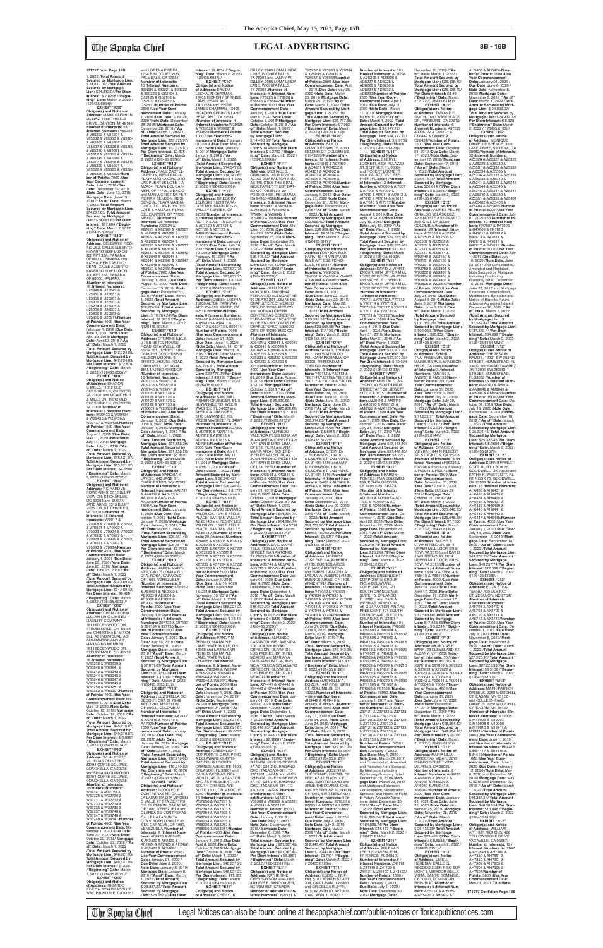1, 2022 /**Total Amount Secured by Mortgage Lien:** \$ 24,812.04/ **Total Amount Secured by Mortgage Lien:** \$24,812.04/**Per Diem Interest:** \$ 7.8218 /**"Beginning" Date:** March 2, 2022 /<br>(126435.6064)//

/**Number of Interests:** 16 /**Interest Numbers:** U25848 & U25849 & U25850 & U25851 & U25852 & U25901 & U25902 & U25903 & U25904 & U25905 & U25906 & U25907 & U25908 & U25909 & U25910 & U25911/**Number of Points:** 4000 /**Use Year Commencement Date:** February 1, 2019 /**Due Date:** June 1, 2020 /**Note Date:** April 30, 2018/ **Mortgage Date:** April 30, 2018 /**"As of" Date:** March 1, 2022 /**Total Amount Secured by Mortgage Lien: \$42,724.93/<br><b>Mortgage Lien: \$42,724.93/<br><b>Mortgage Lien: \$42,724.93/**<br>**Per Diem Interest: \$12.878**<br>/**/"Beginning" Date:** March<br>2, 2022 /(126435.6066)//

(126435.6064)// **EXHIBIT "K10" Obligor(s) and Notice of Address:** MARK STEPHEN MLINAZ, 1686 THISTLE DRIVE, CANTON, MI 48188/ **Number of Interests:** 28 /**Interest Numbers:** V85251 & V85252 & V85301 & V85302 & V85303 & V85304 & V85305 & V85306 & V85307 & V85308 & V85309 & V85310 & V85311 & V85312 & V85313 & V85314 & V85315 & V85316 & V85317 & V85318 & V85319 & V85320 & V85321 & V85322 & V85323 & V85324 & V85325 & V85326/**Number of Points:** 7000 /**Use Year Commencement Date:** July 1, 2018 /**Due**  Date: December 13, 2019<br>/Note Date: June 13, 2018/<br>Mortgage Date: June 13,<br>2018 /"As of" Date: March<br>1, 2022 /Total Amount<br>Secured by Mortgage Lien:<br>\$74,091.63/ Total Amount **Secured by Mortgage Lien:** \$74,091.63/**Per Diem Interest:** \$17.604 /**"Begin-ning" Date:** March 2, 2022 /(126435.6065)// **EXHIBIT "L10" Obligor(s) and Notice of Address:** BELISARIO ROD-<br>RIGUEZ, CALLE ALBERTO<br>NAVARRO EDIF LUXOR<br>300 APT 32A, PANAMA, OF 00000, PANAMA and KATHALEEN CASTRO<br>DEAN, CALLE ALBERTO NAVARRO EDIF LUXOR 300 APT 32A, PANAMA, OF 00000, PANAMA

**EXHIBIT "M10" Obligor(s) and Notice of Address:** SHARON L. MILLS, 11012 OLD CHESHIRE LN, CHESTER, VA 23831 and MCARTHUR J. MILLS JR, 11012 OLD CHESHIRE LN, CHESTER, VA 23831/**Number of Interests:** 6 /**Interest Numbers:** W29433 & W29434 & W29435 & W29436 & W29437 & W29438/**Number of Points:** 1500 /**Use Year Commencement Date:** August 1, 2018 /**Due Date:** May 11, 2020 /**Note Date:** July 11, 2018/ **Mortgage Date:** July 11, 2018 /**"As of" Date:** March 1, 2022 /**Total Amount Secured by Mortgage Lien:** \$15,821.97/ **Total Amount Secured by Mortgage Lien:** \$15,821.97/ **Per Diem Interest:** \$4.6586 /**"Beginning" Date:** March 2, 2022 /(126435.6072)// **EXHIBIT "N10"**

**Obligor(s) and Notice of Address:** RICHARD JE-ROME ARNS, 3515 BLUFF VIEW DR, ST.CHARLES, MO 63303 and SUSAN JANE ARNS, 3515 BLUFF VIEW DR, ST. CHARLES, MO 63303 /**Number of Interests:** 18 /**Interest Numbers:** V70917 & V70918 & V70919 & V70920

**Mortgage Lien: \$33,975.97/<br><b>Per Diem Interest: \$**9.875<br>/**"Beginning" Date:** March<br>2, 2022 /(126435.6076)// **EXHIBIT "R10" Obligor(s) and Notice of Address:** RAUL CASTEL-LA-PEON, RESIDENCIAL PLAYA MAGNA CIRCUITO LAS PUENTES LOTE 1-A MZA34, PLAYA DEL CAR-MEN, OF 77726, MEXICO and MARIA CRISTINA FER-<br>REIRA Y RENDON, RESI-<br>DENCIAL PLAYA MAGNA<br>CIRCUITO LAS FUENTES<br>LOTE 1-A MZA34, PLAYA<br>DEL CARMEN, OF 77726, MEXICO /**Number of Interests:** 28 /**Interest Numbers:** X82624 & X82625 & X82626 & X82627 & X82628 & X82629 & X82630 & X82631 & X82632 & X82633 & X82634 & X82635 & X82636 & X82637 & X82638 & X82639 & X82640 & X82641 & X82642 & X82643 & X82644 & X82645 & X82646 & X82647 & X82648 & X82649 & X82650 & X82651/**Number of Points:** 7000 /**Use Year Commencement Date:** January 1, 2020 /**Due Date:** August 13, 2020 /**Note Date:** December 13, 2018/ **Mortgage Date:** December 13, 2018 /**"As of" Date:** March 1, 2022 /**Total Amount Secured by Mortgage Lien:** \$19,764.24/ **Total Amount Secured by Mortgage Lien:** \$ 19,764.24/**Per Diem Interest:** \$2.8233 /**"Begin-ning" Date:** March 2, 2022 /(126435.6078)// **EXHIBIT "S10" Obligor(s) and Notice of Address:** OTUMINE ILELE-JI, 6 BRISTOL HOUSE ROAD, CRANWELL, OF NG34 8EU, UNITED KING-DOM and OKECHUKWU NELSON-MOORE, 6 BRISTOL HOUSE ROAD, CRANWELL, OF NG34 8EU, UNITED KINGDOM /**Number of Interests:** 16 /**Interest Numbers:** W09736 & W09737 & W09738 & W09739 & W09740 & W09741 & W11123 & W11124 & W11125 & W11126 & W11127 & W11128 & W11129 & W11130 & W20601 & W20602/**Number of Points:** 4000 /**Use Year Commencement Date:** January 1, 2020 /**Due Date:** June 9, 2020 /**Note Date:** January 1, 2019/ **Mortgage Date:** January 1, 2019 /**"As of" Date:** March 1, 2022 /**Total Amount Secured by Mortgage Lien:** \$31,158.20/ **Total Amount Secured by Mortgage Lien: \$31,158.20/<br><b>Per Diem Interest: \$**8.8607<br>/**"Beginning" Date:** March<br>2, 2022 /(126435.6081)// **EXHIBIT "T10" Obligor(s) and Notice of Address:** SANDRA K LAVOIE, 643 JANE ST,<br>CHARLESTON, WV 25302/ **Number of Interests:** 6 /**Interest Numbers:** AA0211 & AA0212 & AA0213 & AA0214 & AA0215 &<br>AA0216/**Number of Points:**<br>1500 /**Use Year Com-**<br>mencement Date: January<br>1, 2020 /Due Date: Sep-<br>tember 7, 2019 /**Note Date:** January 7, 2019/ **Mortgage Date:** January 7, 2019 /**"As of" Date:** March 1, 2022 /**Total Amount Secured by Mortgage Lien:** \$26,651.46/ **Total Amount Secured by Mortgage Lien: \$26,651.46/<br><b>Per Diem Interest: \$**7.7658<br>/**"Beginning" Date:** March<br>2, 2022 /(126435.6082)// **EXHIBIT "U10" Obligor(s) and Not Address:** KAREN MARTI-NEZ, CALLE LOMA AZUL QTA. ROKA, CARACAS, OF 1061, VENEZUELA /**Number of Interests:** 8 /**Interest Numbers:** AE8952 & AE9001 & AE9002 & AE9003 & AE9004 & AE9005 & AE9004 & AE9007 /**Number of Points:** 2000 /**Use Year Commencement Date:** January 1,202land **Number of Interests:** 4 /**Interest Numbers:** 397132 & 397133 & 397134 & 397135/**Number of Points:** 1000 /**Use Year Commencement Date:** January 1, 2012 /**Due Date:** July 10, 2019 /**Note Date:** January 10, 2019/ **Mortgage Date:** January 10, 2019 /**"As of" Date:** March 1, 2022 /**Total Amount Secured by Mortgage Lien:** \$ 37,071.07/ **Total Amount Secured by Mortgage Lien:** \$37,071.07/**Per Diem Interest:** \$ 10.097 /**"Begin-ning" Date:** March 2, 2022 /(126435.6085 EU)// **EXHIBIT "V10" Obligor(s) and Notice of<br><b>Address:** LUZ STELLA DE<br>BEDOUT, CRA 31 #8-48<br>APTO 202, MEDELLIN, OF 00000, COLOMBIA/ **Number of Interests:** 4 /**Interest Numbers:** AA7917 & AA7918 & AA7919 & AA7920/**Number of Points:** 1000 /**Use Year Commencement Date:** January 01, 2020 /**Due Date:** May 28, 2020 /**Note Date:** January 28, 2019/ **Mortgage Date:** January 28, 2019 /**"As of" Date:** March 1, 2022 /**Total Amount Secured by Mortgage Lien:** \$16,210.82/ **Total Amount Secured by Mortgage Lien:** \$16,210.82/ **Per Diem Interest:** \$5.3676 /**"Beginning" Date:** March 2, 2022 /(126435.6086)// **EXHIBIT "W10" Obligor(s) and Notice of<br><b>Address:** RODOLFO E.<br>CONTRERAS-M., CALLE<br>LA LAGUNITA QTA VIRGEN D VALLE #7 STA GERTRU-DIS EL PENON, CARACAS, OF 1080, VENEZUELA and GLENDA DE-CONTRERAS CALLE LA LAGUNITA<br>QTA VIRGEN D VALLE #7 STA, CARACAS, OF 1080, VENEZUELA /**Number of Interests:** 9 /**Interest Numbers:** AF2420 & AF2421 & AF2422 & AF2423 & AF2424 & AF2425 & AF2426 & AF2427 & AF2428/ **Number of Points:** 2250 / **Use Year Commencement Date:** January 01, 2020 / **Due Date:** June 8, 2020 / **Note Date:** January 8, 2019/ **Mortgage Date:** January 8, 2019 /**"As of" Date:** March 1, 2022 /**Total Amount Secured by Mortgage Lien:** \$ 28,357.23/ **Total Amount Secured by Mortgage Lien:** \$28,357.23/**Per Diem**  AZ 85140 and PEGGY LEE WILDRICK, 1641 E ATOLE<br>PLACE, SAN TAN VALLEY,

and LORENA PINEDA,<br>1734 BRADCLIFF WAY, PALMDALE, CA 93551/ **Number of Interests:** 10 /**Interest Numbers:** 890220 & 890221 & 890222 & 890223 & G52104 & G52105 & G52106 & G52107 & G52452 & G52501/**Number of Points:** 2500 /**Use Year Commencement Date:** January 1, 2020 /**Due Date:** June 28, 2020 /**Note Date:** December 28, 2018/ **Mortgage Date:** December 28, 2018 /**"As of" Date:** March 1, 2022 / **Total Amount Secured by Mortgage Lien:** \$33,975.97/ **Total Amount Secured by** 

## *Che* **Apopka Chief <b>Example 26 IDCAL ADVERTISING** 8B-16B

& V70921 & V70922 & V70923 & V70924 & V70925 & V70926 & V70927 & V70928 & V70929 & V70930 & V70931 & V70932 & V70933 & V70934/**Number of Points:** 4500 /**Use Year Commencement Date:** January 1, 2021 /**Due Date:** June 25, 2020 /**Note Date:** June 25, 2018/ **Mortgage Date:** June 25, 2018 /**"As of" Date:** March 1, 2022 /**Total Amount Secured by Mortgage Lien:** \$34,469.42/ **Total Amount Secured by Mortgage Lien:** \$34,469.42/ **Per Diem Interest:** \$9.4291 /**"Beginning" Date:** March 2, 2022 /(126435.6073)// **EXHIBIT "O10" Obligor(s) and Notice of Address:** CHBM GLOBAL LLC, AN OHIO LIMITED LIABILITY COMPANY, 161 HIDDENWOOD DR STEUBENVILE, OH 43953 and CHRISTINA B. MITCH-ELL, AS INDIVIDUAL, AS GUARANTOR AND AS MANAGING MEMBER 161 HIDDENWOOD DF STEUBENVILE, OH 43953 /**Number of Interests:** 16 /**Interest Numbers**<br>W83238 & W83239 W83238 & W83239 & W83240 & W83241 & W83242 & W83243 & W83244 & W83245 & W83246 & W83247 & W83248 & W83249 & W83250 & W83251 & W83252 & W83301/**Number of Points:** 4000 /**Use Year Commencement Date:** November 1, 2018 /**Due Date:** May 12, 2020 /**Note Date:** October 12, 2018/ **Mortgage Date:** October 12, 2018 /**"As of" Date:** March 1, 2022 /**Total Amount Secured by Mortgage Lien:** \$40,210.87/ **Total Amount Secured by Mortgage Lien:** \$40,210.87/ **Per Diem Interest:** \$ 9.8997 /**"Beginning" Date:** March 2, 2022 /(126435.6074)// **EXHIBIT "P10" Obligor(s) and Notice of Address:** WUALBERTO VILLEGAS QUINTERO, 83794 CORTE ECLIPSE, COACHELLA, CA 92236 and SUSANA QUINTERO, 83794 CORTE ECLIPSE, COACHELLA, CA 92236 /**Number of Interests:** 16/**Interest Numbers:** W32141 &W32728 & W32729 & W32730 & W32731 & W32732 & W32733 & W32734 & W32735 & W32736 & W32737 & W33746 & W33747 & W33748 & W33749 & W34541/**Number of Points:** 4000 /**Use Year Commencement Date:** November 1, 2020 /**Due Date:** June 22, 2020 /**Note Date:** October 22, 2018/ **Mortgage Date:** October 22, 2018 /**"As of" Date:** March 1, 2022 /**Total Amount Secured by Mortgage Lien:** \$46,621.95/ **Total Amount Secured by Mortgage Lien:** \$46,621.95/ **Per Diem Interest:** \$13.35 /**"Beginning" Date:** March 2, 2022 /(126435.6075)// **EXHIBIT "Q10" Obligor(s) and Notice of Address:** RICARDO PINEDA, 1734 BRADCLIFF

WAY, PALMDALE, CA 93551

The Apopka Chief Legal Notices can also be found online at theapopkachief.com/public-notices or floridapublicnotices.com

Y25932 & Y25933 & Y25934 & Y25935 & Y25936 & Y25937 & Y25938/**Number** 

F88846 & F88847/**Number of Points:** 1000 /**Use Year Commencement Date:** January 1, 2019 /**Due Date:** May 8, 2020 /**Note Date:** October 8, 2018/ **Mortgage Date:** October 8, 2018 /**"As of" Date:** March 1, 2022 / **Total Amount Secured by Mortgage Lien:** \$ 14,466.86/ **Total Amount Secured by Mortgage Lien:** \$ 14,466.86/**Per Diem Interest:** \$ 4.2792 /**"Begin-ning" Date:** March 2, 2022 / (126435.6099)// **EXHIBIT "F11" Obligor(s) and Notice of Address:** MICHAEL B. GRALNICK, AS INDIVIDU-AL, AS GUARANTOR AND AS TRUSTEE THE GRAL-NICK FAMILY TRUST DAT-ED OCTOBER 20, 2011, PO BOX 4686, PETALUMA, CA 94955-4586/**Number of Interests:** 8 /**Interest Numbers:** W59837 & W59838 & W59839 & W59840 & W59841 & W59842 & W59843 & W59844/**Number of Points:** 2000 /**Use Year Commencement Date:** October 01, 2018 /**Due Date:** April 26, 2020 /**Note Date:** September 26, 2018/ **Mortgage Date:** September 26, 2018 /**"As of" Date:** March 1, 2022 /**Total Amount Secured by Mortgage Lien:** \$26,105.12/ **Total Amount Secured by Mortgage Lien:** \$26,105.12/**Per Diem Interest:** \$7.3858 /**"Begin-ning" Date:** March 2, 2022 /(126435.6100)// **EXHIBIT "G11" Obligor(s) and Notice of Address:** GUILLERMO MONTERO- AMERENA,<br>FERNANDO ALENCASTRE FERNANDO ALENCASTRE<br>99 DEPTO 201 LOMAS DE<br>CHAPULTEPEC, MEXICO<br>CITY, DF 11000, MEXICO and NORMA LORENA CONTRERAS-CORDERO, FERNANDO ALENCASTRE 99 DEPTO 201 LOMAS DE CHAPULTEPEC, MEXICO CITY, DF 11000, MEXICO /**Number of Interests:** 16 /**Interest Numbers:** X29421 & X30041 & X30042 & X30043 & X30044 & X30045 & X30046 & X30047 & X35227 & X35228 & X35229 & X35230 & X35231 & X35232 & X35233 & X35234/**Number of Points:** 4000 /**Use Year Commencement Date:** January 01, 2019 /**Due Date:** August 3, 2019 /**Note Date:** October 3, 2018/ **Mortgage Date:** October 3, 2018 /**"As of" Date:** March 1, 2022 /**Total Amount Secured by Mort-gage Lien:** \$ 25,930.66/ **Total Amount Secured by Mortgage Lien:** \$25,930.66/ **Per Diem Interest:** \$ 7.1033 /**"Beginning" Date:** March 2, 2022 /(126435.6103)// **EXHIBIT "H11" Obligor(s) and Notice of Address:** ALFREDO VALENCIA PESCHIERA, AV. JUAN ANTONIO PEZET 421 APT SAN ISIDRO, LIMA,<br>OF L18, PERU and ANA<br>MARIA ARIAS SCHERE-IBER DE VALENCIA, AV.<br>JUAN ANTONIO PEZET 421<br>APT SAN ISIDRO, LIMA,<br>OF L18, PERU /**Number of**<br>**Interests:** 4 /**Interest Numbers:** X42848 & X42849 & X42850 & X42851/**Number of Points:** 1000 /**Use Year Commencement Date:** Jan-uary 01, 2019 /**Due Date:** July 2, 2020 /**Note Date:** October 2, 2018/ Mortgage<br>Date: October 2, 2018/<sup>4</sup>/As<br>**of**" Date: March 1, 2022<br>Total Amount Secured by<br>Mortgage Lien: \$14,394.74/<br>Nortgage Lien: \$14,394.74/<br>Pre Diem Interest: \$4.5791<br>Per Diem Interest: \$4.5791<br>"Beginnin **EXHIBIT "I11" Obligor(s) and Notice of Address:** AIDA S. MARIS-TELA, 1835 LEANDER STREET, SAN ANTONIO, TX 78251-2949/**Number of Interests:** 4 /**Interest Num-bers:** AB5741 & AB5742 & AB5743 & AB5744/**Numbe of Points:** 1000 /**Use Year Commencement Date:** January 01, 2020 /**Due Date:** July 4, 2020 /**Note Date:** December 4, 2018/ **Mortgage Date:** December 4, 2018 /**"As of" Date:** March 1, 2022 /**Total Amount Secured by Mortgage Lien:** \$15,992.20/ **Total Amount Secured by Mortgage Lien:** \$ 15,992.20/**Per Diem Interest:** \$ 4.8286 /**"Begin-ning" Date:** March 2, 2022 /(126435.6109)// **EXHIBIT "J11" Obligor(s) and Notice of Address:** ALFONSO CASTRO RIVAS, AVENIDA TOLUCA 326 ALVARO<br>OBREGON, OLIVAR DE<br>LOS PADRES, DF 01780,<br>MEXICO and MARIANA GARCIA BILBATUA, AVE-NIDA TOLUCA 326 ALVARO<br>OBREGON, OLIVAR DE<br>LOS PADRES, DF 01780, MEXICO /**Number of Interests:** 4 /**Interest Numbers:** X74441 & X74442 & X74443 & X74444/**Number of Points:** 1000 /**Use Year Commencement Date:** January 01, 2019 /**Due Date:** April 4, 2020 /**Note Date:** December 4, 2018/ **Mortgage Date:** December 4, 2018 /**"As of" Date:** March 1, 2022 /**Total Amount Secured by Mortgage Lien:** \$12,448.75/ **Total Amount Secured by Mortgage Lien:** \$ 12,448.75/**Per Diem Interest:** \$2.9888 /**"Beginning" Date:** March 2, 2022 /(126435.6110)// **EXHIBIT "K11" Obligor(s) and Notice<br><b>of Address:** TOMOYUKI<br>SHIBATA, RIVERSIDEVIEW #A-101 234-2 KURAGANO-CHO, TAKASAKI-SHI, TO 3701201, JAPAN and YURI SHIBATA, RIVERSIDEVIEW #A-101 234-2 KURAGANO-CHO, TAKASAKI-SHI, TO 3701201, JAPAN /**Number of Interests:** 6 /**Inter-est Numbers:** V56307 & V56308 & V56309 & V56310 & V56311 & V56312/ **Number of Points:** 1500 / **Use Year Commencem Date:** January 1, 2019 / **Due Date:** May 6, 2020 / **Note Date:** December 6, 2018/ **Mortgage Date:** December 6, 2018 /**"As of" Date:** March 1, 2022 / **Total Amount Secured by Mortgage Lien:** \$21,087.42/ **Total Amount Secured by Mortgage Lien:** \$21,087.42/ **Per Diem Interest:** \$6.2697 /**"Beginning" Date:** March 2, 2022 /(126435.6111)// **EXHIBIT "L11" Obligor(s) and Notice of Address:** KATHERINE CHEY SAYSON, 404-3365 4TH AVE E, VANCOUVER, BC V5M 0E7, CANADA/ **Number of Interests:** 8 /**Interest Numbers:** Y25931 & AC4901 & AC4902 & AC4903 & AC4904 & /(126435.6125)// & Y47034 & Y47035 & & Y47039 & Y47040 & **Obligor(s) and Notice**  5100 W 96TH ST APT 308, OAK LAWN, IL 60453 /

**Interest:** \$9.4834 /**"Begin-ning" Date:** March 2, 2022 /  $(126435.6087)$ //<br>**EXHIBIT** "X10" **EXHIBIT "X10"<br><b>Obligor(s) and Notice**<br>**of Address:** DAVIDA<br>LECHAUN CHATMAN,<br>13405 HICKORY SPRINGS LANE, PEARLAND, TX 77584 and JESSIE JAMES CHATMAN, 13405 HICKORY SPRINGS LANE, PEARLAND, TX 77584 /**Number of Interests:** 4 /**Interest Numbers:** W39625 & W39626 & W39627 &<br>W39628/**Number of Points** W39628/**Number of Points:** 1000 /**Use Year Com-mencement Date:** February 01, 2019 /**Due Date:** May 8, 2020 /**Note Date:** January 8, 2019/ **Mortgage Date:** January 8, 2019 /**"As of" Date:** March 1, 2022 /**Total Amount Secured by Mortgage Lien:** \$14,347.69/ **Total Amount Secured by Mortgage Lien:** \$14,347.69/ **Per Diem Interest:** \$ 4.7053 /**"Beginning" Date:** March 2, 2022 /(126435.6088)// **EXHIBIT "Y10" Obligor(s) and Notice of Address:** GREGORY JELINSKI, 18218 PARA-DISE MOUNTAIN RD -22 VALLEY CENTER, CA 92082/**Number of Interests:** 8 /**Interest Numbers:** A07117 & A07118 & A07119 & A07120 & A07121 & A07122 & A07123 & A46816/**Number of Points:** 2000 /**Use Year Commencement Date:** January 1, 2020 /**Due Date:** July 19, 2020 /**Note Date:** February 19, 2019/ **Mortgage Date:** February 19, 2019 /**"As of" Date:** March 1, 2022 /Total Amount Secured by<br>Mortgage Lien: \$27,837.75/<br>Total Amount Secured by<br>Mortgage Lien: \$27,837.75/<br>Per Diem Interest: \$ 8.1398<br>/"Beginning" Date: March<br>2, 2022 /(126435.6089)// **EXHIBIT "Z10" Obligor(s) and Notice of Address:** QUEEN UDOFIA, 13700 ALTON PARKWAY APT. 154-183, IRVINE, CA 92618 /**Number of Interests:** 8 /**Interest Numbers:**<br>059407 & 059408 & 059409<br>& 059410 & 059411 & 059412 & 059413 & 059414/ **Number of Points:** 2000 */Use Year Commencement* **Date:** January 01, 2020<br>/**Due Date:** June 14, 2020<br>/**Note Date:** March 14, 2019/ **Mortgage Date:** March 14, 2019 /**"As of" Date:** March 1, 2022 /**Total Amount Secured by Mortgage Lien:**<br>\$29.776.91/ Total Amount \$29,776.91/ **Total Amount Secured by Mortgage Lien:** \$29,776.91/**Per Diem Interest:** \$ 9.0199 /**"Beginning" Date:** March 2, 2022 /(126435.6090)// **EXHIBIT "A11" Obligor(s) and Notice<br><b>of Address:** SANDRA L<br>FISHER-GRAINGER, 5115 SUWANNEE RD, WEEKI WACHEE, FL 34607 and<br>SHEILA A GRAINGER. SHEILA A GRAINGER,<br>5115 SUWANNEE RD,<br>WEEKI WACHEE, FL 34607<br>**/Number of Interests:** 8 /**Interest Numbers:** AD7809 & AD7810 & AD7811 & AD7812 & AD7813 & AD7814 & AD7815 & AD7816/**Number of Points:** 2000 /**Use Year Commencement Date:** April 1, 2019 /**Due Date:** July 11, 2020 /**Note Date:** March 11, 2019/ **Mortgage Date:** March 11, 2019 /**"As of" Date:** March 1, 2022 /**Total Amount Secured by Mortgage Lien:** \$ 28,246.42/ **Total Amount Secured by Mortgage Lien:** \$28,246.42/ **Per Diem Interest:** \$ 8.1778 /**"Beginning" Date:** March 2, 2022 /(126435.6094)// **EXHIBIT "B11" Obligor(s) and Notice of Address:** DAVID EDWARD WILDRICK, 1641 E ATOLE PLACE, SAN TAN VALLEY, GILLEY, 2905 LOMA LINDA LANE, WICHITA FALLS, TX 76308 and LANNY W. GILLEY, 2905 LOMA LINDA LANE, WICHITA FALLS, TX 76308 /**Number of Interests:** 4 /**Interest Num-bers:** F73225 & F73226 &

AZ 85140 /**Number of Interests: 20 /Interest Number** X38005 & X38006 & X38007 & X38008 & X57222 & X57223 & X57224 & X57225 & X57226 & X57227 & X57228 & X57229 & X57230 & X57231 & X57232 & X57233 & X57234 & X57235 & X57236 & X57237/**Number of Points:** 5000 /**Use Year Commencement Date:** January 1, 2019 /**Due Date:** July 16, 2020 /**Note Date:** November 16, 2018/ **Mortgage Date:** November 16, 2018 /**"As of" Date:** March 1, 2022 /**Total Amount Secured by Mortgage Lien:** \$58,221,23/ **Total Amount Secured by Mortgage Lien: \$58,221.23/<br><b>Per Diem Interest: \$** 15.45<br>/**"Beginning" Date:** March<br>2, 2022 /(126435.6096)// **EXHIBIT "C11" Obligor(s) and Notice of Address:** RANDY M PERINO, 868 MAPLE LANE, WATERVILLE, OH 43566 and LAURA ANN PERINO, 868 MAPLE<br>LANE, WATERVILLE, OH 43566 /**Number of Interests:** 8 /**Interest Num-bers:** W82940 & W82941 & W82942 & W82943 & W82944 & W82945 & W82946 & W82947/**Number of Points:** 2000 /**Use Year Commencement Date:** January 1, 2019 /**Due Date:** November 24, 2019 /**Note Date:** September 24, 2018/ **Mortgage Date:** September 24, 2018 /**"As of" Date:** March 1, 2022 /**Total Amount Secured by Mortgage Lien:** \$32,621.61/ **Total Amount Secured by Mortgage Lien:** \$32,621.61/ **Per Diem Interest:** \$9.6525 /**"Beginning" Date:** March 2, 2022 /(126435.6097)// **EXHIBIT "D11" Obligor(s) and Notice of Address:** GREENLIGHT CORPORATE GROUP INC, A DELAWARE CORPO-RATION, 121 SOUTH ORANGE AVE SUITE 1500, ORLANDO, FL 32801 and CARLA WEBB AS INDI-VIDUAL, AS GUARANTOR AND AS PRESIDENT, 121 SOUTH ORANGE AVE SUITE 1500, ORLANDO, FL 32801/**Number of Interests:** 16 /**Interest Numbers:** W57250 & W57251 & W57252 & W57301 & W57302 & W57303 & W57304 & W57305 & W88008 & W88009 & W88234 & W88235 & W88236 & W88237 & W88950 & W88951/**Numb of Points:** 4000 /**Use Year Commencement Date:** January 1, 2019 /**Due Date:** April 8, 2020 /**Note Date:** October 8, 2018/ **Mortgage Date:** October 8, 2018 /**"As of" Date:** March 1, 2022 / **Total Amount Secured by Mortgage Lien:** \$46,931.27/ **Total Amount Secured by Mortgage Lien:** \$46,931.27/ **Per Diem Interest:** \$11.597 /**"Beginning" Date:** March 2, 2022 /(126435.6098)// **EXHIBIT "E11" Obligor(s) and Notice of Address:** CHERYL K.

**Mortgage Lien:** \$27,448.10/<br>**Per Diem Interest:** \$8.2237<br>**/"Beginning" Date:** March<br>2, 2022 /(126435.6137)//<br>**EXHIBIT "X11" Obligor(s) and Notice of Address:** SHARON PONTES, RUA COLOMBO<br>888, PONTA GROSSA, OF 84050020, BRAZIL /**Number of Interests:** 6 /**Interest Numbers:** AO1601 & AO1602 & AO 1603 & AO1604 & AO<br>1605 & AO1606/Number 1605 & AO1606/**Number of Points:** 1500 /**Use Year Commencement Date:** De-cember 1, 2019 /**Due Date:** April 22, 2020 /**Note Date:** November 22, 2019/ **Mort-gage Date:** November 22, 2019 /**"As of" Date:** March

**Secured by Mortgage Lien:** \$ 26,249.78/ **Total Amount Secured by Mortgage Lien:** \$26,249.78/**Per Diem Interest:** \$ 8.302 /**"Beginning" Date:** March 2, 2022 /(126435.6139)// **EXHIBIT "Y11" Obligor(s) and Notice of Address:** GREENLIGHT CORPORATE GROUP INC, A DELAWARE CORPORATION, 121 SOUTH ORANGE AVE, SUITE 15, ORLANDO, FL 32801, and CARLA WEBB AS INDIVIDUAL AS GUARANTOR, AND AS PRESIDENT, 121 SOUTH ORANGE AVE, SUITE 15, ORLANDO, FL 32801 / **Number of Interests:** 40 / **Interest Numbers:** P48502 & P48503 & P48504 & P48505 & P48506 & P48507 & P48508 & P48509 & P49013 & P49014 & P49015 & P49016 & P49017 & P49018 & P49019 & P49020 & P49021 & P49022 & P49203 & P49204 & P49205 & P49206 & P49207 & P49208 & P49209 & P49210 & P49211 & P49212 & P49923 & P49924 & P49925 & P49926 & P49927 & P49928 & P49929 & P49930 & P61506 & P61507 & P61508 & P61509 /**Number of Points:** 10000 /**Use Year Commencement Date:** January 1, 2017 and **Num-ber of Interests:** 21 /**Interest Numbers:** Z37120 & Z37121 & Z37122 & Z37123 & Z37124 & Z37125 & Z37126 & Z37127 & Z37128 & Z37129 & Z37130 & Z37131 & Z37132 & Z37133 & Z37134 & Z37135 & Z37136 & Z37137 & Z37138 & Z37139 & Z37140/ **Number of Points:** 5250 / **Use Year Commencement Date:** January 1, 2022 / **Due Date:** May 1, 2020 / **Note Date:** March 29, 2017 and Consolidated, Amended and Restated Note Secured By Mortgage Including Continuing Guaranty dated December 30, 2019/ **Mortgage Date:** March 29, 2017<br>and Mortgage Extension,<br>Consolidation, Modification, Spreader and Notice of Fight to Future Advance Agreement dated December 30, 2019/**"As of" Date:** March 1, 2022 /**Total Amount Secured by Mortgage Lien:** \$164,895.74/ **Total Amount Secured by Mortgage Lien:** \$ 164,895.74/**Per Diem Interest:** \$41.137 /**"Begin-ning" Date:** March 2, 2022 / (126435.6140)// **EXHIBIT "Z11" Obligor(s) and Notice of Address:** ARLENA B<br>LEE, 1702 AVENUE M,<br>FT PIERCE, FL 34950 / **Number of Interests: 6 Interest Numbers:** Z41118 & Z41119 & Z41120 & Z41121 & Z41122 & Z41123/ **Number of Points:** 1500 / **Use Year Commence Date:** January 1, 2021 / **Due Date:** July 1, 2020 / **Note Date: Dece** 

**of Points:** 2000 /**Use Year Commencement Date:** April 1, 2019 /**Due Date:** May 25, 2020 /**Note Date:** March 25, 2019/ **Mortgage Date:** March 25, 2019 /**"As of" Date:** March 1, 2022 /**Total Amount Secured by Mort-gage Lien:** \$ 27,717.36/ **Total Amount Secured by Mortgage Lien:** \$27,717.36/ **Per Diem Interest:** \$ 7.982 /**"Beginning" Date:** March 2, 2022 /(126435.6112)// **EXHIBIT "M11" Obligor(s) and Notice of Address:** SUE O. CHANDLER-WHITE, 4083 KENDRA CT, COLOMBUS, OH 43220/**Number of Interests:** 12 /**Interest Numbers:** AC4849 & AC4850 & AC4851 & AC4852 & AC4905 & AC4906 & AC4907 & AC4908/**Number of Points:** 3000 /**Use Year Commencement Date:** January 1, 2019 /**Due Date:** July 21, 2020 /**Note Date:** December 21, 2018/ **Mortgage Date:** December 21, 2018 /**"As of" Date:** March 1, 2022 /**Total Amount Secured by Mortgage Lien:** \$32,968.42/ **Total Amount Secured by Mortgage Lien:** \$32,968.42/**Per Diem Interest:** \$9.5108 /**"Begin-ning" Date:** March 2, 2022 /(126435.6117)// **EXHIBIT "N11" Obligor(s) and Notice of Address:** DAYTON FUJI-HARA, 424 N VINEYARD BLVD APT E32, HONO-<br>LULU HL96817 /Number LULU, HI 96817 /**Number of Interests:** 6 /**Interest Numbers:** Y93952 & Y94001 & Y94002 & Y94003 & Y94004 & Y94005/**Num-ber of Points:** 1500 /**Use Year Commencement Date:** June 01, 2019<br>/**Due Date:** June 22, 2020<br>/**Note Date:** May 22, 2019/ **Mortgage Date:** May 22, 2019 /**"As of" Date:** March 1, 2022 /**Total Amount Secured by Mortgage Lien:** \$ 23,596.58/ **Total Amount Secured by Mortgage Lien:** \$23,596.58/**Per Diem Interest:** \$ 7.136 /**"Beginning" Date:** March 2, 2022 /(126435.6121)// **EXHIBIT "O11" Obligor(s) and Notice of Address:** ANN R. THORN-HILL, 208 WATERLOO RD., CARAPICHAIMA, OF 00000, TRINIDAD AND TOBAGO /**Number of Interests:** 8 /**Interest Numbers:** Y80112 & Y80113 & Y80114&Y80115& Y80116 & Y80117 & Y80118 & Y80119/ **Number of Points:** 2000 /**Use Year Commencement Date:** July 01, 2019 /**Due Date:** June 20, 2020 /**Note Date:** June 20, 2019/ **Mortgage Date:** June 20, 2019 /**"As of" Date:** March 1, 2022 /**Total Amount Secured by Mortgage Lien:** \$26,914.05/ **Total Amount Secured by Mortgage Lien:** \$26,914.05/**Per Diem Interest:** \$ 8.6015 /**"Begin-ning" Date:** March 2, 2022 /(126435.6122)// **Externation Lytus**<br>**EXHIBIT "P11" Obligor(s) and Notice of Address:** STEPHEN J. ROBINSON, 13919<br>GILMORE ST, VAN NUYS,<br>CA 91401-1516 and AMY<br>M ROBINSON, 13919<br>GILMORE ST, VAN NUYS, CA 91401-1516 /**Number of Interests:** 4 /**Interest Num-bers:** AH5407 & AH5408 & AH5409 & AH5410/**Number of Points:** 1000 /**Use Year Commencement Date:** January 01, 2020 /**Due Date:** December 27, 2019 /**Note Date:** June 27, 2019/ **Mortgage Date:** June 27, 2019 /**"As of" Date:** March 1, 2022 /**Total Amount Secured by Mortgage Lien:** \$18,702.20/ **Total Amount Secured by Mortgage Lien:** \$ 18,702.20/**Per Diem Interest:** \$5.6267 /**"Begin-ning" Date:** March 2, 2022 **EXHIBIT "Q11" Obligor(s) and Notice of Address:** HORACIO JOSE FAELLA, ALBERDI<br>#1135, BUENOS AIRES, OF 1406, ARGENTINA and ISABEL GRACIELLA<br>LASALVIA, ALBERDI #1135, BUENOS AIRES, OF 1406, ARGENTINA /**Number of Interests:** 16/**Interest Numbers:** Y47032 & Y47033 Y47036 & Y47037 & Y47038 Y47041 & Y47042 & Y47043 & Y47044 & Y47045 & Y47046 & Y47047/**Number of Points:** 4000 /**Use Year Commencement Date:** June 01, 2019 /**Due Date:** June 6, 2020 /**Note Date:** May 6, 2019/ **Mortgage Date:** May 6, 2019 /**"As of" Date:** March 1, 2022 /**Total Amount Secured by Mortgage Lien:** \$47,443.30/ **Total Amount Secured by Mortgage Lien:** \$47,443.30/ **Per Diem Interest:** \$15.917 /**"Beginning" Date:** March 2, 2022 /(126435.6126)// **EXHIBIT "R11 Obligor(s) and Notice of Address:** MICHELLE A. DOZER, 1447 PINEHURST CT, COLUMBUS, OH 43223/**Number of Interests:** 4 /**Interest Numbers:** AH3448 & AH3449 & AH3450 & AH3451/**Number of Points:** 1000 /**Use Year Commencement Date:** July 01, 2020 /**Due Date:** June 24, 2020 /**Note Date:** June 24, 2019/ **Mortgage Date:** June 24, 2019 /**"As of" Date:** March 1, 2022 /**Total Amount Secured by Mortgage Lien:** \$17,451.75/ **Total Amount Secured by Mortgage Lien:** \$17,451.75/ **Per Diem Interest:** \$5.5677 /**"Beginning" Date:** March 2, 2022 /(126435.6127)// **EXHIBIT "S11" of Address:** JOSEPH M. THECCANAT, CHEMIN DE PRELAZ 32, NYON, OF 1260, SWITZERLAND and<br>ANNE THECCANAT, CHE-ANNE THECCANAT, CHE-MIN DE PRELAZ 32, NYON, OF 1260, SWITZERLAND / **Number of Interests:** 4 /**Interest Numbers:** 927650 & 927651 & 927652 & 927701/ **Number of Points:** 1000 / **Use Year Commencement Date:** June 1, 2020 / **Due Date:** July 2, 2020 / **Note Date:** July 2, 2019/ **Mortgage Date:** July 2, 2019 /**"As of" Date:** March 1, 2022 /**Total Amount Secured by Mortgage Lien:** \$12,443.40/ **Total Amount Secured by Mortgage Lien:** \$12,443.40/**Per Diem Interest:** \$3.7401 /**"Beginning" Date:** March 2, 2022 / (126435.6128)// **EXHIBIT "T11" Obligor(s) and Notice of Address:** EDDIE L. RUF-FIN, 5100 W 96TH ST APT 308, OAK LAWN, IL 60453 and GRICELDA RUFFIN, 1, 2022 /**Total Amount** 

**Number of Interests:** 10 / **Interest Numbers:** AD8224 & AD8225 & AD8226 & AD8227 & AD8228 &<br>AD8229 & AD8230 & AD8229 & AD8230 & AD8231 & AD8232 & AD8233/**Number of Points:** 2500 /**Use Year Commencement Date:** April 1, 2019 /**Due Date:** July 11, 2020 /**Note Date:** March 11, 2019/ **Mortgage Date:** March 11, 2019 /**"As of" Date:** March 1, 2022 /**Total Amount Secured by Mort-gage Lien:** \$ 34,147.12/ **Total Amount Secured by Mortgage Lien: \$34,147.12/<br><b>Per Diem Interest: \$** 9.9708<br>/**"Beginning" Date:** March<br>2, 2022 /(126435.6129)// **EXHIBIT "U11" Obligor(s) and Notice of Address:** SHERYL LOCKETT, 9804 PALAZZO ST, SEFFNER, FL 33584 and ROBERT LOCKETT, 9804 PALAZZO ST, SEF-FNER, FL 33584 /**Number of Interests:** 12 /**Interest**<br>**Numbers:** AI7006 & AI7007<br>& AI7008 & AI7009 & AI7010 & AI7011 & AI7012 & AI7013 & AI7014 & AI7015 & AI7016 & AI7017/**Number of Points:** 3000 /**Use Year Commencement Date:** August 1, 2019 /**Due Date:** April 19, 2020 /Note Date:<br>July 19, 2019 /Nortgage<br>Date: July 19, 2019 /"As<br>Of" Date: March 1, 2022<br>Total Amount Secured by<br>Mortgage Lien: \$39,275.46/<br>Total Amount Secured by<br>Mortgage Lien: \$39,275.46/<br>Mortgage Lien: \$39,2 /**"Beginning" Date:** March 2, 2022 /(126435.6130)// **EXHIBIT "V11" Obligor(s) and Notice of<br><b>Address:** DAVID J. WHRIT-<br>ENOUR, 9814 UPPER MILL<br>LOOP, BRISTOW, VA 20136<br>and MICHELE L. WHRIT-<br>ENOUR, 9814 UPPER MILL<br>LOOP, BRISTOW, VA 20136<br>LOOP, BRISTOW, VA 20136 /**Number of Interests:** 12/**Interest Numbers:** Y70711 &Y70712& Y70713 & Y70714 & Y70715 & Y70716 & Y70717 & Y70718 & Y70719 & Y70720 & Y70721 & Y70722/**Number of Points:** 3000 /**Use Year Commencement Date:** June 1, 2019 /**Due Date:** April 1, 2020 /**Note Date:** May 31, 2019/ **Mortgage Date:** May 31, 2019 /**"As of" Date:** March 1 2022 /**Total Amount Secured by Mortgage Lien:** \$37,907.79/ **Total Amount Secured by**  Mortgage Lien: \$37,907.79/<br>**Per Diem Interest:** \$ 10.024<br> **"Beginning" Date:** March<br>2, 2022 /(126435.6133)//<br>**EXHIBIT "W11"**<br>**Obligor(s) and Notice of Address:** KRISTAL D. AN-THONY, 41 SOUTH MAIN STREET APT 30, JEWETT CITY, CT 06351 /**Number of Interests:** 6 /**Interest Num-bers:** AM6118 & AM6119 & AM6120 & AM6121 & AM6122 & AM6123/**Number of Points:** 1500 /**Use Year Commencement Date:** August 1, 2020 /**Due Date:** De-cember 1, 2019 /**Note Date:** July 31, 2019/ **Mortgage Date:** July 31, 2019 /**"As of" Date:** March 1, 2022 /**Total Amount Secured by Mortgage Lien:** \$27,448.10/ **Total Amount Secured by** 

2019/ **Mortgage Date:**

December 30, 2019 /**"As of" Date:** March 1, 2022 / **Total Amount Secured by Mortgage Lien:** \$26,435.59/ **Total Amount Secured by Mortgage Lien:** \$26,435.59/ **Per Diem Interest: \$**8.49<br>/**"Beginning" Date:** March<br>2, 2022 /(126435.6141)// **EXHIBIT "A12" Obligor(s) and Notice of Address:** TAWAND E. SMITH, 7687 WATERLACE DR, FAIRBURN, GA 30213/ **Number of Interests:** 6 /**Interest Numbers:** 437229 & O06722 & O06723 & O08449 & O08450 & O08451/**Number of Points:** 1500 /**Use Year Commencement Date:** October 01, 2019 /**Due Date:** March 17, 2020 /**Note Date:** September 17, 2019/ **Mortgage Date:** September 17, 2019 /**"As of" Date:** March 1, 2022 /**Total Amount Secured by Mortgage Lien:** \$ 26,614.75/ **Total Amount Secured by Mortgage Lien:** \$26,614.75/**Per Diem Interest:** \$ 8.3303 /**"Beginning" Date:** March 2, 2022 /(126435.6142)// **EXHIBIT "B12" Obligor(s) and Notice of Address:** ANDRES FELIPE GIRALDO VELASQUEZ, AV 6 NORTE # 52-24 APTO 206, CALI, OF 00000, COLOMBIA /**Number of In-terests:** 28 /**Interest Num-bers:** AD2503 & AD2504 & AD2505 & AD2506 & AD2507 & AD2508 & AD2509 & AD2510 & AD2511 & AD2512 & AD2513 & AD2514 & W92149 & W92150 & W92151 & W92152 & W92201 & W92202 & W93752 & W93801 & W93802 & W93803 & W93804 & W93805 & W93806 & W93807 & W93808 & W93809/**Number of Points:** 7000 /**Use Year Commencement Date:** July 01, 2019 /**Due Date:** August 6, 2019 /**Note Date:** June 6, 2019/ **Mortgage Date:** June 6, 2019 /**"As of" Date:** March 1, 2022 /**Total Amount Secured by Mortgage Lien:** \$100,059.78/ **Total Amount Secured by Mortgage Lien:** \$ 100,059.78/**Per Diem Interest:** \$30.332 /**"Beginning" Date:** March 2, 2022 /(126435.6143)// **EXHIBIT "C12" Obligor(s) and Notice of Address:** SHANI TNAI FREEMAN, 5318 MARBURN AVE, WINDSOR HILLS, CA 90043/**Number of Interests:** 3 /**Interest Numbers:** AM5150 & AM5151 & AM5152/**Num-**

**ber of Points:** 1500 /**Use Year Commencement Date:** November 01, 2019 /**Due Date:** June 21, 2020 /**Note Date:** October 21, 2019/ **Mortgage Date:** October 21, 2019 /**"As** 

**of" Date:** March 1, 2022 /**Total Amount Secured by Mortgage Lien:** \$25,648.85/ **Total Amount Secured by Mortgage Lien:** \$25,648.85/ **Per Diem Interest:** \$7.7536 /**"Beginning" Date:** March 2, 2022 /(126435.6147)//

**EXHIBIT "E12"** or(s) and Notic **of Address:** MICHELE L. WHRITENOUR, 9814 UPPER MILL LOOP, BRIS-TOW, VA 20136 and DAVID U.H. WHRITENOUR, 9814 UPPER MILL LOOP, BRIS-TOW, VA 20136/**Number of Interests:** 4 /**Interest Numbers:** Y66413 & Y66414 & Y66415 & Y66416/**Number of Points:** 1000 /**Use Year Commencement Date:** June 01, 2020 /**Due Date:** April 17, 2020 /**Note Date:** December 17, 2019/ **Mort-gage Date:** December 17, 2019 /**"As of" Date:** March 1, 2022 /**Total Amount Secured by Mortgage Lien:** \$ 17,568.88/ **Total Amount Secured by Mortgage Lien:** \$17,568.88/**Per Diem Interest:** \$ 5.2299 /**"Beginning" Date:** March 2, 2022 /(126435.6149)// **EXHIBIT "F12" Obligor(s) and Notice of Address:** NICHOLAS E BARR, 28 CLEVELAND ST, ALBANY, NY 12206 /**Number of Interests:** 16 /**Interest Numbers:** X97617 & X97618 & X97619 & X97620 & X97621 & X97622 & X97623 & X97624 & Y00640 & Y00641 & Y00642 & Y00643 & Y00644 & Y00645 & Y00646 & Y00647/**Number of Points:** 4000 /**Use Year Commencement Date:** January 01, 2021 /**Due Date:** June 17, 2020 /**Note Date:** December 17, 2019/ **Mortgage Date:** December 17, 2019 /**"As of" Date:** March 1, 2022 /**Total Amount Secured by Mortgage Lien:** \$48,364.12/ **Total Amount Secured by Mortgage Lien: \$**48,364.12/<br>**Per Diem Interest: \$**12.068<br>/**"Beginning" Date:** March<br>2, 2022 /(126435.6150)// **EXHIBIT "G12" Obligor(s) and Notice of Address:** MARIA LILIA BARBERAN VIBAR, 2213 PINARD STREET #285 MILPITAS, CA 95035 **Number of Interests:** 8 / **Interest Numbers:** AN6035 & AN6036 & AN6037 & AN6038 & AN6039 & AN6040 & AN6041 & AN6042/**Number of Points:** 2000 /**Use Year Commencement Date:** January 01, 2021 /**Due Date:** June 25, 2020 /**Note Date:** November 25, 2019/ **Mortgage Date:** November 25, 2019 /**"As of" Date:** March 1, 2022 /**Total Amoun Secured by Mortgage Lien:** \$ 25,435.29/ **Total Amount Secured by Mortgage Lien:** \$25,435.29/**Per Diem Interest:** \$ 8.5588 /**"Begin-ning" Date:** March 2, 2022 /  $(126435.6151)$ //<br>EXHIBIT "H12" **EXHIBIT "H12" Obligor(s) and Notice of Address:** LUIS J. HEREDIA, CALLE EL RECODO 2 3ER PISO EDF MONTE MIRADOR BELLA VISTA, SANTO DOMINGO, OF 00000, DOMINICAN REPUBLIC /**Number of Interests:** 6 /**Interest Numbers:** AH5351 & AH5352

**ber of Points:** 750 /**Use Year Commencement Date:** January 01, 2020 /**Due Date:** June 1, 2020 /**Note Date:** July 30, 2019/ **Mortgage Date:** July 30, 2019 /**"As of" Date:** March 1, 2022 /**Total Amount Secured by Mortgage Lien:** \$ 11,233.71/ **Total Amount Secured by Mortgage Lien:** \$11,233.71/**Per Diem Interest:** \$ 3.334 /**"Begin-ning" Date:** March 2, 2022 /(126435.6144)// **EXHIBIT "D12" Obligor(s) and Notice of Address:** ORACIO A VIEYRA, 1844 N FILBERT ST, STOCKTON, CA 95205 /**Number of Interests:** 6 /**In-terest Numbers:** F66236 & F67708 & F67942 & F69943 & F69944 & F69945/**Num-**Including Continuing **EXHIBIT "J12" Secured by Mortgage Lien:** \$ 25,326.45/ **Total Amount Secured by Mortgage Lien:** \$25,326.45/**Per Diem Interest:** \$ 8.1856 /**"Begin-ning" Date:** March 2, 2022 /(126435.6157)// **EXHIBIT "K12"**

**Obligor(s) and Notice of<br><b>Address:** KENNITH WEST-<br>COTT, RL RT 1 BOX 75,<br>GOODWELL, OK 73939 and KATHY K. WESTCOTT, RL RT 1 BOX 75, GOODWELL, OK 73939 /**Number of Interests:** 16 /**Interest Numbers:** AH6430 & AH6431 & AH6432 & AH6433 & AH6434 & AH6435 & AH6436 & AH6437 &<br>AH6438 & AH6439 & AH6438 & AH6439 & AH6440 & AH6441 & AH6442 & AH6443 & AH6444 & AH6445/**Number of Points:** 4000 /**Use Year Commencement Date:** January 1, 2020 /**Due Date:** July 18, 2020 /**Note Date:** nber 18, 2019/ **Mor** 

& AH5401 & AH5402 &

## AH5403 & AH5404/**Num-ber of Points:** 1500 /**Use Year Commencement Date:** January 01, 2021 / **Due Date:** June 6, 2020 / **Note Date:** November 6, 2019/ **Mortgage Date:** November 6, 2019 /**"As of" Date:** March 1, 2022 /**Total Amount Secured by Mort-gage Lien:** \$ 24,932.07/ **Total Amount Secured by Mortgage Lien:** \$24,932.07/ **Per Diem Interest:** \$ 8.328 /**"Beginning" Date:** March 2, 2022 /(126435.6153)// **EXHIBIT "I12" Obligor(s) and Notice of Address:** MONIQUE DANIELLE SPENCE, 3680 LAKE DRIVE, SMYRNA, GA 30082/**Number of Interests:** 32 /**Interest Numbers:** AZ5326 & AZ5327 & AZ5328 & AZ5329 & AZ5330 & AZ5331 & AZ5332 & AZ5333 & AZ5334 & AZ5335 & AZ5336 & AZ5337 & AZ5338 & AZ5339 & AZ5340 & AZ5341 & AZ5342 & AZ5343 & AZ5344 & AZ5345 & AZ5346 & AZ5347 & AZ5348 & AZ5349 & AZ5350 & AZ5351 & AZ5352 & AZ5401 & AZ5402 & AZ5403 & AZ5404 & AZ5405//**Number of Points:** 8000 /**Use Year Commencement Date:** July 01, 2020 and **Number of Interests:** 12 /**Interest Num-<br><b>bers**: R47607 & R47608<br>& R47609 & R47610<br>& R47611 & R47612 &<br>R47613 & R47614 & R47615 & R47616 &<br>R47617 & R47618 /**Number<br><b>cf Points:** 3000 /**Use Year**<br>**Commencement Date:** July<br>1, 2017 /**Due Date:** July<br>16, 2020 /**Note Date:** June 23, 2017 and Consolidated, Amended and Restated Note Secured by Mortgage Guaranty dated December<br>16, 2019/ **Mortgage Date:**<br>June 23, 2017 and Mortgage Extension, Consolidation, Modification, Spreader and Notice of Right to Future

Advance Agreement dated December 16, 2019 /**"As of" Date:** March 1, 2022 /**Total Amount Secured by Mortgage Lien:** \$ 137,539.44/ **Total Amount Secured by Mortgage Lien:** \$137,539.44/**Per Diem Interest:** \$34.692 /**"Beginning" Date:** March 2, 2022 /(126435.6154 MM)// **Obligor(s) and Notice of Address:** THERESA M. RAMOS, 12001 SW 253RD STREET, HOMESTEAD, FL 33032 and OMAR TAVAREZ JR, 12001 SW 253RD STREET, HOMESTEAD, FL 33032 /**Number of Interests:** 6 /**Interest Numbers:** AM8040 & AM8041 & AM8042 & AM8043 & AM8044 & AM8045/**Number of Points:** 1500 /**Use Year Commencement Date:** October 01, 2019 /**Due Date:** July 18, 2020 /**Note Date:** September 18, 2019/ **Mort-gage Date:** September 18, 2019 /**"As of" Date:** March 1, 2022 /**Total Amount** 

**gage Date:** September 18, 2019 /**"As of" Date:** March 1, 2022 /**Total Amount Secured by Mortgage Lien:** \$49,257.74/ **Total Amount Secured by Mortgage Lien:** \$49,257.74/**Per Diem Interest:** \$12.388 /**"Beginning" Date:** March 2, 2022 /(126435.6158)// **EXHIBIT "L12" Obligor(s) and Notice of Address:** ELIZA STRA-TEANU, 400 LILY PAD CT, ZEBULON, NC 27597 /**Number of Interests:** 8 /**Interest Numbers:** AX5706 & AX5707 & AX5708 & AX5709 & AX5710 & AX5711 & AX5712 & AX5713/**Number of Points:** 2000 /**Use Year Commencement Date:** De-cember 1, 2019 /**Due Date:** July 8, 2020 /**Note Date:** November 8, 2019/ **Mortgage Date:** November 8, 2019 /**"As of" Date:** March 1, 2022 /**Total Amount Secured by Mortgage Lien:** \$27,225.93/ **Total Amount Secured by Mortgage Lien:** \$27,225.93/**Per Diem Interest:** \$8.3109 /**"Beginning" Date:** March 2, 2022 /(126435.6160)// **EXHIBIT "M12" Obligor(s) and Notice of Address:** MARK PATRICK DANIELS, 2250 WOODHILL CT, EAGAN, MN 55122 and COLLEEN FAVE<br>DANIELS, 2250 WOODHILL CT, EAGAN, MN 55122 /**Number of Interests:** 8/**In-terest Numbers:** M19905 & M19906 & M19907 & M19908 & M19909 & M19910 & M19911 & M19912/**Number of Points:** 2000/**Use Year Commence-ment Date:** June 1, 2016 and **Number of Interests:** 4/ **Interest Numbers:** BB4416 & BB4417 & BB4418 & BB4419/**Number of Points:** 1000 /**Use Year Com-mencement Date:** June 1, 2020 /**Due Date:** February 12, 2020 /**Note Date:** May 6, 2016 and December 12, 2019/ **Mortgage Date:** May 6, 2016 and December 12, 2019 /**"As of" Date:** March 1, 2022 /**Total Amount Secured by Mortgage Lien:** \$46,388.54/ **Total Amount Secured by Mortgage Lien:** \$46,388.54/**Per Diem Interest:** \$13.848 /**"Beginning" Date:** March 2, 2022 /(126435.6161)// **EXHIBIT "N12" Obligor(s) and Notice of Address:** WILLIAM ARTHUR NICHOLS, 406 YELLOWSTONE DRIVE VACAVILLE, CA 95687/ **Number of Interests:** 12 / **Interest Numbers:** AH7847 & AH7848 & AH7849 & AH7850 & AH7851 & AH7852 & AH7901 AH7902 & AH7903 & AH7904 & AH7905 & AH7906/**Number of Points:** 3000 /**Use Year Commencement Date:** May 01, 2021 /**Due Date:**

**171217 from Page 14B**

**171217 Cont'd on Page 16B**